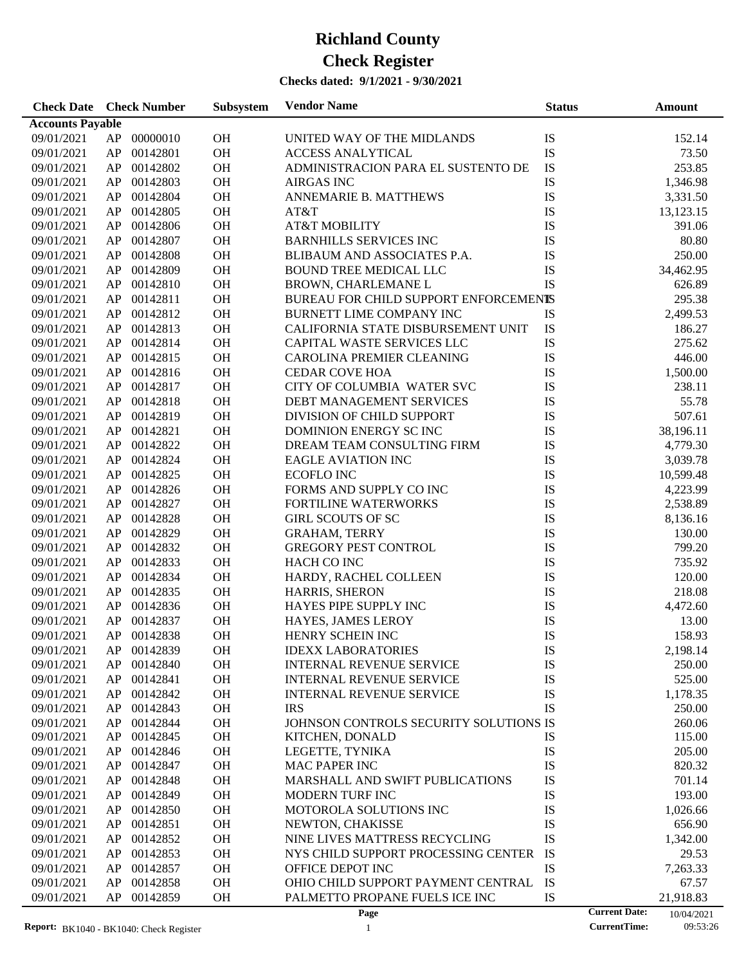#### **Checks dated: 9/1/2021 - 9/30/2021**

| <b>Check Date</b> Check Number |          |                      | Subsystem              | <b>Vendor Name</b>                     | <b>Status</b> | <b>Amount</b>                      |  |
|--------------------------------|----------|----------------------|------------------------|----------------------------------------|---------------|------------------------------------|--|
| <b>Accounts Payable</b>        |          |                      |                        |                                        |               |                                    |  |
| 09/01/2021                     | AP       | 00000010             | <b>OH</b>              | UNITED WAY OF THE MIDLANDS             | IS            | 152.14                             |  |
| 09/01/2021                     | AP       | 00142801             | OH                     | <b>ACCESS ANALYTICAL</b>               | IS            | 73.50                              |  |
| 09/01/2021                     | AP       | 00142802             | OH                     | ADMINISTRACION PARA EL SUSTENTO DE     | IS            | 253.85                             |  |
| 09/01/2021                     | AP       | 00142803             | <b>OH</b>              | <b>AIRGAS INC</b>                      | IS            | 1,346.98                           |  |
| 09/01/2021                     | AP       | 00142804             | <b>OH</b>              | ANNEMARIE B. MATTHEWS                  | IS            | 3,331.50                           |  |
| 09/01/2021                     | AP       | 00142805             | <b>OH</b>              | AT&T                                   | IS            | 13,123.15                          |  |
| 09/01/2021                     | AP       | 00142806             | OH                     | <b>AT&amp;T MOBILITY</b>               | IS            | 391.06                             |  |
| 09/01/2021                     | AP       | 00142807             | OH                     | <b>BARNHILLS SERVICES INC</b>          | IS            | 80.80                              |  |
| 09/01/2021                     | AP       | 00142808             | OH                     | BLIBAUM AND ASSOCIATES P.A.            | IS            | 250.00                             |  |
| 09/01/2021                     | AP       | 00142809             | OH                     | <b>BOUND TREE MEDICAL LLC</b>          | IS            | 34,462.95                          |  |
| 09/01/2021                     | AP       | 00142810             | <b>OH</b>              | BROWN, CHARLEMANE L                    | IS            | 626.89                             |  |
| 09/01/2021                     | AP       | 00142811             | <b>OH</b>              | BUREAU FOR CHILD SUPPORT ENFORCEMENTS  |               | 295.38                             |  |
| 09/01/2021                     | AP       | 00142812             | <b>OH</b>              | BURNETT LIME COMPANY INC               | IS            | 2,499.53                           |  |
| 09/01/2021                     | AP       | 00142813             | <b>OH</b>              | CALIFORNIA STATE DISBURSEMENT UNIT     | IS            | 186.27                             |  |
| 09/01/2021                     | AP       | 00142814             | OH                     | CAPITAL WASTE SERVICES LLC             | IS            | 275.62                             |  |
| 09/01/2021                     | AP       | 00142815             | OH                     | CAROLINA PREMIER CLEANING              | IS            | 446.00                             |  |
| 09/01/2021                     | AP       | 00142816             | OH                     | <b>CEDAR COVE HOA</b>                  | IS            | 1,500.00                           |  |
| 09/01/2021                     | AP       | 00142817             | OH                     | CITY OF COLUMBIA WATER SVC             | IS            | 238.11                             |  |
| 09/01/2021                     | AP       | 00142818             | <b>OH</b>              | DEBT MANAGEMENT SERVICES               | IS            | 55.78                              |  |
|                                | AP       | 00142819             | <b>OH</b>              | DIVISION OF CHILD SUPPORT              | IS            | 507.61                             |  |
| 09/01/2021                     | AP       | 00142821             | <b>OH</b>              | DOMINION ENERGY SC INC                 | IS            |                                    |  |
| 09/01/2021                     |          | 00142822             |                        | DREAM TEAM CONSULTING FIRM             |               | 38,196.11                          |  |
| 09/01/2021                     | AP<br>AP |                      | <b>OH</b><br><b>OH</b> | <b>EAGLE AVIATION INC</b>              | IS<br>IS      | 4,779.30                           |  |
| 09/01/2021                     | AP       | 00142824<br>00142825 | OH                     | <b>ECOFLO INC</b>                      | IS            | 3,039.78                           |  |
| 09/01/2021                     |          |                      | OH                     |                                        | IS            | 10,599.48                          |  |
| 09/01/2021                     | AP       | 00142826             |                        | FORMS AND SUPPLY CO INC                |               | 4,223.99                           |  |
| 09/01/2021                     | AP       | 00142827             | OH                     | FORTILINE WATERWORKS                   | IS            | 2,538.89                           |  |
| 09/01/2021                     | AP       | 00142828             | <b>OH</b>              | <b>GIRL SCOUTS OF SC</b>               | IS            | 8,136.16                           |  |
| 09/01/2021                     | AP       | 00142829             | <b>OH</b>              | <b>GRAHAM, TERRY</b>                   | IS            | 130.00                             |  |
| 09/01/2021                     | AP       | 00142832             | <b>OH</b>              | GREGORY PEST CONTROL                   | IS            | 799.20                             |  |
| 09/01/2021                     | AP       | 00142833             | <b>OH</b>              | HACH CO INC                            | IS            | 735.92                             |  |
| 09/01/2021                     | AP       | 00142834             | <b>OH</b>              | HARDY, RACHEL COLLEEN                  | IS            | 120.00                             |  |
| 09/01/2021                     | AP       | 00142835             | <b>OH</b>              | HARRIS, SHERON                         | IS            | 218.08                             |  |
| 09/01/2021                     | AP       | 00142836             | <b>OH</b>              | HAYES PIPE SUPPLY INC                  | IS            | 4,472.60                           |  |
| 09/01/2021                     | AP       | 00142837             | <b>OH</b>              | HAYES, JAMES LEROY                     | IS            | 13.00                              |  |
| 09/01/2021                     |          | AP 00142838          | <b>OH</b>              | HENRY SCHEIN INC                       | <b>IS</b>     | 158.93                             |  |
| 09/01/2021                     |          | AP 00142839          | <b>OH</b>              | <b>IDEXX LABORATORIES</b>              | IS            | 2,198.14                           |  |
| 09/01/2021                     | AP       | 00142840             | <b>OH</b>              | <b>INTERNAL REVENUE SERVICE</b>        | IS            | 250.00                             |  |
| 09/01/2021                     | AP       | 00142841             | OH                     | <b>INTERNAL REVENUE SERVICE</b>        | IS            | 525.00                             |  |
| 09/01/2021                     | AP       | 00142842             | OH                     | <b>INTERNAL REVENUE SERVICE</b>        | IS            | 1,178.35                           |  |
| 09/01/2021                     | AP       | 00142843             | <b>OH</b>              | <b>IRS</b>                             | IS            | 250.00                             |  |
| 09/01/2021                     | AP       | 00142844             | OH                     | JOHNSON CONTROLS SECURITY SOLUTIONS IS |               | 260.06                             |  |
| 09/01/2021                     | AP       | 00142845             | OH                     | KITCHEN, DONALD                        | IS            | 115.00                             |  |
| 09/01/2021                     | AP       | 00142846             | OH                     | LEGETTE, TYNIKA                        | IS            | 205.00                             |  |
| 09/01/2021                     | AP       | 00142847             | OH                     | MAC PAPER INC                          | IS            | 820.32                             |  |
| 09/01/2021                     | AP       | 00142848             | OH                     | MARSHALL AND SWIFT PUBLICATIONS        | IS            | 701.14                             |  |
| 09/01/2021                     | AP       | 00142849             | OH                     | MODERN TURF INC                        | IS            | 193.00                             |  |
| 09/01/2021                     | AP       | 00142850             | OH                     | MOTOROLA SOLUTIONS INC                 | IS            | 1,026.66                           |  |
| 09/01/2021                     | AP       | 00142851             | OH                     | NEWTON, CHAKISSE                       | IS            | 656.90                             |  |
| 09/01/2021                     | AP       | 00142852             | OH                     | NINE LIVES MATTRESS RECYCLING          | IS            | 1,342.00                           |  |
| 09/01/2021                     | AP       | 00142853             | OH                     | NYS CHILD SUPPORT PROCESSING CENTER    | IS            | 29.53                              |  |
| 09/01/2021                     | AP       | 00142857             | OH                     | OFFICE DEPOT INC                       | IS            | 7,263.33                           |  |
| 09/01/2021                     | AP       | 00142858             | OH                     | OHIO CHILD SUPPORT PAYMENT CENTRAL     | IS            | 67.57                              |  |
| 09/01/2021                     | AP       | 00142859             | OH                     | PALMETTO PROPANE FUELS ICE INC         | IS            | 21,918.83                          |  |
|                                |          |                      |                        | Page                                   |               | <b>Current Date:</b><br>10/04/2021 |  |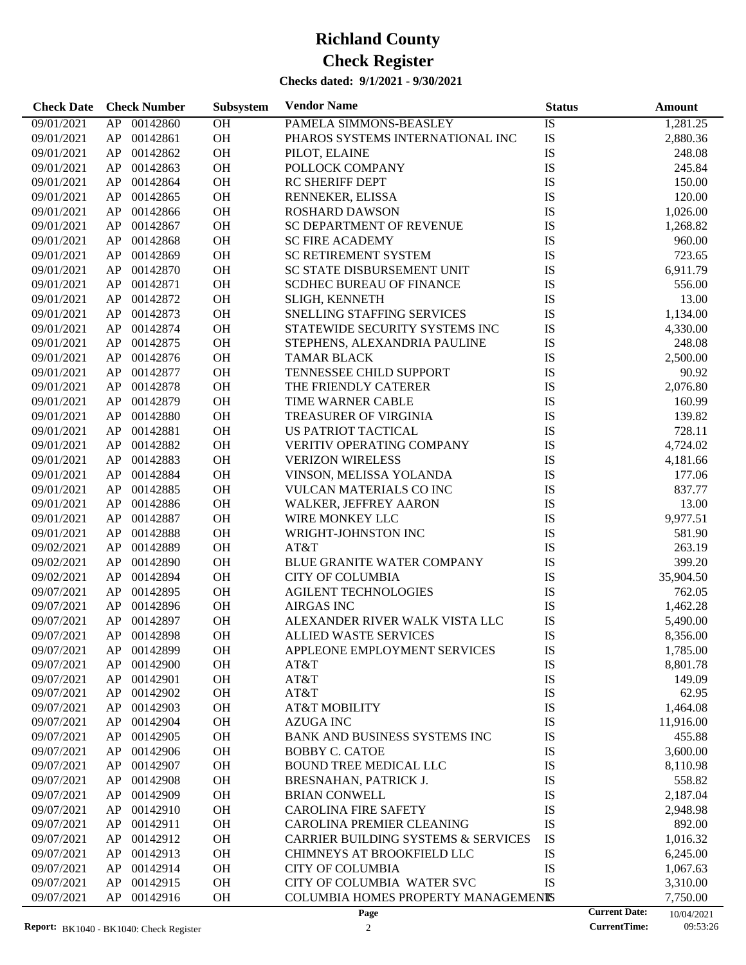| <b>Check Date</b> | <b>Check Number</b> | Subsystem | <b>Vendor Name</b>                             | <b>Status</b> |                      | Amount     |
|-------------------|---------------------|-----------|------------------------------------------------|---------------|----------------------|------------|
| 09/01/2021        | 00142860<br>AP      | OH        | PAMELA SIMMONS-BEASLEY                         | IS            |                      | 1,281.25   |
| 09/01/2021        | AP<br>00142861      | OH        | PHAROS SYSTEMS INTERNATIONAL INC               | IS            |                      | 2,880.36   |
| 09/01/2021        | AP<br>00142862      | OH        | PILOT, ELAINE                                  | IS            |                      | 248.08     |
| 09/01/2021        | AP<br>00142863      | OH        | POLLOCK COMPANY                                | IS            |                      | 245.84     |
| 09/01/2021        | AP<br>00142864      | OH        | RC SHERIFF DEPT                                | IS            |                      | 150.00     |
| 09/01/2021        | AP<br>00142865      | OH        | RENNEKER, ELISSA                               | IS            |                      | 120.00     |
| 09/01/2021        | AP<br>00142866      | OH        | <b>ROSHARD DAWSON</b>                          | IS            |                      | 1,026.00   |
| 09/01/2021        | AP<br>00142867      | OH        | SC DEPARTMENT OF REVENUE                       | IS            |                      | 1,268.82   |
| 09/01/2021        | AP<br>00142868      | OH        | <b>SC FIRE ACADEMY</b>                         | IS            |                      | 960.00     |
| 09/01/2021        | AP<br>00142869      | OH        | SC RETIREMENT SYSTEM                           | IS            |                      | 723.65     |
| 09/01/2021        | AP<br>00142870      | OH        | SC STATE DISBURSEMENT UNIT                     | IS            |                      | 6,911.79   |
| 09/01/2021        | AP<br>00142871      | OH        | <b>SCDHEC BUREAU OF FINANCE</b>                | IS            |                      | 556.00     |
| 09/01/2021        | AP<br>00142872      | OH        | SLIGH, KENNETH                                 | IS            |                      | 13.00      |
| 09/01/2021        | AP<br>00142873      | OH        | SNELLING STAFFING SERVICES                     | IS            |                      | 1,134.00   |
| 09/01/2021        | 00142874<br>AP      | OH        | STATEWIDE SECURITY SYSTEMS INC                 | IS            |                      | 4,330.00   |
| 09/01/2021        | AP<br>00142875      | OH        | STEPHENS, ALEXANDRIA PAULINE                   | IS            |                      | 248.08     |
| 09/01/2021        | AP<br>00142876      | OH        | <b>TAMAR BLACK</b>                             | IS            |                      | 2,500.00   |
| 09/01/2021        | 00142877<br>AP      | OH        | TENNESSEE CHILD SUPPORT                        | IS            |                      | 90.92      |
| 09/01/2021        | 00142878<br>AP      | OH        | THE FRIENDLY CATERER                           | IS            |                      | 2,076.80   |
| 09/01/2021        | AP<br>00142879      | OH        | TIME WARNER CABLE                              | IS            |                      | 160.99     |
| 09/01/2021        | AP<br>00142880      | OH        | TREASURER OF VIRGINIA                          | IS            |                      | 139.82     |
| 09/01/2021        | AP<br>00142881      | OH        | <b>US PATRIOT TACTICAL</b>                     | IS            |                      | 728.11     |
| 09/01/2021        | 00142882<br>AP      | OH        | VERITIV OPERATING COMPANY                      | IS            |                      | 4,724.02   |
| 09/01/2021        | AP<br>00142883      | OH        | <b>VERIZON WIRELESS</b>                        | IS            |                      | 4,181.66   |
| 09/01/2021        | AP<br>00142884      | OH        | VINSON, MELISSA YOLANDA                        | IS            |                      | 177.06     |
| 09/01/2021        | AP<br>00142885      | OH        | VULCAN MATERIALS CO INC                        | IS            |                      | 837.77     |
| 09/01/2021        | AP<br>00142886      | OH        | WALKER, JEFFREY AARON                          | IS            |                      | 13.00      |
| 09/01/2021        | AP<br>00142887      | OH        | WIRE MONKEY LLC                                | IS            |                      | 9,977.51   |
| 09/01/2021        | AP<br>00142888      | OH        | WRIGHT-JOHNSTON INC                            | IS            |                      | 581.90     |
| 09/02/2021        | AP<br>00142889      | OH        | AT&T                                           | IS            |                      | 263.19     |
| 09/02/2021        | AP<br>00142890      | OH        | <b>BLUE GRANITE WATER COMPANY</b>              | IS            |                      | 399.20     |
| 09/02/2021        | 00142894<br>AP      | OH        | <b>CITY OF COLUMBIA</b>                        | IS            |                      | 35,904.50  |
| 09/07/2021        | 00142895<br>AP      | OH        | <b>AGILENT TECHNOLOGIES</b>                    | IS            |                      | 762.05     |
| 09/07/2021        | AP<br>00142896      | OH        | <b>AIRGAS INC</b>                              | IS            |                      | 1,462.28   |
| 09/07/2021        | AP<br>00142897      | OH        | ALEXANDER RIVER WALK VISTA LLC                 | IS            |                      | 5,490.00   |
| 09/07/2021        | AP<br>00142898      | <b>OH</b> | <b>ALLIED WASTE SERVICES</b>                   | IS            |                      | 8,356.00   |
| 09/07/2021        | 00142899<br>AP      | OH        | APPLEONE EMPLOYMENT SERVICES                   | IS            |                      | 1,785.00   |
| 09/07/2021        | 00142900<br>AP      | OH        | AT&T                                           | IS            |                      | 8,801.78   |
| 09/07/2021        | AP<br>00142901      | OH        | AT&T                                           | IS            |                      | 149.09     |
| 09/07/2021        | AP<br>00142902      | <b>OH</b> | AT&T                                           | IS            |                      | 62.95      |
| 09/07/2021        | AP<br>00142903      | OH        | <b>AT&amp;T MOBILITY</b>                       | IS            |                      | 1,464.08   |
| 09/07/2021        | 00142904<br>AP      | OH        | <b>AZUGA INC</b>                               | IS            |                      | 11,916.00  |
| 09/07/2021        | 00142905<br>AP      | OH        | <b>BANK AND BUSINESS SYSTEMS INC</b>           | IS            |                      | 455.88     |
| 09/07/2021        | 00142906<br>AP      | OH        | <b>BOBBY C. CATOE</b>                          | IS            |                      | 3,600.00   |
| 09/07/2021        | 00142907<br>AP      | OH        | <b>BOUND TREE MEDICAL LLC</b>                  | IS            |                      | 8,110.98   |
| 09/07/2021        | 00142908<br>AP      | OH        | BRESNAHAN, PATRICK J.                          | IS            |                      | 558.82     |
| 09/07/2021        | AP<br>00142909      | OH        | <b>BRIAN CONWELL</b>                           | IS            |                      | 2,187.04   |
| 09/07/2021        | AP<br>00142910      | OH        | <b>CAROLINA FIRE SAFETY</b>                    | IS            |                      | 2,948.98   |
| 09/07/2021        | 00142911<br>AP      | OH        | <b>CAROLINA PREMIER CLEANING</b>               | IS            |                      | 892.00     |
| 09/07/2021        | 00142912<br>AP      | OH        | <b>CARRIER BUILDING SYSTEMS &amp; SERVICES</b> | IS            |                      | 1,016.32   |
| 09/07/2021        | 00142913<br>AP      | OH        | CHIMNEYS AT BROOKFIELD LLC                     | IS            |                      | 6,245.00   |
| 09/07/2021        | 00142914<br>AP      | OH        | <b>CITY OF COLUMBIA</b>                        | IS            |                      | 1,067.63   |
| 09/07/2021        | 00142915<br>AP      | OH        | CITY OF COLUMBIA WATER SVC                     | IS            |                      | 3,310.00   |
| 09/07/2021        | AP<br>00142916      | <b>OH</b> | COLUMBIA HOMES PROPERTY MANAGEMENTS            |               |                      | 7,750.00   |
|                   |                     |           | Page                                           |               | <b>Current Date:</b> | 10/04/2021 |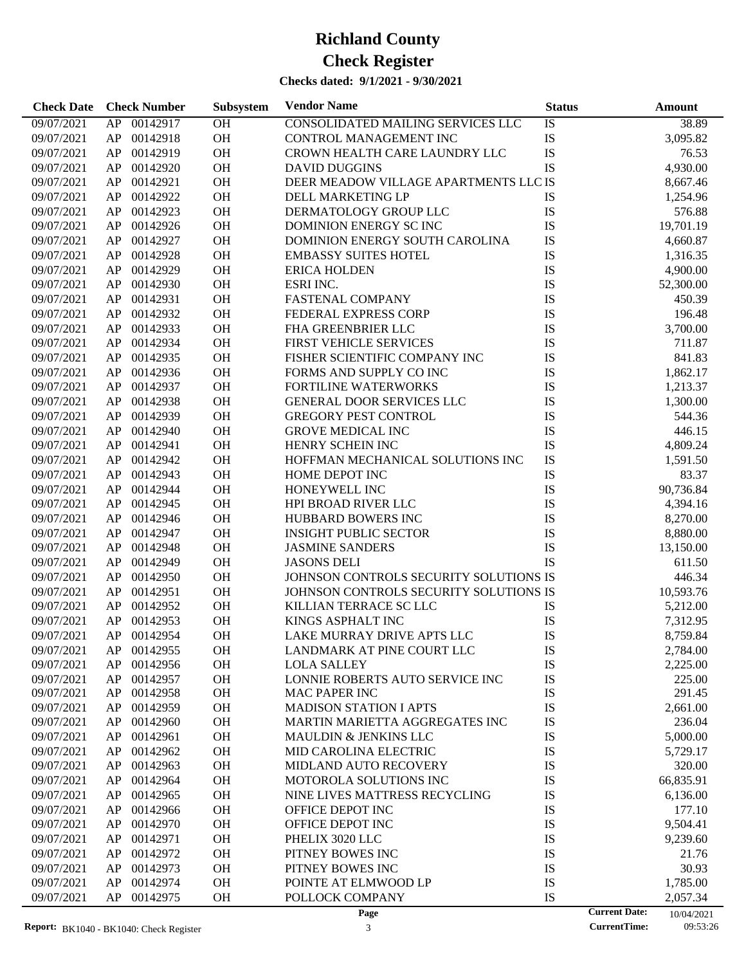| 00142917<br>OH<br>38.89<br>09/07/2021<br>AP<br>CONSOLIDATED MAILING SERVICES LLC<br>IS<br>OH<br>IS<br>AP<br>00142918<br>CONTROL MANAGEMENT INC<br>3,095.82<br>09/07/2021<br>IS<br>OH<br>00142919<br>CROWN HEALTH CARE LAUNDRY LLC<br>76.53<br>09/07/2021<br>AP<br>IS<br>00142920<br><b>OH</b><br><b>DAVID DUGGINS</b><br>4,930.00<br>09/07/2021<br>AP<br>DEER MEADOW VILLAGE APARTMENTS LLC IS<br>00142921<br><b>OH</b><br>09/07/2021<br>AP<br>8,667.46<br>00142922<br><b>OH</b><br>DELL MARKETING LP<br>IS<br>09/07/2021<br>AP<br>1,254.96<br>IS<br>00142923<br><b>OH</b><br>DERMATOLOGY GROUP LLC<br>576.88<br>09/07/2021<br>AP<br>IS<br>00142926<br><b>OH</b><br>DOMINION ENERGY SC INC<br>19,701.19<br>09/07/2021<br>AP<br>IS<br>00142927<br><b>OH</b><br>DOMINION ENERGY SOUTH CAROLINA<br>09/07/2021<br>AP<br>4,660.87<br>IS<br>00142928<br><b>OH</b><br>09/07/2021<br>AP<br><b>EMBASSY SUITES HOTEL</b><br>1,316.35<br>IS<br>00142929<br><b>OH</b><br>09/07/2021<br>AP<br><b>ERICA HOLDEN</b><br>4,900.00<br>IS<br>00142930<br><b>OH</b><br>ESRI INC.<br>09/07/2021<br>AP<br>52,300.00<br>IS<br>00142931<br><b>OH</b><br><b>FASTENAL COMPANY</b><br>09/07/2021<br>AP<br>450.39<br>IS<br>00142932<br><b>OH</b><br>FEDERAL EXPRESS CORP<br>09/07/2021<br>AP<br>196.48<br>IS<br>00142933<br><b>OH</b><br>FHA GREENBRIER LLC<br>3,700.00<br>09/07/2021<br>AP<br>IS<br>00142934<br><b>OH</b><br>FIRST VEHICLE SERVICES<br>09/07/2021<br>AP<br>711.87<br>IS<br>00142935<br><b>OH</b><br>FISHER SCIENTIFIC COMPANY INC<br>841.83<br>09/07/2021<br>AP<br>IS<br>00142936<br><b>OH</b><br>FORMS AND SUPPLY CO INC<br>09/07/2021<br>AP<br>1,862.17<br>IS<br>00142937<br><b>OH</b><br>FORTILINE WATERWORKS<br>09/07/2021<br>AP<br>1,213.37<br>IS<br>00142938<br><b>OH</b><br>09/07/2021<br>AP<br><b>GENERAL DOOR SERVICES LLC</b><br>1,300.00<br>IS<br>00142939<br><b>OH</b><br><b>GREGORY PEST CONTROL</b><br>09/07/2021<br>AP<br>544.36<br>IS<br>00142940<br><b>OH</b><br><b>GROVE MEDICAL INC</b><br>446.15<br>09/07/2021<br>AP<br>IS<br>00142941<br><b>OH</b><br>HENRY SCHEIN INC<br>4,809.24<br>09/07/2021<br>AP<br>IS<br>00142942<br><b>OH</b><br>HOFFMAN MECHANICAL SOLUTIONS INC<br>09/07/2021<br>AP<br>1,591.50<br>IS<br>00142943<br><b>OH</b><br>83.37<br>09/07/2021<br>AP<br>HOME DEPOT INC<br>IS<br>00142944<br><b>OH</b><br>HONEYWELL INC<br>90,736.84<br>09/07/2021<br>AP<br>IS<br>00142945<br><b>OH</b><br>HPI BROAD RIVER LLC<br>09/07/2021<br>AP<br>4,394.16<br>IS<br>00142946<br><b>OH</b><br>09/07/2021<br>AP<br>HUBBARD BOWERS INC<br>8,270.00<br>IS<br>00142947<br><b>OH</b><br><b>INSIGHT PUBLIC SECTOR</b><br>09/07/2021<br>AP<br>8,880.00<br>IS<br>00142948<br><b>OH</b><br>09/07/2021<br>AP<br><b>JASMINE SANDERS</b><br>13,150.00<br><b>IS</b><br>00142949<br><b>OH</b><br><b>JASONS DELI</b><br>09/07/2021<br>AP<br>611.50<br>JOHNSON CONTROLS SECURITY SOLUTIONS IS<br>00142950<br><b>OH</b><br>446.34<br>09/07/2021<br>AP<br>00142951<br><b>OH</b><br>JOHNSON CONTROLS SECURITY SOLUTIONS IS<br>10,593.76<br>09/07/2021<br>AP<br>00142952<br><b>OH</b><br>KILLIAN TERRACE SC LLC<br>IS<br>09/07/2021<br>AP<br>5,212.00<br>00142953<br><b>OH</b><br>KINGS ASPHALT INC<br>IS<br>09/07/2021<br>AP<br>7,312.95<br>IS<br>AP<br>00142954<br><b>OH</b><br>LAKE MURRAY DRIVE APTS LLC<br>09/07/2021<br>8,759.84<br>IS<br>09/07/2021<br>AP.<br>00142955<br>OН<br>LANDMARK AT PINE COURT LLC<br>2,784.00<br>00142956<br>OH<br>IS<br>09/07/2021<br>AP<br><b>LOLA SALLEY</b><br>2,225.00<br>IS<br>00142957<br>OH<br>LONNIE ROBERTS AUTO SERVICE INC<br>225.00<br>09/07/2021<br>AP<br>IS<br>OH<br>09/07/2021<br>AP<br>00142958<br>MAC PAPER INC<br>291.45<br>IS<br>OH<br>09/07/2021<br>AP<br>00142959<br><b>MADISON STATION I APTS</b><br>2,661.00<br>IS<br>00142960<br>OH<br>MARTIN MARIETTA AGGREGATES INC<br>09/07/2021<br>AP<br>236.04<br>IS<br>00142961<br>OH<br>09/07/2021<br>AP<br><b>MAULDIN &amp; JENKINS LLC</b><br>5,000.00<br>IS<br>00142962<br>OH<br>MID CAROLINA ELECTRIC<br>09/07/2021<br>AP<br>5,729.17<br>IS<br>00142963<br>OH<br>MIDLAND AUTO RECOVERY<br>09/07/2021<br>AP<br>320.00<br>IS<br>00142964<br>OH<br>66,835.91<br>09/07/2021<br>AP<br>MOTOROLA SOLUTIONS INC<br>IS<br>00142965<br>OH<br>NINE LIVES MATTRESS RECYCLING<br>09/07/2021<br>AP<br>6,136.00 | <b>Check Date</b> | <b>Check Number</b> | Subsystem | <b>Vendor Name</b> | <b>Status</b> | <b>Amount</b> |
|-----------------------------------------------------------------------------------------------------------------------------------------------------------------------------------------------------------------------------------------------------------------------------------------------------------------------------------------------------------------------------------------------------------------------------------------------------------------------------------------------------------------------------------------------------------------------------------------------------------------------------------------------------------------------------------------------------------------------------------------------------------------------------------------------------------------------------------------------------------------------------------------------------------------------------------------------------------------------------------------------------------------------------------------------------------------------------------------------------------------------------------------------------------------------------------------------------------------------------------------------------------------------------------------------------------------------------------------------------------------------------------------------------------------------------------------------------------------------------------------------------------------------------------------------------------------------------------------------------------------------------------------------------------------------------------------------------------------------------------------------------------------------------------------------------------------------------------------------------------------------------------------------------------------------------------------------------------------------------------------------------------------------------------------------------------------------------------------------------------------------------------------------------------------------------------------------------------------------------------------------------------------------------------------------------------------------------------------------------------------------------------------------------------------------------------------------------------------------------------------------------------------------------------------------------------------------------------------------------------------------------------------------------------------------------------------------------------------------------------------------------------------------------------------------------------------------------------------------------------------------------------------------------------------------------------------------------------------------------------------------------------------------------------------------------------------------------------------------------------------------------------------------------------------------------------------------------------------------------------------------------------------------------------------------------------------------------------------------------------------------------------------------------------------------------------------------------------------------------------------------------------------------------------------------------------------------------------------------------------------------------------------------------------------------------------------------------------------------------------------------------------------------------------------------------------------------------------------------------------------------------------------------------------------------------------------------------------------------------------------------------------------------------------------------------------------------------------------------------------------------------------------------------------------------------------------------------------------------------------------------------------------------------------------------|-------------------|---------------------|-----------|--------------------|---------------|---------------|
|                                                                                                                                                                                                                                                                                                                                                                                                                                                                                                                                                                                                                                                                                                                                                                                                                                                                                                                                                                                                                                                                                                                                                                                                                                                                                                                                                                                                                                                                                                                                                                                                                                                                                                                                                                                                                                                                                                                                                                                                                                                                                                                                                                                                                                                                                                                                                                                                                                                                                                                                                                                                                                                                                                                                                                                                                                                                                                                                                                                                                                                                                                                                                                                                                                                                                                                                                                                                                                                                                                                                                                                                                                                                                                                                                                                                                                                                                                                                                                                                                                                                                                                                                                                                                                                                                               |                   |                     |           |                    |               |               |
|                                                                                                                                                                                                                                                                                                                                                                                                                                                                                                                                                                                                                                                                                                                                                                                                                                                                                                                                                                                                                                                                                                                                                                                                                                                                                                                                                                                                                                                                                                                                                                                                                                                                                                                                                                                                                                                                                                                                                                                                                                                                                                                                                                                                                                                                                                                                                                                                                                                                                                                                                                                                                                                                                                                                                                                                                                                                                                                                                                                                                                                                                                                                                                                                                                                                                                                                                                                                                                                                                                                                                                                                                                                                                                                                                                                                                                                                                                                                                                                                                                                                                                                                                                                                                                                                                               |                   |                     |           |                    |               |               |
|                                                                                                                                                                                                                                                                                                                                                                                                                                                                                                                                                                                                                                                                                                                                                                                                                                                                                                                                                                                                                                                                                                                                                                                                                                                                                                                                                                                                                                                                                                                                                                                                                                                                                                                                                                                                                                                                                                                                                                                                                                                                                                                                                                                                                                                                                                                                                                                                                                                                                                                                                                                                                                                                                                                                                                                                                                                                                                                                                                                                                                                                                                                                                                                                                                                                                                                                                                                                                                                                                                                                                                                                                                                                                                                                                                                                                                                                                                                                                                                                                                                                                                                                                                                                                                                                                               |                   |                     |           |                    |               |               |
|                                                                                                                                                                                                                                                                                                                                                                                                                                                                                                                                                                                                                                                                                                                                                                                                                                                                                                                                                                                                                                                                                                                                                                                                                                                                                                                                                                                                                                                                                                                                                                                                                                                                                                                                                                                                                                                                                                                                                                                                                                                                                                                                                                                                                                                                                                                                                                                                                                                                                                                                                                                                                                                                                                                                                                                                                                                                                                                                                                                                                                                                                                                                                                                                                                                                                                                                                                                                                                                                                                                                                                                                                                                                                                                                                                                                                                                                                                                                                                                                                                                                                                                                                                                                                                                                                               |                   |                     |           |                    |               |               |
|                                                                                                                                                                                                                                                                                                                                                                                                                                                                                                                                                                                                                                                                                                                                                                                                                                                                                                                                                                                                                                                                                                                                                                                                                                                                                                                                                                                                                                                                                                                                                                                                                                                                                                                                                                                                                                                                                                                                                                                                                                                                                                                                                                                                                                                                                                                                                                                                                                                                                                                                                                                                                                                                                                                                                                                                                                                                                                                                                                                                                                                                                                                                                                                                                                                                                                                                                                                                                                                                                                                                                                                                                                                                                                                                                                                                                                                                                                                                                                                                                                                                                                                                                                                                                                                                                               |                   |                     |           |                    |               |               |
|                                                                                                                                                                                                                                                                                                                                                                                                                                                                                                                                                                                                                                                                                                                                                                                                                                                                                                                                                                                                                                                                                                                                                                                                                                                                                                                                                                                                                                                                                                                                                                                                                                                                                                                                                                                                                                                                                                                                                                                                                                                                                                                                                                                                                                                                                                                                                                                                                                                                                                                                                                                                                                                                                                                                                                                                                                                                                                                                                                                                                                                                                                                                                                                                                                                                                                                                                                                                                                                                                                                                                                                                                                                                                                                                                                                                                                                                                                                                                                                                                                                                                                                                                                                                                                                                                               |                   |                     |           |                    |               |               |
|                                                                                                                                                                                                                                                                                                                                                                                                                                                                                                                                                                                                                                                                                                                                                                                                                                                                                                                                                                                                                                                                                                                                                                                                                                                                                                                                                                                                                                                                                                                                                                                                                                                                                                                                                                                                                                                                                                                                                                                                                                                                                                                                                                                                                                                                                                                                                                                                                                                                                                                                                                                                                                                                                                                                                                                                                                                                                                                                                                                                                                                                                                                                                                                                                                                                                                                                                                                                                                                                                                                                                                                                                                                                                                                                                                                                                                                                                                                                                                                                                                                                                                                                                                                                                                                                                               |                   |                     |           |                    |               |               |
|                                                                                                                                                                                                                                                                                                                                                                                                                                                                                                                                                                                                                                                                                                                                                                                                                                                                                                                                                                                                                                                                                                                                                                                                                                                                                                                                                                                                                                                                                                                                                                                                                                                                                                                                                                                                                                                                                                                                                                                                                                                                                                                                                                                                                                                                                                                                                                                                                                                                                                                                                                                                                                                                                                                                                                                                                                                                                                                                                                                                                                                                                                                                                                                                                                                                                                                                                                                                                                                                                                                                                                                                                                                                                                                                                                                                                                                                                                                                                                                                                                                                                                                                                                                                                                                                                               |                   |                     |           |                    |               |               |
|                                                                                                                                                                                                                                                                                                                                                                                                                                                                                                                                                                                                                                                                                                                                                                                                                                                                                                                                                                                                                                                                                                                                                                                                                                                                                                                                                                                                                                                                                                                                                                                                                                                                                                                                                                                                                                                                                                                                                                                                                                                                                                                                                                                                                                                                                                                                                                                                                                                                                                                                                                                                                                                                                                                                                                                                                                                                                                                                                                                                                                                                                                                                                                                                                                                                                                                                                                                                                                                                                                                                                                                                                                                                                                                                                                                                                                                                                                                                                                                                                                                                                                                                                                                                                                                                                               |                   |                     |           |                    |               |               |
|                                                                                                                                                                                                                                                                                                                                                                                                                                                                                                                                                                                                                                                                                                                                                                                                                                                                                                                                                                                                                                                                                                                                                                                                                                                                                                                                                                                                                                                                                                                                                                                                                                                                                                                                                                                                                                                                                                                                                                                                                                                                                                                                                                                                                                                                                                                                                                                                                                                                                                                                                                                                                                                                                                                                                                                                                                                                                                                                                                                                                                                                                                                                                                                                                                                                                                                                                                                                                                                                                                                                                                                                                                                                                                                                                                                                                                                                                                                                                                                                                                                                                                                                                                                                                                                                                               |                   |                     |           |                    |               |               |
|                                                                                                                                                                                                                                                                                                                                                                                                                                                                                                                                                                                                                                                                                                                                                                                                                                                                                                                                                                                                                                                                                                                                                                                                                                                                                                                                                                                                                                                                                                                                                                                                                                                                                                                                                                                                                                                                                                                                                                                                                                                                                                                                                                                                                                                                                                                                                                                                                                                                                                                                                                                                                                                                                                                                                                                                                                                                                                                                                                                                                                                                                                                                                                                                                                                                                                                                                                                                                                                                                                                                                                                                                                                                                                                                                                                                                                                                                                                                                                                                                                                                                                                                                                                                                                                                                               |                   |                     |           |                    |               |               |
|                                                                                                                                                                                                                                                                                                                                                                                                                                                                                                                                                                                                                                                                                                                                                                                                                                                                                                                                                                                                                                                                                                                                                                                                                                                                                                                                                                                                                                                                                                                                                                                                                                                                                                                                                                                                                                                                                                                                                                                                                                                                                                                                                                                                                                                                                                                                                                                                                                                                                                                                                                                                                                                                                                                                                                                                                                                                                                                                                                                                                                                                                                                                                                                                                                                                                                                                                                                                                                                                                                                                                                                                                                                                                                                                                                                                                                                                                                                                                                                                                                                                                                                                                                                                                                                                                               |                   |                     |           |                    |               |               |
|                                                                                                                                                                                                                                                                                                                                                                                                                                                                                                                                                                                                                                                                                                                                                                                                                                                                                                                                                                                                                                                                                                                                                                                                                                                                                                                                                                                                                                                                                                                                                                                                                                                                                                                                                                                                                                                                                                                                                                                                                                                                                                                                                                                                                                                                                                                                                                                                                                                                                                                                                                                                                                                                                                                                                                                                                                                                                                                                                                                                                                                                                                                                                                                                                                                                                                                                                                                                                                                                                                                                                                                                                                                                                                                                                                                                                                                                                                                                                                                                                                                                                                                                                                                                                                                                                               |                   |                     |           |                    |               |               |
|                                                                                                                                                                                                                                                                                                                                                                                                                                                                                                                                                                                                                                                                                                                                                                                                                                                                                                                                                                                                                                                                                                                                                                                                                                                                                                                                                                                                                                                                                                                                                                                                                                                                                                                                                                                                                                                                                                                                                                                                                                                                                                                                                                                                                                                                                                                                                                                                                                                                                                                                                                                                                                                                                                                                                                                                                                                                                                                                                                                                                                                                                                                                                                                                                                                                                                                                                                                                                                                                                                                                                                                                                                                                                                                                                                                                                                                                                                                                                                                                                                                                                                                                                                                                                                                                                               |                   |                     |           |                    |               |               |
|                                                                                                                                                                                                                                                                                                                                                                                                                                                                                                                                                                                                                                                                                                                                                                                                                                                                                                                                                                                                                                                                                                                                                                                                                                                                                                                                                                                                                                                                                                                                                                                                                                                                                                                                                                                                                                                                                                                                                                                                                                                                                                                                                                                                                                                                                                                                                                                                                                                                                                                                                                                                                                                                                                                                                                                                                                                                                                                                                                                                                                                                                                                                                                                                                                                                                                                                                                                                                                                                                                                                                                                                                                                                                                                                                                                                                                                                                                                                                                                                                                                                                                                                                                                                                                                                                               |                   |                     |           |                    |               |               |
|                                                                                                                                                                                                                                                                                                                                                                                                                                                                                                                                                                                                                                                                                                                                                                                                                                                                                                                                                                                                                                                                                                                                                                                                                                                                                                                                                                                                                                                                                                                                                                                                                                                                                                                                                                                                                                                                                                                                                                                                                                                                                                                                                                                                                                                                                                                                                                                                                                                                                                                                                                                                                                                                                                                                                                                                                                                                                                                                                                                                                                                                                                                                                                                                                                                                                                                                                                                                                                                                                                                                                                                                                                                                                                                                                                                                                                                                                                                                                                                                                                                                                                                                                                                                                                                                                               |                   |                     |           |                    |               |               |
|                                                                                                                                                                                                                                                                                                                                                                                                                                                                                                                                                                                                                                                                                                                                                                                                                                                                                                                                                                                                                                                                                                                                                                                                                                                                                                                                                                                                                                                                                                                                                                                                                                                                                                                                                                                                                                                                                                                                                                                                                                                                                                                                                                                                                                                                                                                                                                                                                                                                                                                                                                                                                                                                                                                                                                                                                                                                                                                                                                                                                                                                                                                                                                                                                                                                                                                                                                                                                                                                                                                                                                                                                                                                                                                                                                                                                                                                                                                                                                                                                                                                                                                                                                                                                                                                                               |                   |                     |           |                    |               |               |
|                                                                                                                                                                                                                                                                                                                                                                                                                                                                                                                                                                                                                                                                                                                                                                                                                                                                                                                                                                                                                                                                                                                                                                                                                                                                                                                                                                                                                                                                                                                                                                                                                                                                                                                                                                                                                                                                                                                                                                                                                                                                                                                                                                                                                                                                                                                                                                                                                                                                                                                                                                                                                                                                                                                                                                                                                                                                                                                                                                                                                                                                                                                                                                                                                                                                                                                                                                                                                                                                                                                                                                                                                                                                                                                                                                                                                                                                                                                                                                                                                                                                                                                                                                                                                                                                                               |                   |                     |           |                    |               |               |
|                                                                                                                                                                                                                                                                                                                                                                                                                                                                                                                                                                                                                                                                                                                                                                                                                                                                                                                                                                                                                                                                                                                                                                                                                                                                                                                                                                                                                                                                                                                                                                                                                                                                                                                                                                                                                                                                                                                                                                                                                                                                                                                                                                                                                                                                                                                                                                                                                                                                                                                                                                                                                                                                                                                                                                                                                                                                                                                                                                                                                                                                                                                                                                                                                                                                                                                                                                                                                                                                                                                                                                                                                                                                                                                                                                                                                                                                                                                                                                                                                                                                                                                                                                                                                                                                                               |                   |                     |           |                    |               |               |
|                                                                                                                                                                                                                                                                                                                                                                                                                                                                                                                                                                                                                                                                                                                                                                                                                                                                                                                                                                                                                                                                                                                                                                                                                                                                                                                                                                                                                                                                                                                                                                                                                                                                                                                                                                                                                                                                                                                                                                                                                                                                                                                                                                                                                                                                                                                                                                                                                                                                                                                                                                                                                                                                                                                                                                                                                                                                                                                                                                                                                                                                                                                                                                                                                                                                                                                                                                                                                                                                                                                                                                                                                                                                                                                                                                                                                                                                                                                                                                                                                                                                                                                                                                                                                                                                                               |                   |                     |           |                    |               |               |
|                                                                                                                                                                                                                                                                                                                                                                                                                                                                                                                                                                                                                                                                                                                                                                                                                                                                                                                                                                                                                                                                                                                                                                                                                                                                                                                                                                                                                                                                                                                                                                                                                                                                                                                                                                                                                                                                                                                                                                                                                                                                                                                                                                                                                                                                                                                                                                                                                                                                                                                                                                                                                                                                                                                                                                                                                                                                                                                                                                                                                                                                                                                                                                                                                                                                                                                                                                                                                                                                                                                                                                                                                                                                                                                                                                                                                                                                                                                                                                                                                                                                                                                                                                                                                                                                                               |                   |                     |           |                    |               |               |
|                                                                                                                                                                                                                                                                                                                                                                                                                                                                                                                                                                                                                                                                                                                                                                                                                                                                                                                                                                                                                                                                                                                                                                                                                                                                                                                                                                                                                                                                                                                                                                                                                                                                                                                                                                                                                                                                                                                                                                                                                                                                                                                                                                                                                                                                                                                                                                                                                                                                                                                                                                                                                                                                                                                                                                                                                                                                                                                                                                                                                                                                                                                                                                                                                                                                                                                                                                                                                                                                                                                                                                                                                                                                                                                                                                                                                                                                                                                                                                                                                                                                                                                                                                                                                                                                                               |                   |                     |           |                    |               |               |
|                                                                                                                                                                                                                                                                                                                                                                                                                                                                                                                                                                                                                                                                                                                                                                                                                                                                                                                                                                                                                                                                                                                                                                                                                                                                                                                                                                                                                                                                                                                                                                                                                                                                                                                                                                                                                                                                                                                                                                                                                                                                                                                                                                                                                                                                                                                                                                                                                                                                                                                                                                                                                                                                                                                                                                                                                                                                                                                                                                                                                                                                                                                                                                                                                                                                                                                                                                                                                                                                                                                                                                                                                                                                                                                                                                                                                                                                                                                                                                                                                                                                                                                                                                                                                                                                                               |                   |                     |           |                    |               |               |
|                                                                                                                                                                                                                                                                                                                                                                                                                                                                                                                                                                                                                                                                                                                                                                                                                                                                                                                                                                                                                                                                                                                                                                                                                                                                                                                                                                                                                                                                                                                                                                                                                                                                                                                                                                                                                                                                                                                                                                                                                                                                                                                                                                                                                                                                                                                                                                                                                                                                                                                                                                                                                                                                                                                                                                                                                                                                                                                                                                                                                                                                                                                                                                                                                                                                                                                                                                                                                                                                                                                                                                                                                                                                                                                                                                                                                                                                                                                                                                                                                                                                                                                                                                                                                                                                                               |                   |                     |           |                    |               |               |
|                                                                                                                                                                                                                                                                                                                                                                                                                                                                                                                                                                                                                                                                                                                                                                                                                                                                                                                                                                                                                                                                                                                                                                                                                                                                                                                                                                                                                                                                                                                                                                                                                                                                                                                                                                                                                                                                                                                                                                                                                                                                                                                                                                                                                                                                                                                                                                                                                                                                                                                                                                                                                                                                                                                                                                                                                                                                                                                                                                                                                                                                                                                                                                                                                                                                                                                                                                                                                                                                                                                                                                                                                                                                                                                                                                                                                                                                                                                                                                                                                                                                                                                                                                                                                                                                                               |                   |                     |           |                    |               |               |
|                                                                                                                                                                                                                                                                                                                                                                                                                                                                                                                                                                                                                                                                                                                                                                                                                                                                                                                                                                                                                                                                                                                                                                                                                                                                                                                                                                                                                                                                                                                                                                                                                                                                                                                                                                                                                                                                                                                                                                                                                                                                                                                                                                                                                                                                                                                                                                                                                                                                                                                                                                                                                                                                                                                                                                                                                                                                                                                                                                                                                                                                                                                                                                                                                                                                                                                                                                                                                                                                                                                                                                                                                                                                                                                                                                                                                                                                                                                                                                                                                                                                                                                                                                                                                                                                                               |                   |                     |           |                    |               |               |
|                                                                                                                                                                                                                                                                                                                                                                                                                                                                                                                                                                                                                                                                                                                                                                                                                                                                                                                                                                                                                                                                                                                                                                                                                                                                                                                                                                                                                                                                                                                                                                                                                                                                                                                                                                                                                                                                                                                                                                                                                                                                                                                                                                                                                                                                                                                                                                                                                                                                                                                                                                                                                                                                                                                                                                                                                                                                                                                                                                                                                                                                                                                                                                                                                                                                                                                                                                                                                                                                                                                                                                                                                                                                                                                                                                                                                                                                                                                                                                                                                                                                                                                                                                                                                                                                                               |                   |                     |           |                    |               |               |
|                                                                                                                                                                                                                                                                                                                                                                                                                                                                                                                                                                                                                                                                                                                                                                                                                                                                                                                                                                                                                                                                                                                                                                                                                                                                                                                                                                                                                                                                                                                                                                                                                                                                                                                                                                                                                                                                                                                                                                                                                                                                                                                                                                                                                                                                                                                                                                                                                                                                                                                                                                                                                                                                                                                                                                                                                                                                                                                                                                                                                                                                                                                                                                                                                                                                                                                                                                                                                                                                                                                                                                                                                                                                                                                                                                                                                                                                                                                                                                                                                                                                                                                                                                                                                                                                                               |                   |                     |           |                    |               |               |
|                                                                                                                                                                                                                                                                                                                                                                                                                                                                                                                                                                                                                                                                                                                                                                                                                                                                                                                                                                                                                                                                                                                                                                                                                                                                                                                                                                                                                                                                                                                                                                                                                                                                                                                                                                                                                                                                                                                                                                                                                                                                                                                                                                                                                                                                                                                                                                                                                                                                                                                                                                                                                                                                                                                                                                                                                                                                                                                                                                                                                                                                                                                                                                                                                                                                                                                                                                                                                                                                                                                                                                                                                                                                                                                                                                                                                                                                                                                                                                                                                                                                                                                                                                                                                                                                                               |                   |                     |           |                    |               |               |
|                                                                                                                                                                                                                                                                                                                                                                                                                                                                                                                                                                                                                                                                                                                                                                                                                                                                                                                                                                                                                                                                                                                                                                                                                                                                                                                                                                                                                                                                                                                                                                                                                                                                                                                                                                                                                                                                                                                                                                                                                                                                                                                                                                                                                                                                                                                                                                                                                                                                                                                                                                                                                                                                                                                                                                                                                                                                                                                                                                                                                                                                                                                                                                                                                                                                                                                                                                                                                                                                                                                                                                                                                                                                                                                                                                                                                                                                                                                                                                                                                                                                                                                                                                                                                                                                                               |                   |                     |           |                    |               |               |
|                                                                                                                                                                                                                                                                                                                                                                                                                                                                                                                                                                                                                                                                                                                                                                                                                                                                                                                                                                                                                                                                                                                                                                                                                                                                                                                                                                                                                                                                                                                                                                                                                                                                                                                                                                                                                                                                                                                                                                                                                                                                                                                                                                                                                                                                                                                                                                                                                                                                                                                                                                                                                                                                                                                                                                                                                                                                                                                                                                                                                                                                                                                                                                                                                                                                                                                                                                                                                                                                                                                                                                                                                                                                                                                                                                                                                                                                                                                                                                                                                                                                                                                                                                                                                                                                                               |                   |                     |           |                    |               |               |
|                                                                                                                                                                                                                                                                                                                                                                                                                                                                                                                                                                                                                                                                                                                                                                                                                                                                                                                                                                                                                                                                                                                                                                                                                                                                                                                                                                                                                                                                                                                                                                                                                                                                                                                                                                                                                                                                                                                                                                                                                                                                                                                                                                                                                                                                                                                                                                                                                                                                                                                                                                                                                                                                                                                                                                                                                                                                                                                                                                                                                                                                                                                                                                                                                                                                                                                                                                                                                                                                                                                                                                                                                                                                                                                                                                                                                                                                                                                                                                                                                                                                                                                                                                                                                                                                                               |                   |                     |           |                    |               |               |
|                                                                                                                                                                                                                                                                                                                                                                                                                                                                                                                                                                                                                                                                                                                                                                                                                                                                                                                                                                                                                                                                                                                                                                                                                                                                                                                                                                                                                                                                                                                                                                                                                                                                                                                                                                                                                                                                                                                                                                                                                                                                                                                                                                                                                                                                                                                                                                                                                                                                                                                                                                                                                                                                                                                                                                                                                                                                                                                                                                                                                                                                                                                                                                                                                                                                                                                                                                                                                                                                                                                                                                                                                                                                                                                                                                                                                                                                                                                                                                                                                                                                                                                                                                                                                                                                                               |                   |                     |           |                    |               |               |
|                                                                                                                                                                                                                                                                                                                                                                                                                                                                                                                                                                                                                                                                                                                                                                                                                                                                                                                                                                                                                                                                                                                                                                                                                                                                                                                                                                                                                                                                                                                                                                                                                                                                                                                                                                                                                                                                                                                                                                                                                                                                                                                                                                                                                                                                                                                                                                                                                                                                                                                                                                                                                                                                                                                                                                                                                                                                                                                                                                                                                                                                                                                                                                                                                                                                                                                                                                                                                                                                                                                                                                                                                                                                                                                                                                                                                                                                                                                                                                                                                                                                                                                                                                                                                                                                                               |                   |                     |           |                    |               |               |
|                                                                                                                                                                                                                                                                                                                                                                                                                                                                                                                                                                                                                                                                                                                                                                                                                                                                                                                                                                                                                                                                                                                                                                                                                                                                                                                                                                                                                                                                                                                                                                                                                                                                                                                                                                                                                                                                                                                                                                                                                                                                                                                                                                                                                                                                                                                                                                                                                                                                                                                                                                                                                                                                                                                                                                                                                                                                                                                                                                                                                                                                                                                                                                                                                                                                                                                                                                                                                                                                                                                                                                                                                                                                                                                                                                                                                                                                                                                                                                                                                                                                                                                                                                                                                                                                                               |                   |                     |           |                    |               |               |
|                                                                                                                                                                                                                                                                                                                                                                                                                                                                                                                                                                                                                                                                                                                                                                                                                                                                                                                                                                                                                                                                                                                                                                                                                                                                                                                                                                                                                                                                                                                                                                                                                                                                                                                                                                                                                                                                                                                                                                                                                                                                                                                                                                                                                                                                                                                                                                                                                                                                                                                                                                                                                                                                                                                                                                                                                                                                                                                                                                                                                                                                                                                                                                                                                                                                                                                                                                                                                                                                                                                                                                                                                                                                                                                                                                                                                                                                                                                                                                                                                                                                                                                                                                                                                                                                                               |                   |                     |           |                    |               |               |
|                                                                                                                                                                                                                                                                                                                                                                                                                                                                                                                                                                                                                                                                                                                                                                                                                                                                                                                                                                                                                                                                                                                                                                                                                                                                                                                                                                                                                                                                                                                                                                                                                                                                                                                                                                                                                                                                                                                                                                                                                                                                                                                                                                                                                                                                                                                                                                                                                                                                                                                                                                                                                                                                                                                                                                                                                                                                                                                                                                                                                                                                                                                                                                                                                                                                                                                                                                                                                                                                                                                                                                                                                                                                                                                                                                                                                                                                                                                                                                                                                                                                                                                                                                                                                                                                                               |                   |                     |           |                    |               |               |
|                                                                                                                                                                                                                                                                                                                                                                                                                                                                                                                                                                                                                                                                                                                                                                                                                                                                                                                                                                                                                                                                                                                                                                                                                                                                                                                                                                                                                                                                                                                                                                                                                                                                                                                                                                                                                                                                                                                                                                                                                                                                                                                                                                                                                                                                                                                                                                                                                                                                                                                                                                                                                                                                                                                                                                                                                                                                                                                                                                                                                                                                                                                                                                                                                                                                                                                                                                                                                                                                                                                                                                                                                                                                                                                                                                                                                                                                                                                                                                                                                                                                                                                                                                                                                                                                                               |                   |                     |           |                    |               |               |
|                                                                                                                                                                                                                                                                                                                                                                                                                                                                                                                                                                                                                                                                                                                                                                                                                                                                                                                                                                                                                                                                                                                                                                                                                                                                                                                                                                                                                                                                                                                                                                                                                                                                                                                                                                                                                                                                                                                                                                                                                                                                                                                                                                                                                                                                                                                                                                                                                                                                                                                                                                                                                                                                                                                                                                                                                                                                                                                                                                                                                                                                                                                                                                                                                                                                                                                                                                                                                                                                                                                                                                                                                                                                                                                                                                                                                                                                                                                                                                                                                                                                                                                                                                                                                                                                                               |                   |                     |           |                    |               |               |
|                                                                                                                                                                                                                                                                                                                                                                                                                                                                                                                                                                                                                                                                                                                                                                                                                                                                                                                                                                                                                                                                                                                                                                                                                                                                                                                                                                                                                                                                                                                                                                                                                                                                                                                                                                                                                                                                                                                                                                                                                                                                                                                                                                                                                                                                                                                                                                                                                                                                                                                                                                                                                                                                                                                                                                                                                                                                                                                                                                                                                                                                                                                                                                                                                                                                                                                                                                                                                                                                                                                                                                                                                                                                                                                                                                                                                                                                                                                                                                                                                                                                                                                                                                                                                                                                                               |                   |                     |           |                    |               |               |
|                                                                                                                                                                                                                                                                                                                                                                                                                                                                                                                                                                                                                                                                                                                                                                                                                                                                                                                                                                                                                                                                                                                                                                                                                                                                                                                                                                                                                                                                                                                                                                                                                                                                                                                                                                                                                                                                                                                                                                                                                                                                                                                                                                                                                                                                                                                                                                                                                                                                                                                                                                                                                                                                                                                                                                                                                                                                                                                                                                                                                                                                                                                                                                                                                                                                                                                                                                                                                                                                                                                                                                                                                                                                                                                                                                                                                                                                                                                                                                                                                                                                                                                                                                                                                                                                                               |                   |                     |           |                    |               |               |
|                                                                                                                                                                                                                                                                                                                                                                                                                                                                                                                                                                                                                                                                                                                                                                                                                                                                                                                                                                                                                                                                                                                                                                                                                                                                                                                                                                                                                                                                                                                                                                                                                                                                                                                                                                                                                                                                                                                                                                                                                                                                                                                                                                                                                                                                                                                                                                                                                                                                                                                                                                                                                                                                                                                                                                                                                                                                                                                                                                                                                                                                                                                                                                                                                                                                                                                                                                                                                                                                                                                                                                                                                                                                                                                                                                                                                                                                                                                                                                                                                                                                                                                                                                                                                                                                                               |                   |                     |           |                    |               |               |
|                                                                                                                                                                                                                                                                                                                                                                                                                                                                                                                                                                                                                                                                                                                                                                                                                                                                                                                                                                                                                                                                                                                                                                                                                                                                                                                                                                                                                                                                                                                                                                                                                                                                                                                                                                                                                                                                                                                                                                                                                                                                                                                                                                                                                                                                                                                                                                                                                                                                                                                                                                                                                                                                                                                                                                                                                                                                                                                                                                                                                                                                                                                                                                                                                                                                                                                                                                                                                                                                                                                                                                                                                                                                                                                                                                                                                                                                                                                                                                                                                                                                                                                                                                                                                                                                                               |                   |                     |           |                    |               |               |
|                                                                                                                                                                                                                                                                                                                                                                                                                                                                                                                                                                                                                                                                                                                                                                                                                                                                                                                                                                                                                                                                                                                                                                                                                                                                                                                                                                                                                                                                                                                                                                                                                                                                                                                                                                                                                                                                                                                                                                                                                                                                                                                                                                                                                                                                                                                                                                                                                                                                                                                                                                                                                                                                                                                                                                                                                                                                                                                                                                                                                                                                                                                                                                                                                                                                                                                                                                                                                                                                                                                                                                                                                                                                                                                                                                                                                                                                                                                                                                                                                                                                                                                                                                                                                                                                                               |                   |                     |           |                    |               |               |
|                                                                                                                                                                                                                                                                                                                                                                                                                                                                                                                                                                                                                                                                                                                                                                                                                                                                                                                                                                                                                                                                                                                                                                                                                                                                                                                                                                                                                                                                                                                                                                                                                                                                                                                                                                                                                                                                                                                                                                                                                                                                                                                                                                                                                                                                                                                                                                                                                                                                                                                                                                                                                                                                                                                                                                                                                                                                                                                                                                                                                                                                                                                                                                                                                                                                                                                                                                                                                                                                                                                                                                                                                                                                                                                                                                                                                                                                                                                                                                                                                                                                                                                                                                                                                                                                                               |                   |                     |           |                    |               |               |
|                                                                                                                                                                                                                                                                                                                                                                                                                                                                                                                                                                                                                                                                                                                                                                                                                                                                                                                                                                                                                                                                                                                                                                                                                                                                                                                                                                                                                                                                                                                                                                                                                                                                                                                                                                                                                                                                                                                                                                                                                                                                                                                                                                                                                                                                                                                                                                                                                                                                                                                                                                                                                                                                                                                                                                                                                                                                                                                                                                                                                                                                                                                                                                                                                                                                                                                                                                                                                                                                                                                                                                                                                                                                                                                                                                                                                                                                                                                                                                                                                                                                                                                                                                                                                                                                                               |                   |                     |           |                    |               |               |
|                                                                                                                                                                                                                                                                                                                                                                                                                                                                                                                                                                                                                                                                                                                                                                                                                                                                                                                                                                                                                                                                                                                                                                                                                                                                                                                                                                                                                                                                                                                                                                                                                                                                                                                                                                                                                                                                                                                                                                                                                                                                                                                                                                                                                                                                                                                                                                                                                                                                                                                                                                                                                                                                                                                                                                                                                                                                                                                                                                                                                                                                                                                                                                                                                                                                                                                                                                                                                                                                                                                                                                                                                                                                                                                                                                                                                                                                                                                                                                                                                                                                                                                                                                                                                                                                                               |                   |                     |           |                    |               |               |
|                                                                                                                                                                                                                                                                                                                                                                                                                                                                                                                                                                                                                                                                                                                                                                                                                                                                                                                                                                                                                                                                                                                                                                                                                                                                                                                                                                                                                                                                                                                                                                                                                                                                                                                                                                                                                                                                                                                                                                                                                                                                                                                                                                                                                                                                                                                                                                                                                                                                                                                                                                                                                                                                                                                                                                                                                                                                                                                                                                                                                                                                                                                                                                                                                                                                                                                                                                                                                                                                                                                                                                                                                                                                                                                                                                                                                                                                                                                                                                                                                                                                                                                                                                                                                                                                                               | 09/07/2021        | 00142966<br>AP      | OH        | OFFICE DEPOT INC   | IS            | 177.10        |
| IS<br>00142970<br>OH<br>OFFICE DEPOT INC<br>09/07/2021<br>AP<br>9,504.41                                                                                                                                                                                                                                                                                                                                                                                                                                                                                                                                                                                                                                                                                                                                                                                                                                                                                                                                                                                                                                                                                                                                                                                                                                                                                                                                                                                                                                                                                                                                                                                                                                                                                                                                                                                                                                                                                                                                                                                                                                                                                                                                                                                                                                                                                                                                                                                                                                                                                                                                                                                                                                                                                                                                                                                                                                                                                                                                                                                                                                                                                                                                                                                                                                                                                                                                                                                                                                                                                                                                                                                                                                                                                                                                                                                                                                                                                                                                                                                                                                                                                                                                                                                                                      |                   |                     |           |                    |               |               |
| IS<br>00142971<br>OH<br>PHELIX 3020 LLC<br>9,239.60<br>09/07/2021<br>AP                                                                                                                                                                                                                                                                                                                                                                                                                                                                                                                                                                                                                                                                                                                                                                                                                                                                                                                                                                                                                                                                                                                                                                                                                                                                                                                                                                                                                                                                                                                                                                                                                                                                                                                                                                                                                                                                                                                                                                                                                                                                                                                                                                                                                                                                                                                                                                                                                                                                                                                                                                                                                                                                                                                                                                                                                                                                                                                                                                                                                                                                                                                                                                                                                                                                                                                                                                                                                                                                                                                                                                                                                                                                                                                                                                                                                                                                                                                                                                                                                                                                                                                                                                                                                       |                   |                     |           |                    |               |               |
| IS<br>00142972<br>OH<br>PITNEY BOWES INC<br>09/07/2021<br>AP<br>21.76                                                                                                                                                                                                                                                                                                                                                                                                                                                                                                                                                                                                                                                                                                                                                                                                                                                                                                                                                                                                                                                                                                                                                                                                                                                                                                                                                                                                                                                                                                                                                                                                                                                                                                                                                                                                                                                                                                                                                                                                                                                                                                                                                                                                                                                                                                                                                                                                                                                                                                                                                                                                                                                                                                                                                                                                                                                                                                                                                                                                                                                                                                                                                                                                                                                                                                                                                                                                                                                                                                                                                                                                                                                                                                                                                                                                                                                                                                                                                                                                                                                                                                                                                                                                                         |                   |                     |           |                    |               |               |
| IS<br>00142973<br>OH<br>PITNEY BOWES INC<br>30.93                                                                                                                                                                                                                                                                                                                                                                                                                                                                                                                                                                                                                                                                                                                                                                                                                                                                                                                                                                                                                                                                                                                                                                                                                                                                                                                                                                                                                                                                                                                                                                                                                                                                                                                                                                                                                                                                                                                                                                                                                                                                                                                                                                                                                                                                                                                                                                                                                                                                                                                                                                                                                                                                                                                                                                                                                                                                                                                                                                                                                                                                                                                                                                                                                                                                                                                                                                                                                                                                                                                                                                                                                                                                                                                                                                                                                                                                                                                                                                                                                                                                                                                                                                                                                                             |                   |                     |           |                    |               |               |
| 09/07/2021<br>AP<br>IS<br>OH<br>POINTE AT ELMWOOD LP                                                                                                                                                                                                                                                                                                                                                                                                                                                                                                                                                                                                                                                                                                                                                                                                                                                                                                                                                                                                                                                                                                                                                                                                                                                                                                                                                                                                                                                                                                                                                                                                                                                                                                                                                                                                                                                                                                                                                                                                                                                                                                                                                                                                                                                                                                                                                                                                                                                                                                                                                                                                                                                                                                                                                                                                                                                                                                                                                                                                                                                                                                                                                                                                                                                                                                                                                                                                                                                                                                                                                                                                                                                                                                                                                                                                                                                                                                                                                                                                                                                                                                                                                                                                                                          |                   |                     |           |                    |               |               |
| 09/07/2021<br>AP<br>00142974<br>1,785.00<br>IS<br>09/07/2021<br>AP<br>00142975<br>OH<br>POLLOCK COMPANY<br>2,057.34                                                                                                                                                                                                                                                                                                                                                                                                                                                                                                                                                                                                                                                                                                                                                                                                                                                                                                                                                                                                                                                                                                                                                                                                                                                                                                                                                                                                                                                                                                                                                                                                                                                                                                                                                                                                                                                                                                                                                                                                                                                                                                                                                                                                                                                                                                                                                                                                                                                                                                                                                                                                                                                                                                                                                                                                                                                                                                                                                                                                                                                                                                                                                                                                                                                                                                                                                                                                                                                                                                                                                                                                                                                                                                                                                                                                                                                                                                                                                                                                                                                                                                                                                                           |                   |                     |           |                    |               |               |
| <b>Current Date:</b><br>Page<br>10/04/2021                                                                                                                                                                                                                                                                                                                                                                                                                                                                                                                                                                                                                                                                                                                                                                                                                                                                                                                                                                                                                                                                                                                                                                                                                                                                                                                                                                                                                                                                                                                                                                                                                                                                                                                                                                                                                                                                                                                                                                                                                                                                                                                                                                                                                                                                                                                                                                                                                                                                                                                                                                                                                                                                                                                                                                                                                                                                                                                                                                                                                                                                                                                                                                                                                                                                                                                                                                                                                                                                                                                                                                                                                                                                                                                                                                                                                                                                                                                                                                                                                                                                                                                                                                                                                                                    |                   |                     |           |                    |               |               |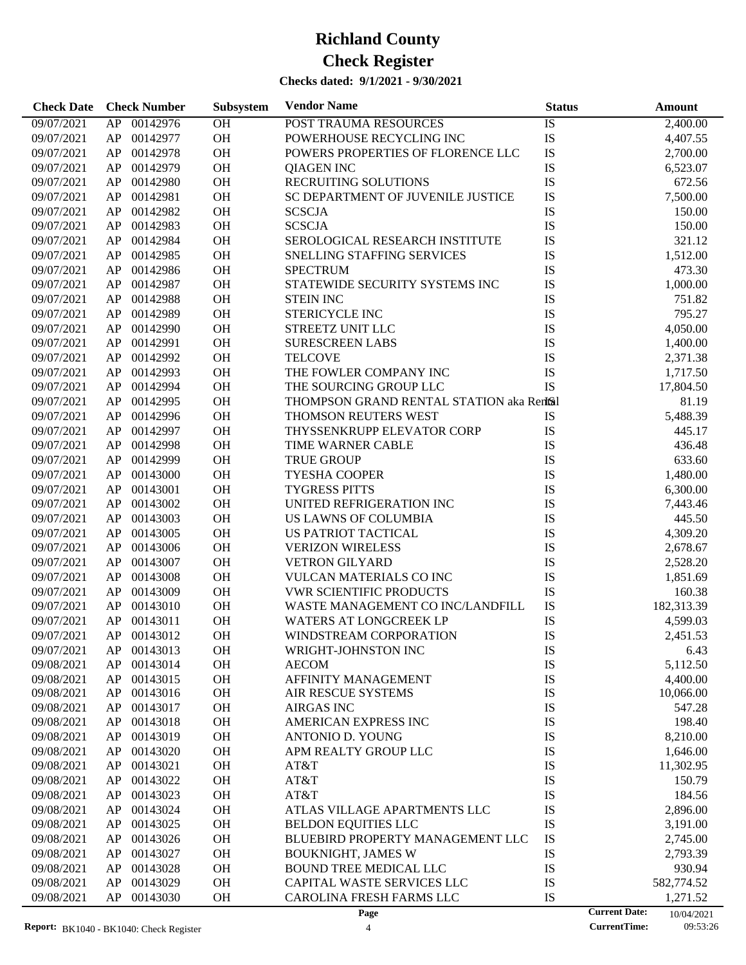| AP 00142976<br>OH<br>09/07/2021<br>POST TRAUMA RESOURCES<br>IS<br>2,400.00<br>OH<br>IS<br>00142977<br>POWERHOUSE RECYCLING INC<br>09/07/2021<br>AP<br>4,407.55<br>IS<br>00142978<br>OH<br>POWERS PROPERTIES OF FLORENCE LLC<br>09/07/2021<br>AP<br>2,700.00<br>OH<br>IS<br>00142979<br>09/07/2021<br>AP<br><b>QIAGEN INC</b><br>6,523.07<br>OH<br>IS<br>00142980<br>RECRUITING SOLUTIONS<br>09/07/2021<br>AP<br>672.56<br>IS<br>00142981<br>OH<br>SC DEPARTMENT OF JUVENILE JUSTICE<br>7,500.00<br>09/07/2021<br>AP<br>OH<br>IS<br>00142982<br>09/07/2021<br>AP<br><b>SCSCJA</b><br>150.00<br>IS<br>00142983<br>OH<br><b>SCSCJA</b><br>09/07/2021<br>AP<br>150.00<br>IS<br>00142984<br>OH<br>09/07/2021<br>AP<br>SEROLOGICAL RESEARCH INSTITUTE<br>321.12<br>IS<br>00142985<br>OH<br>1,512.00<br>09/07/2021<br>AP<br>SNELLING STAFFING SERVICES<br>00142986<br>OH<br>IS<br>09/07/2021<br>AP<br><b>SPECTRUM</b><br>473.30<br>IS<br>00142987<br>OH<br>STATEWIDE SECURITY SYSTEMS INC<br>09/07/2021<br>AP<br>1,000.00<br>OH<br>IS<br>00142988<br>09/07/2021<br>AP<br><b>STEIN INC</b><br>751.82<br>00142989<br>OH<br>STERICYCLE INC<br>IS<br>795.27<br>09/07/2021<br>AP<br>IS<br>00142990<br>OH<br>4,050.00<br>09/07/2021<br>AP<br><b>STREETZ UNIT LLC</b><br>OH<br>IS<br>00142991<br>09/07/2021<br>AP<br><b>SURESCREEN LABS</b><br>1,400.00<br>IS<br>00142992<br>OH<br><b>TELCOVE</b><br>09/07/2021<br>AP<br>2,371.38<br>IS<br>00142993<br>OH<br>THE FOWLER COMPANY INC<br>09/07/2021<br>AP<br>1,717.50<br>OH<br><b>IS</b><br>00142994<br>THE SOURCING GROUP LLC<br>09/07/2021<br>AP<br>17,804.50<br>00142995<br>OH<br>THOMPSON GRAND RENTAL STATION aka Rentsil<br>09/07/2021<br>AP<br>81.19<br>00142996<br>OH<br>09/07/2021<br>AP<br>THOMSON REUTERS WEST<br>IS<br>5,488.39<br>OH<br>IS<br>00142997<br>09/07/2021<br>AP<br>THYSSENKRUPP ELEVATOR CORP<br>445.17<br>00142998<br>OH<br>IS<br>09/07/2021<br>AP<br>TIME WARNER CABLE<br>436.48<br>00142999<br>OH<br><b>TRUE GROUP</b><br>IS<br>633.60<br>09/07/2021<br>AP<br>OH<br>IS<br>00143000<br><b>TYESHA COOPER</b><br>09/07/2021<br>AP<br>1,480.00<br>IS<br>00143001<br>OH<br><b>TYGRESS PITTS</b><br>09/07/2021<br>AP<br>6,300.00<br>IS<br>00143002<br>OH<br>UNITED REFRIGERATION INC<br>09/07/2021<br>AP<br>7,443.46<br>OH<br>IS<br>00143003<br>09/07/2021<br>AP<br>US LAWNS OF COLUMBIA<br>445.50<br>IS<br>00143005<br>OH<br>4,309.20<br>09/07/2021<br>AP<br>US PATRIOT TACTICAL<br>00143006<br>OH<br>IS<br>09/07/2021<br>AP<br><b>VERIZON WIRELESS</b><br>2,678.67<br>OH<br>IS<br>00143007<br><b>VETRON GILYARD</b><br>09/07/2021<br>AP<br>2,528.20<br>IS<br>00143008<br>OH<br>09/07/2021<br>AP<br><b>VULCAN MATERIALS CO INC</b><br>1,851.69<br>IS<br>00143009<br>OH<br><b>VWR SCIENTIFIC PRODUCTS</b><br>09/07/2021<br>AP<br>160.38<br>IS<br>00143010<br>OH<br>WASTE MANAGEMENT CO INC/LANDFILL<br>182,313.39<br>09/07/2021<br>AP<br>00143011<br>OH<br>IS<br>09/07/2021<br>AP<br><b>WATERS AT LONGCREEK LP</b><br>4,599.03<br>OH<br>IS<br>09/07/2021<br>AP 00143012<br>WINDSTREAM CORPORATION<br>2,451.53<br>09/07/2021<br>AP<br>00143013<br>ОH<br>WRIGHT-JOHNSTON INC<br>IS<br>6.43<br>00143014<br>OH<br>IS<br>09/08/2021<br>AP<br><b>AECOM</b><br>5,112.50<br>IS<br>00143015<br>OH<br>AFFINITY MANAGEMENT<br>4,400.00<br>09/08/2021<br>AP<br>IS<br>OH<br>09/08/2021<br>AP<br>00143016<br>AIR RESCUE SYSTEMS<br>10,066.00<br>IS<br>00143017<br>OH<br><b>AIRGAS INC</b><br>09/08/2021<br>AP<br>547.28<br>IS<br>AP<br>00143018<br>OH<br>AMERICAN EXPRESS INC<br>198.40<br>09/08/2021<br>IS<br>AP<br>00143019<br>OH<br>09/08/2021<br>ANTONIO D. YOUNG<br>8,210.00<br>IS<br>AP<br>00143020<br>OH<br>APM REALTY GROUP LLC<br>09/08/2021<br>1,646.00<br>IS<br>AP<br>00143021<br>OH<br>09/08/2021<br>AT&T<br>11,302.95<br>IS<br>AP<br>00143022<br>OH<br>AT&T<br>09/08/2021<br>150.79<br>IS<br>00143023<br>OH<br>184.56<br>09/08/2021<br>AP<br>AT&T<br>IS<br>AP<br>00143024<br>OH<br>2,896.00<br>09/08/2021<br>ATLAS VILLAGE APARTMENTS LLC<br><b>IS</b><br>AP<br>00143025<br>OH<br>BELDON EQUITIES LLC<br>09/08/2021<br>3,191.00<br>IS<br>00143026<br>OH<br>09/08/2021<br>AP<br>BLUEBIRD PROPERTY MANAGEMENT LLC<br>2,745.00<br>IS<br>AP<br>00143027<br>OH<br><b>BOUKNIGHT, JAMES W</b><br>2,793.39<br>09/08/2021<br>IS<br>AP<br>00143028<br>OH<br>BOUND TREE MEDICAL LLC<br>930.94<br>09/08/2021<br>IS<br>AP<br>00143029<br>OH<br>CAPITAL WASTE SERVICES LLC<br>09/08/2021<br>582,774.52<br>IS<br>09/08/2021<br>AP<br>00143030<br>OH<br>CAROLINA FRESH FARMS LLC<br>1,271.52<br><b>Current Date:</b><br>Page<br>10/04/2021 | <b>Check Date</b> | <b>Check Number</b> | Subsystem | <b>Vendor Name</b> | <b>Status</b> | Amount |
|--------------------------------------------------------------------------------------------------------------------------------------------------------------------------------------------------------------------------------------------------------------------------------------------------------------------------------------------------------------------------------------------------------------------------------------------------------------------------------------------------------------------------------------------------------------------------------------------------------------------------------------------------------------------------------------------------------------------------------------------------------------------------------------------------------------------------------------------------------------------------------------------------------------------------------------------------------------------------------------------------------------------------------------------------------------------------------------------------------------------------------------------------------------------------------------------------------------------------------------------------------------------------------------------------------------------------------------------------------------------------------------------------------------------------------------------------------------------------------------------------------------------------------------------------------------------------------------------------------------------------------------------------------------------------------------------------------------------------------------------------------------------------------------------------------------------------------------------------------------------------------------------------------------------------------------------------------------------------------------------------------------------------------------------------------------------------------------------------------------------------------------------------------------------------------------------------------------------------------------------------------------------------------------------------------------------------------------------------------------------------------------------------------------------------------------------------------------------------------------------------------------------------------------------------------------------------------------------------------------------------------------------------------------------------------------------------------------------------------------------------------------------------------------------------------------------------------------------------------------------------------------------------------------------------------------------------------------------------------------------------------------------------------------------------------------------------------------------------------------------------------------------------------------------------------------------------------------------------------------------------------------------------------------------------------------------------------------------------------------------------------------------------------------------------------------------------------------------------------------------------------------------------------------------------------------------------------------------------------------------------------------------------------------------------------------------------------------------------------------------------------------------------------------------------------------------------------------------------------------------------------------------------------------------------------------------------------------------------------------------------------------------------------------------------------------------------------------------------------------------------------------------------------------------------------------------------------------------------------------------------------------------------------------------------------------------------------------------------------------------------------------------------------------------------------------------------------------------------------------------------------------------------------------------------------------------------------|-------------------|---------------------|-----------|--------------------|---------------|--------|
|                                                                                                                                                                                                                                                                                                                                                                                                                                                                                                                                                                                                                                                                                                                                                                                                                                                                                                                                                                                                                                                                                                                                                                                                                                                                                                                                                                                                                                                                                                                                                                                                                                                                                                                                                                                                                                                                                                                                                                                                                                                                                                                                                                                                                                                                                                                                                                                                                                                                                                                                                                                                                                                                                                                                                                                                                                                                                                                                                                                                                                                                                                                                                                                                                                                                                                                                                                                                                                                                                                                                                                                                                                                                                                                                                                                                                                                                                                                                                                                                                                                                                                                                                                                                                                                                                                                                                                                                                                                                                                                                                                                |                   |                     |           |                    |               |        |
|                                                                                                                                                                                                                                                                                                                                                                                                                                                                                                                                                                                                                                                                                                                                                                                                                                                                                                                                                                                                                                                                                                                                                                                                                                                                                                                                                                                                                                                                                                                                                                                                                                                                                                                                                                                                                                                                                                                                                                                                                                                                                                                                                                                                                                                                                                                                                                                                                                                                                                                                                                                                                                                                                                                                                                                                                                                                                                                                                                                                                                                                                                                                                                                                                                                                                                                                                                                                                                                                                                                                                                                                                                                                                                                                                                                                                                                                                                                                                                                                                                                                                                                                                                                                                                                                                                                                                                                                                                                                                                                                                                                |                   |                     |           |                    |               |        |
|                                                                                                                                                                                                                                                                                                                                                                                                                                                                                                                                                                                                                                                                                                                                                                                                                                                                                                                                                                                                                                                                                                                                                                                                                                                                                                                                                                                                                                                                                                                                                                                                                                                                                                                                                                                                                                                                                                                                                                                                                                                                                                                                                                                                                                                                                                                                                                                                                                                                                                                                                                                                                                                                                                                                                                                                                                                                                                                                                                                                                                                                                                                                                                                                                                                                                                                                                                                                                                                                                                                                                                                                                                                                                                                                                                                                                                                                                                                                                                                                                                                                                                                                                                                                                                                                                                                                                                                                                                                                                                                                                                                |                   |                     |           |                    |               |        |
|                                                                                                                                                                                                                                                                                                                                                                                                                                                                                                                                                                                                                                                                                                                                                                                                                                                                                                                                                                                                                                                                                                                                                                                                                                                                                                                                                                                                                                                                                                                                                                                                                                                                                                                                                                                                                                                                                                                                                                                                                                                                                                                                                                                                                                                                                                                                                                                                                                                                                                                                                                                                                                                                                                                                                                                                                                                                                                                                                                                                                                                                                                                                                                                                                                                                                                                                                                                                                                                                                                                                                                                                                                                                                                                                                                                                                                                                                                                                                                                                                                                                                                                                                                                                                                                                                                                                                                                                                                                                                                                                                                                |                   |                     |           |                    |               |        |
|                                                                                                                                                                                                                                                                                                                                                                                                                                                                                                                                                                                                                                                                                                                                                                                                                                                                                                                                                                                                                                                                                                                                                                                                                                                                                                                                                                                                                                                                                                                                                                                                                                                                                                                                                                                                                                                                                                                                                                                                                                                                                                                                                                                                                                                                                                                                                                                                                                                                                                                                                                                                                                                                                                                                                                                                                                                                                                                                                                                                                                                                                                                                                                                                                                                                                                                                                                                                                                                                                                                                                                                                                                                                                                                                                                                                                                                                                                                                                                                                                                                                                                                                                                                                                                                                                                                                                                                                                                                                                                                                                                                |                   |                     |           |                    |               |        |
|                                                                                                                                                                                                                                                                                                                                                                                                                                                                                                                                                                                                                                                                                                                                                                                                                                                                                                                                                                                                                                                                                                                                                                                                                                                                                                                                                                                                                                                                                                                                                                                                                                                                                                                                                                                                                                                                                                                                                                                                                                                                                                                                                                                                                                                                                                                                                                                                                                                                                                                                                                                                                                                                                                                                                                                                                                                                                                                                                                                                                                                                                                                                                                                                                                                                                                                                                                                                                                                                                                                                                                                                                                                                                                                                                                                                                                                                                                                                                                                                                                                                                                                                                                                                                                                                                                                                                                                                                                                                                                                                                                                |                   |                     |           |                    |               |        |
|                                                                                                                                                                                                                                                                                                                                                                                                                                                                                                                                                                                                                                                                                                                                                                                                                                                                                                                                                                                                                                                                                                                                                                                                                                                                                                                                                                                                                                                                                                                                                                                                                                                                                                                                                                                                                                                                                                                                                                                                                                                                                                                                                                                                                                                                                                                                                                                                                                                                                                                                                                                                                                                                                                                                                                                                                                                                                                                                                                                                                                                                                                                                                                                                                                                                                                                                                                                                                                                                                                                                                                                                                                                                                                                                                                                                                                                                                                                                                                                                                                                                                                                                                                                                                                                                                                                                                                                                                                                                                                                                                                                |                   |                     |           |                    |               |        |
|                                                                                                                                                                                                                                                                                                                                                                                                                                                                                                                                                                                                                                                                                                                                                                                                                                                                                                                                                                                                                                                                                                                                                                                                                                                                                                                                                                                                                                                                                                                                                                                                                                                                                                                                                                                                                                                                                                                                                                                                                                                                                                                                                                                                                                                                                                                                                                                                                                                                                                                                                                                                                                                                                                                                                                                                                                                                                                                                                                                                                                                                                                                                                                                                                                                                                                                                                                                                                                                                                                                                                                                                                                                                                                                                                                                                                                                                                                                                                                                                                                                                                                                                                                                                                                                                                                                                                                                                                                                                                                                                                                                |                   |                     |           |                    |               |        |
|                                                                                                                                                                                                                                                                                                                                                                                                                                                                                                                                                                                                                                                                                                                                                                                                                                                                                                                                                                                                                                                                                                                                                                                                                                                                                                                                                                                                                                                                                                                                                                                                                                                                                                                                                                                                                                                                                                                                                                                                                                                                                                                                                                                                                                                                                                                                                                                                                                                                                                                                                                                                                                                                                                                                                                                                                                                                                                                                                                                                                                                                                                                                                                                                                                                                                                                                                                                                                                                                                                                                                                                                                                                                                                                                                                                                                                                                                                                                                                                                                                                                                                                                                                                                                                                                                                                                                                                                                                                                                                                                                                                |                   |                     |           |                    |               |        |
|                                                                                                                                                                                                                                                                                                                                                                                                                                                                                                                                                                                                                                                                                                                                                                                                                                                                                                                                                                                                                                                                                                                                                                                                                                                                                                                                                                                                                                                                                                                                                                                                                                                                                                                                                                                                                                                                                                                                                                                                                                                                                                                                                                                                                                                                                                                                                                                                                                                                                                                                                                                                                                                                                                                                                                                                                                                                                                                                                                                                                                                                                                                                                                                                                                                                                                                                                                                                                                                                                                                                                                                                                                                                                                                                                                                                                                                                                                                                                                                                                                                                                                                                                                                                                                                                                                                                                                                                                                                                                                                                                                                |                   |                     |           |                    |               |        |
|                                                                                                                                                                                                                                                                                                                                                                                                                                                                                                                                                                                                                                                                                                                                                                                                                                                                                                                                                                                                                                                                                                                                                                                                                                                                                                                                                                                                                                                                                                                                                                                                                                                                                                                                                                                                                                                                                                                                                                                                                                                                                                                                                                                                                                                                                                                                                                                                                                                                                                                                                                                                                                                                                                                                                                                                                                                                                                                                                                                                                                                                                                                                                                                                                                                                                                                                                                                                                                                                                                                                                                                                                                                                                                                                                                                                                                                                                                                                                                                                                                                                                                                                                                                                                                                                                                                                                                                                                                                                                                                                                                                |                   |                     |           |                    |               |        |
|                                                                                                                                                                                                                                                                                                                                                                                                                                                                                                                                                                                                                                                                                                                                                                                                                                                                                                                                                                                                                                                                                                                                                                                                                                                                                                                                                                                                                                                                                                                                                                                                                                                                                                                                                                                                                                                                                                                                                                                                                                                                                                                                                                                                                                                                                                                                                                                                                                                                                                                                                                                                                                                                                                                                                                                                                                                                                                                                                                                                                                                                                                                                                                                                                                                                                                                                                                                                                                                                                                                                                                                                                                                                                                                                                                                                                                                                                                                                                                                                                                                                                                                                                                                                                                                                                                                                                                                                                                                                                                                                                                                |                   |                     |           |                    |               |        |
|                                                                                                                                                                                                                                                                                                                                                                                                                                                                                                                                                                                                                                                                                                                                                                                                                                                                                                                                                                                                                                                                                                                                                                                                                                                                                                                                                                                                                                                                                                                                                                                                                                                                                                                                                                                                                                                                                                                                                                                                                                                                                                                                                                                                                                                                                                                                                                                                                                                                                                                                                                                                                                                                                                                                                                                                                                                                                                                                                                                                                                                                                                                                                                                                                                                                                                                                                                                                                                                                                                                                                                                                                                                                                                                                                                                                                                                                                                                                                                                                                                                                                                                                                                                                                                                                                                                                                                                                                                                                                                                                                                                |                   |                     |           |                    |               |        |
|                                                                                                                                                                                                                                                                                                                                                                                                                                                                                                                                                                                                                                                                                                                                                                                                                                                                                                                                                                                                                                                                                                                                                                                                                                                                                                                                                                                                                                                                                                                                                                                                                                                                                                                                                                                                                                                                                                                                                                                                                                                                                                                                                                                                                                                                                                                                                                                                                                                                                                                                                                                                                                                                                                                                                                                                                                                                                                                                                                                                                                                                                                                                                                                                                                                                                                                                                                                                                                                                                                                                                                                                                                                                                                                                                                                                                                                                                                                                                                                                                                                                                                                                                                                                                                                                                                                                                                                                                                                                                                                                                                                |                   |                     |           |                    |               |        |
|                                                                                                                                                                                                                                                                                                                                                                                                                                                                                                                                                                                                                                                                                                                                                                                                                                                                                                                                                                                                                                                                                                                                                                                                                                                                                                                                                                                                                                                                                                                                                                                                                                                                                                                                                                                                                                                                                                                                                                                                                                                                                                                                                                                                                                                                                                                                                                                                                                                                                                                                                                                                                                                                                                                                                                                                                                                                                                                                                                                                                                                                                                                                                                                                                                                                                                                                                                                                                                                                                                                                                                                                                                                                                                                                                                                                                                                                                                                                                                                                                                                                                                                                                                                                                                                                                                                                                                                                                                                                                                                                                                                |                   |                     |           |                    |               |        |
|                                                                                                                                                                                                                                                                                                                                                                                                                                                                                                                                                                                                                                                                                                                                                                                                                                                                                                                                                                                                                                                                                                                                                                                                                                                                                                                                                                                                                                                                                                                                                                                                                                                                                                                                                                                                                                                                                                                                                                                                                                                                                                                                                                                                                                                                                                                                                                                                                                                                                                                                                                                                                                                                                                                                                                                                                                                                                                                                                                                                                                                                                                                                                                                                                                                                                                                                                                                                                                                                                                                                                                                                                                                                                                                                                                                                                                                                                                                                                                                                                                                                                                                                                                                                                                                                                                                                                                                                                                                                                                                                                                                |                   |                     |           |                    |               |        |
|                                                                                                                                                                                                                                                                                                                                                                                                                                                                                                                                                                                                                                                                                                                                                                                                                                                                                                                                                                                                                                                                                                                                                                                                                                                                                                                                                                                                                                                                                                                                                                                                                                                                                                                                                                                                                                                                                                                                                                                                                                                                                                                                                                                                                                                                                                                                                                                                                                                                                                                                                                                                                                                                                                                                                                                                                                                                                                                                                                                                                                                                                                                                                                                                                                                                                                                                                                                                                                                                                                                                                                                                                                                                                                                                                                                                                                                                                                                                                                                                                                                                                                                                                                                                                                                                                                                                                                                                                                                                                                                                                                                |                   |                     |           |                    |               |        |
|                                                                                                                                                                                                                                                                                                                                                                                                                                                                                                                                                                                                                                                                                                                                                                                                                                                                                                                                                                                                                                                                                                                                                                                                                                                                                                                                                                                                                                                                                                                                                                                                                                                                                                                                                                                                                                                                                                                                                                                                                                                                                                                                                                                                                                                                                                                                                                                                                                                                                                                                                                                                                                                                                                                                                                                                                                                                                                                                                                                                                                                                                                                                                                                                                                                                                                                                                                                                                                                                                                                                                                                                                                                                                                                                                                                                                                                                                                                                                                                                                                                                                                                                                                                                                                                                                                                                                                                                                                                                                                                                                                                |                   |                     |           |                    |               |        |
|                                                                                                                                                                                                                                                                                                                                                                                                                                                                                                                                                                                                                                                                                                                                                                                                                                                                                                                                                                                                                                                                                                                                                                                                                                                                                                                                                                                                                                                                                                                                                                                                                                                                                                                                                                                                                                                                                                                                                                                                                                                                                                                                                                                                                                                                                                                                                                                                                                                                                                                                                                                                                                                                                                                                                                                                                                                                                                                                                                                                                                                                                                                                                                                                                                                                                                                                                                                                                                                                                                                                                                                                                                                                                                                                                                                                                                                                                                                                                                                                                                                                                                                                                                                                                                                                                                                                                                                                                                                                                                                                                                                |                   |                     |           |                    |               |        |
|                                                                                                                                                                                                                                                                                                                                                                                                                                                                                                                                                                                                                                                                                                                                                                                                                                                                                                                                                                                                                                                                                                                                                                                                                                                                                                                                                                                                                                                                                                                                                                                                                                                                                                                                                                                                                                                                                                                                                                                                                                                                                                                                                                                                                                                                                                                                                                                                                                                                                                                                                                                                                                                                                                                                                                                                                                                                                                                                                                                                                                                                                                                                                                                                                                                                                                                                                                                                                                                                                                                                                                                                                                                                                                                                                                                                                                                                                                                                                                                                                                                                                                                                                                                                                                                                                                                                                                                                                                                                                                                                                                                |                   |                     |           |                    |               |        |
|                                                                                                                                                                                                                                                                                                                                                                                                                                                                                                                                                                                                                                                                                                                                                                                                                                                                                                                                                                                                                                                                                                                                                                                                                                                                                                                                                                                                                                                                                                                                                                                                                                                                                                                                                                                                                                                                                                                                                                                                                                                                                                                                                                                                                                                                                                                                                                                                                                                                                                                                                                                                                                                                                                                                                                                                                                                                                                                                                                                                                                                                                                                                                                                                                                                                                                                                                                                                                                                                                                                                                                                                                                                                                                                                                                                                                                                                                                                                                                                                                                                                                                                                                                                                                                                                                                                                                                                                                                                                                                                                                                                |                   |                     |           |                    |               |        |
|                                                                                                                                                                                                                                                                                                                                                                                                                                                                                                                                                                                                                                                                                                                                                                                                                                                                                                                                                                                                                                                                                                                                                                                                                                                                                                                                                                                                                                                                                                                                                                                                                                                                                                                                                                                                                                                                                                                                                                                                                                                                                                                                                                                                                                                                                                                                                                                                                                                                                                                                                                                                                                                                                                                                                                                                                                                                                                                                                                                                                                                                                                                                                                                                                                                                                                                                                                                                                                                                                                                                                                                                                                                                                                                                                                                                                                                                                                                                                                                                                                                                                                                                                                                                                                                                                                                                                                                                                                                                                                                                                                                |                   |                     |           |                    |               |        |
|                                                                                                                                                                                                                                                                                                                                                                                                                                                                                                                                                                                                                                                                                                                                                                                                                                                                                                                                                                                                                                                                                                                                                                                                                                                                                                                                                                                                                                                                                                                                                                                                                                                                                                                                                                                                                                                                                                                                                                                                                                                                                                                                                                                                                                                                                                                                                                                                                                                                                                                                                                                                                                                                                                                                                                                                                                                                                                                                                                                                                                                                                                                                                                                                                                                                                                                                                                                                                                                                                                                                                                                                                                                                                                                                                                                                                                                                                                                                                                                                                                                                                                                                                                                                                                                                                                                                                                                                                                                                                                                                                                                |                   |                     |           |                    |               |        |
|                                                                                                                                                                                                                                                                                                                                                                                                                                                                                                                                                                                                                                                                                                                                                                                                                                                                                                                                                                                                                                                                                                                                                                                                                                                                                                                                                                                                                                                                                                                                                                                                                                                                                                                                                                                                                                                                                                                                                                                                                                                                                                                                                                                                                                                                                                                                                                                                                                                                                                                                                                                                                                                                                                                                                                                                                                                                                                                                                                                                                                                                                                                                                                                                                                                                                                                                                                                                                                                                                                                                                                                                                                                                                                                                                                                                                                                                                                                                                                                                                                                                                                                                                                                                                                                                                                                                                                                                                                                                                                                                                                                |                   |                     |           |                    |               |        |
|                                                                                                                                                                                                                                                                                                                                                                                                                                                                                                                                                                                                                                                                                                                                                                                                                                                                                                                                                                                                                                                                                                                                                                                                                                                                                                                                                                                                                                                                                                                                                                                                                                                                                                                                                                                                                                                                                                                                                                                                                                                                                                                                                                                                                                                                                                                                                                                                                                                                                                                                                                                                                                                                                                                                                                                                                                                                                                                                                                                                                                                                                                                                                                                                                                                                                                                                                                                                                                                                                                                                                                                                                                                                                                                                                                                                                                                                                                                                                                                                                                                                                                                                                                                                                                                                                                                                                                                                                                                                                                                                                                                |                   |                     |           |                    |               |        |
|                                                                                                                                                                                                                                                                                                                                                                                                                                                                                                                                                                                                                                                                                                                                                                                                                                                                                                                                                                                                                                                                                                                                                                                                                                                                                                                                                                                                                                                                                                                                                                                                                                                                                                                                                                                                                                                                                                                                                                                                                                                                                                                                                                                                                                                                                                                                                                                                                                                                                                                                                                                                                                                                                                                                                                                                                                                                                                                                                                                                                                                                                                                                                                                                                                                                                                                                                                                                                                                                                                                                                                                                                                                                                                                                                                                                                                                                                                                                                                                                                                                                                                                                                                                                                                                                                                                                                                                                                                                                                                                                                                                |                   |                     |           |                    |               |        |
|                                                                                                                                                                                                                                                                                                                                                                                                                                                                                                                                                                                                                                                                                                                                                                                                                                                                                                                                                                                                                                                                                                                                                                                                                                                                                                                                                                                                                                                                                                                                                                                                                                                                                                                                                                                                                                                                                                                                                                                                                                                                                                                                                                                                                                                                                                                                                                                                                                                                                                                                                                                                                                                                                                                                                                                                                                                                                                                                                                                                                                                                                                                                                                                                                                                                                                                                                                                                                                                                                                                                                                                                                                                                                                                                                                                                                                                                                                                                                                                                                                                                                                                                                                                                                                                                                                                                                                                                                                                                                                                                                                                |                   |                     |           |                    |               |        |
|                                                                                                                                                                                                                                                                                                                                                                                                                                                                                                                                                                                                                                                                                                                                                                                                                                                                                                                                                                                                                                                                                                                                                                                                                                                                                                                                                                                                                                                                                                                                                                                                                                                                                                                                                                                                                                                                                                                                                                                                                                                                                                                                                                                                                                                                                                                                                                                                                                                                                                                                                                                                                                                                                                                                                                                                                                                                                                                                                                                                                                                                                                                                                                                                                                                                                                                                                                                                                                                                                                                                                                                                                                                                                                                                                                                                                                                                                                                                                                                                                                                                                                                                                                                                                                                                                                                                                                                                                                                                                                                                                                                |                   |                     |           |                    |               |        |
|                                                                                                                                                                                                                                                                                                                                                                                                                                                                                                                                                                                                                                                                                                                                                                                                                                                                                                                                                                                                                                                                                                                                                                                                                                                                                                                                                                                                                                                                                                                                                                                                                                                                                                                                                                                                                                                                                                                                                                                                                                                                                                                                                                                                                                                                                                                                                                                                                                                                                                                                                                                                                                                                                                                                                                                                                                                                                                                                                                                                                                                                                                                                                                                                                                                                                                                                                                                                                                                                                                                                                                                                                                                                                                                                                                                                                                                                                                                                                                                                                                                                                                                                                                                                                                                                                                                                                                                                                                                                                                                                                                                |                   |                     |           |                    |               |        |
|                                                                                                                                                                                                                                                                                                                                                                                                                                                                                                                                                                                                                                                                                                                                                                                                                                                                                                                                                                                                                                                                                                                                                                                                                                                                                                                                                                                                                                                                                                                                                                                                                                                                                                                                                                                                                                                                                                                                                                                                                                                                                                                                                                                                                                                                                                                                                                                                                                                                                                                                                                                                                                                                                                                                                                                                                                                                                                                                                                                                                                                                                                                                                                                                                                                                                                                                                                                                                                                                                                                                                                                                                                                                                                                                                                                                                                                                                                                                                                                                                                                                                                                                                                                                                                                                                                                                                                                                                                                                                                                                                                                |                   |                     |           |                    |               |        |
|                                                                                                                                                                                                                                                                                                                                                                                                                                                                                                                                                                                                                                                                                                                                                                                                                                                                                                                                                                                                                                                                                                                                                                                                                                                                                                                                                                                                                                                                                                                                                                                                                                                                                                                                                                                                                                                                                                                                                                                                                                                                                                                                                                                                                                                                                                                                                                                                                                                                                                                                                                                                                                                                                                                                                                                                                                                                                                                                                                                                                                                                                                                                                                                                                                                                                                                                                                                                                                                                                                                                                                                                                                                                                                                                                                                                                                                                                                                                                                                                                                                                                                                                                                                                                                                                                                                                                                                                                                                                                                                                                                                |                   |                     |           |                    |               |        |
|                                                                                                                                                                                                                                                                                                                                                                                                                                                                                                                                                                                                                                                                                                                                                                                                                                                                                                                                                                                                                                                                                                                                                                                                                                                                                                                                                                                                                                                                                                                                                                                                                                                                                                                                                                                                                                                                                                                                                                                                                                                                                                                                                                                                                                                                                                                                                                                                                                                                                                                                                                                                                                                                                                                                                                                                                                                                                                                                                                                                                                                                                                                                                                                                                                                                                                                                                                                                                                                                                                                                                                                                                                                                                                                                                                                                                                                                                                                                                                                                                                                                                                                                                                                                                                                                                                                                                                                                                                                                                                                                                                                |                   |                     |           |                    |               |        |
|                                                                                                                                                                                                                                                                                                                                                                                                                                                                                                                                                                                                                                                                                                                                                                                                                                                                                                                                                                                                                                                                                                                                                                                                                                                                                                                                                                                                                                                                                                                                                                                                                                                                                                                                                                                                                                                                                                                                                                                                                                                                                                                                                                                                                                                                                                                                                                                                                                                                                                                                                                                                                                                                                                                                                                                                                                                                                                                                                                                                                                                                                                                                                                                                                                                                                                                                                                                                                                                                                                                                                                                                                                                                                                                                                                                                                                                                                                                                                                                                                                                                                                                                                                                                                                                                                                                                                                                                                                                                                                                                                                                |                   |                     |           |                    |               |        |
|                                                                                                                                                                                                                                                                                                                                                                                                                                                                                                                                                                                                                                                                                                                                                                                                                                                                                                                                                                                                                                                                                                                                                                                                                                                                                                                                                                                                                                                                                                                                                                                                                                                                                                                                                                                                                                                                                                                                                                                                                                                                                                                                                                                                                                                                                                                                                                                                                                                                                                                                                                                                                                                                                                                                                                                                                                                                                                                                                                                                                                                                                                                                                                                                                                                                                                                                                                                                                                                                                                                                                                                                                                                                                                                                                                                                                                                                                                                                                                                                                                                                                                                                                                                                                                                                                                                                                                                                                                                                                                                                                                                |                   |                     |           |                    |               |        |
|                                                                                                                                                                                                                                                                                                                                                                                                                                                                                                                                                                                                                                                                                                                                                                                                                                                                                                                                                                                                                                                                                                                                                                                                                                                                                                                                                                                                                                                                                                                                                                                                                                                                                                                                                                                                                                                                                                                                                                                                                                                                                                                                                                                                                                                                                                                                                                                                                                                                                                                                                                                                                                                                                                                                                                                                                                                                                                                                                                                                                                                                                                                                                                                                                                                                                                                                                                                                                                                                                                                                                                                                                                                                                                                                                                                                                                                                                                                                                                                                                                                                                                                                                                                                                                                                                                                                                                                                                                                                                                                                                                                |                   |                     |           |                    |               |        |
|                                                                                                                                                                                                                                                                                                                                                                                                                                                                                                                                                                                                                                                                                                                                                                                                                                                                                                                                                                                                                                                                                                                                                                                                                                                                                                                                                                                                                                                                                                                                                                                                                                                                                                                                                                                                                                                                                                                                                                                                                                                                                                                                                                                                                                                                                                                                                                                                                                                                                                                                                                                                                                                                                                                                                                                                                                                                                                                                                                                                                                                                                                                                                                                                                                                                                                                                                                                                                                                                                                                                                                                                                                                                                                                                                                                                                                                                                                                                                                                                                                                                                                                                                                                                                                                                                                                                                                                                                                                                                                                                                                                |                   |                     |           |                    |               |        |
|                                                                                                                                                                                                                                                                                                                                                                                                                                                                                                                                                                                                                                                                                                                                                                                                                                                                                                                                                                                                                                                                                                                                                                                                                                                                                                                                                                                                                                                                                                                                                                                                                                                                                                                                                                                                                                                                                                                                                                                                                                                                                                                                                                                                                                                                                                                                                                                                                                                                                                                                                                                                                                                                                                                                                                                                                                                                                                                                                                                                                                                                                                                                                                                                                                                                                                                                                                                                                                                                                                                                                                                                                                                                                                                                                                                                                                                                                                                                                                                                                                                                                                                                                                                                                                                                                                                                                                                                                                                                                                                                                                                |                   |                     |           |                    |               |        |
|                                                                                                                                                                                                                                                                                                                                                                                                                                                                                                                                                                                                                                                                                                                                                                                                                                                                                                                                                                                                                                                                                                                                                                                                                                                                                                                                                                                                                                                                                                                                                                                                                                                                                                                                                                                                                                                                                                                                                                                                                                                                                                                                                                                                                                                                                                                                                                                                                                                                                                                                                                                                                                                                                                                                                                                                                                                                                                                                                                                                                                                                                                                                                                                                                                                                                                                                                                                                                                                                                                                                                                                                                                                                                                                                                                                                                                                                                                                                                                                                                                                                                                                                                                                                                                                                                                                                                                                                                                                                                                                                                                                |                   |                     |           |                    |               |        |
|                                                                                                                                                                                                                                                                                                                                                                                                                                                                                                                                                                                                                                                                                                                                                                                                                                                                                                                                                                                                                                                                                                                                                                                                                                                                                                                                                                                                                                                                                                                                                                                                                                                                                                                                                                                                                                                                                                                                                                                                                                                                                                                                                                                                                                                                                                                                                                                                                                                                                                                                                                                                                                                                                                                                                                                                                                                                                                                                                                                                                                                                                                                                                                                                                                                                                                                                                                                                                                                                                                                                                                                                                                                                                                                                                                                                                                                                                                                                                                                                                                                                                                                                                                                                                                                                                                                                                                                                                                                                                                                                                                                |                   |                     |           |                    |               |        |
|                                                                                                                                                                                                                                                                                                                                                                                                                                                                                                                                                                                                                                                                                                                                                                                                                                                                                                                                                                                                                                                                                                                                                                                                                                                                                                                                                                                                                                                                                                                                                                                                                                                                                                                                                                                                                                                                                                                                                                                                                                                                                                                                                                                                                                                                                                                                                                                                                                                                                                                                                                                                                                                                                                                                                                                                                                                                                                                                                                                                                                                                                                                                                                                                                                                                                                                                                                                                                                                                                                                                                                                                                                                                                                                                                                                                                                                                                                                                                                                                                                                                                                                                                                                                                                                                                                                                                                                                                                                                                                                                                                                |                   |                     |           |                    |               |        |
|                                                                                                                                                                                                                                                                                                                                                                                                                                                                                                                                                                                                                                                                                                                                                                                                                                                                                                                                                                                                                                                                                                                                                                                                                                                                                                                                                                                                                                                                                                                                                                                                                                                                                                                                                                                                                                                                                                                                                                                                                                                                                                                                                                                                                                                                                                                                                                                                                                                                                                                                                                                                                                                                                                                                                                                                                                                                                                                                                                                                                                                                                                                                                                                                                                                                                                                                                                                                                                                                                                                                                                                                                                                                                                                                                                                                                                                                                                                                                                                                                                                                                                                                                                                                                                                                                                                                                                                                                                                                                                                                                                                |                   |                     |           |                    |               |        |
|                                                                                                                                                                                                                                                                                                                                                                                                                                                                                                                                                                                                                                                                                                                                                                                                                                                                                                                                                                                                                                                                                                                                                                                                                                                                                                                                                                                                                                                                                                                                                                                                                                                                                                                                                                                                                                                                                                                                                                                                                                                                                                                                                                                                                                                                                                                                                                                                                                                                                                                                                                                                                                                                                                                                                                                                                                                                                                                                                                                                                                                                                                                                                                                                                                                                                                                                                                                                                                                                                                                                                                                                                                                                                                                                                                                                                                                                                                                                                                                                                                                                                                                                                                                                                                                                                                                                                                                                                                                                                                                                                                                |                   |                     |           |                    |               |        |
|                                                                                                                                                                                                                                                                                                                                                                                                                                                                                                                                                                                                                                                                                                                                                                                                                                                                                                                                                                                                                                                                                                                                                                                                                                                                                                                                                                                                                                                                                                                                                                                                                                                                                                                                                                                                                                                                                                                                                                                                                                                                                                                                                                                                                                                                                                                                                                                                                                                                                                                                                                                                                                                                                                                                                                                                                                                                                                                                                                                                                                                                                                                                                                                                                                                                                                                                                                                                                                                                                                                                                                                                                                                                                                                                                                                                                                                                                                                                                                                                                                                                                                                                                                                                                                                                                                                                                                                                                                                                                                                                                                                |                   |                     |           |                    |               |        |
|                                                                                                                                                                                                                                                                                                                                                                                                                                                                                                                                                                                                                                                                                                                                                                                                                                                                                                                                                                                                                                                                                                                                                                                                                                                                                                                                                                                                                                                                                                                                                                                                                                                                                                                                                                                                                                                                                                                                                                                                                                                                                                                                                                                                                                                                                                                                                                                                                                                                                                                                                                                                                                                                                                                                                                                                                                                                                                                                                                                                                                                                                                                                                                                                                                                                                                                                                                                                                                                                                                                                                                                                                                                                                                                                                                                                                                                                                                                                                                                                                                                                                                                                                                                                                                                                                                                                                                                                                                                                                                                                                                                |                   |                     |           |                    |               |        |
|                                                                                                                                                                                                                                                                                                                                                                                                                                                                                                                                                                                                                                                                                                                                                                                                                                                                                                                                                                                                                                                                                                                                                                                                                                                                                                                                                                                                                                                                                                                                                                                                                                                                                                                                                                                                                                                                                                                                                                                                                                                                                                                                                                                                                                                                                                                                                                                                                                                                                                                                                                                                                                                                                                                                                                                                                                                                                                                                                                                                                                                                                                                                                                                                                                                                                                                                                                                                                                                                                                                                                                                                                                                                                                                                                                                                                                                                                                                                                                                                                                                                                                                                                                                                                                                                                                                                                                                                                                                                                                                                                                                |                   |                     |           |                    |               |        |
|                                                                                                                                                                                                                                                                                                                                                                                                                                                                                                                                                                                                                                                                                                                                                                                                                                                                                                                                                                                                                                                                                                                                                                                                                                                                                                                                                                                                                                                                                                                                                                                                                                                                                                                                                                                                                                                                                                                                                                                                                                                                                                                                                                                                                                                                                                                                                                                                                                                                                                                                                                                                                                                                                                                                                                                                                                                                                                                                                                                                                                                                                                                                                                                                                                                                                                                                                                                                                                                                                                                                                                                                                                                                                                                                                                                                                                                                                                                                                                                                                                                                                                                                                                                                                                                                                                                                                                                                                                                                                                                                                                                |                   |                     |           |                    |               |        |
|                                                                                                                                                                                                                                                                                                                                                                                                                                                                                                                                                                                                                                                                                                                                                                                                                                                                                                                                                                                                                                                                                                                                                                                                                                                                                                                                                                                                                                                                                                                                                                                                                                                                                                                                                                                                                                                                                                                                                                                                                                                                                                                                                                                                                                                                                                                                                                                                                                                                                                                                                                                                                                                                                                                                                                                                                                                                                                                                                                                                                                                                                                                                                                                                                                                                                                                                                                                                                                                                                                                                                                                                                                                                                                                                                                                                                                                                                                                                                                                                                                                                                                                                                                                                                                                                                                                                                                                                                                                                                                                                                                                |                   |                     |           |                    |               |        |
|                                                                                                                                                                                                                                                                                                                                                                                                                                                                                                                                                                                                                                                                                                                                                                                                                                                                                                                                                                                                                                                                                                                                                                                                                                                                                                                                                                                                                                                                                                                                                                                                                                                                                                                                                                                                                                                                                                                                                                                                                                                                                                                                                                                                                                                                                                                                                                                                                                                                                                                                                                                                                                                                                                                                                                                                                                                                                                                                                                                                                                                                                                                                                                                                                                                                                                                                                                                                                                                                                                                                                                                                                                                                                                                                                                                                                                                                                                                                                                                                                                                                                                                                                                                                                                                                                                                                                                                                                                                                                                                                                                                |                   |                     |           |                    |               |        |
|                                                                                                                                                                                                                                                                                                                                                                                                                                                                                                                                                                                                                                                                                                                                                                                                                                                                                                                                                                                                                                                                                                                                                                                                                                                                                                                                                                                                                                                                                                                                                                                                                                                                                                                                                                                                                                                                                                                                                                                                                                                                                                                                                                                                                                                                                                                                                                                                                                                                                                                                                                                                                                                                                                                                                                                                                                                                                                                                                                                                                                                                                                                                                                                                                                                                                                                                                                                                                                                                                                                                                                                                                                                                                                                                                                                                                                                                                                                                                                                                                                                                                                                                                                                                                                                                                                                                                                                                                                                                                                                                                                                |                   |                     |           |                    |               |        |
|                                                                                                                                                                                                                                                                                                                                                                                                                                                                                                                                                                                                                                                                                                                                                                                                                                                                                                                                                                                                                                                                                                                                                                                                                                                                                                                                                                                                                                                                                                                                                                                                                                                                                                                                                                                                                                                                                                                                                                                                                                                                                                                                                                                                                                                                                                                                                                                                                                                                                                                                                                                                                                                                                                                                                                                                                                                                                                                                                                                                                                                                                                                                                                                                                                                                                                                                                                                                                                                                                                                                                                                                                                                                                                                                                                                                                                                                                                                                                                                                                                                                                                                                                                                                                                                                                                                                                                                                                                                                                                                                                                                |                   |                     |           |                    |               |        |
|                                                                                                                                                                                                                                                                                                                                                                                                                                                                                                                                                                                                                                                                                                                                                                                                                                                                                                                                                                                                                                                                                                                                                                                                                                                                                                                                                                                                                                                                                                                                                                                                                                                                                                                                                                                                                                                                                                                                                                                                                                                                                                                                                                                                                                                                                                                                                                                                                                                                                                                                                                                                                                                                                                                                                                                                                                                                                                                                                                                                                                                                                                                                                                                                                                                                                                                                                                                                                                                                                                                                                                                                                                                                                                                                                                                                                                                                                                                                                                                                                                                                                                                                                                                                                                                                                                                                                                                                                                                                                                                                                                                |                   |                     |           |                    |               |        |
|                                                                                                                                                                                                                                                                                                                                                                                                                                                                                                                                                                                                                                                                                                                                                                                                                                                                                                                                                                                                                                                                                                                                                                                                                                                                                                                                                                                                                                                                                                                                                                                                                                                                                                                                                                                                                                                                                                                                                                                                                                                                                                                                                                                                                                                                                                                                                                                                                                                                                                                                                                                                                                                                                                                                                                                                                                                                                                                                                                                                                                                                                                                                                                                                                                                                                                                                                                                                                                                                                                                                                                                                                                                                                                                                                                                                                                                                                                                                                                                                                                                                                                                                                                                                                                                                                                                                                                                                                                                                                                                                                                                |                   |                     |           |                    |               |        |
|                                                                                                                                                                                                                                                                                                                                                                                                                                                                                                                                                                                                                                                                                                                                                                                                                                                                                                                                                                                                                                                                                                                                                                                                                                                                                                                                                                                                                                                                                                                                                                                                                                                                                                                                                                                                                                                                                                                                                                                                                                                                                                                                                                                                                                                                                                                                                                                                                                                                                                                                                                                                                                                                                                                                                                                                                                                                                                                                                                                                                                                                                                                                                                                                                                                                                                                                                                                                                                                                                                                                                                                                                                                                                                                                                                                                                                                                                                                                                                                                                                                                                                                                                                                                                                                                                                                                                                                                                                                                                                                                                                                |                   |                     |           |                    |               |        |
|                                                                                                                                                                                                                                                                                                                                                                                                                                                                                                                                                                                                                                                                                                                                                                                                                                                                                                                                                                                                                                                                                                                                                                                                                                                                                                                                                                                                                                                                                                                                                                                                                                                                                                                                                                                                                                                                                                                                                                                                                                                                                                                                                                                                                                                                                                                                                                                                                                                                                                                                                                                                                                                                                                                                                                                                                                                                                                                                                                                                                                                                                                                                                                                                                                                                                                                                                                                                                                                                                                                                                                                                                                                                                                                                                                                                                                                                                                                                                                                                                                                                                                                                                                                                                                                                                                                                                                                                                                                                                                                                                                                |                   |                     |           |                    |               |        |
|                                                                                                                                                                                                                                                                                                                                                                                                                                                                                                                                                                                                                                                                                                                                                                                                                                                                                                                                                                                                                                                                                                                                                                                                                                                                                                                                                                                                                                                                                                                                                                                                                                                                                                                                                                                                                                                                                                                                                                                                                                                                                                                                                                                                                                                                                                                                                                                                                                                                                                                                                                                                                                                                                                                                                                                                                                                                                                                                                                                                                                                                                                                                                                                                                                                                                                                                                                                                                                                                                                                                                                                                                                                                                                                                                                                                                                                                                                                                                                                                                                                                                                                                                                                                                                                                                                                                                                                                                                                                                                                                                                                |                   |                     |           |                    |               |        |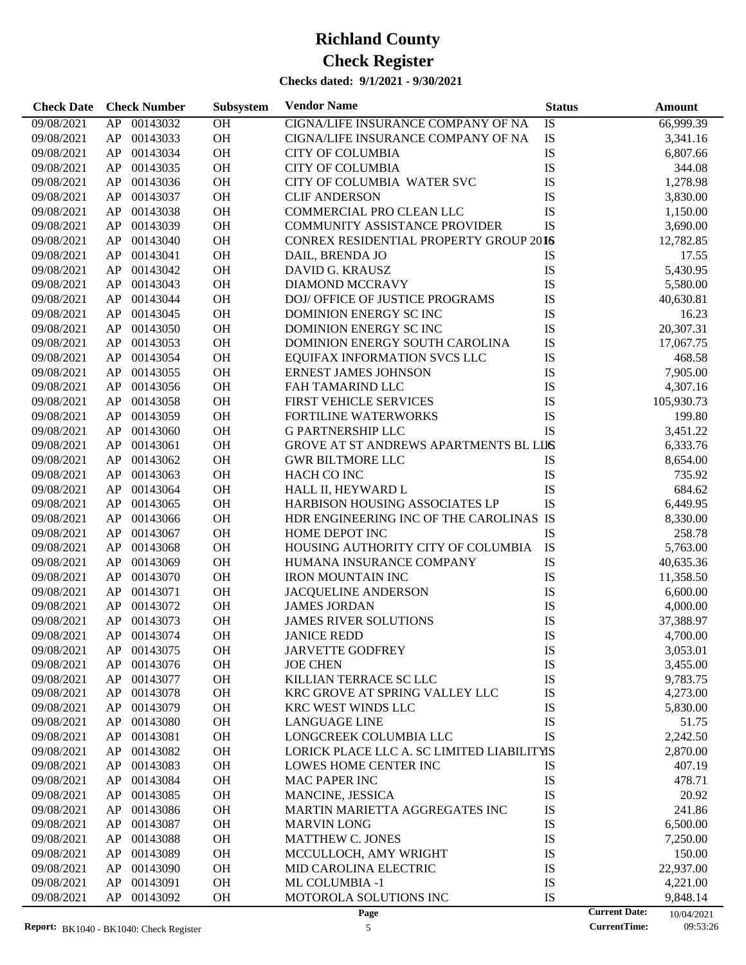### **Checks dated: 9/1/2021 - 9/30/2021**

| <b>Check Date</b> | <b>Check Number</b> | Subsystem | <b>Vendor Name</b>                         | <b>Status</b> | Amount                             |
|-------------------|---------------------|-----------|--------------------------------------------|---------------|------------------------------------|
| 09/08/2021        | AP<br>00143032      | OH        | CIGNA/LIFE INSURANCE COMPANY OF NA         | IS            | 66,999.39                          |
| 09/08/2021        | AP<br>00143033      | OH        | CIGNA/LIFE INSURANCE COMPANY OF NA         | IS            | 3,341.16                           |
| 09/08/2021        | AP<br>00143034      | OH        | <b>CITY OF COLUMBIA</b>                    | IS            | 6,807.66                           |
| 09/08/2021        | AP<br>00143035      | OH        | <b>CITY OF COLUMBIA</b>                    | IS            | 344.08                             |
| 09/08/2021        | AP<br>00143036      | OH        | CITY OF COLUMBIA WATER SVC                 | IS            | 1,278.98                           |
| 09/08/2021        | AP<br>00143037      | OH        | <b>CLIF ANDERSON</b>                       | IS            | 3,830.00                           |
| 09/08/2021        | 00143038<br>AP      | OH        | COMMERCIAL PRO CLEAN LLC                   | IS            | 1,150.00                           |
| 09/08/2021        | AP<br>00143039      | OH        | <b>COMMUNITY ASSISTANCE PROVIDER</b>       | IS            | 3,690.00                           |
| 09/08/2021        | AP<br>00143040      | OH        | CONREX RESIDENTIAL PROPERTY GROUP 2016     |               | 12,782.85                          |
| 09/08/2021        | AP<br>00143041      | OH        | DAIL, BRENDA JO                            | IS            | 17.55                              |
| 09/08/2021        | AP<br>00143042      | OH        | DAVID G. KRAUSZ                            | IS            | 5,430.95                           |
|                   | 00143043            | OH        |                                            | IS            |                                    |
| 09/08/2021        | AP                  |           | DIAMOND MCCRAVY                            |               | 5,580.00                           |
| 09/08/2021        | AP<br>00143044      | OH        | DOJ/ OFFICE OF JUSTICE PROGRAMS            | IS            | 40,630.81                          |
| 09/08/2021        | AP<br>00143045      | OH        | DOMINION ENERGY SCINC                      | IS            | 16.23                              |
| 09/08/2021        | AP<br>00143050      | OH        | DOMINION ENERGY SCINC                      | IS            | 20,307.31                          |
| 09/08/2021        | AP<br>00143053      | OH        | DOMINION ENERGY SOUTH CAROLINA             | IS            | 17,067.75                          |
| 09/08/2021        | 00143054<br>AP      | OH        | EQUIFAX INFORMATION SVCS LLC               | IS            | 468.58                             |
| 09/08/2021        | AP<br>00143055      | OH        | ERNEST JAMES JOHNSON                       | IS            | 7,905.00                           |
| 09/08/2021        | AP<br>00143056      | OH        | FAH TAMARIND LLC                           | IS            | 4,307.16                           |
| 09/08/2021        | AP<br>00143058      | OH        | <b>FIRST VEHICLE SERVICES</b>              | IS            | 105,930.73                         |
| 09/08/2021        | AP<br>00143059      | OH        | <b>FORTILINE WATERWORKS</b>                | IS            | 199.80                             |
| 09/08/2021        | 00143060<br>AP      | OH        | <b>G PARTNERSHIP LLC</b>                   | IS            | 3,451.22                           |
| 09/08/2021        | AP<br>00143061      | OH        | GROVE AT ST ANDREWS APARTMENTS BL LIIS     |               | 6,333.76                           |
| 09/08/2021        | AP<br>00143062      | OH        | <b>GWR BILTMORE LLC</b>                    | IS            | 8,654.00                           |
| 09/08/2021        | AP<br>00143063      | OH        | HACH CO INC                                | IS            | 735.92                             |
| 09/08/2021        | AP<br>00143064      | OH        | HALL II, HEYWARD L                         | IS            | 684.62                             |
| 09/08/2021        | 00143065<br>AP      | OH        | HARBISON HOUSING ASSOCIATES LP             | IS            | 6,449.95                           |
| 09/08/2021        | 00143066<br>AP      | OH        | HDR ENGINEERING INC OF THE CAROLINAS IS    |               | 8,330.00                           |
| 09/08/2021        | AP<br>00143067      | OH        | HOME DEPOT INC                             | IS            | 258.78                             |
| 09/08/2021        | AP<br>00143068      | OH        | HOUSING AUTHORITY CITY OF COLUMBIA         | IS            | 5,763.00                           |
| 09/08/2021        | AP<br>00143069      | OH        | HUMANA INSURANCE COMPANY                   | IS            | 40,635.36                          |
| 09/08/2021        | 00143070<br>AP      | OH        | <b>IRON MOUNTAIN INC</b>                   | IS            | 11,358.50                          |
| 09/08/2021        | 00143071<br>AP      | OH        | <b>JACQUELINE ANDERSON</b>                 | IS            | 6,600.00                           |
| 09/08/2021        | AP<br>00143072      | OH        | <b>JAMES JORDAN</b>                        | IS            | 4,000.00                           |
| 09/08/2021        | AP<br>00143073      | OH        | <b>JAMES RIVER SOLUTIONS</b>               | IS            | 37,388.97                          |
| 09/08/2021        | AP<br>00143074      | OH        | <b>JANICE REDD</b>                         | IS            | 4,700.00                           |
| 09/08/2021        | AP<br>00143075      | <b>OH</b> | <b>JARVETTE GODFREY</b>                    | IS            | 3,053.01                           |
| 09/08/2021        | 00143076<br>AP      | OH        | <b>JOE CHEN</b>                            | IS            | 3,455.00                           |
| 09/08/2021        | 00143077<br>AP      | OH        | KILLIAN TERRACE SC LLC                     | IS            | 9,783.75                           |
| 09/08/2021        | 00143078<br>AP      | OH        | KRC GROVE AT SPRING VALLEY LLC             | IS            | 4,273.00                           |
| 09/08/2021        | 00143079<br>AP      | OH        | KRC WEST WINDS LLC                         | IS            | 5,830.00                           |
| 09/08/2021        | AP<br>00143080      | OH        | <b>LANGUAGE LINE</b>                       | IS            | 51.75                              |
| 09/08/2021        | AP<br>00143081      | OH        | LONGCREEK COLUMBIA LLC                     | IS            | 2,242.50                           |
| 09/08/2021        | AP<br>00143082      | OH        | LORICK PLACE LLC A. SC LIMITED LIABILITYIS |               | 2,870.00                           |
| 09/08/2021        | AP<br>00143083      | OH        | LOWES HOME CENTER INC                      | IS            | 407.19                             |
| 09/08/2021        | AP<br>00143084      | OH        | MAC PAPER INC                              | IS            | 478.71                             |
| 09/08/2021        | AP                  |           | MANCINE, JESSICA                           |               |                                    |
|                   | 00143085            | OH        |                                            | IS            | 20.92                              |
| 09/08/2021        | AP<br>00143086      | OH        | MARTIN MARIETTA AGGREGATES INC             | IS            | 241.86                             |
| 09/08/2021        | AP<br>00143087      | OH        | <b>MARVIN LONG</b>                         | IS            | 6,500.00                           |
| 09/08/2021        | AP<br>00143088      | OH        | <b>MATTHEW C. JONES</b>                    | IS            | 7,250.00                           |
| 09/08/2021        | AP<br>00143089      | OH        | MCCULLOCH, AMY WRIGHT                      | IS            | 150.00                             |
| 09/08/2021        | AP<br>00143090      | OH        | MID CAROLINA ELECTRIC                      | IS            | 22,937.00                          |
| 09/08/2021        | AP<br>00143091      | OH        | ML COLUMBIA -1                             | IS            | 4,221.00                           |
| 09/08/2021        | AP<br>00143092      | OH        | MOTOROLA SOLUTIONS INC                     | IS            | 9,848.14                           |
|                   |                     |           | Page                                       |               | <b>Current Date:</b><br>10/04/2021 |

10/04/2021<br>09:53:26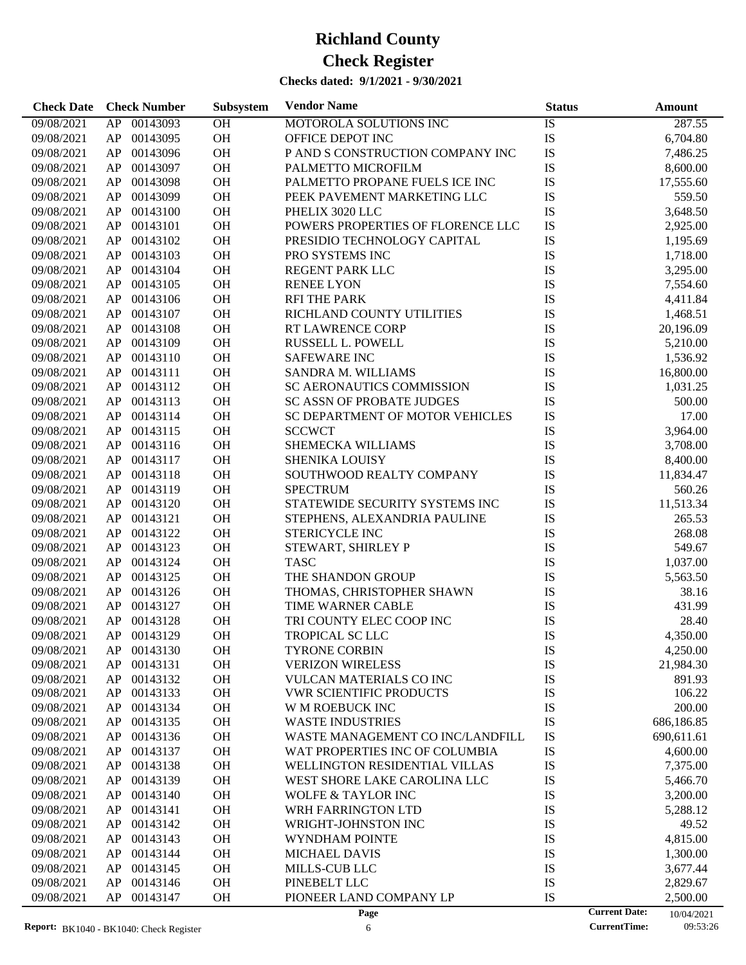### **Checks dated: 9/1/2021 - 9/30/2021**

| <b>Check Date</b>        | <b>Check Number</b>              | Subsystem              | <b>Vendor Name</b>                                                  | <b>Status</b>   | Amount                             |
|--------------------------|----------------------------------|------------------------|---------------------------------------------------------------------|-----------------|------------------------------------|
| 09/08/2021               | AP<br>00143093                   | OH                     | MOTOROLA SOLUTIONS INC                                              | $\overline{1S}$ | 287.55                             |
| 09/08/2021               | AP<br>00143095                   | OH                     | OFFICE DEPOT INC                                                    | IS              | 6,704.80                           |
| 09/08/2021               | AP<br>00143096                   | OH                     | P AND S CONSTRUCTION COMPANY INC                                    | IS              | 7,486.25                           |
| 09/08/2021               | AP<br>00143097                   | OH                     | PALMETTO MICROFILM                                                  | IS              | 8,600.00                           |
| 09/08/2021               | AP<br>00143098                   | OH                     | PALMETTO PROPANE FUELS ICE INC                                      | IS              | 17,555.60                          |
| 09/08/2021               | AP<br>00143099                   | OH                     | PEEK PAVEMENT MARKETING LLC                                         | IS              | 559.50                             |
| 09/08/2021               | AP<br>00143100                   | OH                     | PHELIX 3020 LLC                                                     | IS              | 3,648.50                           |
| 09/08/2021               | AP<br>00143101                   | OH                     | POWERS PROPERTIES OF FLORENCE LLC                                   | IS              | 2,925.00                           |
| 09/08/2021               | AP<br>00143102                   | OH                     | PRESIDIO TECHNOLOGY CAPITAL                                         | IS              | 1,195.69                           |
| 09/08/2021               | AP<br>00143103                   | OH                     | PRO SYSTEMS INC                                                     | IS              | 1,718.00                           |
| 09/08/2021               | AP<br>00143104                   | OH                     | REGENT PARK LLC                                                     | IS              | 3,295.00                           |
| 09/08/2021               | AP<br>00143105                   | OH                     | <b>RENEE LYON</b>                                                   | IS              | 7,554.60                           |
| 09/08/2021               | AP<br>00143106                   | OH                     | <b>RFI THE PARK</b>                                                 | IS              | 4,411.84                           |
| 09/08/2021               | 00143107<br>AP                   | OH                     | RICHLAND COUNTY UTILITIES                                           | IS              | 1,468.51                           |
| 09/08/2021               | 00143108<br>AP                   | OH                     | <b>RT LAWRENCE CORP</b>                                             | IS              | 20,196.09                          |
| 09/08/2021               | AP<br>00143109                   | OH                     | RUSSELL L. POWELL                                                   | IS              | 5,210.00                           |
| 09/08/2021               | AP<br>00143110                   | OH                     | <b>SAFEWARE INC</b>                                                 | IS              | 1,536.92                           |
| 09/08/2021               | AP<br>00143111                   | OH                     | <b>SANDRA M. WILLIAMS</b>                                           | IS              | 16,800.00                          |
| 09/08/2021               | AP<br>00143112                   | OH                     | SC AERONAUTICS COMMISSION                                           | IS              | 1,031.25                           |
| 09/08/2021               | AP<br>00143113                   | OH                     |                                                                     | IS              | 500.00                             |
|                          | AP<br>00143114                   | OH                     | <b>SC ASSN OF PROBATE JUDGES</b><br>SC DEPARTMENT OF MOTOR VEHICLES | IS              | 17.00                              |
| 09/08/2021               |                                  | OH                     |                                                                     | IS              |                                    |
| 09/08/2021               | AP<br>00143115                   |                        | <b>SCCWCT</b><br><b>SHEMECKA WILLIAMS</b>                           |                 | 3,964.00                           |
| 09/08/2021               | AP<br>00143116                   | OH<br>OH               |                                                                     | IS              | 3,708.00                           |
| 09/08/2021               | AP<br>00143117<br>00143118       | OH                     | SHENIKA LOUISY                                                      | IS<br>IS        | 8,400.00                           |
| 09/08/2021               | AP<br>00143119<br>AP             | OH                     | SOUTHWOOD REALTY COMPANY<br><b>SPECTRUM</b>                         | IS              | 11,834.47                          |
| 09/08/2021               | AP<br>00143120                   | OH                     | STATEWIDE SECURITY SYSTEMS INC                                      | IS              | 560.26                             |
| 09/08/2021               | AP<br>00143121                   | OH                     |                                                                     | IS              | 11,513.34<br>265.53                |
| 09/08/2021               | 00143122<br>AP                   | OH                     | STEPHENS, ALEXANDRIA PAULINE                                        | IS              | 268.08                             |
| 09/08/2021               | AP<br>00143123                   | OH                     | STERICYCLE INC                                                      | IS              | 549.67                             |
| 09/08/2021               | AP<br>00143124                   | OH                     | STEWART, SHIRLEY P<br><b>TASC</b>                                   | IS              | 1,037.00                           |
| 09/08/2021<br>09/08/2021 | 00143125<br>AP                   | OH                     | THE SHANDON GROUP                                                   | IS              | 5,563.50                           |
| 09/08/2021               | AP<br>00143126                   | OH                     | THOMAS, CHRISTOPHER SHAWN                                           | IS              | 38.16                              |
| 09/08/2021               | AP<br>00143127                   | <b>OH</b>              | TIME WARNER CABLE                                                   | IS              | 431.99                             |
| 09/08/2021               | AP<br>00143128                   | OH                     | TRI COUNTY ELEC COOP INC                                            | IS              | 28.40                              |
|                          | AP<br>00143129                   | <b>OH</b>              | <b>TROPICAL SC LLC</b>                                              | IS              | 4,350.00                           |
| 09/08/2021<br>09/08/2021 | AP 00143130                      | OH                     | <b>TYRONE CORBIN</b>                                                | IS              |                                    |
|                          |                                  | <b>OH</b>              |                                                                     |                 | 4,250.00<br>21,984.30              |
| 09/08/2021<br>09/08/2021 | 00143131<br>AP<br>AP<br>00143132 |                        | <b>VERIZON WIRELESS</b><br><b>VULCAN MATERIALS CO INC</b>           | IS              | 891.93                             |
| 09/08/2021               | AP<br>00143133                   | OH<br><b>OH</b>        | <b>VWR SCIENTIFIC PRODUCTS</b>                                      | IS<br>IS        | 106.22                             |
| 09/08/2021               | 00143134<br>AP                   | <b>OH</b>              | W M ROEBUCK INC                                                     | IS              | 200.00                             |
| 09/08/2021               | AP<br>00143135                   | <b>OH</b>              | <b>WASTE INDUSTRIES</b>                                             | IS              | 686,186.85                         |
| 09/08/2021               | AP<br>00143136                   | <b>OH</b>              | WASTE MANAGEMENT CO INC/LANDFILL                                    | IS              | 690,611.61                         |
| 09/08/2021               | AP<br>00143137                   | <b>OH</b>              | WAT PROPERTIES INC OF COLUMBIA                                      | IS              | 4,600.00                           |
| 09/08/2021               | AP<br>00143138                   | <b>OH</b>              | WELLINGTON RESIDENTIAL VILLAS                                       | IS              | 7,375.00                           |
| 09/08/2021               | AP<br>00143139                   | <b>OH</b>              | WEST SHORE LAKE CAROLINA LLC                                        | IS              | 5,466.70                           |
|                          | AP                               |                        | <b>WOLFE &amp; TAYLOR INC</b>                                       |                 |                                    |
| 09/08/2021<br>09/08/2021 | 00143140<br>AP<br>00143141       | <b>OH</b><br><b>OH</b> | WRH FARRINGTON LTD                                                  | IS<br>IS        | 3,200.00<br>5,288.12               |
|                          | AP<br>00143142                   | <b>OH</b>              | WRIGHT-JOHNSTON INC                                                 | IS              | 49.52                              |
| 09/08/2021               | AP<br>00143143                   | <b>OH</b>              |                                                                     | IS              | 4,815.00                           |
| 09/08/2021               | AP<br>00143144                   | <b>OH</b>              | WYNDHAM POINTE<br><b>MICHAEL DAVIS</b>                              |                 |                                    |
| 09/08/2021<br>09/08/2021 | AP<br>00143145                   | <b>OH</b>              | MILLS-CUB LLC                                                       | IS<br>IS        | 1,300.00<br>3,677.44               |
| 09/08/2021               | AP<br>00143146                   | <b>OH</b>              | PINEBELT LLC                                                        | IS              | 2,829.67                           |
| 09/08/2021               | AP<br>00143147                   | <b>OH</b>              | PIONEER LAND COMPANY LP                                             | IS              | 2,500.00                           |
|                          |                                  |                        | Page                                                                |                 | <b>Current Date:</b><br>10/04/2021 |

10/04/2021<br>09:53:26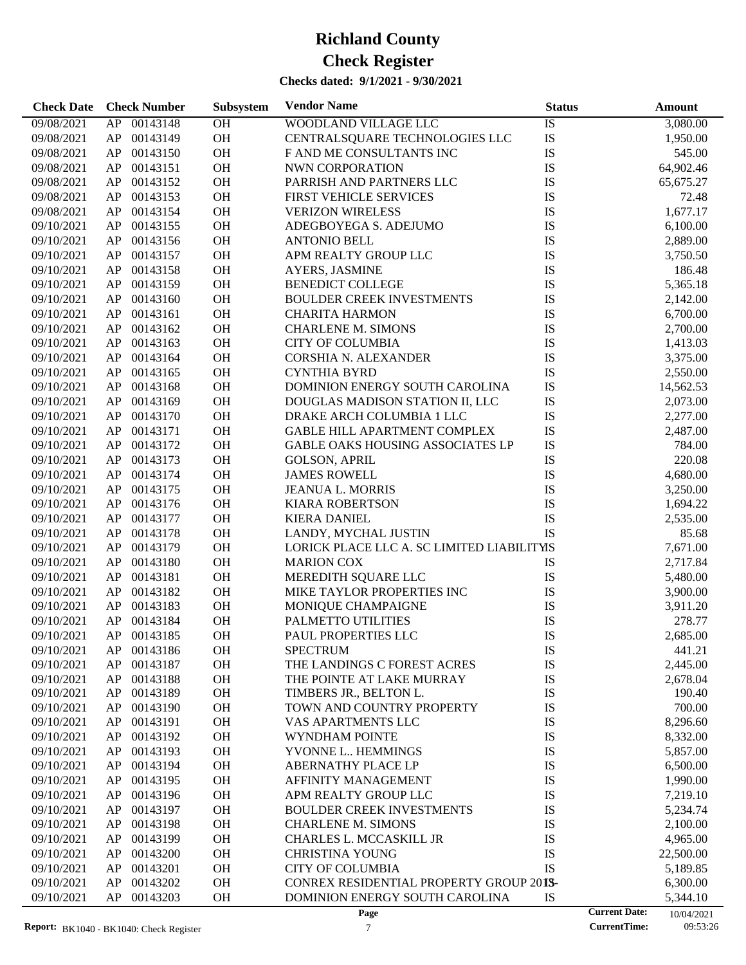**Check Date Check Number Vendor Name Status Amount**

**Subsystem**

| 09/08/2021 | AP | 00143148    | <b>OH</b> | WOODLAND VILLAGE LLC                       | IS        | 3,080.00  |
|------------|----|-------------|-----------|--------------------------------------------|-----------|-----------|
| 09/08/2021 | AP | 00143149    | OH        | CENTRALSQUARE TECHNOLOGIES LLC             | IS        | 1,950.00  |
| 09/08/2021 | AP | 00143150    | OH        | F AND ME CONSULTANTS INC                   | IS        | 545.00    |
| 09/08/2021 | AP | 00143151    | OH        | NWN CORPORATION                            | IS        | 64,902.46 |
| 09/08/2021 | AP | 00143152    | OH        | PARRISH AND PARTNERS LLC                   | IS        | 65,675.27 |
| 09/08/2021 | AP | 00143153    | OH        | FIRST VEHICLE SERVICES                     | IS        | 72.48     |
| 09/08/2021 | AP | 00143154    | OH        | <b>VERIZON WIRELESS</b>                    | <b>IS</b> | 1,677.17  |
| 09/10/2021 | AP | 00143155    | OH        | ADEGBOYEGA S. ADEJUMO                      | IS        | 6,100.00  |
| 09/10/2021 | AP | 00143156    | OH        | <b>ANTONIO BELL</b>                        | IS        | 2,889.00  |
| 09/10/2021 | AP | 00143157    | OH        | APM REALTY GROUP LLC                       | IS        | 3,750.50  |
| 09/10/2021 | AP | 00143158    | OH        | AYERS, JASMINE                             | IS        | 186.48    |
| 09/10/2021 | AP | 00143159    | OH        | <b>BENEDICT COLLEGE</b>                    | IS        | 5,365.18  |
| 09/10/2021 | AP | 00143160    | OH        | <b>BOULDER CREEK INVESTMENTS</b>           | IS        | 2,142.00  |
| 09/10/2021 | AP | 00143161    | OH        | <b>CHARITA HARMON</b>                      | IS        | 6,700.00  |
| 09/10/2021 | AP | 00143162    | OH        | <b>CHARLENE M. SIMONS</b>                  | IS        | 2,700.00  |
| 09/10/2021 | AP | 00143163    | OH        | <b>CITY OF COLUMBIA</b>                    | IS        | 1,413.03  |
| 09/10/2021 | AP | 00143164    | OH        | CORSHIA N. ALEXANDER                       | IS        | 3,375.00  |
| 09/10/2021 | AP | 00143165    | OH        | <b>CYNTHIA BYRD</b>                        | IS        | 2,550.00  |
| 09/10/2021 | AP | 00143168    | OH        | DOMINION ENERGY SOUTH CAROLINA             | IS        | 14,562.53 |
| 09/10/2021 | AP | 00143169    | OH        |                                            | IS        |           |
|            |    |             |           | DOUGLAS MADISON STATION II, LLC            |           | 2,073.00  |
| 09/10/2021 | AP | 00143170    | OH        | DRAKE ARCH COLUMBIA 1 LLC                  | IS        | 2,277.00  |
| 09/10/2021 | AP | 00143171    | OH        | GABLE HILL APARTMENT COMPLEX               | IS        | 2,487.00  |
| 09/10/2021 | AP | 00143172    | OH        | GABLE OAKS HOUSING ASSOCIATES LP           | IS        | 784.00    |
| 09/10/2021 | AP | 00143173    | OH        | <b>GOLSON, APRIL</b>                       | IS        | 220.08    |
| 09/10/2021 | AP | 00143174    | OH        | <b>JAMES ROWELL</b>                        | IS        | 4,680.00  |
| 09/10/2021 | AP | 00143175    | OH        | JEANUA L. MORRIS                           | IS        | 3,250.00  |
| 09/10/2021 | AP | 00143176    | OH        | <b>KIARA ROBERTSON</b>                     | IS        | 1,694.22  |
| 09/10/2021 | AP | 00143177    | OH        | <b>KIERA DANIEL</b>                        | IS        | 2,535.00  |
| 09/10/2021 | AP | 00143178    | OH        | LANDY, MYCHAL JUSTIN                       | <b>IS</b> | 85.68     |
| 09/10/2021 | AP | 00143179    | OH        | LORICK PLACE LLC A. SC LIMITED LIABILITYIS |           | 7,671.00  |
| 09/10/2021 | AP | 00143180    | OH        | <b>MARION COX</b>                          | IS        | 2,717.84  |
| 09/10/2021 | AP | 00143181    | OH        | MEREDITH SQUARE LLC                        | IS        | 5,480.00  |
| 09/10/2021 | AP | 00143182    | OH        | MIKE TAYLOR PROPERTIES INC                 | IS        | 3,900.00  |
| 09/10/2021 | AP | 00143183    | OH        | MONIQUE CHAMPAIGNE                         | IS        | 3,911.20  |
| 09/10/2021 | AP | 00143184    | OH        | PALMETTO UTILITIES                         | IS        | 278.77    |
| 09/10/2021 | AP | 00143185    | OH        | PAUL PROPERTIES LLC                        | <b>IS</b> | 2,685.00  |
| 09/10/2021 |    | AP 00143186 | OH        | <b>SPECTRUM</b>                            | IS        | 441.21    |
| 09/10/2021 |    | AP 00143187 | OH        | THE LANDINGS C FOREST ACRES                | IS        | 2,445.00  |
| 09/10/2021 | AP | 00143188    | OH        | THE POINTE AT LAKE MURRAY                  | IS        | 2,678.04  |
| 09/10/2021 | AP | 00143189    | OH        | TIMBERS JR., BELTON L.                     | IS        | 190.40    |
| 09/10/2021 | AP | 00143190    | OH        | TOWN AND COUNTRY PROPERTY                  | IS        | 700.00    |
| 09/10/2021 | AP | 00143191    | OH        | VAS APARTMENTS LLC                         | IS        | 8,296.60  |
| 09/10/2021 | AP | 00143192    | OH        | <b>WYNDHAM POINTE</b>                      | IS        | 8,332.00  |
| 09/10/2021 | AP | 00143193    | OH        | YVONNE L HEMMINGS                          | IS        | 5,857.00  |
| 09/10/2021 | AP | 00143194    | OH        | ABERNATHY PLACE LP                         | IS        | 6,500.00  |
| 09/10/2021 | AP | 00143195    | OH        | AFFINITY MANAGEMENT                        | IS        | 1,990.00  |
| 09/10/2021 | AP | 00143196    | OH        | APM REALTY GROUP LLC                       | IS        | 7,219.10  |
| 09/10/2021 | AP | 00143197    | OH        | BOULDER CREEK INVESTMENTS                  | IS        | 5,234.74  |
| 09/10/2021 | AP | 00143198    | OH        | <b>CHARLENE M. SIMONS</b>                  | IS        | 2,100.00  |
| 09/10/2021 | AP | 00143199    | OH        | CHARLES L. MCCASKILL JR                    | IS        | 4,965.00  |
| 09/10/2021 | AP | 00143200    | OH        | <b>CHRISTINA YOUNG</b>                     | IS        | 22,500.00 |
| 09/10/2021 | AP | 00143201    | OH        | <b>CITY OF COLUMBIA</b>                    | IS        | 5,189.85  |
| 09/10/2021 | AP | 00143202    | OH        | CONREX RESIDENTIAL PROPERTY GROUP 2013-    |           | 6,300.00  |
|            |    |             |           |                                            |           |           |

09/10/2021 AP 00143203 OH DOMINION ENERGY SOUTH CAROLINA IS 5,344.10

10/04/2021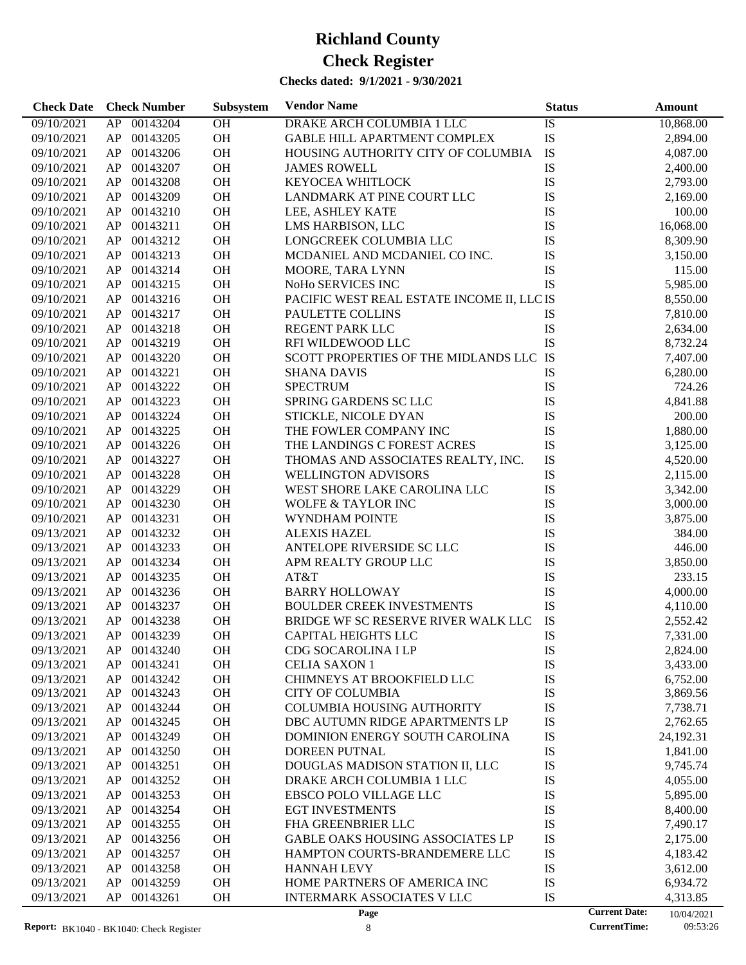| <b>Check Date</b> | <b>Check Number</b> | Subsystem | <b>Vendor Name</b>                         | <b>Status</b>        | <b>Amount</b> |
|-------------------|---------------------|-----------|--------------------------------------------|----------------------|---------------|
| 09/10/2021        | 00143204<br>AP      | <b>OH</b> | DRAKE ARCH COLUMBIA 1 LLC                  | IS                   | 10,868.00     |
| 09/10/2021        | AP<br>00143205      | OH        | <b>GABLE HILL APARTMENT COMPLEX</b>        | IS                   | 2,894.00      |
| 09/10/2021        | 00143206<br>AP      | OH        | HOUSING AUTHORITY CITY OF COLUMBIA         | IS                   | 4,087.00      |
| 09/10/2021        | 00143207<br>AP      | OH        | <b>JAMES ROWELL</b>                        | IS                   | 2,400.00      |
| 09/10/2021        | 00143208<br>AP      | OH        | KEYOCEA WHITLOCK                           | IS                   | 2,793.00      |
| 09/10/2021        | AP<br>00143209      | OH        | LANDMARK AT PINE COURT LLC                 | IS                   | 2,169.00      |
| 09/10/2021        | AP<br>00143210      | OH        | LEE, ASHLEY KATE                           | IS                   | 100.00        |
| 09/10/2021        | 00143211<br>AP      | OH        | LMS HARBISON, LLC                          | IS                   | 16,068.00     |
| 09/10/2021        | 00143212<br>AP      | OH        | LONGCREEK COLUMBIA LLC                     | IS                   | 8,309.90      |
| 09/10/2021        | AP<br>00143213      | <b>OH</b> | MCDANIEL AND MCDANIEL CO INC.              | IS                   | 3,150.00      |
| 09/10/2021        | AP<br>00143214      | OH        | MOORE, TARA LYNN                           | IS                   | 115.00        |
| 09/10/2021        | AP<br>00143215      | OH        | NoHo SERVICES INC                          | IS                   | 5,985.00      |
| 09/10/2021        | 00143216<br>AP      | OH        | PACIFIC WEST REAL ESTATE INCOME II, LLC IS |                      | 8,550.00      |
| 09/10/2021        | AP<br>00143217      | <b>OH</b> | PAULETTE COLLINS                           | <b>IS</b>            | 7,810.00      |
|                   | 00143218<br>AP      | OH        | REGENT PARK LLC                            | IS                   |               |
| 09/10/2021        |                     |           |                                            |                      | 2,634.00      |
| 09/10/2021        | 00143219<br>AP      | OH        | RFI WILDEWOOD LLC                          | IS                   | 8,732.24      |
| 09/10/2021        | 00143220<br>AP      | OH        | SCOTT PROPERTIES OF THE MIDLANDS LLC IS    |                      | 7,407.00      |
| 09/10/2021        | AP<br>00143221      | OH        | <b>SHANA DAVIS</b>                         | IS                   | 6,280.00      |
| 09/10/2021        | 00143222<br>AP      | OH        | <b>SPECTRUM</b>                            | IS                   | 724.26        |
| 09/10/2021        | 00143223<br>AP      | OH        | SPRING GARDENS SC LLC                      | IS                   | 4,841.88      |
| 09/10/2021        | 00143224<br>AP      | OH        | STICKLE, NICOLE DYAN                       | IS                   | 200.00        |
| 09/10/2021        | AP<br>00143225      | <b>OH</b> | THE FOWLER COMPANY INC                     | IS                   | 1,880.00      |
| 09/10/2021        | 00143226<br>AP      | OH        | THE LANDINGS C FOREST ACRES                | IS                   | 3,125.00      |
| 09/10/2021        | 00143227<br>AP      | OH        | THOMAS AND ASSOCIATES REALTY, INC.         | IS                   | 4,520.00      |
| 09/10/2021        | 00143228<br>AP      | OH        | <b>WELLINGTON ADVISORS</b>                 | IS                   | 2,115.00      |
| 09/10/2021        | AP<br>00143229      | OH        | WEST SHORE LAKE CAROLINA LLC               | IS                   | 3,342.00      |
| 09/10/2021        | 00143230<br>AP      | OH        | <b>WOLFE &amp; TAYLOR INC</b>              | IS                   | 3,000.00      |
| 09/10/2021        | 00143231<br>AP      | OH        | WYNDHAM POINTE                             | IS                   | 3,875.00      |
| 09/13/2021        | AP<br>00143232      | OH        | <b>ALEXIS HAZEL</b>                        | IS                   | 384.00        |
| 09/13/2021        | AP<br>00143233      | <b>OH</b> | ANTELOPE RIVERSIDE SC LLC                  | IS                   | 446.00        |
| 09/13/2021        | 00143234<br>AP      | OH        | APM REALTY GROUP LLC                       | IS                   | 3,850.00      |
| 09/13/2021        | 00143235<br>AP      | OH        | AT&T                                       | IS                   | 233.15        |
| 09/13/2021        | AP<br>00143236      | OH        | <b>BARRY HOLLOWAY</b>                      | IS                   | 4,000.00      |
| 09/13/2021        | AP<br>00143237      | <b>OH</b> | <b>BOULDER CREEK INVESTMENTS</b>           | IS                   | 4,110.00      |
| 09/13/2021        | AP<br>00143238      | <b>OH</b> | BRIDGE WF SC RESERVE RIVER WALK LLC        | IS                   | 2,552.42      |
| 09/13/2021        | AP<br>00143239      | <b>OH</b> | CAPITAL HEIGHTS LLC                        | IS                   | 7,331.00      |
| 09/13/2021        | AP 00143240         | OH        | CDG SOCAROLINA I LP                        | IS                   | 2,824.00      |
| 09/13/2021        | 00143241<br>AP      | OH        | <b>CELIA SAXON 1</b>                       | IS                   | 3,433.00      |
| 09/13/2021        | 00143242<br>AP      | OH        | CHIMNEYS AT BROOKFIELD LLC                 | IS                   | 6,752.00      |
| 09/13/2021        | AP<br>00143243      | OH        | <b>CITY OF COLUMBIA</b>                    | IS                   | 3,869.56      |
| 09/13/2021        | AP<br>00143244      | OH        | <b>COLUMBIA HOUSING AUTHORITY</b>          | IS                   | 7,738.71      |
| 09/13/2021        | AP<br>00143245      | OH        | DBC AUTUMN RIDGE APARTMENTS LP             | IS                   | 2,762.65      |
| 09/13/2021        | AP<br>00143249      | OH        | DOMINION ENERGY SOUTH CAROLINA             | IS                   | 24,192.31     |
| 09/13/2021        | AP<br>00143250      | OH        | DOREEN PUTNAL                              | IS                   | 1,841.00      |
| 09/13/2021        | AP<br>00143251      | OH        | DOUGLAS MADISON STATION II, LLC            | IS                   | 9,745.74      |
| 09/13/2021        | AP<br>00143252      | OH        | DRAKE ARCH COLUMBIA 1 LLC                  | IS                   | 4,055.00      |
| 09/13/2021        | AP<br>00143253      | OH        | EBSCO POLO VILLAGE LLC                     | IS                   | 5,895.00      |
| 09/13/2021        | AP<br>00143254      | OH        | <b>EGT INVESTMENTS</b>                     | IS                   | 8,400.00      |
|                   | AP<br>00143255      | OH        | FHA GREENBRIER LLC                         | IS                   |               |
| 09/13/2021        |                     |           |                                            |                      | 7,490.17      |
| 09/13/2021        | AP<br>00143256      | OH        | GABLE OAKS HOUSING ASSOCIATES LP           | IS                   | 2,175.00      |
| 09/13/2021        | AP<br>00143257      | OH        | HAMPTON COURTS-BRANDEMERE LLC              | IS                   | 4,183.42      |
| 09/13/2021        | AP<br>00143258      | OH        | <b>HANNAH LEVY</b>                         | IS                   | 3,612.00      |
| 09/13/2021        | AP<br>00143259      | OH        | HOME PARTNERS OF AMERICA INC               | IS                   | 6,934.72      |
| 09/13/2021        | AP<br>00143261      | OH        | <b>INTERMARK ASSOCIATES V LLC</b>          | IS                   | 4,313.85      |
|                   |                     |           | Page                                       | <b>Current Date:</b> | 10/04/2021    |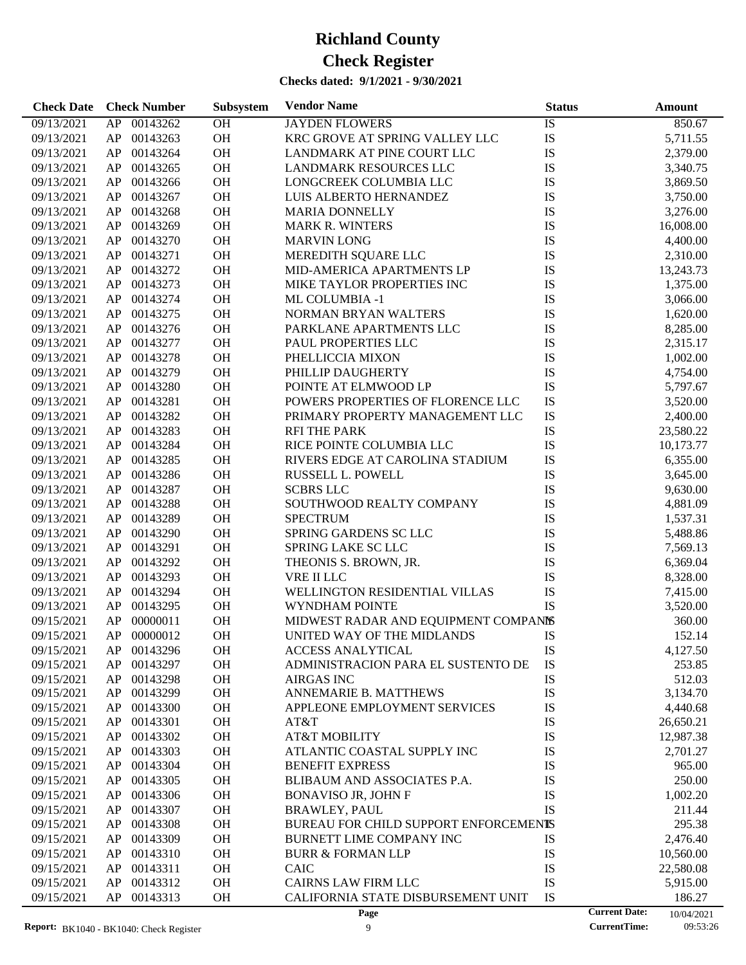| <b>Check Date</b> | <b>Check Number</b> | <b>Subsystem</b> | <b>Vendor Name</b>                    | <b>Status</b> | Amount                             |  |
|-------------------|---------------------|------------------|---------------------------------------|---------------|------------------------------------|--|
| 09/13/2021        | 00143262<br>AP      | OH               | <b>JAYDEN FLOWERS</b>                 | IS            | 850.67                             |  |
| 09/13/2021        | AP<br>00143263      | OH               | KRC GROVE AT SPRING VALLEY LLC        | IS            | 5,711.55                           |  |
| 09/13/2021        | 00143264<br>AP      | OH               | LANDMARK AT PINE COURT LLC            | IS            | 2,379.00                           |  |
| 09/13/2021        | 00143265<br>AP      | OH               | LANDMARK RESOURCES LLC                | IS            | 3,340.75                           |  |
| 09/13/2021        | AP<br>00143266      | OH               | LONGCREEK COLUMBIA LLC                | IS            | 3,869.50                           |  |
| 09/13/2021        | AP<br>00143267      | OH               | LUIS ALBERTO HERNANDEZ                | IS            | 3,750.00                           |  |
| 09/13/2021        | 00143268<br>AP      | OH               | <b>MARIA DONNELLY</b>                 | IS            | 3,276.00                           |  |
| 09/13/2021        | AP<br>00143269      | OH               | <b>MARK R. WINTERS</b>                | IS            | 16,008.00                          |  |
| 09/13/2021        | AP<br>00143270      | OH               | <b>MARVIN LONG</b>                    | IS            | 4,400.00                           |  |
| 09/13/2021        | 00143271<br>AP      | OH               | MEREDITH SQUARE LLC                   | IS            | 2,310.00                           |  |
| 09/13/2021        | 00143272<br>AP      | OH               | MID-AMERICA APARTMENTS LP             | IS            | 13,243.73                          |  |
| 09/13/2021        | AP<br>00143273      | OH               | MIKE TAYLOR PROPERTIES INC            | IS            | 1,375.00                           |  |
| 09/13/2021        | AP<br>00143274      | OH               | ML COLUMBIA -1                        | IS            | 3,066.00                           |  |
| 09/13/2021        | 00143275<br>AP      | OH               | NORMAN BRYAN WALTERS                  | IS            | 1,620.00                           |  |
| 09/13/2021        | AP<br>00143276      | OH               | PARKLANE APARTMENTS LLC               | IS            | 8,285.00                           |  |
| 09/13/2021        | AP<br>00143277      | OH               | PAUL PROPERTIES LLC                   | IS            | 2,315.17                           |  |
| 09/13/2021        | AP<br>00143278      | OH               | PHELLICCIA MIXON                      | IS            | 1,002.00                           |  |
| 09/13/2021        | 00143279<br>AP      | OH               | PHILLIP DAUGHERTY                     | IS            | 4,754.00                           |  |
| 09/13/2021        | AP<br>00143280      | OH               | POINTE AT ELMWOOD LP                  | IS            | 5,797.67                           |  |
| 09/13/2021        | AP<br>00143281      | OH               | POWERS PROPERTIES OF FLORENCE LLC     | IS            | 3,520.00                           |  |
| 09/13/2021        | 00143282<br>AP      | OH               | PRIMARY PROPERTY MANAGEMENT LLC       | IS            | 2,400.00                           |  |
| 09/13/2021        | 00143283<br>AP      | OH               | <b>RFI THE PARK</b>                   | IS            | 23,580.22                          |  |
| 09/13/2021        | AP<br>00143284      | OH               | RICE POINTE COLUMBIA LLC              | IS            | 10,173.77                          |  |
| 09/13/2021        | AP<br>00143285      | OH               | RIVERS EDGE AT CAROLINA STADIUM       | IS            | 6,355.00                           |  |
| 09/13/2021        | 00143286<br>AP      | OH               | RUSSELL L. POWELL                     | IS            | 3,645.00                           |  |
| 09/13/2021        | 00143287<br>AP      | OH               | <b>SCBRS LLC</b>                      | <b>IS</b>     | 9,630.00                           |  |
| 09/13/2021        | AP<br>00143288      | OH               | SOUTHWOOD REALTY COMPANY              | IS            | 4,881.09                           |  |
| 09/13/2021        | 00143289<br>AP      | OH               | <b>SPECTRUM</b>                       | IS            | 1,537.31                           |  |
| 09/13/2021        | 00143290<br>AP      | OH               | SPRING GARDENS SC LLC                 | IS            | 5,488.86                           |  |
| 09/13/2021        | AP<br>00143291      | OH               | SPRING LAKE SC LLC                    | IS            | 7,569.13                           |  |
| 09/13/2021        | AP<br>00143292      | OH               | THEONIS S. BROWN, JR.                 | IS            | 6,369.04                           |  |
| 09/13/2021        | 00143293<br>AP      | OH               | VRE II LLC                            | IS            | 8,328.00                           |  |
| 09/13/2021        | 00143294<br>AP      | OH               | WELLINGTON RESIDENTIAL VILLAS         | IS            | 7,415.00                           |  |
| 09/13/2021        | AP<br>00143295      | OH               | WYNDHAM POINTE                        | IS            | 3,520.00                           |  |
| 09/15/2021        | AP<br>00000011      | OH               | MIDWEST RADAR AND EQUIPMENT COMPANIS  |               | 360.00                             |  |
| 09/15/2021        | AP<br>00000012      | OH               | UNITED WAY OF THE MIDLANDS            | IS            | 152.14                             |  |
| 09/15/2021        | 00143296<br>AP.     | <b>OH</b>        | <b>ACCESS ANALYTICAL</b>              | IS            | 4,127.50                           |  |
| 09/15/2021        | 00143297<br>AP      | OH               | ADMINISTRACION PARA EL SUSTENTO DE    | IS            | 253.85                             |  |
| 09/15/2021        | 00143298<br>AP      | OH               | <b>AIRGAS INC</b>                     | IS            | 512.03                             |  |
| 09/15/2021        | AP<br>00143299      | <b>OH</b>        | ANNEMARIE B. MATTHEWS                 | IS            | 3,134.70                           |  |
| 09/15/2021        | AP<br>00143300      | <b>OH</b>        | APPLEONE EMPLOYMENT SERVICES          | IS            | 4,440.68                           |  |
| 09/15/2021        | AP<br>00143301      | OH               | AT&T                                  | IS            | 26,650.21                          |  |
| 09/15/2021        | 00143302<br>AP      | OH               | <b>AT&amp;T MOBILITY</b>              | IS            | 12,987.38                          |  |
| 09/15/2021        | 00143303<br>AP      | OH               | ATLANTIC COASTAL SUPPLY INC           | IS            | 2,701.27                           |  |
| 09/15/2021        | AP<br>00143304      | <b>OH</b>        | <b>BENEFIT EXPRESS</b>                | IS            | 965.00                             |  |
| 09/15/2021        | AP<br>00143305      | OH               | BLIBAUM AND ASSOCIATES P.A.           | IS            | 250.00                             |  |
| 09/15/2021        | 00143306<br>AP      | OH               | <b>BONAVISO JR, JOHN F</b>            | IS            | 1,002.20                           |  |
| 09/15/2021        | 00143307<br>AP      | OH               | <b>BRAWLEY, PAUL</b>                  | IS            | 211.44                             |  |
| 09/15/2021        | AP<br>00143308      | OH               | BUREAU FOR CHILD SUPPORT ENFORCEMENTS |               | 295.38                             |  |
| 09/15/2021        | AP<br>00143309      | OH               | <b>BURNETT LIME COMPANY INC</b>       | IS            | 2,476.40                           |  |
| 09/15/2021        | AP<br>00143310      | OH               | <b>BURR &amp; FORMAN LLP</b>          | IS            | 10,560.00                          |  |
| 09/15/2021        | AP<br>00143311      | <b>OH</b>        | <b>CAIC</b>                           | IS            | 22,580.08                          |  |
| 09/15/2021        | AP<br>00143312      | <b>OH</b>        | <b>CAIRNS LAW FIRM LLC</b>            | IS            | 5,915.00                           |  |
| 09/15/2021        | AP<br>00143313      | OH               | CALIFORNIA STATE DISBURSEMENT UNIT    | IS            | 186.27                             |  |
|                   |                     |                  | Page                                  |               | <b>Current Date:</b><br>10/04/2021 |  |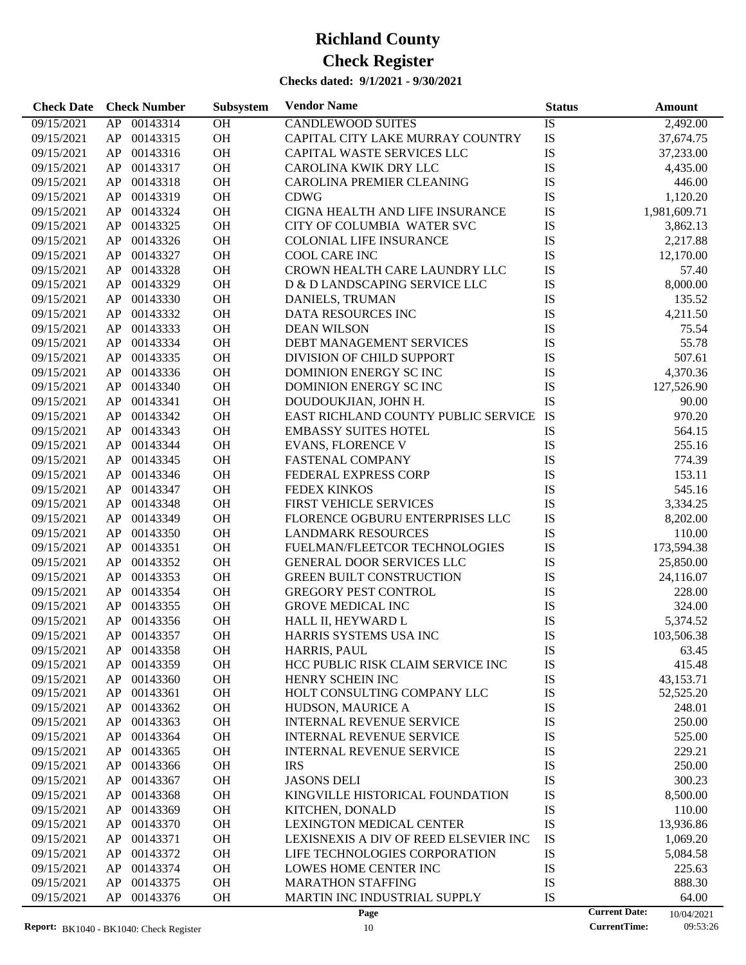| <b>Check Date</b> | <b>Check Number</b> | Subsystem | <b>Vendor Name</b>                                         | <b>Status</b> | <b>Amount</b>                      |
|-------------------|---------------------|-----------|------------------------------------------------------------|---------------|------------------------------------|
| 09/15/2021        | 00143314<br>AP      | OH        | <b>CANDLEWOOD SUITES</b>                                   | IS            | 2,492.00                           |
| 09/15/2021        | 00143315<br>AP      | OH        | CAPITAL CITY LAKE MURRAY COUNTRY                           | IS            | 37,674.75                          |
| 09/15/2021        | 00143316<br>AP      | OH        | CAPITAL WASTE SERVICES LLC                                 | IS            | 37,233.00                          |
| 09/15/2021        | 00143317<br>AP      | <b>OH</b> | CAROLINA KWIK DRY LLC                                      | IS            | 4,435.00                           |
| 09/15/2021        | 00143318<br>AP      | OH        | CAROLINA PREMIER CLEANING                                  | IS            | 446.00                             |
| 09/15/2021        | 00143319<br>AP      | OH        | <b>CDWG</b>                                                | IS            | 1,120.20                           |
| 09/15/2021        | 00143324<br>AP      | <b>OH</b> | CIGNA HEALTH AND LIFE INSURANCE                            | IS            | 1,981,609.71                       |
| 09/15/2021        | 00143325<br>AP      | <b>OH</b> | CITY OF COLUMBIA WATER SVC                                 | IS            | 3,862.13                           |
| 09/15/2021        | 00143326<br>AP      | OH        | <b>COLONIAL LIFE INSURANCE</b>                             | IS            | 2,217.88                           |
| 09/15/2021        | 00143327<br>AP      | OH        | <b>COOL CARE INC</b>                                       | IS            | 12,170.00                          |
| 09/15/2021        | 00143328<br>AP      | <b>OH</b> | CROWN HEALTH CARE LAUNDRY LLC                              | IS            | 57.40                              |
| 09/15/2021        | 00143329<br>AP      | <b>OH</b> | D & D LANDSCAPING SERVICE LLC                              | IS            | 8,000.00                           |
| 09/15/2021        | 00143330<br>AP      | OH        | DANIELS, TRUMAN                                            | IS            | 135.52                             |
| 09/15/2021        | 00143332<br>AP      | OH        | DATA RESOURCES INC                                         | IS            | 4,211.50                           |
| 09/15/2021        | 00143333<br>AP      | <b>OH</b> | <b>DEAN WILSON</b>                                         | IS            | 75.54                              |
| 09/15/2021        | 00143334<br>AP      | <b>OH</b> | DEBT MANAGEMENT SERVICES                                   | IS            | 55.78                              |
| 09/15/2021        | 00143335<br>AP      | OH        | DIVISION OF CHILD SUPPORT                                  | IS            | 507.61                             |
| 09/15/2021        | 00143336<br>AP      | OH        | DOMINION ENERGY SCINC                                      | IS            | 4,370.36                           |
| 09/15/2021        | 00143340<br>AP      | <b>OH</b> | DOMINION ENERGY SCINC                                      | IS            | 127,526.90                         |
| 09/15/2021        | 00143341<br>AP      | OH        | DOUDOUKJIAN, JOHN H.                                       | IS            | 90.00                              |
| 09/15/2021        | 00143342<br>AP      | OH        | EAST RICHLAND COUNTY PUBLIC SERVICE                        | IS            | 970.20                             |
| 09/15/2021        | 00143343<br>AP      | OH        | <b>EMBASSY SUITES HOTEL</b>                                | IS            | 564.15                             |
| 09/15/2021        | 00143344<br>AP      | <b>OH</b> | <b>EVANS, FLORENCE V</b>                                   | IS            | 255.16                             |
| 09/15/2021        | 00143345<br>AP      | OH        | <b>FASTENAL COMPANY</b>                                    | IS            | 774.39                             |
| 09/15/2021        | 00143346<br>AP      | OH        | FEDERAL EXPRESS CORP                                       | IS            | 153.11                             |
| 09/15/2021        | 00143347<br>AP      | OH        | <b>FEDEX KINKOS</b>                                        | IS            | 545.16                             |
| 09/15/2021        | 00143348<br>AP      | <b>OH</b> | FIRST VEHICLE SERVICES                                     | IS            | 3,334.25                           |
|                   | 00143349            | OH        |                                                            | IS            |                                    |
| 09/15/2021        | AP<br>00143350      | OH        | FLORENCE OGBURU ENTERPRISES LLC                            |               | 8,202.00                           |
| 09/15/2021        | AP<br>00143351      | OH        | <b>LANDMARK RESOURCES</b><br>FUELMAN/FLEETCOR TECHNOLOGIES | IS            | 110.00                             |
| 09/15/2021        | AP                  |           |                                                            | IS            | 173,594.38                         |
| 09/15/2021        | 00143352<br>AP      | <b>OH</b> | <b>GENERAL DOOR SERVICES LLC</b>                           | IS            | 25,850.00                          |
| 09/15/2021        | 00143353<br>AP      | <b>OH</b> | <b>GREEN BUILT CONSTRUCTION</b>                            | IS            | 24,116.07                          |
| 09/15/2021        | 00143354<br>AP      | OH        | <b>GREGORY PEST CONTROL</b>                                | IS            | 228.00                             |
| 09/15/2021        | 00143355<br>AP      | <b>OH</b> | <b>GROVE MEDICAL INC</b>                                   | IS            | 324.00                             |
| 09/15/2021        | 00143356<br>AP      | OH        | HALL II, HEYWARD L                                         | IS            | 5,374.52                           |
| 09/15/2021        | AP 00143357         | OH        | HARRIS SYSTEMS USA INC                                     | IS            | 103,506.38                         |
| 09/15/2021        | AP<br>00143358      | <b>OH</b> | HARRIS, PAUL                                               | IS            | 63.45                              |
| 09/15/2021        | 00143359<br>AP      | OH        | HCC PUBLIC RISK CLAIM SERVICE INC                          | IS            | 415.48                             |
| 09/15/2021        | 00143360<br>AP      | OH        | HENRY SCHEIN INC                                           | IS            | 43,153.71                          |
| 09/15/2021        | 00143361<br>AP      | OH        | HOLT CONSULTING COMPANY LLC                                | IS            | 52,525.20                          |
| 09/15/2021        | 00143362<br>AP      | OH        | HUDSON, MAURICE A                                          | IS            | 248.01                             |
| 09/15/2021        | 00143363<br>AP      | OH        | <b>INTERNAL REVENUE SERVICE</b>                            | IS            | 250.00                             |
| 09/15/2021        | 00143364<br>AP      | OH        | <b>INTERNAL REVENUE SERVICE</b>                            | IS            | 525.00                             |
| 09/15/2021        | AP<br>00143365      | OH        | <b>INTERNAL REVENUE SERVICE</b>                            | IS            | 229.21                             |
| 09/15/2021        | 00143366<br>AP      | OH        | <b>IRS</b>                                                 | IS            | 250.00                             |
| 09/15/2021        | 00143367<br>AP      | OH        | <b>JASONS DELI</b>                                         | IS            | 300.23                             |
| 09/15/2021        | 00143368<br>AP      | OH        | KINGVILLE HISTORICAL FOUNDATION                            | IS            | 8,500.00                           |
| 09/15/2021        | AP<br>00143369      | OH        | KITCHEN, DONALD                                            | IS            | 110.00                             |
| 09/15/2021        | AP<br>00143370      | OH        | <b>LEXINGTON MEDICAL CENTER</b>                            | IS            | 13,936.86                          |
| 09/15/2021        | 00143371<br>AP      | OH        | LEXISNEXIS A DIV OF REED ELSEVIER INC                      | IS            | 1,069.20                           |
| 09/15/2021        | AP<br>00143372      | OH        | LIFE TECHNOLOGIES CORPORATION                              | IS            | 5,084.58                           |
| 09/15/2021        | AP<br>00143374      | OH        | LOWES HOME CENTER INC                                      | IS            | 225.63                             |
| 09/15/2021        | AP<br>00143375      | OH        | <b>MARATHON STAFFING</b>                                   | IS            | 888.30                             |
| 09/15/2021        | AP<br>00143376      | OH        | MARTIN INC INDUSTRIAL SUPPLY                               | IS            | 64.00                              |
|                   |                     |           | Page                                                       |               | <b>Current Date:</b><br>10/04/2021 |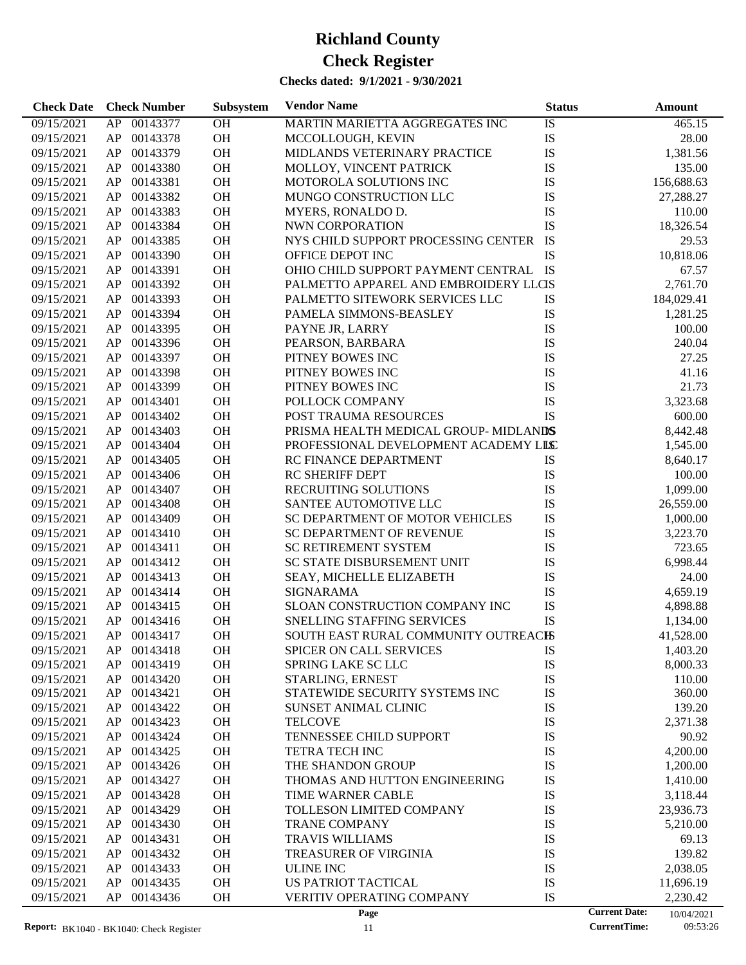### **Checks dated: 9/1/2021 - 9/30/2021**

| <b>Check Date</b>        | <b>Check Number</b>  | Subsystem | <b>Vendor Name</b>                                 | <b>Status</b> |                      | <b>Amount</b>        |
|--------------------------|----------------------|-----------|----------------------------------------------------|---------------|----------------------|----------------------|
| 09/15/2021               | 00143377<br>AP       | <b>OH</b> | MARTIN MARIETTA AGGREGATES INC                     | IS            |                      | 465.15               |
| 09/15/2021               | AP<br>00143378       | OH        | MCCOLLOUGH, KEVIN                                  | IS            |                      | 28.00                |
| 09/15/2021               | 00143379<br>AP       | OH        | MIDLANDS VETERINARY PRACTICE                       | IS            |                      | 1,381.56             |
| 09/15/2021               | 00143380<br>AP       | OH        | MOLLOY, VINCENT PATRICK                            | IS            |                      | 135.00               |
| 09/15/2021               | 00143381<br>AP       | OH        | MOTOROLA SOLUTIONS INC                             | IS            |                      | 156,688.63           |
| 09/15/2021               | 00143382<br>AP       | OH        | MUNGO CONSTRUCTION LLC                             | IS            |                      | 27,288.27            |
| 09/15/2021               | 00143383<br>AP       | OH        | MYERS, RONALDO D.                                  | IS            |                      | 110.00               |
| 09/15/2021               | 00143384<br>AP       | <b>OH</b> | NWN CORPORATION                                    | <b>IS</b>     |                      | 18,326.54            |
| 09/15/2021               | 00143385<br>AP       | OH        | NYS CHILD SUPPORT PROCESSING CENTER                | IS            |                      | 29.53                |
| 09/15/2021               | 00143390<br>AP       | OH        | OFFICE DEPOT INC                                   | IS            |                      | 10,818.06            |
| 09/15/2021               | 00143391<br>AP       | OH        | OHIO CHILD SUPPORT PAYMENT CENTRAL IS              |               |                      | 67.57                |
| 09/15/2021               | 00143392<br>AP       | <b>OH</b> | PALMETTO APPAREL AND EMBROIDERY LLCIS              |               |                      | 2,761.70             |
| 09/15/2021               | 00143393<br>AP       | OH        | PALMETTO SITEWORK SERVICES LLC                     | IS            |                      | 184,029.41           |
| 09/15/2021               | 00143394<br>AP       | OH        | PAMELA SIMMONS-BEASLEY                             | IS            |                      | 1,281.25             |
| 09/15/2021               | 00143395<br>AP       | OH        | PAYNE JR, LARRY                                    | IS            |                      | 100.00               |
| 09/15/2021               | 00143396<br>AP       | OH        | PEARSON, BARBARA                                   | IS            |                      | 240.04               |
| 09/15/2021               | 00143397<br>AP       | OH        | PITNEY BOWES INC                                   | IS            |                      | 27.25                |
| 09/15/2021               | 00143398<br>AP       | OH        | PITNEY BOWES INC                                   | IS            |                      | 41.16                |
| 09/15/2021               | 00143399<br>AP       | OH        | PITNEY BOWES INC                                   | IS            |                      | 21.73                |
| 09/15/2021               | 00143401<br>AP       | OH        | POLLOCK COMPANY                                    | IS            |                      | 3,323.68             |
| 09/15/2021               | 00143402<br>AP       | OH        | POST TRAUMA RESOURCES                              | IS            |                      | 600.00               |
| 09/15/2021               | 00143403<br>AP       | OH        | PRISMA HEALTH MEDICAL GROUP-MIDLANDS               |               |                      | 8,442.48             |
| 09/15/2021               | 00143404<br>AP       | OH        | PROFESSIONAL DEVELOPMENT ACADEMY LILC              |               |                      | 1,545.00             |
| 09/15/2021               | 00143405<br>AP       | OH        | RC FINANCE DEPARTMENT                              | IS            |                      | 8,640.17             |
| 09/15/2021               | 00143406<br>AP       | OH        | <b>RC SHERIFF DEPT</b>                             | IS            |                      | 100.00               |
| 09/15/2021               | 00143407<br>AP       | OH        | RECRUITING SOLUTIONS                               | IS            |                      | 1,099.00             |
| 09/15/2021               | 00143408<br>AP       | OH        | SANTEE AUTOMOTIVE LLC                              | IS            |                      | 26,559.00            |
| 09/15/2021               | 00143409<br>AP       | OH        | SC DEPARTMENT OF MOTOR VEHICLES                    | IS            |                      | 1,000.00             |
| 09/15/2021               | 00143410<br>AP       | OH        | <b>SC DEPARTMENT OF REVENUE</b>                    | IS            |                      | 3,223.70             |
| 09/15/2021               | 00143411<br>AP       | OH        | <b>SC RETIREMENT SYSTEM</b>                        | IS            |                      | 723.65               |
| 09/15/2021               | 00143412<br>AP       | OH        | SC STATE DISBURSEMENT UNIT                         | IS            |                      | 6,998.44             |
| 09/15/2021               | 00143413<br>AP       | <b>OH</b> | SEAY, MICHELLE ELIZABETH                           | IS            |                      | 24.00                |
| 09/15/2021               | 00143414<br>AP       | <b>OH</b> | <b>SIGNARAMA</b>                                   | IS            |                      | 4,659.19             |
| 09/15/2021               | 00143415<br>AP       | OH        | SLOAN CONSTRUCTION COMPANY INC                     | IS            |                      | 4,898.88             |
| 09/15/2021               | 00143416<br>AP       | <b>OH</b> | SNELLING STAFFING SERVICES                         | IS            |                      | 1,134.00             |
| 09/15/2021               | AP<br>00143417       | <b>OH</b> | SOUTH EAST RURAL COMMUNITY OUTREACHS               |               |                      | 41,528.00            |
|                          | 00143418             |           |                                                    |               |                      |                      |
| 09/15/2021<br>09/15/2021 | AP.<br>00143419      | OН<br>OH  | <b>SPICER ON CALL SERVICES</b>                     | IS<br>IS      |                      | 1,403.20<br>8,000.33 |
| 09/15/2021               | AP<br>00143420       |           | <b>SPRING LAKE SC LLC</b>                          |               |                      | 110.00               |
| 09/15/2021               | AP<br>AP<br>00143421 | OH<br>OH  | STARLING, ERNEST<br>STATEWIDE SECURITY SYSTEMS INC | IS<br>IS      |                      | 360.00               |
| 09/15/2021               | 00143422<br>AP       | OH        | SUNSET ANIMAL CLINIC                               | IS            |                      | 139.20               |
| 09/15/2021               | 00143423<br>AP       | OH        | <b>TELCOVE</b>                                     | IS            |                      | 2,371.38             |
| 09/15/2021               | 00143424<br>AP       | OH        | TENNESSEE CHILD SUPPORT                            | IS            |                      | 90.92                |
|                          | 00143425             | OH        | <b>TETRA TECH INC</b>                              | IS            |                      |                      |
| 09/15/2021               | AP                   |           | THE SHANDON GROUP                                  |               |                      | 4,200.00<br>1,200.00 |
| 09/15/2021               | 00143426<br>AP       | OH        | THOMAS AND HUTTON ENGINEERING                      | IS            |                      |                      |
| 09/15/2021               | 00143427<br>AP       | OH        |                                                    | IS            |                      | 1,410.00             |
| 09/15/2021               | 00143428<br>AP       | OH        | TIME WARNER CABLE                                  | IS            |                      | 3,118.44             |
| 09/15/2021               | 00143429<br>AP       | OH        | TOLLESON LIMITED COMPANY                           | IS            |                      | 23,936.73            |
| 09/15/2021               | 00143430<br>AP       | OH        | <b>TRANE COMPANY</b>                               | IS            |                      | 5,210.00             |
| 09/15/2021               | 00143431<br>AP       | OH        | <b>TRAVIS WILLIAMS</b>                             | IS            |                      | 69.13                |
| 09/15/2021               | 00143432<br>AP       | OH        | TREASURER OF VIRGINIA                              | IS            |                      | 139.82               |
| 09/15/2021               | 00143433<br>AP       | OH        | <b>ULINE INC</b>                                   | IS            |                      | 2,038.05             |
| 09/15/2021               | AP<br>00143435       | OH        | US PATRIOT TACTICAL                                | IS            |                      | 11,696.19            |
| 09/15/2021               | AP<br>00143436       | OH        | VERITIV OPERATING COMPANY                          | IS            |                      | 2,230.42             |
|                          |                      |           | Page                                               |               | <b>Current Date:</b> | 10/04/2021           |

10/04/2021<br>09:53:26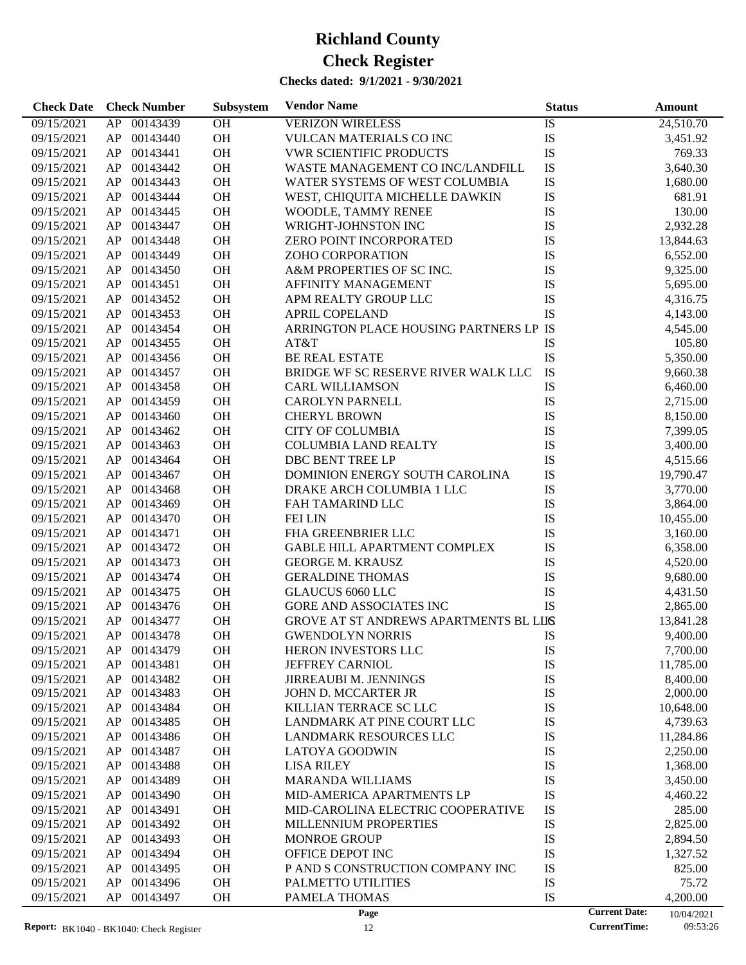| 00143439<br>OH<br><b>VERIZON WIRELESS</b><br>09/15/2021<br>AP<br>IS<br>24,510.70<br>OH<br>IS<br>AP<br>00143440<br>VULCAN MATERIALS CO INC<br>09/15/2021<br>3,451.92<br>OH<br>IS<br>00143441<br><b>VWR SCIENTIFIC PRODUCTS</b><br>769.33<br>09/15/2021<br>AP<br>OH<br>IS<br>00143442<br>WASTE MANAGEMENT CO INC/LANDFILL<br>3,640.30<br>09/15/2021<br>AP<br>OH<br>IS<br>00143443<br>09/15/2021<br>AP<br>WATER SYSTEMS OF WEST COLUMBIA<br>1,680.00<br>OH<br>IS<br>00143444<br>WEST, CHIQUITA MICHELLE DAWKIN<br>681.91<br>09/15/2021<br>AP<br>IS<br>OH<br>00143445<br>WOODLE, TAMMY RENEE<br>130.00<br>09/15/2021<br>AP<br>OH<br>IS<br>00143447<br>2,932.28<br>09/15/2021<br>AP<br>WRIGHT-JOHNSTON INC<br>OH<br>IS<br>00143448<br>09/15/2021<br>AP<br><b>ZERO POINT INCORPORATED</b><br>13,844.63<br>OH<br>IS<br>00143449<br>ZOHO CORPORATION<br>09/15/2021<br>AP<br>6,552.00<br>OH<br>IS<br>00143450<br>A&M PROPERTIES OF SC INC.<br>9,325.00<br>09/15/2021<br>AP<br>OH<br>IS<br>00143451<br>09/15/2021<br>AP<br>AFFINITY MANAGEMENT<br>5,695.00<br>OH<br>IS<br>00143452<br>APM REALTY GROUP LLC<br>09/15/2021<br>AP<br>4,316.75<br>OH<br>IS<br>00143453<br><b>APRIL COPELAND</b><br>09/15/2021<br>AP<br>4,143.00<br>OH<br>ARRINGTON PLACE HOUSING PARTNERS LP IS<br>00143454<br>09/15/2021<br>AP<br>4,545.00<br>OH<br>00143455<br>IS<br>105.80<br>09/15/2021<br>AP<br>AT&T<br>OH<br>IS<br>00143456<br><b>BE REAL ESTATE</b><br>09/15/2021<br>AP<br>5,350.00<br>IS<br>OH<br>00143457<br>BRIDGE WF SC RESERVE RIVER WALK LLC<br>09/15/2021<br>AP<br>9,660.38<br>OH<br>IS<br>00143458<br>09/15/2021<br>AP<br><b>CARL WILLIAMSON</b><br>6,460.00<br>OH<br>IS<br>00143459<br>09/15/2021<br>AP<br><b>CAROLYN PARNELL</b><br>2,715.00<br>OH<br>IS<br>00143460<br>09/15/2021<br>AP<br><b>CHERYL BROWN</b><br>8,150.00<br>OH<br>IS<br>00143462<br><b>CITY OF COLUMBIA</b><br>09/15/2021<br>AP<br>7,399.05<br>OH<br>IS<br>00143463<br><b>COLUMBIA LAND REALTY</b><br>09/15/2021<br>AP<br>3,400.00<br>OH<br>IS<br>00143464<br>DBC BENT TREE LP<br>09/15/2021<br>AP<br>4,515.66<br>OH<br>IS<br>00143467<br>DOMINION ENERGY SOUTH CAROLINA<br>09/15/2021<br>AP<br>19,790.47<br>OH<br>IS<br>00143468<br>09/15/2021<br>AP<br>DRAKE ARCH COLUMBIA 1 LLC<br>3,770.00<br>OH<br>IS<br>00143469<br>09/15/2021<br>AP<br>FAH TAMARIND LLC<br>3,864.00<br>OH<br>IS<br>00143470<br>09/15/2021<br>AP<br><b>FEI LIN</b><br>10,455.00<br>OH<br>IS<br>00143471<br>FHA GREENBRIER LLC<br>09/15/2021<br>AP<br>3,160.00<br>OH<br>IS<br>00143472<br>GABLE HILL APARTMENT COMPLEX<br>09/15/2021<br>AP<br>6,358.00<br>OH<br>IS<br>00143473<br>09/15/2021<br>AP<br><b>GEORGE M. KRAUSZ</b><br>4,520.00<br>IS<br>00143474<br><b>OH</b><br><b>GERALDINE THOMAS</b><br>09/15/2021<br>AP<br>9,680.00<br>OH<br>IS<br>00143475<br><b>GLAUCUS 6060 LLC</b><br>09/15/2021<br>AP<br>4,431.50<br>IS<br>OH<br>00143476<br><b>GORE AND ASSOCIATES INC</b><br>09/15/2021<br>AP<br>2,865.00<br>00143477<br>OH<br>GROVE AT ST ANDREWS APARTMENTS BL LIIS<br>09/15/2021<br>AP<br>13,841.28<br>AP<br>00143478<br><b>OH</b><br>IS<br>09/15/2021<br><b>GWENDOLYN NORRIS</b><br>9,400.00<br>09/15/2021<br>AP.<br>00143479<br>OН<br><b>HERON INVESTORS LLC</b><br>IS<br>7,700.00<br>00143481<br>OH<br>JEFFREY CARNIOL<br>IS<br>09/15/2021<br>AP<br>11,785.00<br>00143482<br>IS<br>OH<br>JIRREAUBI M. JENNINGS<br>09/15/2021<br>AP<br>8,400.00<br>IS<br>00143483<br>OH<br>09/15/2021<br>AP<br>JOHN D. MCCARTER JR<br>2,000.00<br>IS<br>00143484<br>OH<br>09/15/2021<br>AP<br>KILLIAN TERRACE SC LLC<br>10,648.00<br>IS<br>00143485<br>OH<br>09/15/2021<br>AP<br>LANDMARK AT PINE COURT LLC<br>4,739.63<br>IS<br>00143486<br>OH<br>09/15/2021<br>AP<br>LANDMARK RESOURCES LLC<br>11,284.86<br>IS<br>00143487<br>OH<br>09/15/2021<br>AP<br><b>LATOYA GOODWIN</b><br>2,250.00<br>IS<br>00143488<br>OH<br><b>LISA RILEY</b><br>09/15/2021<br>AP<br>1,368.00<br>IS<br>00143489<br>OH<br>09/15/2021<br>AP<br><b>MARANDA WILLIAMS</b><br>3,450.00<br>IS<br>00143490<br>OH<br>09/15/2021<br>AP<br>MID-AMERICA APARTMENTS LP<br>4,460.22<br>IS<br>00143491<br>OH<br>285.00<br>09/15/2021<br>AP<br>MID-CAROLINA ELECTRIC COOPERATIVE | <b>Check Date</b> | <b>Check Number</b> | Subsystem | <b>Vendor Name</b> | <b>Status</b> | <b>Amount</b> |
|--------------------------------------------------------------------------------------------------------------------------------------------------------------------------------------------------------------------------------------------------------------------------------------------------------------------------------------------------------------------------------------------------------------------------------------------------------------------------------------------------------------------------------------------------------------------------------------------------------------------------------------------------------------------------------------------------------------------------------------------------------------------------------------------------------------------------------------------------------------------------------------------------------------------------------------------------------------------------------------------------------------------------------------------------------------------------------------------------------------------------------------------------------------------------------------------------------------------------------------------------------------------------------------------------------------------------------------------------------------------------------------------------------------------------------------------------------------------------------------------------------------------------------------------------------------------------------------------------------------------------------------------------------------------------------------------------------------------------------------------------------------------------------------------------------------------------------------------------------------------------------------------------------------------------------------------------------------------------------------------------------------------------------------------------------------------------------------------------------------------------------------------------------------------------------------------------------------------------------------------------------------------------------------------------------------------------------------------------------------------------------------------------------------------------------------------------------------------------------------------------------------------------------------------------------------------------------------------------------------------------------------------------------------------------------------------------------------------------------------------------------------------------------------------------------------------------------------------------------------------------------------------------------------------------------------------------------------------------------------------------------------------------------------------------------------------------------------------------------------------------------------------------------------------------------------------------------------------------------------------------------------------------------------------------------------------------------------------------------------------------------------------------------------------------------------------------------------------------------------------------------------------------------------------------------------------------------------------------------------------------------------------------------------------------------------------------------------------------------------------------------------------------------------------------------------------------------------------------------------------------------------------------------------------------------------------------------------------------------------------------------------------------------------------------------------------------------------------------------------------------------------------------------------------|-------------------|---------------------|-----------|--------------------|---------------|---------------|
|                                                                                                                                                                                                                                                                                                                                                                                                                                                                                                                                                                                                                                                                                                                                                                                                                                                                                                                                                                                                                                                                                                                                                                                                                                                                                                                                                                                                                                                                                                                                                                                                                                                                                                                                                                                                                                                                                                                                                                                                                                                                                                                                                                                                                                                                                                                                                                                                                                                                                                                                                                                                                                                                                                                                                                                                                                                                                                                                                                                                                                                                                                                                                                                                                                                                                                                                                                                                                                                                                                                                                                                                                                                                                                                                                                                                                                                                                                                                                                                                                                                                                                                                                                    |                   |                     |           |                    |               |               |
|                                                                                                                                                                                                                                                                                                                                                                                                                                                                                                                                                                                                                                                                                                                                                                                                                                                                                                                                                                                                                                                                                                                                                                                                                                                                                                                                                                                                                                                                                                                                                                                                                                                                                                                                                                                                                                                                                                                                                                                                                                                                                                                                                                                                                                                                                                                                                                                                                                                                                                                                                                                                                                                                                                                                                                                                                                                                                                                                                                                                                                                                                                                                                                                                                                                                                                                                                                                                                                                                                                                                                                                                                                                                                                                                                                                                                                                                                                                                                                                                                                                                                                                                                                    |                   |                     |           |                    |               |               |
|                                                                                                                                                                                                                                                                                                                                                                                                                                                                                                                                                                                                                                                                                                                                                                                                                                                                                                                                                                                                                                                                                                                                                                                                                                                                                                                                                                                                                                                                                                                                                                                                                                                                                                                                                                                                                                                                                                                                                                                                                                                                                                                                                                                                                                                                                                                                                                                                                                                                                                                                                                                                                                                                                                                                                                                                                                                                                                                                                                                                                                                                                                                                                                                                                                                                                                                                                                                                                                                                                                                                                                                                                                                                                                                                                                                                                                                                                                                                                                                                                                                                                                                                                                    |                   |                     |           |                    |               |               |
|                                                                                                                                                                                                                                                                                                                                                                                                                                                                                                                                                                                                                                                                                                                                                                                                                                                                                                                                                                                                                                                                                                                                                                                                                                                                                                                                                                                                                                                                                                                                                                                                                                                                                                                                                                                                                                                                                                                                                                                                                                                                                                                                                                                                                                                                                                                                                                                                                                                                                                                                                                                                                                                                                                                                                                                                                                                                                                                                                                                                                                                                                                                                                                                                                                                                                                                                                                                                                                                                                                                                                                                                                                                                                                                                                                                                                                                                                                                                                                                                                                                                                                                                                                    |                   |                     |           |                    |               |               |
|                                                                                                                                                                                                                                                                                                                                                                                                                                                                                                                                                                                                                                                                                                                                                                                                                                                                                                                                                                                                                                                                                                                                                                                                                                                                                                                                                                                                                                                                                                                                                                                                                                                                                                                                                                                                                                                                                                                                                                                                                                                                                                                                                                                                                                                                                                                                                                                                                                                                                                                                                                                                                                                                                                                                                                                                                                                                                                                                                                                                                                                                                                                                                                                                                                                                                                                                                                                                                                                                                                                                                                                                                                                                                                                                                                                                                                                                                                                                                                                                                                                                                                                                                                    |                   |                     |           |                    |               |               |
|                                                                                                                                                                                                                                                                                                                                                                                                                                                                                                                                                                                                                                                                                                                                                                                                                                                                                                                                                                                                                                                                                                                                                                                                                                                                                                                                                                                                                                                                                                                                                                                                                                                                                                                                                                                                                                                                                                                                                                                                                                                                                                                                                                                                                                                                                                                                                                                                                                                                                                                                                                                                                                                                                                                                                                                                                                                                                                                                                                                                                                                                                                                                                                                                                                                                                                                                                                                                                                                                                                                                                                                                                                                                                                                                                                                                                                                                                                                                                                                                                                                                                                                                                                    |                   |                     |           |                    |               |               |
|                                                                                                                                                                                                                                                                                                                                                                                                                                                                                                                                                                                                                                                                                                                                                                                                                                                                                                                                                                                                                                                                                                                                                                                                                                                                                                                                                                                                                                                                                                                                                                                                                                                                                                                                                                                                                                                                                                                                                                                                                                                                                                                                                                                                                                                                                                                                                                                                                                                                                                                                                                                                                                                                                                                                                                                                                                                                                                                                                                                                                                                                                                                                                                                                                                                                                                                                                                                                                                                                                                                                                                                                                                                                                                                                                                                                                                                                                                                                                                                                                                                                                                                                                                    |                   |                     |           |                    |               |               |
|                                                                                                                                                                                                                                                                                                                                                                                                                                                                                                                                                                                                                                                                                                                                                                                                                                                                                                                                                                                                                                                                                                                                                                                                                                                                                                                                                                                                                                                                                                                                                                                                                                                                                                                                                                                                                                                                                                                                                                                                                                                                                                                                                                                                                                                                                                                                                                                                                                                                                                                                                                                                                                                                                                                                                                                                                                                                                                                                                                                                                                                                                                                                                                                                                                                                                                                                                                                                                                                                                                                                                                                                                                                                                                                                                                                                                                                                                                                                                                                                                                                                                                                                                                    |                   |                     |           |                    |               |               |
|                                                                                                                                                                                                                                                                                                                                                                                                                                                                                                                                                                                                                                                                                                                                                                                                                                                                                                                                                                                                                                                                                                                                                                                                                                                                                                                                                                                                                                                                                                                                                                                                                                                                                                                                                                                                                                                                                                                                                                                                                                                                                                                                                                                                                                                                                                                                                                                                                                                                                                                                                                                                                                                                                                                                                                                                                                                                                                                                                                                                                                                                                                                                                                                                                                                                                                                                                                                                                                                                                                                                                                                                                                                                                                                                                                                                                                                                                                                                                                                                                                                                                                                                                                    |                   |                     |           |                    |               |               |
|                                                                                                                                                                                                                                                                                                                                                                                                                                                                                                                                                                                                                                                                                                                                                                                                                                                                                                                                                                                                                                                                                                                                                                                                                                                                                                                                                                                                                                                                                                                                                                                                                                                                                                                                                                                                                                                                                                                                                                                                                                                                                                                                                                                                                                                                                                                                                                                                                                                                                                                                                                                                                                                                                                                                                                                                                                                                                                                                                                                                                                                                                                                                                                                                                                                                                                                                                                                                                                                                                                                                                                                                                                                                                                                                                                                                                                                                                                                                                                                                                                                                                                                                                                    |                   |                     |           |                    |               |               |
|                                                                                                                                                                                                                                                                                                                                                                                                                                                                                                                                                                                                                                                                                                                                                                                                                                                                                                                                                                                                                                                                                                                                                                                                                                                                                                                                                                                                                                                                                                                                                                                                                                                                                                                                                                                                                                                                                                                                                                                                                                                                                                                                                                                                                                                                                                                                                                                                                                                                                                                                                                                                                                                                                                                                                                                                                                                                                                                                                                                                                                                                                                                                                                                                                                                                                                                                                                                                                                                                                                                                                                                                                                                                                                                                                                                                                                                                                                                                                                                                                                                                                                                                                                    |                   |                     |           |                    |               |               |
|                                                                                                                                                                                                                                                                                                                                                                                                                                                                                                                                                                                                                                                                                                                                                                                                                                                                                                                                                                                                                                                                                                                                                                                                                                                                                                                                                                                                                                                                                                                                                                                                                                                                                                                                                                                                                                                                                                                                                                                                                                                                                                                                                                                                                                                                                                                                                                                                                                                                                                                                                                                                                                                                                                                                                                                                                                                                                                                                                                                                                                                                                                                                                                                                                                                                                                                                                                                                                                                                                                                                                                                                                                                                                                                                                                                                                                                                                                                                                                                                                                                                                                                                                                    |                   |                     |           |                    |               |               |
|                                                                                                                                                                                                                                                                                                                                                                                                                                                                                                                                                                                                                                                                                                                                                                                                                                                                                                                                                                                                                                                                                                                                                                                                                                                                                                                                                                                                                                                                                                                                                                                                                                                                                                                                                                                                                                                                                                                                                                                                                                                                                                                                                                                                                                                                                                                                                                                                                                                                                                                                                                                                                                                                                                                                                                                                                                                                                                                                                                                                                                                                                                                                                                                                                                                                                                                                                                                                                                                                                                                                                                                                                                                                                                                                                                                                                                                                                                                                                                                                                                                                                                                                                                    |                   |                     |           |                    |               |               |
|                                                                                                                                                                                                                                                                                                                                                                                                                                                                                                                                                                                                                                                                                                                                                                                                                                                                                                                                                                                                                                                                                                                                                                                                                                                                                                                                                                                                                                                                                                                                                                                                                                                                                                                                                                                                                                                                                                                                                                                                                                                                                                                                                                                                                                                                                                                                                                                                                                                                                                                                                                                                                                                                                                                                                                                                                                                                                                                                                                                                                                                                                                                                                                                                                                                                                                                                                                                                                                                                                                                                                                                                                                                                                                                                                                                                                                                                                                                                                                                                                                                                                                                                                                    |                   |                     |           |                    |               |               |
|                                                                                                                                                                                                                                                                                                                                                                                                                                                                                                                                                                                                                                                                                                                                                                                                                                                                                                                                                                                                                                                                                                                                                                                                                                                                                                                                                                                                                                                                                                                                                                                                                                                                                                                                                                                                                                                                                                                                                                                                                                                                                                                                                                                                                                                                                                                                                                                                                                                                                                                                                                                                                                                                                                                                                                                                                                                                                                                                                                                                                                                                                                                                                                                                                                                                                                                                                                                                                                                                                                                                                                                                                                                                                                                                                                                                                                                                                                                                                                                                                                                                                                                                                                    |                   |                     |           |                    |               |               |
|                                                                                                                                                                                                                                                                                                                                                                                                                                                                                                                                                                                                                                                                                                                                                                                                                                                                                                                                                                                                                                                                                                                                                                                                                                                                                                                                                                                                                                                                                                                                                                                                                                                                                                                                                                                                                                                                                                                                                                                                                                                                                                                                                                                                                                                                                                                                                                                                                                                                                                                                                                                                                                                                                                                                                                                                                                                                                                                                                                                                                                                                                                                                                                                                                                                                                                                                                                                                                                                                                                                                                                                                                                                                                                                                                                                                                                                                                                                                                                                                                                                                                                                                                                    |                   |                     |           |                    |               |               |
|                                                                                                                                                                                                                                                                                                                                                                                                                                                                                                                                                                                                                                                                                                                                                                                                                                                                                                                                                                                                                                                                                                                                                                                                                                                                                                                                                                                                                                                                                                                                                                                                                                                                                                                                                                                                                                                                                                                                                                                                                                                                                                                                                                                                                                                                                                                                                                                                                                                                                                                                                                                                                                                                                                                                                                                                                                                                                                                                                                                                                                                                                                                                                                                                                                                                                                                                                                                                                                                                                                                                                                                                                                                                                                                                                                                                                                                                                                                                                                                                                                                                                                                                                                    |                   |                     |           |                    |               |               |
|                                                                                                                                                                                                                                                                                                                                                                                                                                                                                                                                                                                                                                                                                                                                                                                                                                                                                                                                                                                                                                                                                                                                                                                                                                                                                                                                                                                                                                                                                                                                                                                                                                                                                                                                                                                                                                                                                                                                                                                                                                                                                                                                                                                                                                                                                                                                                                                                                                                                                                                                                                                                                                                                                                                                                                                                                                                                                                                                                                                                                                                                                                                                                                                                                                                                                                                                                                                                                                                                                                                                                                                                                                                                                                                                                                                                                                                                                                                                                                                                                                                                                                                                                                    |                   |                     |           |                    |               |               |
|                                                                                                                                                                                                                                                                                                                                                                                                                                                                                                                                                                                                                                                                                                                                                                                                                                                                                                                                                                                                                                                                                                                                                                                                                                                                                                                                                                                                                                                                                                                                                                                                                                                                                                                                                                                                                                                                                                                                                                                                                                                                                                                                                                                                                                                                                                                                                                                                                                                                                                                                                                                                                                                                                                                                                                                                                                                                                                                                                                                                                                                                                                                                                                                                                                                                                                                                                                                                                                                                                                                                                                                                                                                                                                                                                                                                                                                                                                                                                                                                                                                                                                                                                                    |                   |                     |           |                    |               |               |
|                                                                                                                                                                                                                                                                                                                                                                                                                                                                                                                                                                                                                                                                                                                                                                                                                                                                                                                                                                                                                                                                                                                                                                                                                                                                                                                                                                                                                                                                                                                                                                                                                                                                                                                                                                                                                                                                                                                                                                                                                                                                                                                                                                                                                                                                                                                                                                                                                                                                                                                                                                                                                                                                                                                                                                                                                                                                                                                                                                                                                                                                                                                                                                                                                                                                                                                                                                                                                                                                                                                                                                                                                                                                                                                                                                                                                                                                                                                                                                                                                                                                                                                                                                    |                   |                     |           |                    |               |               |
|                                                                                                                                                                                                                                                                                                                                                                                                                                                                                                                                                                                                                                                                                                                                                                                                                                                                                                                                                                                                                                                                                                                                                                                                                                                                                                                                                                                                                                                                                                                                                                                                                                                                                                                                                                                                                                                                                                                                                                                                                                                                                                                                                                                                                                                                                                                                                                                                                                                                                                                                                                                                                                                                                                                                                                                                                                                                                                                                                                                                                                                                                                                                                                                                                                                                                                                                                                                                                                                                                                                                                                                                                                                                                                                                                                                                                                                                                                                                                                                                                                                                                                                                                                    |                   |                     |           |                    |               |               |
|                                                                                                                                                                                                                                                                                                                                                                                                                                                                                                                                                                                                                                                                                                                                                                                                                                                                                                                                                                                                                                                                                                                                                                                                                                                                                                                                                                                                                                                                                                                                                                                                                                                                                                                                                                                                                                                                                                                                                                                                                                                                                                                                                                                                                                                                                                                                                                                                                                                                                                                                                                                                                                                                                                                                                                                                                                                                                                                                                                                                                                                                                                                                                                                                                                                                                                                                                                                                                                                                                                                                                                                                                                                                                                                                                                                                                                                                                                                                                                                                                                                                                                                                                                    |                   |                     |           |                    |               |               |
|                                                                                                                                                                                                                                                                                                                                                                                                                                                                                                                                                                                                                                                                                                                                                                                                                                                                                                                                                                                                                                                                                                                                                                                                                                                                                                                                                                                                                                                                                                                                                                                                                                                                                                                                                                                                                                                                                                                                                                                                                                                                                                                                                                                                                                                                                                                                                                                                                                                                                                                                                                                                                                                                                                                                                                                                                                                                                                                                                                                                                                                                                                                                                                                                                                                                                                                                                                                                                                                                                                                                                                                                                                                                                                                                                                                                                                                                                                                                                                                                                                                                                                                                                                    |                   |                     |           |                    |               |               |
|                                                                                                                                                                                                                                                                                                                                                                                                                                                                                                                                                                                                                                                                                                                                                                                                                                                                                                                                                                                                                                                                                                                                                                                                                                                                                                                                                                                                                                                                                                                                                                                                                                                                                                                                                                                                                                                                                                                                                                                                                                                                                                                                                                                                                                                                                                                                                                                                                                                                                                                                                                                                                                                                                                                                                                                                                                                                                                                                                                                                                                                                                                                                                                                                                                                                                                                                                                                                                                                                                                                                                                                                                                                                                                                                                                                                                                                                                                                                                                                                                                                                                                                                                                    |                   |                     |           |                    |               |               |
|                                                                                                                                                                                                                                                                                                                                                                                                                                                                                                                                                                                                                                                                                                                                                                                                                                                                                                                                                                                                                                                                                                                                                                                                                                                                                                                                                                                                                                                                                                                                                                                                                                                                                                                                                                                                                                                                                                                                                                                                                                                                                                                                                                                                                                                                                                                                                                                                                                                                                                                                                                                                                                                                                                                                                                                                                                                                                                                                                                                                                                                                                                                                                                                                                                                                                                                                                                                                                                                                                                                                                                                                                                                                                                                                                                                                                                                                                                                                                                                                                                                                                                                                                                    |                   |                     |           |                    |               |               |
|                                                                                                                                                                                                                                                                                                                                                                                                                                                                                                                                                                                                                                                                                                                                                                                                                                                                                                                                                                                                                                                                                                                                                                                                                                                                                                                                                                                                                                                                                                                                                                                                                                                                                                                                                                                                                                                                                                                                                                                                                                                                                                                                                                                                                                                                                                                                                                                                                                                                                                                                                                                                                                                                                                                                                                                                                                                                                                                                                                                                                                                                                                                                                                                                                                                                                                                                                                                                                                                                                                                                                                                                                                                                                                                                                                                                                                                                                                                                                                                                                                                                                                                                                                    |                   |                     |           |                    |               |               |
|                                                                                                                                                                                                                                                                                                                                                                                                                                                                                                                                                                                                                                                                                                                                                                                                                                                                                                                                                                                                                                                                                                                                                                                                                                                                                                                                                                                                                                                                                                                                                                                                                                                                                                                                                                                                                                                                                                                                                                                                                                                                                                                                                                                                                                                                                                                                                                                                                                                                                                                                                                                                                                                                                                                                                                                                                                                                                                                                                                                                                                                                                                                                                                                                                                                                                                                                                                                                                                                                                                                                                                                                                                                                                                                                                                                                                                                                                                                                                                                                                                                                                                                                                                    |                   |                     |           |                    |               |               |
|                                                                                                                                                                                                                                                                                                                                                                                                                                                                                                                                                                                                                                                                                                                                                                                                                                                                                                                                                                                                                                                                                                                                                                                                                                                                                                                                                                                                                                                                                                                                                                                                                                                                                                                                                                                                                                                                                                                                                                                                                                                                                                                                                                                                                                                                                                                                                                                                                                                                                                                                                                                                                                                                                                                                                                                                                                                                                                                                                                                                                                                                                                                                                                                                                                                                                                                                                                                                                                                                                                                                                                                                                                                                                                                                                                                                                                                                                                                                                                                                                                                                                                                                                                    |                   |                     |           |                    |               |               |
|                                                                                                                                                                                                                                                                                                                                                                                                                                                                                                                                                                                                                                                                                                                                                                                                                                                                                                                                                                                                                                                                                                                                                                                                                                                                                                                                                                                                                                                                                                                                                                                                                                                                                                                                                                                                                                                                                                                                                                                                                                                                                                                                                                                                                                                                                                                                                                                                                                                                                                                                                                                                                                                                                                                                                                                                                                                                                                                                                                                                                                                                                                                                                                                                                                                                                                                                                                                                                                                                                                                                                                                                                                                                                                                                                                                                                                                                                                                                                                                                                                                                                                                                                                    |                   |                     |           |                    |               |               |
|                                                                                                                                                                                                                                                                                                                                                                                                                                                                                                                                                                                                                                                                                                                                                                                                                                                                                                                                                                                                                                                                                                                                                                                                                                                                                                                                                                                                                                                                                                                                                                                                                                                                                                                                                                                                                                                                                                                                                                                                                                                                                                                                                                                                                                                                                                                                                                                                                                                                                                                                                                                                                                                                                                                                                                                                                                                                                                                                                                                                                                                                                                                                                                                                                                                                                                                                                                                                                                                                                                                                                                                                                                                                                                                                                                                                                                                                                                                                                                                                                                                                                                                                                                    |                   |                     |           |                    |               |               |
|                                                                                                                                                                                                                                                                                                                                                                                                                                                                                                                                                                                                                                                                                                                                                                                                                                                                                                                                                                                                                                                                                                                                                                                                                                                                                                                                                                                                                                                                                                                                                                                                                                                                                                                                                                                                                                                                                                                                                                                                                                                                                                                                                                                                                                                                                                                                                                                                                                                                                                                                                                                                                                                                                                                                                                                                                                                                                                                                                                                                                                                                                                                                                                                                                                                                                                                                                                                                                                                                                                                                                                                                                                                                                                                                                                                                                                                                                                                                                                                                                                                                                                                                                                    |                   |                     |           |                    |               |               |
|                                                                                                                                                                                                                                                                                                                                                                                                                                                                                                                                                                                                                                                                                                                                                                                                                                                                                                                                                                                                                                                                                                                                                                                                                                                                                                                                                                                                                                                                                                                                                                                                                                                                                                                                                                                                                                                                                                                                                                                                                                                                                                                                                                                                                                                                                                                                                                                                                                                                                                                                                                                                                                                                                                                                                                                                                                                                                                                                                                                                                                                                                                                                                                                                                                                                                                                                                                                                                                                                                                                                                                                                                                                                                                                                                                                                                                                                                                                                                                                                                                                                                                                                                                    |                   |                     |           |                    |               |               |
|                                                                                                                                                                                                                                                                                                                                                                                                                                                                                                                                                                                                                                                                                                                                                                                                                                                                                                                                                                                                                                                                                                                                                                                                                                                                                                                                                                                                                                                                                                                                                                                                                                                                                                                                                                                                                                                                                                                                                                                                                                                                                                                                                                                                                                                                                                                                                                                                                                                                                                                                                                                                                                                                                                                                                                                                                                                                                                                                                                                                                                                                                                                                                                                                                                                                                                                                                                                                                                                                                                                                                                                                                                                                                                                                                                                                                                                                                                                                                                                                                                                                                                                                                                    |                   |                     |           |                    |               |               |
|                                                                                                                                                                                                                                                                                                                                                                                                                                                                                                                                                                                                                                                                                                                                                                                                                                                                                                                                                                                                                                                                                                                                                                                                                                                                                                                                                                                                                                                                                                                                                                                                                                                                                                                                                                                                                                                                                                                                                                                                                                                                                                                                                                                                                                                                                                                                                                                                                                                                                                                                                                                                                                                                                                                                                                                                                                                                                                                                                                                                                                                                                                                                                                                                                                                                                                                                                                                                                                                                                                                                                                                                                                                                                                                                                                                                                                                                                                                                                                                                                                                                                                                                                                    |                   |                     |           |                    |               |               |
|                                                                                                                                                                                                                                                                                                                                                                                                                                                                                                                                                                                                                                                                                                                                                                                                                                                                                                                                                                                                                                                                                                                                                                                                                                                                                                                                                                                                                                                                                                                                                                                                                                                                                                                                                                                                                                                                                                                                                                                                                                                                                                                                                                                                                                                                                                                                                                                                                                                                                                                                                                                                                                                                                                                                                                                                                                                                                                                                                                                                                                                                                                                                                                                                                                                                                                                                                                                                                                                                                                                                                                                                                                                                                                                                                                                                                                                                                                                                                                                                                                                                                                                                                                    |                   |                     |           |                    |               |               |
|                                                                                                                                                                                                                                                                                                                                                                                                                                                                                                                                                                                                                                                                                                                                                                                                                                                                                                                                                                                                                                                                                                                                                                                                                                                                                                                                                                                                                                                                                                                                                                                                                                                                                                                                                                                                                                                                                                                                                                                                                                                                                                                                                                                                                                                                                                                                                                                                                                                                                                                                                                                                                                                                                                                                                                                                                                                                                                                                                                                                                                                                                                                                                                                                                                                                                                                                                                                                                                                                                                                                                                                                                                                                                                                                                                                                                                                                                                                                                                                                                                                                                                                                                                    |                   |                     |           |                    |               |               |
|                                                                                                                                                                                                                                                                                                                                                                                                                                                                                                                                                                                                                                                                                                                                                                                                                                                                                                                                                                                                                                                                                                                                                                                                                                                                                                                                                                                                                                                                                                                                                                                                                                                                                                                                                                                                                                                                                                                                                                                                                                                                                                                                                                                                                                                                                                                                                                                                                                                                                                                                                                                                                                                                                                                                                                                                                                                                                                                                                                                                                                                                                                                                                                                                                                                                                                                                                                                                                                                                                                                                                                                                                                                                                                                                                                                                                                                                                                                                                                                                                                                                                                                                                                    |                   |                     |           |                    |               |               |
|                                                                                                                                                                                                                                                                                                                                                                                                                                                                                                                                                                                                                                                                                                                                                                                                                                                                                                                                                                                                                                                                                                                                                                                                                                                                                                                                                                                                                                                                                                                                                                                                                                                                                                                                                                                                                                                                                                                                                                                                                                                                                                                                                                                                                                                                                                                                                                                                                                                                                                                                                                                                                                                                                                                                                                                                                                                                                                                                                                                                                                                                                                                                                                                                                                                                                                                                                                                                                                                                                                                                                                                                                                                                                                                                                                                                                                                                                                                                                                                                                                                                                                                                                                    |                   |                     |           |                    |               |               |
|                                                                                                                                                                                                                                                                                                                                                                                                                                                                                                                                                                                                                                                                                                                                                                                                                                                                                                                                                                                                                                                                                                                                                                                                                                                                                                                                                                                                                                                                                                                                                                                                                                                                                                                                                                                                                                                                                                                                                                                                                                                                                                                                                                                                                                                                                                                                                                                                                                                                                                                                                                                                                                                                                                                                                                                                                                                                                                                                                                                                                                                                                                                                                                                                                                                                                                                                                                                                                                                                                                                                                                                                                                                                                                                                                                                                                                                                                                                                                                                                                                                                                                                                                                    |                   |                     |           |                    |               |               |
|                                                                                                                                                                                                                                                                                                                                                                                                                                                                                                                                                                                                                                                                                                                                                                                                                                                                                                                                                                                                                                                                                                                                                                                                                                                                                                                                                                                                                                                                                                                                                                                                                                                                                                                                                                                                                                                                                                                                                                                                                                                                                                                                                                                                                                                                                                                                                                                                                                                                                                                                                                                                                                                                                                                                                                                                                                                                                                                                                                                                                                                                                                                                                                                                                                                                                                                                                                                                                                                                                                                                                                                                                                                                                                                                                                                                                                                                                                                                                                                                                                                                                                                                                                    |                   |                     |           |                    |               |               |
|                                                                                                                                                                                                                                                                                                                                                                                                                                                                                                                                                                                                                                                                                                                                                                                                                                                                                                                                                                                                                                                                                                                                                                                                                                                                                                                                                                                                                                                                                                                                                                                                                                                                                                                                                                                                                                                                                                                                                                                                                                                                                                                                                                                                                                                                                                                                                                                                                                                                                                                                                                                                                                                                                                                                                                                                                                                                                                                                                                                                                                                                                                                                                                                                                                                                                                                                                                                                                                                                                                                                                                                                                                                                                                                                                                                                                                                                                                                                                                                                                                                                                                                                                                    |                   |                     |           |                    |               |               |
|                                                                                                                                                                                                                                                                                                                                                                                                                                                                                                                                                                                                                                                                                                                                                                                                                                                                                                                                                                                                                                                                                                                                                                                                                                                                                                                                                                                                                                                                                                                                                                                                                                                                                                                                                                                                                                                                                                                                                                                                                                                                                                                                                                                                                                                                                                                                                                                                                                                                                                                                                                                                                                                                                                                                                                                                                                                                                                                                                                                                                                                                                                                                                                                                                                                                                                                                                                                                                                                                                                                                                                                                                                                                                                                                                                                                                                                                                                                                                                                                                                                                                                                                                                    |                   |                     |           |                    |               |               |
|                                                                                                                                                                                                                                                                                                                                                                                                                                                                                                                                                                                                                                                                                                                                                                                                                                                                                                                                                                                                                                                                                                                                                                                                                                                                                                                                                                                                                                                                                                                                                                                                                                                                                                                                                                                                                                                                                                                                                                                                                                                                                                                                                                                                                                                                                                                                                                                                                                                                                                                                                                                                                                                                                                                                                                                                                                                                                                                                                                                                                                                                                                                                                                                                                                                                                                                                                                                                                                                                                                                                                                                                                                                                                                                                                                                                                                                                                                                                                                                                                                                                                                                                                                    |                   |                     |           |                    |               |               |
|                                                                                                                                                                                                                                                                                                                                                                                                                                                                                                                                                                                                                                                                                                                                                                                                                                                                                                                                                                                                                                                                                                                                                                                                                                                                                                                                                                                                                                                                                                                                                                                                                                                                                                                                                                                                                                                                                                                                                                                                                                                                                                                                                                                                                                                                                                                                                                                                                                                                                                                                                                                                                                                                                                                                                                                                                                                                                                                                                                                                                                                                                                                                                                                                                                                                                                                                                                                                                                                                                                                                                                                                                                                                                                                                                                                                                                                                                                                                                                                                                                                                                                                                                                    |                   |                     |           |                    |               |               |
|                                                                                                                                                                                                                                                                                                                                                                                                                                                                                                                                                                                                                                                                                                                                                                                                                                                                                                                                                                                                                                                                                                                                                                                                                                                                                                                                                                                                                                                                                                                                                                                                                                                                                                                                                                                                                                                                                                                                                                                                                                                                                                                                                                                                                                                                                                                                                                                                                                                                                                                                                                                                                                                                                                                                                                                                                                                                                                                                                                                                                                                                                                                                                                                                                                                                                                                                                                                                                                                                                                                                                                                                                                                                                                                                                                                                                                                                                                                                                                                                                                                                                                                                                                    |                   |                     |           |                    |               |               |
|                                                                                                                                                                                                                                                                                                                                                                                                                                                                                                                                                                                                                                                                                                                                                                                                                                                                                                                                                                                                                                                                                                                                                                                                                                                                                                                                                                                                                                                                                                                                                                                                                                                                                                                                                                                                                                                                                                                                                                                                                                                                                                                                                                                                                                                                                                                                                                                                                                                                                                                                                                                                                                                                                                                                                                                                                                                                                                                                                                                                                                                                                                                                                                                                                                                                                                                                                                                                                                                                                                                                                                                                                                                                                                                                                                                                                                                                                                                                                                                                                                                                                                                                                                    |                   |                     |           |                    |               |               |
|                                                                                                                                                                                                                                                                                                                                                                                                                                                                                                                                                                                                                                                                                                                                                                                                                                                                                                                                                                                                                                                                                                                                                                                                                                                                                                                                                                                                                                                                                                                                                                                                                                                                                                                                                                                                                                                                                                                                                                                                                                                                                                                                                                                                                                                                                                                                                                                                                                                                                                                                                                                                                                                                                                                                                                                                                                                                                                                                                                                                                                                                                                                                                                                                                                                                                                                                                                                                                                                                                                                                                                                                                                                                                                                                                                                                                                                                                                                                                                                                                                                                                                                                                                    |                   |                     |           |                    |               |               |
|                                                                                                                                                                                                                                                                                                                                                                                                                                                                                                                                                                                                                                                                                                                                                                                                                                                                                                                                                                                                                                                                                                                                                                                                                                                                                                                                                                                                                                                                                                                                                                                                                                                                                                                                                                                                                                                                                                                                                                                                                                                                                                                                                                                                                                                                                                                                                                                                                                                                                                                                                                                                                                                                                                                                                                                                                                                                                                                                                                                                                                                                                                                                                                                                                                                                                                                                                                                                                                                                                                                                                                                                                                                                                                                                                                                                                                                                                                                                                                                                                                                                                                                                                                    |                   |                     |           |                    |               |               |
|                                                                                                                                                                                                                                                                                                                                                                                                                                                                                                                                                                                                                                                                                                                                                                                                                                                                                                                                                                                                                                                                                                                                                                                                                                                                                                                                                                                                                                                                                                                                                                                                                                                                                                                                                                                                                                                                                                                                                                                                                                                                                                                                                                                                                                                                                                                                                                                                                                                                                                                                                                                                                                                                                                                                                                                                                                                                                                                                                                                                                                                                                                                                                                                                                                                                                                                                                                                                                                                                                                                                                                                                                                                                                                                                                                                                                                                                                                                                                                                                                                                                                                                                                                    |                   |                     |           |                    |               |               |
| IS<br>AP<br>00143492<br>OH<br>2,825.00<br>09/15/2021<br><b>MILLENNIUM PROPERTIES</b>                                                                                                                                                                                                                                                                                                                                                                                                                                                                                                                                                                                                                                                                                                                                                                                                                                                                                                                                                                                                                                                                                                                                                                                                                                                                                                                                                                                                                                                                                                                                                                                                                                                                                                                                                                                                                                                                                                                                                                                                                                                                                                                                                                                                                                                                                                                                                                                                                                                                                                                                                                                                                                                                                                                                                                                                                                                                                                                                                                                                                                                                                                                                                                                                                                                                                                                                                                                                                                                                                                                                                                                                                                                                                                                                                                                                                                                                                                                                                                                                                                                                               |                   |                     |           |                    |               |               |
| IS<br>00143493<br>OH<br><b>MONROE GROUP</b><br>09/15/2021<br>AP<br>2,894.50                                                                                                                                                                                                                                                                                                                                                                                                                                                                                                                                                                                                                                                                                                                                                                                                                                                                                                                                                                                                                                                                                                                                                                                                                                                                                                                                                                                                                                                                                                                                                                                                                                                                                                                                                                                                                                                                                                                                                                                                                                                                                                                                                                                                                                                                                                                                                                                                                                                                                                                                                                                                                                                                                                                                                                                                                                                                                                                                                                                                                                                                                                                                                                                                                                                                                                                                                                                                                                                                                                                                                                                                                                                                                                                                                                                                                                                                                                                                                                                                                                                                                        |                   |                     |           |                    |               |               |
| IS<br>00143494<br>OH<br>OFFICE DEPOT INC<br>09/15/2021<br>AP<br>1,327.52                                                                                                                                                                                                                                                                                                                                                                                                                                                                                                                                                                                                                                                                                                                                                                                                                                                                                                                                                                                                                                                                                                                                                                                                                                                                                                                                                                                                                                                                                                                                                                                                                                                                                                                                                                                                                                                                                                                                                                                                                                                                                                                                                                                                                                                                                                                                                                                                                                                                                                                                                                                                                                                                                                                                                                                                                                                                                                                                                                                                                                                                                                                                                                                                                                                                                                                                                                                                                                                                                                                                                                                                                                                                                                                                                                                                                                                                                                                                                                                                                                                                                           |                   |                     |           |                    |               |               |
| IS<br>00143495<br>OH<br>09/15/2021<br>AP<br>P AND S CONSTRUCTION COMPANY INC<br>825.00                                                                                                                                                                                                                                                                                                                                                                                                                                                                                                                                                                                                                                                                                                                                                                                                                                                                                                                                                                                                                                                                                                                                                                                                                                                                                                                                                                                                                                                                                                                                                                                                                                                                                                                                                                                                                                                                                                                                                                                                                                                                                                                                                                                                                                                                                                                                                                                                                                                                                                                                                                                                                                                                                                                                                                                                                                                                                                                                                                                                                                                                                                                                                                                                                                                                                                                                                                                                                                                                                                                                                                                                                                                                                                                                                                                                                                                                                                                                                                                                                                                                             |                   |                     |           |                    |               |               |
| IS<br>AP<br>00143496<br><b>OH</b><br>PALMETTO UTILITIES<br>75.72<br>09/15/2021                                                                                                                                                                                                                                                                                                                                                                                                                                                                                                                                                                                                                                                                                                                                                                                                                                                                                                                                                                                                                                                                                                                                                                                                                                                                                                                                                                                                                                                                                                                                                                                                                                                                                                                                                                                                                                                                                                                                                                                                                                                                                                                                                                                                                                                                                                                                                                                                                                                                                                                                                                                                                                                                                                                                                                                                                                                                                                                                                                                                                                                                                                                                                                                                                                                                                                                                                                                                                                                                                                                                                                                                                                                                                                                                                                                                                                                                                                                                                                                                                                                                                     |                   |                     |           |                    |               |               |
| IS<br>AP<br>00143497<br>OH<br><b>PAMELA THOMAS</b><br>09/15/2021<br>4,200.00<br><b>Current Date:</b><br>Page<br>10/04/2021                                                                                                                                                                                                                                                                                                                                                                                                                                                                                                                                                                                                                                                                                                                                                                                                                                                                                                                                                                                                                                                                                                                                                                                                                                                                                                                                                                                                                                                                                                                                                                                                                                                                                                                                                                                                                                                                                                                                                                                                                                                                                                                                                                                                                                                                                                                                                                                                                                                                                                                                                                                                                                                                                                                                                                                                                                                                                                                                                                                                                                                                                                                                                                                                                                                                                                                                                                                                                                                                                                                                                                                                                                                                                                                                                                                                                                                                                                                                                                                                                                         |                   |                     |           |                    |               |               |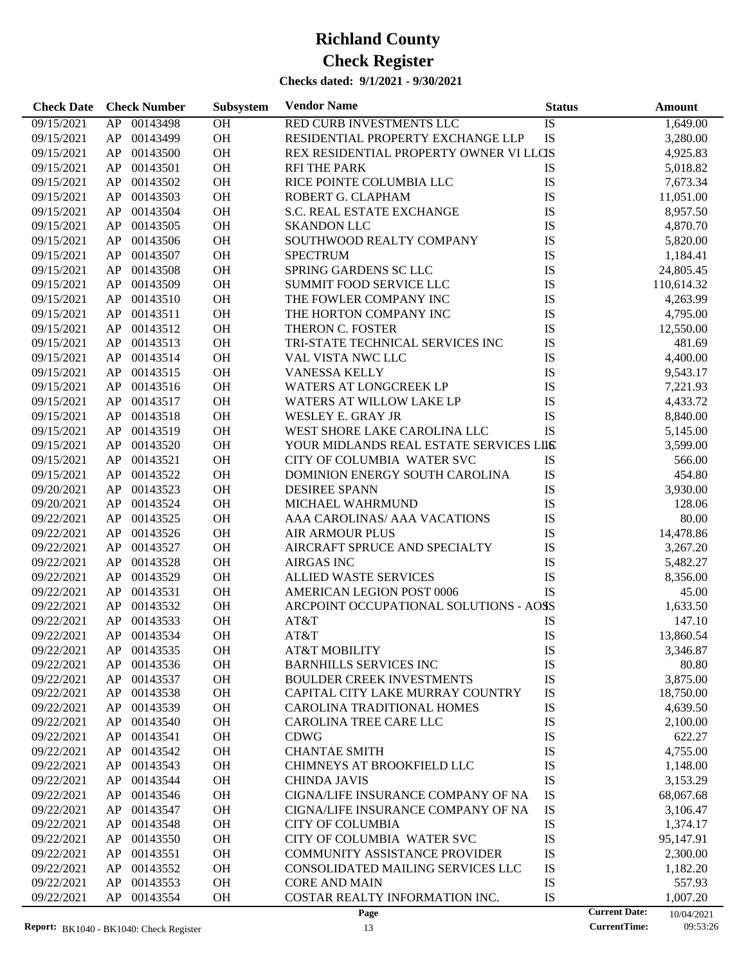| <b>Check Date</b> | <b>Check Number</b> | Subsystem | <b>Vendor Name</b>                      | <b>Status</b> |                      | <b>Amount</b> |
|-------------------|---------------------|-----------|-----------------------------------------|---------------|----------------------|---------------|
| 09/15/2021        | 00143498<br>AP      | OH        | RED CURB INVESTMENTS LLC                | IS            |                      | 1,649.00      |
| 09/15/2021        | 00143499<br>AP      | OH        | RESIDENTIAL PROPERTY EXCHANGE LLP       | IS            |                      | 3,280.00      |
| 09/15/2021        | 00143500<br>AP      | OH        | REX RESIDENTIAL PROPERTY OWNER VI LLCIS |               |                      | 4,925.83      |
| 09/15/2021        | 00143501<br>AP      | <b>OH</b> | <b>RFI THE PARK</b>                     | IS            |                      | 5,018.82      |
| 09/15/2021        | 00143502<br>AP      | OH        | RICE POINTE COLUMBIA LLC                | IS            |                      | 7,673.34      |
| 09/15/2021        | 00143503<br>AP      | OH        | ROBERT G. CLAPHAM                       | IS            |                      | 11,051.00     |
| 09/15/2021        | 00143504<br>AP      | OH        | S.C. REAL ESTATE EXCHANGE               | IS            |                      | 8,957.50      |
| 09/15/2021        | 00143505<br>AP      | <b>OH</b> | <b>SKANDON LLC</b>                      | IS            |                      | 4,870.70      |
| 09/15/2021        | 00143506<br>AP      | OH        | SOUTHWOOD REALTY COMPANY                | IS            |                      | 5,820.00      |
| 09/15/2021        | 00143507<br>AP      | <b>OH</b> | <b>SPECTRUM</b>                         | IS            |                      | 1,184.41      |
| 09/15/2021        | 00143508<br>AP      | <b>OH</b> | SPRING GARDENS SC LLC                   | IS            |                      | 24,805.45     |
| 09/15/2021        | 00143509<br>AP      | <b>OH</b> | SUMMIT FOOD SERVICE LLC                 | IS            |                      | 110,614.32    |
| 09/15/2021        | 00143510<br>AP      | OH        | THE FOWLER COMPANY INC                  | IS            |                      | 4,263.99      |
| 09/15/2021        | 00143511<br>AP      | <b>OH</b> | THE HORTON COMPANY INC                  | IS            |                      | 4,795.00      |
| 09/15/2021        | 00143512<br>AP      | OH        | THERON C. FOSTER                        | IS            |                      | 12,550.00     |
| 09/15/2021        | 00143513<br>AP      | <b>OH</b> | TRI-STATE TECHNICAL SERVICES INC        | IS            |                      | 481.69        |
| 09/15/2021        | 00143514<br>AP      | OH        | <b>VAL VISTA NWC LLC</b>                | IS            |                      | 4,400.00      |
| 09/15/2021        | 00143515<br>AP      | <b>OH</b> | <b>VANESSA KELLY</b>                    | IS            |                      | 9,543.17      |
| 09/15/2021        | 00143516<br>AP      | <b>OH</b> | <b>WATERS AT LONGCREEK LP</b>           | IS            |                      | 7,221.93      |
| 09/15/2021        | 00143517<br>AP      | <b>OH</b> | WATERS AT WILLOW LAKE LP                | IS            |                      | 4,433.72      |
| 09/15/2021        | 00143518<br>AP      | OH        | WESLEY E. GRAY JR                       | IS            |                      | 8,840.00      |
| 09/15/2021        | 00143519<br>AP      | <b>OH</b> | WEST SHORE LAKE CAROLINA LLC            | IS            |                      | 5,145.00      |
| 09/15/2021        | 00143520<br>AP      | <b>OH</b> | YOUR MIDLANDS REAL ESTATE SERVICES LILS |               |                      | 3,599.00      |
| 09/15/2021        | 00143521<br>AP      | <b>OH</b> | CITY OF COLUMBIA WATER SVC              | IS            |                      | 566.00        |
| 09/15/2021        | 00143522<br>AP      | OH        | DOMINION ENERGY SOUTH CAROLINA          | IS            |                      | 454.80        |
| 09/20/2021        | 00143523<br>AP      | <b>OH</b> | <b>DESIREE SPANN</b>                    | IS            |                      | 3,930.00      |
| 09/20/2021        | 00143524<br>AP      | <b>OH</b> | MICHAEL WAHRMUND                        | IS            |                      | 128.06        |
| 09/22/2021        | 00143525<br>AP      | <b>OH</b> | AAA CAROLINAS/ AAA VACATIONS            | IS            |                      | 80.00         |
| 09/22/2021        | 00143526<br>AP      | <b>OH</b> | <b>AIR ARMOUR PLUS</b>                  | IS            |                      | 14,478.86     |
| 09/22/2021        | 00143527<br>AP      | <b>OH</b> | AIRCRAFT SPRUCE AND SPECIALTY           | IS            |                      | 3,267.20      |
| 09/22/2021        | 00143528<br>AP      | <b>OH</b> | <b>AIRGAS INC</b>                       | IS            |                      | 5,482.27      |
| 09/22/2021        | 00143529<br>AP      | <b>OH</b> | <b>ALLIED WASTE SERVICES</b>            | IS            |                      | 8,356.00      |
| 09/22/2021        | 00143531<br>AP      | <b>OH</b> | AMERICAN LEGION POST 0006               | IS            |                      | 45.00         |
| 09/22/2021        | 00143532<br>AP      | OH        | ARCPOINT OCCUPATIONAL SOLUTIONS - AOSS  |               |                      | 1,633.50      |
| 09/22/2021        | 00143533<br>AP      | <b>OH</b> | AT&T                                    | IS            |                      | 147.10        |
| 09/22/2021        | AP<br>00143534      | OH        | AT&T                                    | IS            |                      | 13,860.54     |
| 09/22/2021        | AP<br>00143535      | <b>OH</b> | AT&T MOBILITY                           | IS            |                      | 3,346.87      |
| 09/22/2021        | AP<br>00143536      | <b>OH</b> | <b>BARNHILLS SERVICES INC</b>           | IS            |                      | 80.80         |
| 09/22/2021        | 00143537<br>AP      | OH        | <b>BOULDER CREEK INVESTMENTS</b>        | IS            |                      | 3,875.00      |
| 09/22/2021        | AP<br>00143538      | OH        | CAPITAL CITY LAKE MURRAY COUNTRY        | IS            |                      | 18,750.00     |
| 09/22/2021        | 00143539<br>AP      | OH        | <b>CAROLINA TRADITIONAL HOMES</b>       | IS            |                      | 4,639.50      |
| 09/22/2021        | 00143540<br>AP      | OH        | CAROLINA TREE CARE LLC                  | IS            |                      | 2,100.00      |
| 09/22/2021        | 00143541<br>AP      | OH        | <b>CDWG</b>                             | IS            |                      | 622.27        |
| 09/22/2021        | AP<br>00143542      | OH        | <b>CHANTAE SMITH</b>                    | IS            |                      | 4,755.00      |
| 09/22/2021        | 00143543<br>AP      | OH        | CHIMNEYS AT BROOKFIELD LLC              | IS            |                      | 1,148.00      |
| 09/22/2021        | 00143544<br>AP      | OH        | <b>CHINDA JAVIS</b>                     | IS            |                      | 3,153.29      |
| 09/22/2021        | 00143546<br>AP      | OH        | CIGNA/LIFE INSURANCE COMPANY OF NA      | IS            |                      | 68,067.68     |
| 09/22/2021        | AP<br>00143547      | OH        | CIGNA/LIFE INSURANCE COMPANY OF NA      | IS            |                      | 3,106.47      |
| 09/22/2021        | 00143548<br>AP      | OH        | <b>CITY OF COLUMBIA</b>                 | IS            |                      | 1,374.17      |
| 09/22/2021        | 00143550<br>AP      | OH        | CITY OF COLUMBIA WATER SVC              | IS            |                      | 95,147.91     |
| 09/22/2021        | 00143551<br>AP      | OH        | <b>COMMUNITY ASSISTANCE PROVIDER</b>    | IS            |                      | 2,300.00      |
| 09/22/2021        | AP<br>00143552      | OH        | CONSOLIDATED MAILING SERVICES LLC       | IS            |                      | 1,182.20      |
| 09/22/2021        | AP<br>00143553      | OH        | <b>CORE AND MAIN</b>                    | IS            |                      | 557.93        |
| 09/22/2021        | AP<br>00143554      | OH        | COSTAR REALTY INFORMATION INC.          | IS            |                      | 1,007.20      |
|                   |                     |           | Page                                    |               | <b>Current Date:</b> | 10/04/2021    |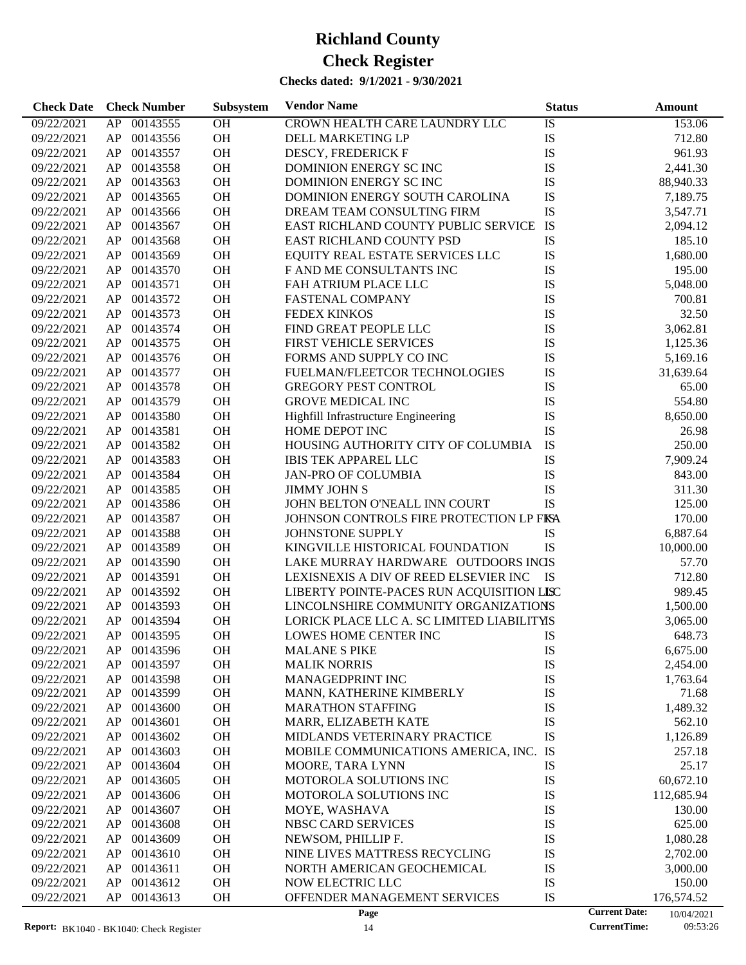| 09/22/2021<br>00143555<br>OH<br>CROWN HEALTH CARE LAUNDRY LLC<br>IS<br>153.06<br>AP<br>IS<br>OH<br>09/22/2021<br>AP<br>00143556<br>DELL MARKETING LP<br>712.80<br>IS<br>00143557<br>OH<br>09/22/2021<br>AP<br>DESCY, FREDERICK F<br>961.93<br>OH<br>IS<br>09/22/2021<br>AP<br>00143558<br>DOMINION ENERGY SC INC<br>2,441.30<br>IS<br>00143563<br>OH<br>09/22/2021<br>AP<br>DOMINION ENERGY SCINC<br>88,940.33<br>IS<br>00143565<br>OH<br>09/22/2021<br>AP<br>DOMINION ENERGY SOUTH CAROLINA<br>7,189.75<br>IS<br>00143566<br>OH<br>09/22/2021<br>AP<br>DREAM TEAM CONSULTING FIRM<br>3,547.71<br>IS<br>00143567<br>OH<br>09/22/2021<br>AP<br>EAST RICHLAND COUNTY PUBLIC SERVICE<br>2,094.12<br>00143568<br>OH<br>IS<br>09/22/2021<br>AP<br>EAST RICHLAND COUNTY PSD<br>185.10<br>IS<br>00143569<br>OH<br>EQUITY REAL ESTATE SERVICES LLC<br>09/22/2021<br>AP<br>1,680.00<br>IS<br>OH<br>09/22/2021<br>AP<br>00143570<br>F AND ME CONSULTANTS INC<br>195.00<br>00143571<br>OH<br>IS<br>09/22/2021<br>AP<br>FAH ATRIUM PLACE LLC<br>5,048.00<br>00143572<br>OH<br>IS<br>09/22/2021<br>AP<br><b>FASTENAL COMPANY</b><br>700.81<br>00143573<br>OH<br>IS<br>32.50<br>09/22/2021<br>AP<br><b>FEDEX KINKOS</b><br>IS<br>00143574<br>OH<br>09/22/2021<br>AP<br>FIND GREAT PEOPLE LLC<br>3,062.81<br>00143575<br>OH<br>IS<br>09/22/2021<br>AP<br><b>FIRST VEHICLE SERVICES</b><br>1,125.36<br>00143576<br>OH<br>IS<br>09/22/2021<br>AP<br>FORMS AND SUPPLY CO INC<br>5,169.16<br>00143577<br>OH<br>IS<br>09/22/2021<br>AP<br>FUELMAN/FLEETCOR TECHNOLOGIES<br>31,639.64<br>IS<br>00143578<br>OH<br>09/22/2021<br>AP<br><b>GREGORY PEST CONTROL</b><br>65.00<br>IS<br>00143579<br>OH<br>554.80<br>09/22/2021<br>AP<br><b>GROVE MEDICAL INC</b><br>OH<br>Highfill Infrastructure Engineering<br>IS<br>09/22/2021<br>AP<br>00143580<br>8,650.00<br>IS<br>00143581<br>OH<br>09/22/2021<br>AP<br>HOME DEPOT INC<br>26.98<br>IS<br>00143582<br>OH<br>HOUSING AUTHORITY CITY OF COLUMBIA<br>250.00<br>09/22/2021<br>AP<br>IS<br>00143583<br>OH<br>09/22/2021<br>AP<br><b>IBIS TEK APPAREL LLC</b><br>7,909.24<br>00143584<br>OH<br>IS<br>09/22/2021<br>AP<br><b>JAN-PRO OF COLUMBIA</b><br>843.00<br>00143585<br>OH<br>IS<br>09/22/2021<br>AP<br><b>JIMMY JOHN S</b><br>311.30<br><b>IS</b><br>00143586<br>OH<br>09/22/2021<br>AP<br>JOHN BELTON O'NEALL INN COURT<br>125.00<br>00143587<br>OH<br>JOHNSON CONTROLS FIRE PROTECTION LP FISA<br>09/22/2021<br>AP<br>170.00<br>OH<br>09/22/2021<br>AP<br>00143588<br>JOHNSTONE SUPPLY<br>IS<br>6,887.64<br>OH<br>IS<br>09/22/2021<br>AP<br>00143589<br>KINGVILLE HISTORICAL FOUNDATION<br>10,000.00<br>OH<br>09/22/2021<br>AP<br>00143590<br>LAKE MURRAY HARDWARE OUTDOORS INGS<br>57.70<br>OH<br>09/22/2021<br>AP<br>00143591<br>LEXISNEXIS A DIV OF REED ELSEVIER INC<br>- IS<br>712.80<br>OH<br>LIBERTY POINTE-PACES RUN ACQUISITION LISC<br>09/22/2021<br>AP<br>00143592<br>989.45<br>OH<br>09/22/2021<br>AP<br>00143593<br>LINCOLNSHIRE COMMUNITY ORGANIZATIONS<br>1,500.00<br>OH<br>09/22/2021<br>AP<br>00143594<br>LORICK PLACE LLC A. SC LIMITED LIABILITYIS<br>3,065.00<br>OH<br>09/22/2021<br>AP 00143595<br>LOWES HOME CENTER INC<br>IS<br>648.73 |
|---------------------------------------------------------------------------------------------------------------------------------------------------------------------------------------------------------------------------------------------------------------------------------------------------------------------------------------------------------------------------------------------------------------------------------------------------------------------------------------------------------------------------------------------------------------------------------------------------------------------------------------------------------------------------------------------------------------------------------------------------------------------------------------------------------------------------------------------------------------------------------------------------------------------------------------------------------------------------------------------------------------------------------------------------------------------------------------------------------------------------------------------------------------------------------------------------------------------------------------------------------------------------------------------------------------------------------------------------------------------------------------------------------------------------------------------------------------------------------------------------------------------------------------------------------------------------------------------------------------------------------------------------------------------------------------------------------------------------------------------------------------------------------------------------------------------------------------------------------------------------------------------------------------------------------------------------------------------------------------------------------------------------------------------------------------------------------------------------------------------------------------------------------------------------------------------------------------------------------------------------------------------------------------------------------------------------------------------------------------------------------------------------------------------------------------------------------------------------------------------------------------------------------------------------------------------------------------------------------------------------------------------------------------------------------------------------------------------------------------------------------------------------------------------------------------------------------------------------------------------------------------------------------------------------------------------------------------------------------------------------------------------------------------------------------------------------------------------------------------------------------------------------------------------------------------------|
|                                                                                                                                                                                                                                                                                                                                                                                                                                                                                                                                                                                                                                                                                                                                                                                                                                                                                                                                                                                                                                                                                                                                                                                                                                                                                                                                                                                                                                                                                                                                                                                                                                                                                                                                                                                                                                                                                                                                                                                                                                                                                                                                                                                                                                                                                                                                                                                                                                                                                                                                                                                                                                                                                                                                                                                                                                                                                                                                                                                                                                                                                                                                                                                             |
|                                                                                                                                                                                                                                                                                                                                                                                                                                                                                                                                                                                                                                                                                                                                                                                                                                                                                                                                                                                                                                                                                                                                                                                                                                                                                                                                                                                                                                                                                                                                                                                                                                                                                                                                                                                                                                                                                                                                                                                                                                                                                                                                                                                                                                                                                                                                                                                                                                                                                                                                                                                                                                                                                                                                                                                                                                                                                                                                                                                                                                                                                                                                                                                             |
|                                                                                                                                                                                                                                                                                                                                                                                                                                                                                                                                                                                                                                                                                                                                                                                                                                                                                                                                                                                                                                                                                                                                                                                                                                                                                                                                                                                                                                                                                                                                                                                                                                                                                                                                                                                                                                                                                                                                                                                                                                                                                                                                                                                                                                                                                                                                                                                                                                                                                                                                                                                                                                                                                                                                                                                                                                                                                                                                                                                                                                                                                                                                                                                             |
|                                                                                                                                                                                                                                                                                                                                                                                                                                                                                                                                                                                                                                                                                                                                                                                                                                                                                                                                                                                                                                                                                                                                                                                                                                                                                                                                                                                                                                                                                                                                                                                                                                                                                                                                                                                                                                                                                                                                                                                                                                                                                                                                                                                                                                                                                                                                                                                                                                                                                                                                                                                                                                                                                                                                                                                                                                                                                                                                                                                                                                                                                                                                                                                             |
|                                                                                                                                                                                                                                                                                                                                                                                                                                                                                                                                                                                                                                                                                                                                                                                                                                                                                                                                                                                                                                                                                                                                                                                                                                                                                                                                                                                                                                                                                                                                                                                                                                                                                                                                                                                                                                                                                                                                                                                                                                                                                                                                                                                                                                                                                                                                                                                                                                                                                                                                                                                                                                                                                                                                                                                                                                                                                                                                                                                                                                                                                                                                                                                             |
|                                                                                                                                                                                                                                                                                                                                                                                                                                                                                                                                                                                                                                                                                                                                                                                                                                                                                                                                                                                                                                                                                                                                                                                                                                                                                                                                                                                                                                                                                                                                                                                                                                                                                                                                                                                                                                                                                                                                                                                                                                                                                                                                                                                                                                                                                                                                                                                                                                                                                                                                                                                                                                                                                                                                                                                                                                                                                                                                                                                                                                                                                                                                                                                             |
|                                                                                                                                                                                                                                                                                                                                                                                                                                                                                                                                                                                                                                                                                                                                                                                                                                                                                                                                                                                                                                                                                                                                                                                                                                                                                                                                                                                                                                                                                                                                                                                                                                                                                                                                                                                                                                                                                                                                                                                                                                                                                                                                                                                                                                                                                                                                                                                                                                                                                                                                                                                                                                                                                                                                                                                                                                                                                                                                                                                                                                                                                                                                                                                             |
|                                                                                                                                                                                                                                                                                                                                                                                                                                                                                                                                                                                                                                                                                                                                                                                                                                                                                                                                                                                                                                                                                                                                                                                                                                                                                                                                                                                                                                                                                                                                                                                                                                                                                                                                                                                                                                                                                                                                                                                                                                                                                                                                                                                                                                                                                                                                                                                                                                                                                                                                                                                                                                                                                                                                                                                                                                                                                                                                                                                                                                                                                                                                                                                             |
|                                                                                                                                                                                                                                                                                                                                                                                                                                                                                                                                                                                                                                                                                                                                                                                                                                                                                                                                                                                                                                                                                                                                                                                                                                                                                                                                                                                                                                                                                                                                                                                                                                                                                                                                                                                                                                                                                                                                                                                                                                                                                                                                                                                                                                                                                                                                                                                                                                                                                                                                                                                                                                                                                                                                                                                                                                                                                                                                                                                                                                                                                                                                                                                             |
|                                                                                                                                                                                                                                                                                                                                                                                                                                                                                                                                                                                                                                                                                                                                                                                                                                                                                                                                                                                                                                                                                                                                                                                                                                                                                                                                                                                                                                                                                                                                                                                                                                                                                                                                                                                                                                                                                                                                                                                                                                                                                                                                                                                                                                                                                                                                                                                                                                                                                                                                                                                                                                                                                                                                                                                                                                                                                                                                                                                                                                                                                                                                                                                             |
|                                                                                                                                                                                                                                                                                                                                                                                                                                                                                                                                                                                                                                                                                                                                                                                                                                                                                                                                                                                                                                                                                                                                                                                                                                                                                                                                                                                                                                                                                                                                                                                                                                                                                                                                                                                                                                                                                                                                                                                                                                                                                                                                                                                                                                                                                                                                                                                                                                                                                                                                                                                                                                                                                                                                                                                                                                                                                                                                                                                                                                                                                                                                                                                             |
|                                                                                                                                                                                                                                                                                                                                                                                                                                                                                                                                                                                                                                                                                                                                                                                                                                                                                                                                                                                                                                                                                                                                                                                                                                                                                                                                                                                                                                                                                                                                                                                                                                                                                                                                                                                                                                                                                                                                                                                                                                                                                                                                                                                                                                                                                                                                                                                                                                                                                                                                                                                                                                                                                                                                                                                                                                                                                                                                                                                                                                                                                                                                                                                             |
|                                                                                                                                                                                                                                                                                                                                                                                                                                                                                                                                                                                                                                                                                                                                                                                                                                                                                                                                                                                                                                                                                                                                                                                                                                                                                                                                                                                                                                                                                                                                                                                                                                                                                                                                                                                                                                                                                                                                                                                                                                                                                                                                                                                                                                                                                                                                                                                                                                                                                                                                                                                                                                                                                                                                                                                                                                                                                                                                                                                                                                                                                                                                                                                             |
|                                                                                                                                                                                                                                                                                                                                                                                                                                                                                                                                                                                                                                                                                                                                                                                                                                                                                                                                                                                                                                                                                                                                                                                                                                                                                                                                                                                                                                                                                                                                                                                                                                                                                                                                                                                                                                                                                                                                                                                                                                                                                                                                                                                                                                                                                                                                                                                                                                                                                                                                                                                                                                                                                                                                                                                                                                                                                                                                                                                                                                                                                                                                                                                             |
|                                                                                                                                                                                                                                                                                                                                                                                                                                                                                                                                                                                                                                                                                                                                                                                                                                                                                                                                                                                                                                                                                                                                                                                                                                                                                                                                                                                                                                                                                                                                                                                                                                                                                                                                                                                                                                                                                                                                                                                                                                                                                                                                                                                                                                                                                                                                                                                                                                                                                                                                                                                                                                                                                                                                                                                                                                                                                                                                                                                                                                                                                                                                                                                             |
|                                                                                                                                                                                                                                                                                                                                                                                                                                                                                                                                                                                                                                                                                                                                                                                                                                                                                                                                                                                                                                                                                                                                                                                                                                                                                                                                                                                                                                                                                                                                                                                                                                                                                                                                                                                                                                                                                                                                                                                                                                                                                                                                                                                                                                                                                                                                                                                                                                                                                                                                                                                                                                                                                                                                                                                                                                                                                                                                                                                                                                                                                                                                                                                             |
|                                                                                                                                                                                                                                                                                                                                                                                                                                                                                                                                                                                                                                                                                                                                                                                                                                                                                                                                                                                                                                                                                                                                                                                                                                                                                                                                                                                                                                                                                                                                                                                                                                                                                                                                                                                                                                                                                                                                                                                                                                                                                                                                                                                                                                                                                                                                                                                                                                                                                                                                                                                                                                                                                                                                                                                                                                                                                                                                                                                                                                                                                                                                                                                             |
|                                                                                                                                                                                                                                                                                                                                                                                                                                                                                                                                                                                                                                                                                                                                                                                                                                                                                                                                                                                                                                                                                                                                                                                                                                                                                                                                                                                                                                                                                                                                                                                                                                                                                                                                                                                                                                                                                                                                                                                                                                                                                                                                                                                                                                                                                                                                                                                                                                                                                                                                                                                                                                                                                                                                                                                                                                                                                                                                                                                                                                                                                                                                                                                             |
|                                                                                                                                                                                                                                                                                                                                                                                                                                                                                                                                                                                                                                                                                                                                                                                                                                                                                                                                                                                                                                                                                                                                                                                                                                                                                                                                                                                                                                                                                                                                                                                                                                                                                                                                                                                                                                                                                                                                                                                                                                                                                                                                                                                                                                                                                                                                                                                                                                                                                                                                                                                                                                                                                                                                                                                                                                                                                                                                                                                                                                                                                                                                                                                             |
|                                                                                                                                                                                                                                                                                                                                                                                                                                                                                                                                                                                                                                                                                                                                                                                                                                                                                                                                                                                                                                                                                                                                                                                                                                                                                                                                                                                                                                                                                                                                                                                                                                                                                                                                                                                                                                                                                                                                                                                                                                                                                                                                                                                                                                                                                                                                                                                                                                                                                                                                                                                                                                                                                                                                                                                                                                                                                                                                                                                                                                                                                                                                                                                             |
|                                                                                                                                                                                                                                                                                                                                                                                                                                                                                                                                                                                                                                                                                                                                                                                                                                                                                                                                                                                                                                                                                                                                                                                                                                                                                                                                                                                                                                                                                                                                                                                                                                                                                                                                                                                                                                                                                                                                                                                                                                                                                                                                                                                                                                                                                                                                                                                                                                                                                                                                                                                                                                                                                                                                                                                                                                                                                                                                                                                                                                                                                                                                                                                             |
|                                                                                                                                                                                                                                                                                                                                                                                                                                                                                                                                                                                                                                                                                                                                                                                                                                                                                                                                                                                                                                                                                                                                                                                                                                                                                                                                                                                                                                                                                                                                                                                                                                                                                                                                                                                                                                                                                                                                                                                                                                                                                                                                                                                                                                                                                                                                                                                                                                                                                                                                                                                                                                                                                                                                                                                                                                                                                                                                                                                                                                                                                                                                                                                             |
|                                                                                                                                                                                                                                                                                                                                                                                                                                                                                                                                                                                                                                                                                                                                                                                                                                                                                                                                                                                                                                                                                                                                                                                                                                                                                                                                                                                                                                                                                                                                                                                                                                                                                                                                                                                                                                                                                                                                                                                                                                                                                                                                                                                                                                                                                                                                                                                                                                                                                                                                                                                                                                                                                                                                                                                                                                                                                                                                                                                                                                                                                                                                                                                             |
|                                                                                                                                                                                                                                                                                                                                                                                                                                                                                                                                                                                                                                                                                                                                                                                                                                                                                                                                                                                                                                                                                                                                                                                                                                                                                                                                                                                                                                                                                                                                                                                                                                                                                                                                                                                                                                                                                                                                                                                                                                                                                                                                                                                                                                                                                                                                                                                                                                                                                                                                                                                                                                                                                                                                                                                                                                                                                                                                                                                                                                                                                                                                                                                             |
|                                                                                                                                                                                                                                                                                                                                                                                                                                                                                                                                                                                                                                                                                                                                                                                                                                                                                                                                                                                                                                                                                                                                                                                                                                                                                                                                                                                                                                                                                                                                                                                                                                                                                                                                                                                                                                                                                                                                                                                                                                                                                                                                                                                                                                                                                                                                                                                                                                                                                                                                                                                                                                                                                                                                                                                                                                                                                                                                                                                                                                                                                                                                                                                             |
|                                                                                                                                                                                                                                                                                                                                                                                                                                                                                                                                                                                                                                                                                                                                                                                                                                                                                                                                                                                                                                                                                                                                                                                                                                                                                                                                                                                                                                                                                                                                                                                                                                                                                                                                                                                                                                                                                                                                                                                                                                                                                                                                                                                                                                                                                                                                                                                                                                                                                                                                                                                                                                                                                                                                                                                                                                                                                                                                                                                                                                                                                                                                                                                             |
|                                                                                                                                                                                                                                                                                                                                                                                                                                                                                                                                                                                                                                                                                                                                                                                                                                                                                                                                                                                                                                                                                                                                                                                                                                                                                                                                                                                                                                                                                                                                                                                                                                                                                                                                                                                                                                                                                                                                                                                                                                                                                                                                                                                                                                                                                                                                                                                                                                                                                                                                                                                                                                                                                                                                                                                                                                                                                                                                                                                                                                                                                                                                                                                             |
|                                                                                                                                                                                                                                                                                                                                                                                                                                                                                                                                                                                                                                                                                                                                                                                                                                                                                                                                                                                                                                                                                                                                                                                                                                                                                                                                                                                                                                                                                                                                                                                                                                                                                                                                                                                                                                                                                                                                                                                                                                                                                                                                                                                                                                                                                                                                                                                                                                                                                                                                                                                                                                                                                                                                                                                                                                                                                                                                                                                                                                                                                                                                                                                             |
|                                                                                                                                                                                                                                                                                                                                                                                                                                                                                                                                                                                                                                                                                                                                                                                                                                                                                                                                                                                                                                                                                                                                                                                                                                                                                                                                                                                                                                                                                                                                                                                                                                                                                                                                                                                                                                                                                                                                                                                                                                                                                                                                                                                                                                                                                                                                                                                                                                                                                                                                                                                                                                                                                                                                                                                                                                                                                                                                                                                                                                                                                                                                                                                             |
|                                                                                                                                                                                                                                                                                                                                                                                                                                                                                                                                                                                                                                                                                                                                                                                                                                                                                                                                                                                                                                                                                                                                                                                                                                                                                                                                                                                                                                                                                                                                                                                                                                                                                                                                                                                                                                                                                                                                                                                                                                                                                                                                                                                                                                                                                                                                                                                                                                                                                                                                                                                                                                                                                                                                                                                                                                                                                                                                                                                                                                                                                                                                                                                             |
|                                                                                                                                                                                                                                                                                                                                                                                                                                                                                                                                                                                                                                                                                                                                                                                                                                                                                                                                                                                                                                                                                                                                                                                                                                                                                                                                                                                                                                                                                                                                                                                                                                                                                                                                                                                                                                                                                                                                                                                                                                                                                                                                                                                                                                                                                                                                                                                                                                                                                                                                                                                                                                                                                                                                                                                                                                                                                                                                                                                                                                                                                                                                                                                             |
|                                                                                                                                                                                                                                                                                                                                                                                                                                                                                                                                                                                                                                                                                                                                                                                                                                                                                                                                                                                                                                                                                                                                                                                                                                                                                                                                                                                                                                                                                                                                                                                                                                                                                                                                                                                                                                                                                                                                                                                                                                                                                                                                                                                                                                                                                                                                                                                                                                                                                                                                                                                                                                                                                                                                                                                                                                                                                                                                                                                                                                                                                                                                                                                             |
|                                                                                                                                                                                                                                                                                                                                                                                                                                                                                                                                                                                                                                                                                                                                                                                                                                                                                                                                                                                                                                                                                                                                                                                                                                                                                                                                                                                                                                                                                                                                                                                                                                                                                                                                                                                                                                                                                                                                                                                                                                                                                                                                                                                                                                                                                                                                                                                                                                                                                                                                                                                                                                                                                                                                                                                                                                                                                                                                                                                                                                                                                                                                                                                             |
|                                                                                                                                                                                                                                                                                                                                                                                                                                                                                                                                                                                                                                                                                                                                                                                                                                                                                                                                                                                                                                                                                                                                                                                                                                                                                                                                                                                                                                                                                                                                                                                                                                                                                                                                                                                                                                                                                                                                                                                                                                                                                                                                                                                                                                                                                                                                                                                                                                                                                                                                                                                                                                                                                                                                                                                                                                                                                                                                                                                                                                                                                                                                                                                             |
|                                                                                                                                                                                                                                                                                                                                                                                                                                                                                                                                                                                                                                                                                                                                                                                                                                                                                                                                                                                                                                                                                                                                                                                                                                                                                                                                                                                                                                                                                                                                                                                                                                                                                                                                                                                                                                                                                                                                                                                                                                                                                                                                                                                                                                                                                                                                                                                                                                                                                                                                                                                                                                                                                                                                                                                                                                                                                                                                                                                                                                                                                                                                                                                             |
|                                                                                                                                                                                                                                                                                                                                                                                                                                                                                                                                                                                                                                                                                                                                                                                                                                                                                                                                                                                                                                                                                                                                                                                                                                                                                                                                                                                                                                                                                                                                                                                                                                                                                                                                                                                                                                                                                                                                                                                                                                                                                                                                                                                                                                                                                                                                                                                                                                                                                                                                                                                                                                                                                                                                                                                                                                                                                                                                                                                                                                                                                                                                                                                             |
| 09/22/2021<br>AP<br>00143596<br>ОH<br><b>MALANE S PIKE</b><br>IS<br>6,675.00                                                                                                                                                                                                                                                                                                                                                                                                                                                                                                                                                                                                                                                                                                                                                                                                                                                                                                                                                                                                                                                                                                                                                                                                                                                                                                                                                                                                                                                                                                                                                                                                                                                                                                                                                                                                                                                                                                                                                                                                                                                                                                                                                                                                                                                                                                                                                                                                                                                                                                                                                                                                                                                                                                                                                                                                                                                                                                                                                                                                                                                                                                                |
| OH<br>09/22/2021<br>00143597<br><b>MALIK NORRIS</b><br>IS<br>2,454.00<br>AP                                                                                                                                                                                                                                                                                                                                                                                                                                                                                                                                                                                                                                                                                                                                                                                                                                                                                                                                                                                                                                                                                                                                                                                                                                                                                                                                                                                                                                                                                                                                                                                                                                                                                                                                                                                                                                                                                                                                                                                                                                                                                                                                                                                                                                                                                                                                                                                                                                                                                                                                                                                                                                                                                                                                                                                                                                                                                                                                                                                                                                                                                                                 |
| 00143598<br>OH<br>MANAGEDPRINT INC<br>IS<br>09/22/2021<br>AP<br>1,763.64                                                                                                                                                                                                                                                                                                                                                                                                                                                                                                                                                                                                                                                                                                                                                                                                                                                                                                                                                                                                                                                                                                                                                                                                                                                                                                                                                                                                                                                                                                                                                                                                                                                                                                                                                                                                                                                                                                                                                                                                                                                                                                                                                                                                                                                                                                                                                                                                                                                                                                                                                                                                                                                                                                                                                                                                                                                                                                                                                                                                                                                                                                                    |
| OH<br>IS<br>09/22/2021<br>AP<br>00143599<br>MANN, KATHERINE KIMBERLY<br>71.68                                                                                                                                                                                                                                                                                                                                                                                                                                                                                                                                                                                                                                                                                                                                                                                                                                                                                                                                                                                                                                                                                                                                                                                                                                                                                                                                                                                                                                                                                                                                                                                                                                                                                                                                                                                                                                                                                                                                                                                                                                                                                                                                                                                                                                                                                                                                                                                                                                                                                                                                                                                                                                                                                                                                                                                                                                                                                                                                                                                                                                                                                                               |
| 00143600<br>OH<br>IS<br>09/22/2021<br>AP<br><b>MARATHON STAFFING</b><br>1,489.32                                                                                                                                                                                                                                                                                                                                                                                                                                                                                                                                                                                                                                                                                                                                                                                                                                                                                                                                                                                                                                                                                                                                                                                                                                                                                                                                                                                                                                                                                                                                                                                                                                                                                                                                                                                                                                                                                                                                                                                                                                                                                                                                                                                                                                                                                                                                                                                                                                                                                                                                                                                                                                                                                                                                                                                                                                                                                                                                                                                                                                                                                                            |
| 00143601<br>OH<br>IS<br>09/22/2021<br>AP<br>MARR, ELIZABETH KATE<br>562.10                                                                                                                                                                                                                                                                                                                                                                                                                                                                                                                                                                                                                                                                                                                                                                                                                                                                                                                                                                                                                                                                                                                                                                                                                                                                                                                                                                                                                                                                                                                                                                                                                                                                                                                                                                                                                                                                                                                                                                                                                                                                                                                                                                                                                                                                                                                                                                                                                                                                                                                                                                                                                                                                                                                                                                                                                                                                                                                                                                                                                                                                                                                  |
| IS<br>00143602<br>OH<br>09/22/2021<br>AP<br>MIDLANDS VETERINARY PRACTICE<br>1,126.89                                                                                                                                                                                                                                                                                                                                                                                                                                                                                                                                                                                                                                                                                                                                                                                                                                                                                                                                                                                                                                                                                                                                                                                                                                                                                                                                                                                                                                                                                                                                                                                                                                                                                                                                                                                                                                                                                                                                                                                                                                                                                                                                                                                                                                                                                                                                                                                                                                                                                                                                                                                                                                                                                                                                                                                                                                                                                                                                                                                                                                                                                                        |
| 00143603<br>OH<br>IS<br>09/22/2021<br>AP<br>MOBILE COMMUNICATIONS AMERICA, INC.<br>257.18                                                                                                                                                                                                                                                                                                                                                                                                                                                                                                                                                                                                                                                                                                                                                                                                                                                                                                                                                                                                                                                                                                                                                                                                                                                                                                                                                                                                                                                                                                                                                                                                                                                                                                                                                                                                                                                                                                                                                                                                                                                                                                                                                                                                                                                                                                                                                                                                                                                                                                                                                                                                                                                                                                                                                                                                                                                                                                                                                                                                                                                                                                   |
| 00143604<br>OH<br>IS<br>25.17<br>09/22/2021<br>AP<br>MOORE, TARA LYNN                                                                                                                                                                                                                                                                                                                                                                                                                                                                                                                                                                                                                                                                                                                                                                                                                                                                                                                                                                                                                                                                                                                                                                                                                                                                                                                                                                                                                                                                                                                                                                                                                                                                                                                                                                                                                                                                                                                                                                                                                                                                                                                                                                                                                                                                                                                                                                                                                                                                                                                                                                                                                                                                                                                                                                                                                                                                                                                                                                                                                                                                                                                       |
| 00143605<br>OH<br>IS<br>09/22/2021<br>AP<br>MOTOROLA SOLUTIONS INC<br>60,672.10                                                                                                                                                                                                                                                                                                                                                                                                                                                                                                                                                                                                                                                                                                                                                                                                                                                                                                                                                                                                                                                                                                                                                                                                                                                                                                                                                                                                                                                                                                                                                                                                                                                                                                                                                                                                                                                                                                                                                                                                                                                                                                                                                                                                                                                                                                                                                                                                                                                                                                                                                                                                                                                                                                                                                                                                                                                                                                                                                                                                                                                                                                             |
| 00143606<br>OH<br>IS<br>09/22/2021<br>AP<br>MOTOROLA SOLUTIONS INC<br>112,685.94                                                                                                                                                                                                                                                                                                                                                                                                                                                                                                                                                                                                                                                                                                                                                                                                                                                                                                                                                                                                                                                                                                                                                                                                                                                                                                                                                                                                                                                                                                                                                                                                                                                                                                                                                                                                                                                                                                                                                                                                                                                                                                                                                                                                                                                                                                                                                                                                                                                                                                                                                                                                                                                                                                                                                                                                                                                                                                                                                                                                                                                                                                            |
| 00143607<br>OH<br>IS<br>09/22/2021<br>AP<br>MOYE, WASHAVA<br>130.00                                                                                                                                                                                                                                                                                                                                                                                                                                                                                                                                                                                                                                                                                                                                                                                                                                                                                                                                                                                                                                                                                                                                                                                                                                                                                                                                                                                                                                                                                                                                                                                                                                                                                                                                                                                                                                                                                                                                                                                                                                                                                                                                                                                                                                                                                                                                                                                                                                                                                                                                                                                                                                                                                                                                                                                                                                                                                                                                                                                                                                                                                                                         |
| IS<br>00143608<br>OH<br>09/22/2021<br>AP<br>NBSC CARD SERVICES<br>625.00                                                                                                                                                                                                                                                                                                                                                                                                                                                                                                                                                                                                                                                                                                                                                                                                                                                                                                                                                                                                                                                                                                                                                                                                                                                                                                                                                                                                                                                                                                                                                                                                                                                                                                                                                                                                                                                                                                                                                                                                                                                                                                                                                                                                                                                                                                                                                                                                                                                                                                                                                                                                                                                                                                                                                                                                                                                                                                                                                                                                                                                                                                                    |
| 00143609<br>OH<br>IS                                                                                                                                                                                                                                                                                                                                                                                                                                                                                                                                                                                                                                                                                                                                                                                                                                                                                                                                                                                                                                                                                                                                                                                                                                                                                                                                                                                                                                                                                                                                                                                                                                                                                                                                                                                                                                                                                                                                                                                                                                                                                                                                                                                                                                                                                                                                                                                                                                                                                                                                                                                                                                                                                                                                                                                                                                                                                                                                                                                                                                                                                                                                                                        |
| 09/22/2021<br>AP<br>NEWSOM, PHILLIP F.<br>1,080.28                                                                                                                                                                                                                                                                                                                                                                                                                                                                                                                                                                                                                                                                                                                                                                                                                                                                                                                                                                                                                                                                                                                                                                                                                                                                                                                                                                                                                                                                                                                                                                                                                                                                                                                                                                                                                                                                                                                                                                                                                                                                                                                                                                                                                                                                                                                                                                                                                                                                                                                                                                                                                                                                                                                                                                                                                                                                                                                                                                                                                                                                                                                                          |
| 00143610<br>OH<br>IS<br>09/22/2021<br>AP<br>NINE LIVES MATTRESS RECYCLING<br>2,702.00                                                                                                                                                                                                                                                                                                                                                                                                                                                                                                                                                                                                                                                                                                                                                                                                                                                                                                                                                                                                                                                                                                                                                                                                                                                                                                                                                                                                                                                                                                                                                                                                                                                                                                                                                                                                                                                                                                                                                                                                                                                                                                                                                                                                                                                                                                                                                                                                                                                                                                                                                                                                                                                                                                                                                                                                                                                                                                                                                                                                                                                                                                       |
| OH<br>IS<br>09/22/2021<br>AP<br>00143611<br>NORTH AMERICAN GEOCHEMICAL<br>3,000.00<br>IS<br>AP<br>00143612<br>OH<br>NOW ELECTRIC LLC                                                                                                                                                                                                                                                                                                                                                                                                                                                                                                                                                                                                                                                                                                                                                                                                                                                                                                                                                                                                                                                                                                                                                                                                                                                                                                                                                                                                                                                                                                                                                                                                                                                                                                                                                                                                                                                                                                                                                                                                                                                                                                                                                                                                                                                                                                                                                                                                                                                                                                                                                                                                                                                                                                                                                                                                                                                                                                                                                                                                                                                        |
| 09/22/2021<br>150.00<br>IS<br>AP<br>00143613<br>OH<br>OFFENDER MANAGEMENT SERVICES<br>09/22/2021<br>176,574.52                                                                                                                                                                                                                                                                                                                                                                                                                                                                                                                                                                                                                                                                                                                                                                                                                                                                                                                                                                                                                                                                                                                                                                                                                                                                                                                                                                                                                                                                                                                                                                                                                                                                                                                                                                                                                                                                                                                                                                                                                                                                                                                                                                                                                                                                                                                                                                                                                                                                                                                                                                                                                                                                                                                                                                                                                                                                                                                                                                                                                                                                              |
| <b>Current Date:</b><br>Page<br>10/04/2021                                                                                                                                                                                                                                                                                                                                                                                                                                                                                                                                                                                                                                                                                                                                                                                                                                                                                                                                                                                                                                                                                                                                                                                                                                                                                                                                                                                                                                                                                                                                                                                                                                                                                                                                                                                                                                                                                                                                                                                                                                                                                                                                                                                                                                                                                                                                                                                                                                                                                                                                                                                                                                                                                                                                                                                                                                                                                                                                                                                                                                                                                                                                                  |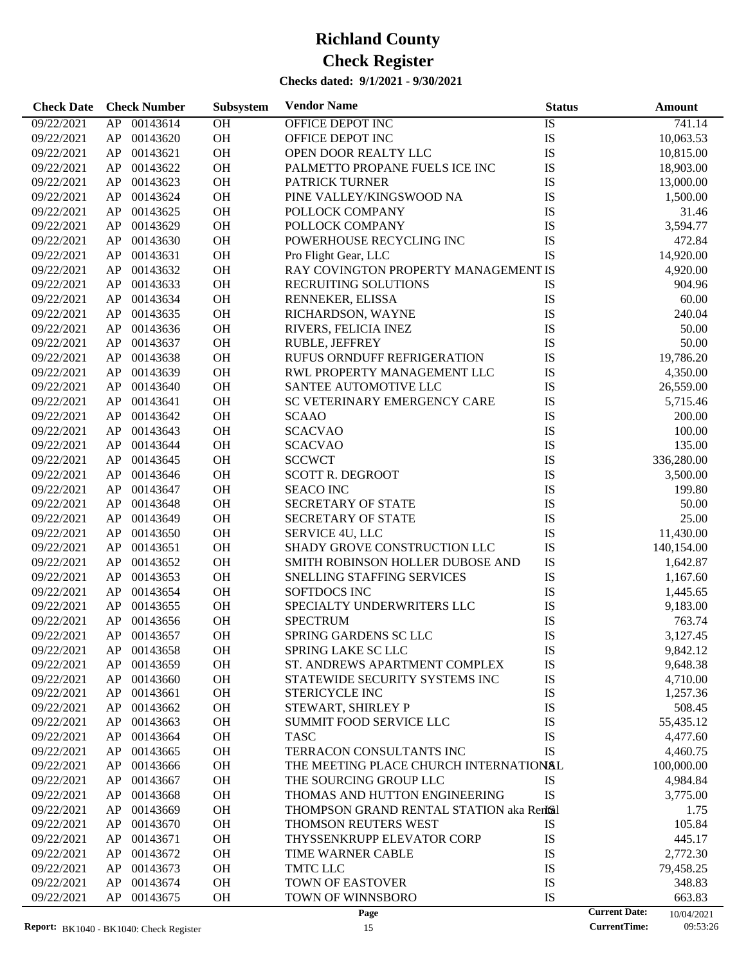| 09/22/2021<br>00143614<br>OH<br>OFFICE DEPOT INC<br>IS<br>741.14<br>AP<br>${\rm IS}$<br>OH<br>09/22/2021<br>00143620<br>OFFICE DEPOT INC<br>10,063.53<br>AP<br>OH<br>IS<br>00143621<br>OPEN DOOR REALTY LLC<br>10,815.00<br>09/22/2021<br>AP<br>OH<br>IS<br>00143622<br>PALMETTO PROPANE FUELS ICE INC<br>18,903.00<br>09/22/2021<br>AP<br>OH<br>IS<br>00143623<br>13,000.00<br>09/22/2021<br>AP<br><b>PATRICK TURNER</b> | 31.46 |
|---------------------------------------------------------------------------------------------------------------------------------------------------------------------------------------------------------------------------------------------------------------------------------------------------------------------------------------------------------------------------------------------------------------------------|-------|
|                                                                                                                                                                                                                                                                                                                                                                                                                           |       |
|                                                                                                                                                                                                                                                                                                                                                                                                                           |       |
|                                                                                                                                                                                                                                                                                                                                                                                                                           |       |
|                                                                                                                                                                                                                                                                                                                                                                                                                           |       |
|                                                                                                                                                                                                                                                                                                                                                                                                                           |       |
| OH<br>IS<br>00143624<br>PINE VALLEY/KINGSWOOD NA<br>1,500.00<br>09/22/2021<br>AP                                                                                                                                                                                                                                                                                                                                          |       |
| OH<br>IS<br>09/22/2021<br>00143625<br>AP<br>POLLOCK COMPANY                                                                                                                                                                                                                                                                                                                                                               |       |
| OH<br>IS<br>3,594.77<br>09/22/2021<br>AP<br>00143629<br>POLLOCK COMPANY                                                                                                                                                                                                                                                                                                                                                   |       |
| OH<br>IS<br>09/22/2021<br>00143630<br>POWERHOUSE RECYCLING INC<br>472.84<br>AP                                                                                                                                                                                                                                                                                                                                            |       |
| OH<br>IS<br>00143631<br>Pro Flight Gear, LLC<br>14,920.00<br>09/22/2021<br>AP                                                                                                                                                                                                                                                                                                                                             |       |
| OH<br>RAY COVINGTON PROPERTY MANAGEMENT IS<br>09/22/2021<br>00143632<br>4,920.00<br>AP                                                                                                                                                                                                                                                                                                                                    |       |
| OH<br>09/22/2021<br>00143633<br>RECRUITING SOLUTIONS<br>IS<br>904.96<br>AP                                                                                                                                                                                                                                                                                                                                                |       |
| OH<br>IS<br>09/22/2021<br>00143634<br>AP<br>RENNEKER, ELISSA                                                                                                                                                                                                                                                                                                                                                              | 60.00 |
| OH<br>IS<br>09/22/2021<br>00143635<br>240.04<br>AP<br>RICHARDSON, WAYNE                                                                                                                                                                                                                                                                                                                                                   |       |
| OH<br>IS<br>00143636<br>09/22/2021<br>AP<br>RIVERS, FELICIA INEZ                                                                                                                                                                                                                                                                                                                                                          | 50.00 |
| OH<br>IS<br>09/22/2021<br>00143637<br>AP<br><b>RUBLE, JEFFREY</b>                                                                                                                                                                                                                                                                                                                                                         | 50.00 |
| OH<br>IS<br>09/22/2021<br>00143638<br>RUFUS ORNDUFF REFRIGERATION<br>19,786.20<br>AP                                                                                                                                                                                                                                                                                                                                      |       |
| OH<br>IS<br>09/22/2021<br>00143639<br>RWL PROPERTY MANAGEMENT LLC<br>4,350.00<br>AP                                                                                                                                                                                                                                                                                                                                       |       |
| OH<br>IS<br>09/22/2021<br>00143640<br>SANTEE AUTOMOTIVE LLC<br>26,559.00<br>AP                                                                                                                                                                                                                                                                                                                                            |       |
| OH<br>IS<br>00143641<br>SC VETERINARY EMERGENCY CARE<br>5,715.46<br>09/22/2021<br>AP                                                                                                                                                                                                                                                                                                                                      |       |
| OH<br>IS<br>09/22/2021<br>00143642<br>200.00<br>AP<br><b>SCAAO</b>                                                                                                                                                                                                                                                                                                                                                        |       |
| OH<br>IS<br>09/22/2021<br>00143643<br><b>SCACVAO</b><br>100.00<br>AP                                                                                                                                                                                                                                                                                                                                                      |       |
| OH<br>IS<br>09/22/2021<br>00143644<br><b>SCACVAO</b><br>135.00<br>AP                                                                                                                                                                                                                                                                                                                                                      |       |
| OH<br>IS<br>09/22/2021<br>00143645<br><b>SCCWCT</b><br>336,280.00<br>AP                                                                                                                                                                                                                                                                                                                                                   |       |
| OH<br>IS<br>00143646<br><b>SCOTT R. DEGROOT</b><br>3,500.00<br>09/22/2021<br>AP                                                                                                                                                                                                                                                                                                                                           |       |
| OH<br>IS<br>09/22/2021<br>00143647<br><b>SEACO INC</b><br>199.80<br>AP                                                                                                                                                                                                                                                                                                                                                    |       |
| OH<br>IS<br>09/22/2021<br>00143648<br>SECRETARY OF STATE<br>AP                                                                                                                                                                                                                                                                                                                                                            | 50.00 |
| OH<br>IS<br>09/22/2021<br>00143649<br>SECRETARY OF STATE<br>AP                                                                                                                                                                                                                                                                                                                                                            | 25.00 |
| OH<br>IS<br>09/22/2021<br>00143650<br>SERVICE 4U, LLC<br>11,430.00<br>AP                                                                                                                                                                                                                                                                                                                                                  |       |
| OH<br>SHADY GROVE CONSTRUCTION LLC<br>IS<br>00143651<br>09/22/2021<br>AP<br>140,154.00                                                                                                                                                                                                                                                                                                                                    |       |
| OH<br>IS<br>09/22/2021<br>00143652<br>SMITH ROBINSON HOLLER DUBOSE AND<br>AP<br>1,642.87                                                                                                                                                                                                                                                                                                                                  |       |
| OH<br>IS<br>09/22/2021<br>00143653<br>SNELLING STAFFING SERVICES<br>AP<br>1,167.60                                                                                                                                                                                                                                                                                                                                        |       |
| OH<br>IS<br>00143654<br>SOFTDOCS INC<br>09/22/2021<br>AP<br>1,445.65                                                                                                                                                                                                                                                                                                                                                      |       |
| IS<br>00143655<br>OH<br>SPECIALTY UNDERWRITERS LLC<br>9,183.00<br>09/22/2021<br>AP                                                                                                                                                                                                                                                                                                                                        |       |
| IS<br>00143656<br>OH<br><b>SPECTRUM</b><br>763.74<br>09/22/2021<br>AP                                                                                                                                                                                                                                                                                                                                                     |       |
| IS<br>AP<br>00143657<br><b>OH</b><br>SPRING GARDENS SC LLC<br>09/22/2021<br>3,127.45                                                                                                                                                                                                                                                                                                                                      |       |
| 09/22/2021<br>SPRING LAKE SC LLC<br>9,842.12<br>00143658<br>OH<br>IS<br>AP.                                                                                                                                                                                                                                                                                                                                               |       |
| IS<br>00143659<br>OH<br>ST. ANDREWS APARTMENT COMPLEX<br>9,648.38<br>09/22/2021<br>AP                                                                                                                                                                                                                                                                                                                                     |       |
| IS<br>00143660<br>OH<br>STATEWIDE SECURITY SYSTEMS INC<br>4,710.00<br>09/22/2021<br>AP                                                                                                                                                                                                                                                                                                                                    |       |
| 09/22/2021<br>AP<br>00143661<br><b>OH</b><br>STERICYCLE INC<br>IS<br>1,257.36                                                                                                                                                                                                                                                                                                                                             |       |
| OH<br>IS<br>09/22/2021<br>AP<br>00143662<br>STEWART, SHIRLEY P<br>508.45                                                                                                                                                                                                                                                                                                                                                  |       |
| 00143663<br><b>OH</b><br>IS<br>09/22/2021<br>AP<br><b>SUMMIT FOOD SERVICE LLC</b><br>55,435.12                                                                                                                                                                                                                                                                                                                            |       |
| 00143664<br><b>OH</b><br>IS<br>09/22/2021<br>AP<br><b>TASC</b><br>4,477.60                                                                                                                                                                                                                                                                                                                                                |       |
| 00143665<br><b>OH</b><br>TERRACON CONSULTANTS INC<br>IS<br>09/22/2021<br>AP<br>4,460.75                                                                                                                                                                                                                                                                                                                                   |       |
| 00143666<br><b>OH</b><br>09/22/2021<br>AP<br>THE MEETING PLACE CHURCH INTERNATIONAL<br>100,000.00                                                                                                                                                                                                                                                                                                                         |       |
| 00143667<br><b>OH</b><br>THE SOURCING GROUP LLC<br>09/22/2021<br>AP<br>IS<br>4,984.84                                                                                                                                                                                                                                                                                                                                     |       |
| 00143668<br><b>OH</b><br>THOMAS AND HUTTON ENGINEERING<br>IS<br>09/22/2021<br>AP<br>3,775.00                                                                                                                                                                                                                                                                                                                              |       |
| 00143669<br><b>OH</b><br>09/22/2021<br>AP<br>THOMPSON GRAND RENTAL STATION aka Rentsal                                                                                                                                                                                                                                                                                                                                    | 1.75  |
| 00143670<br><b>OH</b><br>09/22/2021<br>AP<br>THOMSON REUTERS WEST<br>IS<br>105.84                                                                                                                                                                                                                                                                                                                                         |       |
| 00143671<br><b>OH</b><br>IS<br>09/22/2021<br>AP<br>THYSSENKRUPP ELEVATOR CORP<br>445.17                                                                                                                                                                                                                                                                                                                                   |       |
| 00143672<br><b>OH</b><br>IS<br>2,772.30<br>09/22/2021<br>AP<br>TIME WARNER CABLE                                                                                                                                                                                                                                                                                                                                          |       |
| <b>OH</b><br>TMTC LLC                                                                                                                                                                                                                                                                                                                                                                                                     |       |
| 00143673<br>IS<br>09/22/2021<br>AP<br>79,458.25<br>00143674<br>OH<br>TOWN OF EASTOVER                                                                                                                                                                                                                                                                                                                                     |       |
| IS<br>09/22/2021<br>AP<br>348.83<br>TOWN OF WINNSBORO<br>IS<br>09/22/2021<br>AP<br>00143675<br>OH<br>663.83                                                                                                                                                                                                                                                                                                               |       |
| <b>Current Date:</b><br>Page<br>10/04/2021                                                                                                                                                                                                                                                                                                                                                                                |       |

<sup>10/04/2021</sup>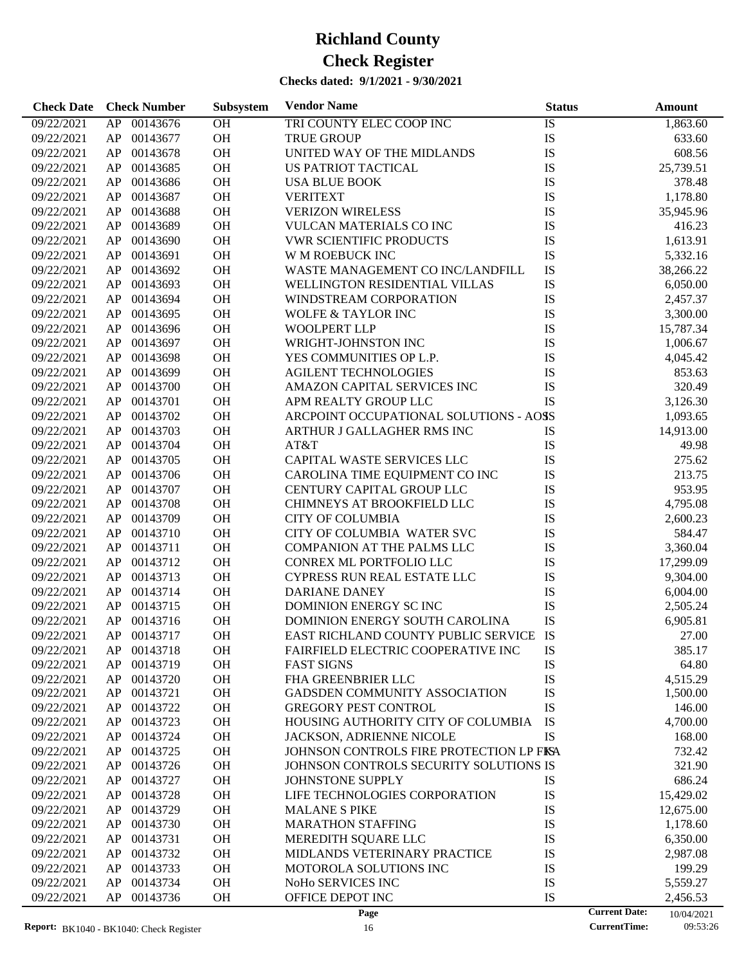#### **Checks dated: 9/1/2021 - 9/30/2021**

| 00143676<br>OH<br>TRI COUNTY ELEC COOP INC<br>IS<br>09/22/2021<br>AP<br>1,863.60<br>OH<br>IS<br>09/22/2021<br>00143677<br><b>TRUE GROUP</b><br>633.60<br>AP<br>OH<br>IS<br>09/22/2021<br>AP<br>00143678<br>UNITED WAY OF THE MIDLANDS<br>608.56<br>OH<br>IS<br>09/22/2021<br>AP<br>00143685<br>US PATRIOT TACTICAL<br>25,739.51<br>OH<br>IS<br>09/22/2021<br>00143686<br>378.48<br>AP<br><b>USA BLUE BOOK</b><br>OH<br>09/22/2021<br>00143687<br><b>VERITEXT</b><br>IS<br>1,178.80<br>AP<br>OH<br>IS<br>09/22/2021<br>AP<br>00143688<br><b>VERIZON WIRELESS</b><br>35,945.96<br>OH<br>IS<br>09/22/2021<br>AP<br>00143689<br>VULCAN MATERIALS CO INC<br>416.23<br>OH<br>IS<br>09/22/2021<br>00143690<br><b>VWR SCIENTIFIC PRODUCTS</b><br>1,613.91<br>AP<br>OH<br>IS<br>09/22/2021<br>00143691<br>W M ROEBUCK INC<br>5,332.16<br>AP<br>OH<br>IS<br>09/22/2021<br>AP<br>00143692<br>WASTE MANAGEMENT CO INC/LANDFILL<br>38,266.22<br>OH<br>IS<br>09/22/2021<br>AP<br>00143693<br>WELLINGTON RESIDENTIAL VILLAS<br>6,050.00<br>OH<br>IS<br>09/22/2021<br>00143694<br>2,457.37<br>AP<br>WINDSTREAM CORPORATION<br>OH<br>09/22/2021<br>AP<br>00143695<br>IS<br>3,300.00<br><b>WOLFE &amp; TAYLOR INC</b><br>OH<br>IS<br>09/22/2021<br>AP<br>00143696<br><b>WOOLPERT LLP</b><br>15,787.34<br>OH<br>IS<br>09/22/2021<br>AP<br>00143697<br>WRIGHT-JOHNSTON INC<br>1,006.67<br>OH<br>IS<br>09/22/2021<br>00143698<br>YES COMMUNITIES OP L.P.<br>4,045.42<br>AP<br>OH<br>IS<br>09/22/2021<br>00143699<br><b>AGILENT TECHNOLOGIES</b><br>853.63<br>AP<br>OH<br>IS<br>09/22/2021<br>AP<br>00143700<br>AMAZON CAPITAL SERVICES INC<br>320.49<br>OH<br>IS<br>09/22/2021<br>AP<br>00143701<br>APM REALTY GROUP LLC<br>3,126.30<br>OH<br>09/22/2021<br>00143702<br>ARCPOINT OCCUPATIONAL SOLUTIONS - AOSS<br>AP<br>1,093.65<br>OH<br>09/22/2021<br>AP<br>00143703<br>ARTHUR J GALLAGHER RMS INC<br>IS<br>14,913.00<br>OH<br>09/22/2021<br>AP<br>00143704<br>AT&T<br>IS<br>49.98<br>OH<br>IS<br>09/22/2021<br>AP<br>00143705<br>CAPITAL WASTE SERVICES LLC<br>275.62<br>OH<br>IS<br>09/22/2021<br>00143706<br>CAROLINA TIME EQUIPMENT CO INC<br>213.75<br>AP<br>OH<br>IS<br>09/22/2021<br>AP<br>00143707<br>CENTURY CAPITAL GROUP LLC<br>953.95<br>OH<br>IS<br>09/22/2021<br>AP<br>00143708<br>CHIMNEYS AT BROOKFIELD LLC<br>4,795.08<br>OH<br>IS<br>09/22/2021<br>AP<br>00143709<br><b>CITY OF COLUMBIA</b><br>2,600.23<br>OH<br>IS<br>09/22/2021<br>00143710<br>CITY OF COLUMBIA WATER SVC<br>584.47<br>AP<br>OH<br>09/22/2021<br>AP<br>00143711<br>COMPANION AT THE PALMS LLC<br>IS<br>3,360.04<br>OH<br>IS<br>09/22/2021<br>AP<br>00143712<br>CONREX ML PORTFOLIO LLC<br>17,299.09<br>OH<br>09/22/2021<br>AP<br>00143713<br>CYPRESS RUN REAL ESTATE LLC<br>IS<br>9,304.00<br>OH<br>IS<br>09/22/2021<br>00143714<br>AP<br>DARIANE DANEY<br>6,004.00<br>OH<br>IS<br>09/22/2021<br>00143715<br>DOMINION ENERGY SC INC<br>2,505.24<br>AP<br>OH<br>IS<br>09/22/2021<br>AP<br>00143716<br>DOMINION ENERGY SOUTH CAROLINA<br>6,905.81<br>EAST RICHLAND COUNTY PUBLIC SERVICE IS<br>09/22/2021<br>AP 00143717<br><b>OH</b><br>27.00<br>09/22/2021<br>${\sf AP}$<br>00143718<br><b>OH</b><br>FAIRFIELD ELECTRIC COOPERATIVE INC<br>IS<br>385.17<br>09/22/2021<br>00143719<br>OH<br><b>FAST SIGNS</b><br>IS<br>AP<br>64.80<br>IS<br>09/22/2021<br>AP<br>00143720<br>OH<br>FHA GREENBRIER LLC<br>4,515.29<br>IS<br>00143721<br><b>OH</b><br>GADSDEN COMMUNITY ASSOCIATION<br>09/22/2021<br>AP<br>1,500.00<br>IS<br>OH<br>09/22/2021<br>AP<br>00143722<br><b>GREGORY PEST CONTROL</b><br>146.00<br>IS<br>00143723<br>OH<br>HOUSING AUTHORITY CITY OF COLUMBIA<br>09/22/2021<br>AP<br>4,700.00<br>IS<br>00143724<br>OH<br>09/22/2021<br>AP<br>JACKSON, ADRIENNE NICOLE<br>168.00<br>00143725<br>OH<br>09/22/2021<br>AP<br>JOHNSON CONTROLS FIRE PROTECTION LP FISA<br>732.42<br>00143726<br>OH<br>09/22/2021<br>AP<br>JOHNSON CONTROLS SECURITY SOLUTIONS IS<br>321.90<br>00143727<br>OH<br>09/22/2021<br>AP<br>JOHNSTONE SUPPLY<br>IS<br>686.24<br>IS<br>00143728<br>OH<br>09/22/2021<br>AP<br>LIFE TECHNOLOGIES CORPORATION<br>15,429.02<br>00143729<br>OH<br>IS<br>09/22/2021<br>AP<br><b>MALANE S PIKE</b><br>12,675.00<br>IS<br>00143730<br>OH<br><b>MARATHON STAFFING</b><br>09/22/2021<br>AP<br>1,178.60<br>IS<br>00143731<br>OH<br>MEREDITH SQUARE LLC<br>09/22/2021<br>AP<br>6,350.00<br>IS<br>00143732<br>OH<br>09/22/2021<br>AP<br>MIDLANDS VETERINARY PRACTICE<br>2,987.08<br>00143733<br>OH<br>IS<br>09/22/2021<br>AP<br>MOTOROLA SOLUTIONS INC<br>199.29<br>IS<br>00143734<br>OH<br>NoHo SERVICES INC<br>09/22/2021<br>AP<br>5,559.27<br>IS<br>09/22/2021<br>00143736<br>OH<br>OFFICE DEPOT INC<br>AP<br>2,456.53 | <b>Check Date</b> | <b>Check Number</b> | Subsystem | <b>Vendor Name</b> | <b>Status</b> |                      | <b>Amount</b> |
|-------------------------------------------------------------------------------------------------------------------------------------------------------------------------------------------------------------------------------------------------------------------------------------------------------------------------------------------------------------------------------------------------------------------------------------------------------------------------------------------------------------------------------------------------------------------------------------------------------------------------------------------------------------------------------------------------------------------------------------------------------------------------------------------------------------------------------------------------------------------------------------------------------------------------------------------------------------------------------------------------------------------------------------------------------------------------------------------------------------------------------------------------------------------------------------------------------------------------------------------------------------------------------------------------------------------------------------------------------------------------------------------------------------------------------------------------------------------------------------------------------------------------------------------------------------------------------------------------------------------------------------------------------------------------------------------------------------------------------------------------------------------------------------------------------------------------------------------------------------------------------------------------------------------------------------------------------------------------------------------------------------------------------------------------------------------------------------------------------------------------------------------------------------------------------------------------------------------------------------------------------------------------------------------------------------------------------------------------------------------------------------------------------------------------------------------------------------------------------------------------------------------------------------------------------------------------------------------------------------------------------------------------------------------------------------------------------------------------------------------------------------------------------------------------------------------------------------------------------------------------------------------------------------------------------------------------------------------------------------------------------------------------------------------------------------------------------------------------------------------------------------------------------------------------------------------------------------------------------------------------------------------------------------------------------------------------------------------------------------------------------------------------------------------------------------------------------------------------------------------------------------------------------------------------------------------------------------------------------------------------------------------------------------------------------------------------------------------------------------------------------------------------------------------------------------------------------------------------------------------------------------------------------------------------------------------------------------------------------------------------------------------------------------------------------------------------------------------------------------------------------------------------------------------------------------------------------------------------------------------------------------------------------------------------------------------------------------------------------------------------------------------------------------------------------------------------------------------------------------------------------------------------------------------------------------------------------------------------------------------------------------------------------------------------------------------------------|-------------------|---------------------|-----------|--------------------|---------------|----------------------|---------------|
|                                                                                                                                                                                                                                                                                                                                                                                                                                                                                                                                                                                                                                                                                                                                                                                                                                                                                                                                                                                                                                                                                                                                                                                                                                                                                                                                                                                                                                                                                                                                                                                                                                                                                                                                                                                                                                                                                                                                                                                                                                                                                                                                                                                                                                                                                                                                                                                                                                                                                                                                                                                                                                                                                                                                                                                                                                                                                                                                                                                                                                                                                                                                                                                                                                                                                                                                                                                                                                                                                                                                                                                                                                                                                                                                                                                                                                                                                                                                                                                                                                                                                                                                                                                                                                                                                                                                                                                                                                                                                                                                                                                                                                                                                                       |                   |                     |           |                    |               |                      |               |
|                                                                                                                                                                                                                                                                                                                                                                                                                                                                                                                                                                                                                                                                                                                                                                                                                                                                                                                                                                                                                                                                                                                                                                                                                                                                                                                                                                                                                                                                                                                                                                                                                                                                                                                                                                                                                                                                                                                                                                                                                                                                                                                                                                                                                                                                                                                                                                                                                                                                                                                                                                                                                                                                                                                                                                                                                                                                                                                                                                                                                                                                                                                                                                                                                                                                                                                                                                                                                                                                                                                                                                                                                                                                                                                                                                                                                                                                                                                                                                                                                                                                                                                                                                                                                                                                                                                                                                                                                                                                                                                                                                                                                                                                                                       |                   |                     |           |                    |               |                      |               |
|                                                                                                                                                                                                                                                                                                                                                                                                                                                                                                                                                                                                                                                                                                                                                                                                                                                                                                                                                                                                                                                                                                                                                                                                                                                                                                                                                                                                                                                                                                                                                                                                                                                                                                                                                                                                                                                                                                                                                                                                                                                                                                                                                                                                                                                                                                                                                                                                                                                                                                                                                                                                                                                                                                                                                                                                                                                                                                                                                                                                                                                                                                                                                                                                                                                                                                                                                                                                                                                                                                                                                                                                                                                                                                                                                                                                                                                                                                                                                                                                                                                                                                                                                                                                                                                                                                                                                                                                                                                                                                                                                                                                                                                                                                       |                   |                     |           |                    |               |                      |               |
|                                                                                                                                                                                                                                                                                                                                                                                                                                                                                                                                                                                                                                                                                                                                                                                                                                                                                                                                                                                                                                                                                                                                                                                                                                                                                                                                                                                                                                                                                                                                                                                                                                                                                                                                                                                                                                                                                                                                                                                                                                                                                                                                                                                                                                                                                                                                                                                                                                                                                                                                                                                                                                                                                                                                                                                                                                                                                                                                                                                                                                                                                                                                                                                                                                                                                                                                                                                                                                                                                                                                                                                                                                                                                                                                                                                                                                                                                                                                                                                                                                                                                                                                                                                                                                                                                                                                                                                                                                                                                                                                                                                                                                                                                                       |                   |                     |           |                    |               |                      |               |
|                                                                                                                                                                                                                                                                                                                                                                                                                                                                                                                                                                                                                                                                                                                                                                                                                                                                                                                                                                                                                                                                                                                                                                                                                                                                                                                                                                                                                                                                                                                                                                                                                                                                                                                                                                                                                                                                                                                                                                                                                                                                                                                                                                                                                                                                                                                                                                                                                                                                                                                                                                                                                                                                                                                                                                                                                                                                                                                                                                                                                                                                                                                                                                                                                                                                                                                                                                                                                                                                                                                                                                                                                                                                                                                                                                                                                                                                                                                                                                                                                                                                                                                                                                                                                                                                                                                                                                                                                                                                                                                                                                                                                                                                                                       |                   |                     |           |                    |               |                      |               |
|                                                                                                                                                                                                                                                                                                                                                                                                                                                                                                                                                                                                                                                                                                                                                                                                                                                                                                                                                                                                                                                                                                                                                                                                                                                                                                                                                                                                                                                                                                                                                                                                                                                                                                                                                                                                                                                                                                                                                                                                                                                                                                                                                                                                                                                                                                                                                                                                                                                                                                                                                                                                                                                                                                                                                                                                                                                                                                                                                                                                                                                                                                                                                                                                                                                                                                                                                                                                                                                                                                                                                                                                                                                                                                                                                                                                                                                                                                                                                                                                                                                                                                                                                                                                                                                                                                                                                                                                                                                                                                                                                                                                                                                                                                       |                   |                     |           |                    |               |                      |               |
|                                                                                                                                                                                                                                                                                                                                                                                                                                                                                                                                                                                                                                                                                                                                                                                                                                                                                                                                                                                                                                                                                                                                                                                                                                                                                                                                                                                                                                                                                                                                                                                                                                                                                                                                                                                                                                                                                                                                                                                                                                                                                                                                                                                                                                                                                                                                                                                                                                                                                                                                                                                                                                                                                                                                                                                                                                                                                                                                                                                                                                                                                                                                                                                                                                                                                                                                                                                                                                                                                                                                                                                                                                                                                                                                                                                                                                                                                                                                                                                                                                                                                                                                                                                                                                                                                                                                                                                                                                                                                                                                                                                                                                                                                                       |                   |                     |           |                    |               |                      |               |
|                                                                                                                                                                                                                                                                                                                                                                                                                                                                                                                                                                                                                                                                                                                                                                                                                                                                                                                                                                                                                                                                                                                                                                                                                                                                                                                                                                                                                                                                                                                                                                                                                                                                                                                                                                                                                                                                                                                                                                                                                                                                                                                                                                                                                                                                                                                                                                                                                                                                                                                                                                                                                                                                                                                                                                                                                                                                                                                                                                                                                                                                                                                                                                                                                                                                                                                                                                                                                                                                                                                                                                                                                                                                                                                                                                                                                                                                                                                                                                                                                                                                                                                                                                                                                                                                                                                                                                                                                                                                                                                                                                                                                                                                                                       |                   |                     |           |                    |               |                      |               |
|                                                                                                                                                                                                                                                                                                                                                                                                                                                                                                                                                                                                                                                                                                                                                                                                                                                                                                                                                                                                                                                                                                                                                                                                                                                                                                                                                                                                                                                                                                                                                                                                                                                                                                                                                                                                                                                                                                                                                                                                                                                                                                                                                                                                                                                                                                                                                                                                                                                                                                                                                                                                                                                                                                                                                                                                                                                                                                                                                                                                                                                                                                                                                                                                                                                                                                                                                                                                                                                                                                                                                                                                                                                                                                                                                                                                                                                                                                                                                                                                                                                                                                                                                                                                                                                                                                                                                                                                                                                                                                                                                                                                                                                                                                       |                   |                     |           |                    |               |                      |               |
|                                                                                                                                                                                                                                                                                                                                                                                                                                                                                                                                                                                                                                                                                                                                                                                                                                                                                                                                                                                                                                                                                                                                                                                                                                                                                                                                                                                                                                                                                                                                                                                                                                                                                                                                                                                                                                                                                                                                                                                                                                                                                                                                                                                                                                                                                                                                                                                                                                                                                                                                                                                                                                                                                                                                                                                                                                                                                                                                                                                                                                                                                                                                                                                                                                                                                                                                                                                                                                                                                                                                                                                                                                                                                                                                                                                                                                                                                                                                                                                                                                                                                                                                                                                                                                                                                                                                                                                                                                                                                                                                                                                                                                                                                                       |                   |                     |           |                    |               |                      |               |
|                                                                                                                                                                                                                                                                                                                                                                                                                                                                                                                                                                                                                                                                                                                                                                                                                                                                                                                                                                                                                                                                                                                                                                                                                                                                                                                                                                                                                                                                                                                                                                                                                                                                                                                                                                                                                                                                                                                                                                                                                                                                                                                                                                                                                                                                                                                                                                                                                                                                                                                                                                                                                                                                                                                                                                                                                                                                                                                                                                                                                                                                                                                                                                                                                                                                                                                                                                                                                                                                                                                                                                                                                                                                                                                                                                                                                                                                                                                                                                                                                                                                                                                                                                                                                                                                                                                                                                                                                                                                                                                                                                                                                                                                                                       |                   |                     |           |                    |               |                      |               |
|                                                                                                                                                                                                                                                                                                                                                                                                                                                                                                                                                                                                                                                                                                                                                                                                                                                                                                                                                                                                                                                                                                                                                                                                                                                                                                                                                                                                                                                                                                                                                                                                                                                                                                                                                                                                                                                                                                                                                                                                                                                                                                                                                                                                                                                                                                                                                                                                                                                                                                                                                                                                                                                                                                                                                                                                                                                                                                                                                                                                                                                                                                                                                                                                                                                                                                                                                                                                                                                                                                                                                                                                                                                                                                                                                                                                                                                                                                                                                                                                                                                                                                                                                                                                                                                                                                                                                                                                                                                                                                                                                                                                                                                                                                       |                   |                     |           |                    |               |                      |               |
|                                                                                                                                                                                                                                                                                                                                                                                                                                                                                                                                                                                                                                                                                                                                                                                                                                                                                                                                                                                                                                                                                                                                                                                                                                                                                                                                                                                                                                                                                                                                                                                                                                                                                                                                                                                                                                                                                                                                                                                                                                                                                                                                                                                                                                                                                                                                                                                                                                                                                                                                                                                                                                                                                                                                                                                                                                                                                                                                                                                                                                                                                                                                                                                                                                                                                                                                                                                                                                                                                                                                                                                                                                                                                                                                                                                                                                                                                                                                                                                                                                                                                                                                                                                                                                                                                                                                                                                                                                                                                                                                                                                                                                                                                                       |                   |                     |           |                    |               |                      |               |
|                                                                                                                                                                                                                                                                                                                                                                                                                                                                                                                                                                                                                                                                                                                                                                                                                                                                                                                                                                                                                                                                                                                                                                                                                                                                                                                                                                                                                                                                                                                                                                                                                                                                                                                                                                                                                                                                                                                                                                                                                                                                                                                                                                                                                                                                                                                                                                                                                                                                                                                                                                                                                                                                                                                                                                                                                                                                                                                                                                                                                                                                                                                                                                                                                                                                                                                                                                                                                                                                                                                                                                                                                                                                                                                                                                                                                                                                                                                                                                                                                                                                                                                                                                                                                                                                                                                                                                                                                                                                                                                                                                                                                                                                                                       |                   |                     |           |                    |               |                      |               |
|                                                                                                                                                                                                                                                                                                                                                                                                                                                                                                                                                                                                                                                                                                                                                                                                                                                                                                                                                                                                                                                                                                                                                                                                                                                                                                                                                                                                                                                                                                                                                                                                                                                                                                                                                                                                                                                                                                                                                                                                                                                                                                                                                                                                                                                                                                                                                                                                                                                                                                                                                                                                                                                                                                                                                                                                                                                                                                                                                                                                                                                                                                                                                                                                                                                                                                                                                                                                                                                                                                                                                                                                                                                                                                                                                                                                                                                                                                                                                                                                                                                                                                                                                                                                                                                                                                                                                                                                                                                                                                                                                                                                                                                                                                       |                   |                     |           |                    |               |                      |               |
|                                                                                                                                                                                                                                                                                                                                                                                                                                                                                                                                                                                                                                                                                                                                                                                                                                                                                                                                                                                                                                                                                                                                                                                                                                                                                                                                                                                                                                                                                                                                                                                                                                                                                                                                                                                                                                                                                                                                                                                                                                                                                                                                                                                                                                                                                                                                                                                                                                                                                                                                                                                                                                                                                                                                                                                                                                                                                                                                                                                                                                                                                                                                                                                                                                                                                                                                                                                                                                                                                                                                                                                                                                                                                                                                                                                                                                                                                                                                                                                                                                                                                                                                                                                                                                                                                                                                                                                                                                                                                                                                                                                                                                                                                                       |                   |                     |           |                    |               |                      |               |
|                                                                                                                                                                                                                                                                                                                                                                                                                                                                                                                                                                                                                                                                                                                                                                                                                                                                                                                                                                                                                                                                                                                                                                                                                                                                                                                                                                                                                                                                                                                                                                                                                                                                                                                                                                                                                                                                                                                                                                                                                                                                                                                                                                                                                                                                                                                                                                                                                                                                                                                                                                                                                                                                                                                                                                                                                                                                                                                                                                                                                                                                                                                                                                                                                                                                                                                                                                                                                                                                                                                                                                                                                                                                                                                                                                                                                                                                                                                                                                                                                                                                                                                                                                                                                                                                                                                                                                                                                                                                                                                                                                                                                                                                                                       |                   |                     |           |                    |               |                      |               |
|                                                                                                                                                                                                                                                                                                                                                                                                                                                                                                                                                                                                                                                                                                                                                                                                                                                                                                                                                                                                                                                                                                                                                                                                                                                                                                                                                                                                                                                                                                                                                                                                                                                                                                                                                                                                                                                                                                                                                                                                                                                                                                                                                                                                                                                                                                                                                                                                                                                                                                                                                                                                                                                                                                                                                                                                                                                                                                                                                                                                                                                                                                                                                                                                                                                                                                                                                                                                                                                                                                                                                                                                                                                                                                                                                                                                                                                                                                                                                                                                                                                                                                                                                                                                                                                                                                                                                                                                                                                                                                                                                                                                                                                                                                       |                   |                     |           |                    |               |                      |               |
|                                                                                                                                                                                                                                                                                                                                                                                                                                                                                                                                                                                                                                                                                                                                                                                                                                                                                                                                                                                                                                                                                                                                                                                                                                                                                                                                                                                                                                                                                                                                                                                                                                                                                                                                                                                                                                                                                                                                                                                                                                                                                                                                                                                                                                                                                                                                                                                                                                                                                                                                                                                                                                                                                                                                                                                                                                                                                                                                                                                                                                                                                                                                                                                                                                                                                                                                                                                                                                                                                                                                                                                                                                                                                                                                                                                                                                                                                                                                                                                                                                                                                                                                                                                                                                                                                                                                                                                                                                                                                                                                                                                                                                                                                                       |                   |                     |           |                    |               |                      |               |
|                                                                                                                                                                                                                                                                                                                                                                                                                                                                                                                                                                                                                                                                                                                                                                                                                                                                                                                                                                                                                                                                                                                                                                                                                                                                                                                                                                                                                                                                                                                                                                                                                                                                                                                                                                                                                                                                                                                                                                                                                                                                                                                                                                                                                                                                                                                                                                                                                                                                                                                                                                                                                                                                                                                                                                                                                                                                                                                                                                                                                                                                                                                                                                                                                                                                                                                                                                                                                                                                                                                                                                                                                                                                                                                                                                                                                                                                                                                                                                                                                                                                                                                                                                                                                                                                                                                                                                                                                                                                                                                                                                                                                                                                                                       |                   |                     |           |                    |               |                      |               |
|                                                                                                                                                                                                                                                                                                                                                                                                                                                                                                                                                                                                                                                                                                                                                                                                                                                                                                                                                                                                                                                                                                                                                                                                                                                                                                                                                                                                                                                                                                                                                                                                                                                                                                                                                                                                                                                                                                                                                                                                                                                                                                                                                                                                                                                                                                                                                                                                                                                                                                                                                                                                                                                                                                                                                                                                                                                                                                                                                                                                                                                                                                                                                                                                                                                                                                                                                                                                                                                                                                                                                                                                                                                                                                                                                                                                                                                                                                                                                                                                                                                                                                                                                                                                                                                                                                                                                                                                                                                                                                                                                                                                                                                                                                       |                   |                     |           |                    |               |                      |               |
|                                                                                                                                                                                                                                                                                                                                                                                                                                                                                                                                                                                                                                                                                                                                                                                                                                                                                                                                                                                                                                                                                                                                                                                                                                                                                                                                                                                                                                                                                                                                                                                                                                                                                                                                                                                                                                                                                                                                                                                                                                                                                                                                                                                                                                                                                                                                                                                                                                                                                                                                                                                                                                                                                                                                                                                                                                                                                                                                                                                                                                                                                                                                                                                                                                                                                                                                                                                                                                                                                                                                                                                                                                                                                                                                                                                                                                                                                                                                                                                                                                                                                                                                                                                                                                                                                                                                                                                                                                                                                                                                                                                                                                                                                                       |                   |                     |           |                    |               |                      |               |
|                                                                                                                                                                                                                                                                                                                                                                                                                                                                                                                                                                                                                                                                                                                                                                                                                                                                                                                                                                                                                                                                                                                                                                                                                                                                                                                                                                                                                                                                                                                                                                                                                                                                                                                                                                                                                                                                                                                                                                                                                                                                                                                                                                                                                                                                                                                                                                                                                                                                                                                                                                                                                                                                                                                                                                                                                                                                                                                                                                                                                                                                                                                                                                                                                                                                                                                                                                                                                                                                                                                                                                                                                                                                                                                                                                                                                                                                                                                                                                                                                                                                                                                                                                                                                                                                                                                                                                                                                                                                                                                                                                                                                                                                                                       |                   |                     |           |                    |               |                      |               |
|                                                                                                                                                                                                                                                                                                                                                                                                                                                                                                                                                                                                                                                                                                                                                                                                                                                                                                                                                                                                                                                                                                                                                                                                                                                                                                                                                                                                                                                                                                                                                                                                                                                                                                                                                                                                                                                                                                                                                                                                                                                                                                                                                                                                                                                                                                                                                                                                                                                                                                                                                                                                                                                                                                                                                                                                                                                                                                                                                                                                                                                                                                                                                                                                                                                                                                                                                                                                                                                                                                                                                                                                                                                                                                                                                                                                                                                                                                                                                                                                                                                                                                                                                                                                                                                                                                                                                                                                                                                                                                                                                                                                                                                                                                       |                   |                     |           |                    |               |                      |               |
|                                                                                                                                                                                                                                                                                                                                                                                                                                                                                                                                                                                                                                                                                                                                                                                                                                                                                                                                                                                                                                                                                                                                                                                                                                                                                                                                                                                                                                                                                                                                                                                                                                                                                                                                                                                                                                                                                                                                                                                                                                                                                                                                                                                                                                                                                                                                                                                                                                                                                                                                                                                                                                                                                                                                                                                                                                                                                                                                                                                                                                                                                                                                                                                                                                                                                                                                                                                                                                                                                                                                                                                                                                                                                                                                                                                                                                                                                                                                                                                                                                                                                                                                                                                                                                                                                                                                                                                                                                                                                                                                                                                                                                                                                                       |                   |                     |           |                    |               |                      |               |
|                                                                                                                                                                                                                                                                                                                                                                                                                                                                                                                                                                                                                                                                                                                                                                                                                                                                                                                                                                                                                                                                                                                                                                                                                                                                                                                                                                                                                                                                                                                                                                                                                                                                                                                                                                                                                                                                                                                                                                                                                                                                                                                                                                                                                                                                                                                                                                                                                                                                                                                                                                                                                                                                                                                                                                                                                                                                                                                                                                                                                                                                                                                                                                                                                                                                                                                                                                                                                                                                                                                                                                                                                                                                                                                                                                                                                                                                                                                                                                                                                                                                                                                                                                                                                                                                                                                                                                                                                                                                                                                                                                                                                                                                                                       |                   |                     |           |                    |               |                      |               |
|                                                                                                                                                                                                                                                                                                                                                                                                                                                                                                                                                                                                                                                                                                                                                                                                                                                                                                                                                                                                                                                                                                                                                                                                                                                                                                                                                                                                                                                                                                                                                                                                                                                                                                                                                                                                                                                                                                                                                                                                                                                                                                                                                                                                                                                                                                                                                                                                                                                                                                                                                                                                                                                                                                                                                                                                                                                                                                                                                                                                                                                                                                                                                                                                                                                                                                                                                                                                                                                                                                                                                                                                                                                                                                                                                                                                                                                                                                                                                                                                                                                                                                                                                                                                                                                                                                                                                                                                                                                                                                                                                                                                                                                                                                       |                   |                     |           |                    |               |                      |               |
|                                                                                                                                                                                                                                                                                                                                                                                                                                                                                                                                                                                                                                                                                                                                                                                                                                                                                                                                                                                                                                                                                                                                                                                                                                                                                                                                                                                                                                                                                                                                                                                                                                                                                                                                                                                                                                                                                                                                                                                                                                                                                                                                                                                                                                                                                                                                                                                                                                                                                                                                                                                                                                                                                                                                                                                                                                                                                                                                                                                                                                                                                                                                                                                                                                                                                                                                                                                                                                                                                                                                                                                                                                                                                                                                                                                                                                                                                                                                                                                                                                                                                                                                                                                                                                                                                                                                                                                                                                                                                                                                                                                                                                                                                                       |                   |                     |           |                    |               |                      |               |
|                                                                                                                                                                                                                                                                                                                                                                                                                                                                                                                                                                                                                                                                                                                                                                                                                                                                                                                                                                                                                                                                                                                                                                                                                                                                                                                                                                                                                                                                                                                                                                                                                                                                                                                                                                                                                                                                                                                                                                                                                                                                                                                                                                                                                                                                                                                                                                                                                                                                                                                                                                                                                                                                                                                                                                                                                                                                                                                                                                                                                                                                                                                                                                                                                                                                                                                                                                                                                                                                                                                                                                                                                                                                                                                                                                                                                                                                                                                                                                                                                                                                                                                                                                                                                                                                                                                                                                                                                                                                                                                                                                                                                                                                                                       |                   |                     |           |                    |               |                      |               |
|                                                                                                                                                                                                                                                                                                                                                                                                                                                                                                                                                                                                                                                                                                                                                                                                                                                                                                                                                                                                                                                                                                                                                                                                                                                                                                                                                                                                                                                                                                                                                                                                                                                                                                                                                                                                                                                                                                                                                                                                                                                                                                                                                                                                                                                                                                                                                                                                                                                                                                                                                                                                                                                                                                                                                                                                                                                                                                                                                                                                                                                                                                                                                                                                                                                                                                                                                                                                                                                                                                                                                                                                                                                                                                                                                                                                                                                                                                                                                                                                                                                                                                                                                                                                                                                                                                                                                                                                                                                                                                                                                                                                                                                                                                       |                   |                     |           |                    |               |                      |               |
|                                                                                                                                                                                                                                                                                                                                                                                                                                                                                                                                                                                                                                                                                                                                                                                                                                                                                                                                                                                                                                                                                                                                                                                                                                                                                                                                                                                                                                                                                                                                                                                                                                                                                                                                                                                                                                                                                                                                                                                                                                                                                                                                                                                                                                                                                                                                                                                                                                                                                                                                                                                                                                                                                                                                                                                                                                                                                                                                                                                                                                                                                                                                                                                                                                                                                                                                                                                                                                                                                                                                                                                                                                                                                                                                                                                                                                                                                                                                                                                                                                                                                                                                                                                                                                                                                                                                                                                                                                                                                                                                                                                                                                                                                                       |                   |                     |           |                    |               |                      |               |
|                                                                                                                                                                                                                                                                                                                                                                                                                                                                                                                                                                                                                                                                                                                                                                                                                                                                                                                                                                                                                                                                                                                                                                                                                                                                                                                                                                                                                                                                                                                                                                                                                                                                                                                                                                                                                                                                                                                                                                                                                                                                                                                                                                                                                                                                                                                                                                                                                                                                                                                                                                                                                                                                                                                                                                                                                                                                                                                                                                                                                                                                                                                                                                                                                                                                                                                                                                                                                                                                                                                                                                                                                                                                                                                                                                                                                                                                                                                                                                                                                                                                                                                                                                                                                                                                                                                                                                                                                                                                                                                                                                                                                                                                                                       |                   |                     |           |                    |               |                      |               |
|                                                                                                                                                                                                                                                                                                                                                                                                                                                                                                                                                                                                                                                                                                                                                                                                                                                                                                                                                                                                                                                                                                                                                                                                                                                                                                                                                                                                                                                                                                                                                                                                                                                                                                                                                                                                                                                                                                                                                                                                                                                                                                                                                                                                                                                                                                                                                                                                                                                                                                                                                                                                                                                                                                                                                                                                                                                                                                                                                                                                                                                                                                                                                                                                                                                                                                                                                                                                                                                                                                                                                                                                                                                                                                                                                                                                                                                                                                                                                                                                                                                                                                                                                                                                                                                                                                                                                                                                                                                                                                                                                                                                                                                                                                       |                   |                     |           |                    |               |                      |               |
|                                                                                                                                                                                                                                                                                                                                                                                                                                                                                                                                                                                                                                                                                                                                                                                                                                                                                                                                                                                                                                                                                                                                                                                                                                                                                                                                                                                                                                                                                                                                                                                                                                                                                                                                                                                                                                                                                                                                                                                                                                                                                                                                                                                                                                                                                                                                                                                                                                                                                                                                                                                                                                                                                                                                                                                                                                                                                                                                                                                                                                                                                                                                                                                                                                                                                                                                                                                                                                                                                                                                                                                                                                                                                                                                                                                                                                                                                                                                                                                                                                                                                                                                                                                                                                                                                                                                                                                                                                                                                                                                                                                                                                                                                                       |                   |                     |           |                    |               |                      |               |
|                                                                                                                                                                                                                                                                                                                                                                                                                                                                                                                                                                                                                                                                                                                                                                                                                                                                                                                                                                                                                                                                                                                                                                                                                                                                                                                                                                                                                                                                                                                                                                                                                                                                                                                                                                                                                                                                                                                                                                                                                                                                                                                                                                                                                                                                                                                                                                                                                                                                                                                                                                                                                                                                                                                                                                                                                                                                                                                                                                                                                                                                                                                                                                                                                                                                                                                                                                                                                                                                                                                                                                                                                                                                                                                                                                                                                                                                                                                                                                                                                                                                                                                                                                                                                                                                                                                                                                                                                                                                                                                                                                                                                                                                                                       |                   |                     |           |                    |               |                      |               |
|                                                                                                                                                                                                                                                                                                                                                                                                                                                                                                                                                                                                                                                                                                                                                                                                                                                                                                                                                                                                                                                                                                                                                                                                                                                                                                                                                                                                                                                                                                                                                                                                                                                                                                                                                                                                                                                                                                                                                                                                                                                                                                                                                                                                                                                                                                                                                                                                                                                                                                                                                                                                                                                                                                                                                                                                                                                                                                                                                                                                                                                                                                                                                                                                                                                                                                                                                                                                                                                                                                                                                                                                                                                                                                                                                                                                                                                                                                                                                                                                                                                                                                                                                                                                                                                                                                                                                                                                                                                                                                                                                                                                                                                                                                       |                   |                     |           |                    |               |                      |               |
|                                                                                                                                                                                                                                                                                                                                                                                                                                                                                                                                                                                                                                                                                                                                                                                                                                                                                                                                                                                                                                                                                                                                                                                                                                                                                                                                                                                                                                                                                                                                                                                                                                                                                                                                                                                                                                                                                                                                                                                                                                                                                                                                                                                                                                                                                                                                                                                                                                                                                                                                                                                                                                                                                                                                                                                                                                                                                                                                                                                                                                                                                                                                                                                                                                                                                                                                                                                                                                                                                                                                                                                                                                                                                                                                                                                                                                                                                                                                                                                                                                                                                                                                                                                                                                                                                                                                                                                                                                                                                                                                                                                                                                                                                                       |                   |                     |           |                    |               |                      |               |
|                                                                                                                                                                                                                                                                                                                                                                                                                                                                                                                                                                                                                                                                                                                                                                                                                                                                                                                                                                                                                                                                                                                                                                                                                                                                                                                                                                                                                                                                                                                                                                                                                                                                                                                                                                                                                                                                                                                                                                                                                                                                                                                                                                                                                                                                                                                                                                                                                                                                                                                                                                                                                                                                                                                                                                                                                                                                                                                                                                                                                                                                                                                                                                                                                                                                                                                                                                                                                                                                                                                                                                                                                                                                                                                                                                                                                                                                                                                                                                                                                                                                                                                                                                                                                                                                                                                                                                                                                                                                                                                                                                                                                                                                                                       |                   |                     |           |                    |               |                      |               |
|                                                                                                                                                                                                                                                                                                                                                                                                                                                                                                                                                                                                                                                                                                                                                                                                                                                                                                                                                                                                                                                                                                                                                                                                                                                                                                                                                                                                                                                                                                                                                                                                                                                                                                                                                                                                                                                                                                                                                                                                                                                                                                                                                                                                                                                                                                                                                                                                                                                                                                                                                                                                                                                                                                                                                                                                                                                                                                                                                                                                                                                                                                                                                                                                                                                                                                                                                                                                                                                                                                                                                                                                                                                                                                                                                                                                                                                                                                                                                                                                                                                                                                                                                                                                                                                                                                                                                                                                                                                                                                                                                                                                                                                                                                       |                   |                     |           |                    |               |                      |               |
|                                                                                                                                                                                                                                                                                                                                                                                                                                                                                                                                                                                                                                                                                                                                                                                                                                                                                                                                                                                                                                                                                                                                                                                                                                                                                                                                                                                                                                                                                                                                                                                                                                                                                                                                                                                                                                                                                                                                                                                                                                                                                                                                                                                                                                                                                                                                                                                                                                                                                                                                                                                                                                                                                                                                                                                                                                                                                                                                                                                                                                                                                                                                                                                                                                                                                                                                                                                                                                                                                                                                                                                                                                                                                                                                                                                                                                                                                                                                                                                                                                                                                                                                                                                                                                                                                                                                                                                                                                                                                                                                                                                                                                                                                                       |                   |                     |           |                    |               |                      |               |
|                                                                                                                                                                                                                                                                                                                                                                                                                                                                                                                                                                                                                                                                                                                                                                                                                                                                                                                                                                                                                                                                                                                                                                                                                                                                                                                                                                                                                                                                                                                                                                                                                                                                                                                                                                                                                                                                                                                                                                                                                                                                                                                                                                                                                                                                                                                                                                                                                                                                                                                                                                                                                                                                                                                                                                                                                                                                                                                                                                                                                                                                                                                                                                                                                                                                                                                                                                                                                                                                                                                                                                                                                                                                                                                                                                                                                                                                                                                                                                                                                                                                                                                                                                                                                                                                                                                                                                                                                                                                                                                                                                                                                                                                                                       |                   |                     |           |                    |               |                      |               |
|                                                                                                                                                                                                                                                                                                                                                                                                                                                                                                                                                                                                                                                                                                                                                                                                                                                                                                                                                                                                                                                                                                                                                                                                                                                                                                                                                                                                                                                                                                                                                                                                                                                                                                                                                                                                                                                                                                                                                                                                                                                                                                                                                                                                                                                                                                                                                                                                                                                                                                                                                                                                                                                                                                                                                                                                                                                                                                                                                                                                                                                                                                                                                                                                                                                                                                                                                                                                                                                                                                                                                                                                                                                                                                                                                                                                                                                                                                                                                                                                                                                                                                                                                                                                                                                                                                                                                                                                                                                                                                                                                                                                                                                                                                       |                   |                     |           |                    |               |                      |               |
|                                                                                                                                                                                                                                                                                                                                                                                                                                                                                                                                                                                                                                                                                                                                                                                                                                                                                                                                                                                                                                                                                                                                                                                                                                                                                                                                                                                                                                                                                                                                                                                                                                                                                                                                                                                                                                                                                                                                                                                                                                                                                                                                                                                                                                                                                                                                                                                                                                                                                                                                                                                                                                                                                                                                                                                                                                                                                                                                                                                                                                                                                                                                                                                                                                                                                                                                                                                                                                                                                                                                                                                                                                                                                                                                                                                                                                                                                                                                                                                                                                                                                                                                                                                                                                                                                                                                                                                                                                                                                                                                                                                                                                                                                                       |                   |                     |           |                    |               |                      |               |
|                                                                                                                                                                                                                                                                                                                                                                                                                                                                                                                                                                                                                                                                                                                                                                                                                                                                                                                                                                                                                                                                                                                                                                                                                                                                                                                                                                                                                                                                                                                                                                                                                                                                                                                                                                                                                                                                                                                                                                                                                                                                                                                                                                                                                                                                                                                                                                                                                                                                                                                                                                                                                                                                                                                                                                                                                                                                                                                                                                                                                                                                                                                                                                                                                                                                                                                                                                                                                                                                                                                                                                                                                                                                                                                                                                                                                                                                                                                                                                                                                                                                                                                                                                                                                                                                                                                                                                                                                                                                                                                                                                                                                                                                                                       |                   |                     |           |                    |               |                      |               |
|                                                                                                                                                                                                                                                                                                                                                                                                                                                                                                                                                                                                                                                                                                                                                                                                                                                                                                                                                                                                                                                                                                                                                                                                                                                                                                                                                                                                                                                                                                                                                                                                                                                                                                                                                                                                                                                                                                                                                                                                                                                                                                                                                                                                                                                                                                                                                                                                                                                                                                                                                                                                                                                                                                                                                                                                                                                                                                                                                                                                                                                                                                                                                                                                                                                                                                                                                                                                                                                                                                                                                                                                                                                                                                                                                                                                                                                                                                                                                                                                                                                                                                                                                                                                                                                                                                                                                                                                                                                                                                                                                                                                                                                                                                       |                   |                     |           |                    |               |                      |               |
|                                                                                                                                                                                                                                                                                                                                                                                                                                                                                                                                                                                                                                                                                                                                                                                                                                                                                                                                                                                                                                                                                                                                                                                                                                                                                                                                                                                                                                                                                                                                                                                                                                                                                                                                                                                                                                                                                                                                                                                                                                                                                                                                                                                                                                                                                                                                                                                                                                                                                                                                                                                                                                                                                                                                                                                                                                                                                                                                                                                                                                                                                                                                                                                                                                                                                                                                                                                                                                                                                                                                                                                                                                                                                                                                                                                                                                                                                                                                                                                                                                                                                                                                                                                                                                                                                                                                                                                                                                                                                                                                                                                                                                                                                                       |                   |                     |           |                    |               |                      |               |
|                                                                                                                                                                                                                                                                                                                                                                                                                                                                                                                                                                                                                                                                                                                                                                                                                                                                                                                                                                                                                                                                                                                                                                                                                                                                                                                                                                                                                                                                                                                                                                                                                                                                                                                                                                                                                                                                                                                                                                                                                                                                                                                                                                                                                                                                                                                                                                                                                                                                                                                                                                                                                                                                                                                                                                                                                                                                                                                                                                                                                                                                                                                                                                                                                                                                                                                                                                                                                                                                                                                                                                                                                                                                                                                                                                                                                                                                                                                                                                                                                                                                                                                                                                                                                                                                                                                                                                                                                                                                                                                                                                                                                                                                                                       |                   |                     |           |                    |               |                      |               |
|                                                                                                                                                                                                                                                                                                                                                                                                                                                                                                                                                                                                                                                                                                                                                                                                                                                                                                                                                                                                                                                                                                                                                                                                                                                                                                                                                                                                                                                                                                                                                                                                                                                                                                                                                                                                                                                                                                                                                                                                                                                                                                                                                                                                                                                                                                                                                                                                                                                                                                                                                                                                                                                                                                                                                                                                                                                                                                                                                                                                                                                                                                                                                                                                                                                                                                                                                                                                                                                                                                                                                                                                                                                                                                                                                                                                                                                                                                                                                                                                                                                                                                                                                                                                                                                                                                                                                                                                                                                                                                                                                                                                                                                                                                       |                   |                     |           |                    |               |                      |               |
|                                                                                                                                                                                                                                                                                                                                                                                                                                                                                                                                                                                                                                                                                                                                                                                                                                                                                                                                                                                                                                                                                                                                                                                                                                                                                                                                                                                                                                                                                                                                                                                                                                                                                                                                                                                                                                                                                                                                                                                                                                                                                                                                                                                                                                                                                                                                                                                                                                                                                                                                                                                                                                                                                                                                                                                                                                                                                                                                                                                                                                                                                                                                                                                                                                                                                                                                                                                                                                                                                                                                                                                                                                                                                                                                                                                                                                                                                                                                                                                                                                                                                                                                                                                                                                                                                                                                                                                                                                                                                                                                                                                                                                                                                                       |                   |                     |           |                    |               |                      |               |
|                                                                                                                                                                                                                                                                                                                                                                                                                                                                                                                                                                                                                                                                                                                                                                                                                                                                                                                                                                                                                                                                                                                                                                                                                                                                                                                                                                                                                                                                                                                                                                                                                                                                                                                                                                                                                                                                                                                                                                                                                                                                                                                                                                                                                                                                                                                                                                                                                                                                                                                                                                                                                                                                                                                                                                                                                                                                                                                                                                                                                                                                                                                                                                                                                                                                                                                                                                                                                                                                                                                                                                                                                                                                                                                                                                                                                                                                                                                                                                                                                                                                                                                                                                                                                                                                                                                                                                                                                                                                                                                                                                                                                                                                                                       |                   |                     |           |                    |               |                      |               |
|                                                                                                                                                                                                                                                                                                                                                                                                                                                                                                                                                                                                                                                                                                                                                                                                                                                                                                                                                                                                                                                                                                                                                                                                                                                                                                                                                                                                                                                                                                                                                                                                                                                                                                                                                                                                                                                                                                                                                                                                                                                                                                                                                                                                                                                                                                                                                                                                                                                                                                                                                                                                                                                                                                                                                                                                                                                                                                                                                                                                                                                                                                                                                                                                                                                                                                                                                                                                                                                                                                                                                                                                                                                                                                                                                                                                                                                                                                                                                                                                                                                                                                                                                                                                                                                                                                                                                                                                                                                                                                                                                                                                                                                                                                       |                   |                     |           |                    |               |                      |               |
|                                                                                                                                                                                                                                                                                                                                                                                                                                                                                                                                                                                                                                                                                                                                                                                                                                                                                                                                                                                                                                                                                                                                                                                                                                                                                                                                                                                                                                                                                                                                                                                                                                                                                                                                                                                                                                                                                                                                                                                                                                                                                                                                                                                                                                                                                                                                                                                                                                                                                                                                                                                                                                                                                                                                                                                                                                                                                                                                                                                                                                                                                                                                                                                                                                                                                                                                                                                                                                                                                                                                                                                                                                                                                                                                                                                                                                                                                                                                                                                                                                                                                                                                                                                                                                                                                                                                                                                                                                                                                                                                                                                                                                                                                                       |                   |                     |           |                    |               |                      |               |
|                                                                                                                                                                                                                                                                                                                                                                                                                                                                                                                                                                                                                                                                                                                                                                                                                                                                                                                                                                                                                                                                                                                                                                                                                                                                                                                                                                                                                                                                                                                                                                                                                                                                                                                                                                                                                                                                                                                                                                                                                                                                                                                                                                                                                                                                                                                                                                                                                                                                                                                                                                                                                                                                                                                                                                                                                                                                                                                                                                                                                                                                                                                                                                                                                                                                                                                                                                                                                                                                                                                                                                                                                                                                                                                                                                                                                                                                                                                                                                                                                                                                                                                                                                                                                                                                                                                                                                                                                                                                                                                                                                                                                                                                                                       |                   |                     |           |                    |               |                      |               |
|                                                                                                                                                                                                                                                                                                                                                                                                                                                                                                                                                                                                                                                                                                                                                                                                                                                                                                                                                                                                                                                                                                                                                                                                                                                                                                                                                                                                                                                                                                                                                                                                                                                                                                                                                                                                                                                                                                                                                                                                                                                                                                                                                                                                                                                                                                                                                                                                                                                                                                                                                                                                                                                                                                                                                                                                                                                                                                                                                                                                                                                                                                                                                                                                                                                                                                                                                                                                                                                                                                                                                                                                                                                                                                                                                                                                                                                                                                                                                                                                                                                                                                                                                                                                                                                                                                                                                                                                                                                                                                                                                                                                                                                                                                       |                   |                     |           |                    |               |                      |               |
|                                                                                                                                                                                                                                                                                                                                                                                                                                                                                                                                                                                                                                                                                                                                                                                                                                                                                                                                                                                                                                                                                                                                                                                                                                                                                                                                                                                                                                                                                                                                                                                                                                                                                                                                                                                                                                                                                                                                                                                                                                                                                                                                                                                                                                                                                                                                                                                                                                                                                                                                                                                                                                                                                                                                                                                                                                                                                                                                                                                                                                                                                                                                                                                                                                                                                                                                                                                                                                                                                                                                                                                                                                                                                                                                                                                                                                                                                                                                                                                                                                                                                                                                                                                                                                                                                                                                                                                                                                                                                                                                                                                                                                                                                                       |                   |                     |           | Page               |               | <b>Current Date:</b> | 10/04/2021    |

10/04/2021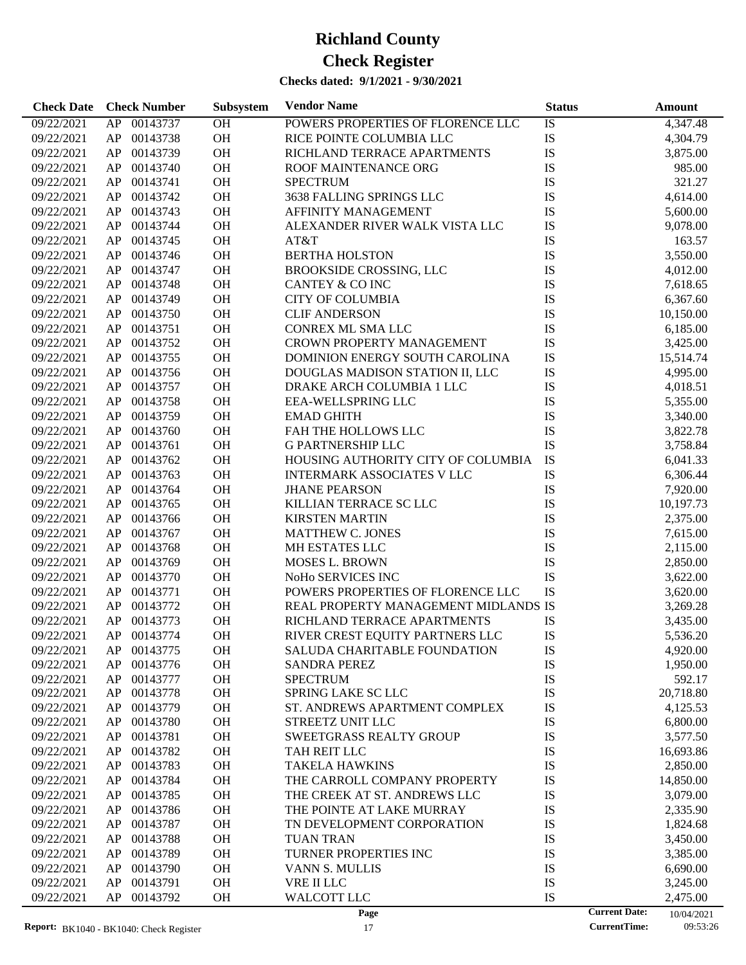| <b>Check Date</b>        | <b>Check Number</b>  | Subsystem | <b>Vendor Name</b>                   | <b>Status</b>        | Amount               |
|--------------------------|----------------------|-----------|--------------------------------------|----------------------|----------------------|
| 09/22/2021               | AP 00143737          | OH        | POWERS PROPERTIES OF FLORENCE LLC    | IS                   | 4,347.48             |
| 09/22/2021               | 00143738<br>AP       | OH        | RICE POINTE COLUMBIA LLC             | IS                   | 4,304.79             |
| 09/22/2021               | 00143739<br>AP       | OH        | RICHLAND TERRACE APARTMENTS          | IS                   | 3,875.00             |
| 09/22/2021               | 00143740<br>AP       | OH        | ROOF MAINTENANCE ORG                 | IS                   | 985.00               |
| 09/22/2021               | 00143741<br>AP       | OH        | <b>SPECTRUM</b>                      | IS                   | 321.27               |
| 09/22/2021               | 00143742<br>AP       | OH        | 3638 FALLING SPRINGS LLC             | IS                   | 4,614.00             |
| 09/22/2021               | 00143743<br>AP       | OH        | AFFINITY MANAGEMENT                  | IS                   | 5,600.00             |
| 09/22/2021               | 00143744<br>AP       | OH        | ALEXANDER RIVER WALK VISTA LLC       | IS                   | 9,078.00             |
| 09/22/2021               | 00143745<br>AP       | OH        | AT&T                                 | IS                   | 163.57               |
| 09/22/2021               | 00143746<br>AP       | OH        | <b>BERTHA HOLSTON</b>                | IS                   | 3,550.00             |
| 09/22/2021               | 00143747<br>AP       | OH        | <b>BROOKSIDE CROSSING, LLC</b>       | IS                   | 4,012.00             |
| 09/22/2021               | 00143748<br>AP       | OH        | CANTEY & CO INC                      | IS                   | 7,618.65             |
| 09/22/2021               | 00143749<br>AP       | OH        | <b>CITY OF COLUMBIA</b>              | IS                   | 6,367.60             |
| 09/22/2021               | 00143750<br>AP       | OH        | <b>CLIF ANDERSON</b>                 | IS                   | 10,150.00            |
| 09/22/2021               | 00143751<br>AP       | OH        | CONREX ML SMA LLC                    | IS                   | 6,185.00             |
| 09/22/2021               | 00143752<br>AP       | OH        | CROWN PROPERTY MANAGEMENT            | IS                   | 3,425.00             |
| 09/22/2021               | 00143755<br>AP       | OH        | DOMINION ENERGY SOUTH CAROLINA       | IS                   | 15,514.74            |
| 09/22/2021               | 00143756<br>AP       | <b>OH</b> | DOUGLAS MADISON STATION II, LLC      | IS                   | 4,995.00             |
| 09/22/2021               | 00143757<br>AP       | OH        | DRAKE ARCH COLUMBIA 1 LLC            | IS                   | 4,018.51             |
| 09/22/2021               | 00143758<br>AP       | OH        | <b>EEA-WELLSPRING LLC</b>            | IS                   | 5,355.00             |
| 09/22/2021               | 00143759<br>AP       | OH        | <b>EMAD GHITH</b>                    | IS                   | 3,340.00             |
| 09/22/2021               | 00143760<br>AP       | OH        | FAH THE HOLLOWS LLC                  | IS                   | 3,822.78             |
| 09/22/2021               | 00143761<br>AP       | OH        | <b>G PARTNERSHIP LLC</b>             | IS                   | 3,758.84             |
| 09/22/2021               | 00143762<br>AP       | OH        | HOUSING AUTHORITY CITY OF COLUMBIA   | IS                   | 6,041.33             |
| 09/22/2021               | 00143763<br>AP       | OH        | <b>INTERMARK ASSOCIATES V LLC</b>    | IS                   | 6,306.44             |
| 09/22/2021               | 00143764<br>AP       | OH        | <b>JHANE PEARSON</b>                 | IS                   | 7,920.00             |
| 09/22/2021               | 00143765<br>AP       | OH        | KILLIAN TERRACE SC LLC               | IS                   | 10,197.73            |
| 09/22/2021               | 00143766<br>AP       | OH        | <b>KIRSTEN MARTIN</b>                | IS                   | 2,375.00             |
| 09/22/2021               | 00143767<br>AP       | OH        | MATTHEW C. JONES                     | IS                   | 7,615.00             |
| 09/22/2021               | 00143768<br>AP       | OH        | MH ESTATES LLC                       | IS                   | 2,115.00             |
| 09/22/2021               | 00143769<br>AP       | OH        | <b>MOSES L. BROWN</b>                | IS                   | 2,850.00             |
| 09/22/2021               | 00143770<br>AP       | <b>OH</b> | NoHo SERVICES INC                    | IS                   | 3,622.00             |
| 09/22/2021               | 00143771<br>AP       | <b>OH</b> | POWERS PROPERTIES OF FLORENCE LLC    | IS                   | 3,620.00             |
| 09/22/2021               | 00143772<br>AP       | <b>OH</b> | REAL PROPERTY MANAGEMENT MIDLANDS IS |                      | 3,269.28             |
| 09/22/2021               | AP<br>00143773       | OH        | RICHLAND TERRACE APARTMENTS          | IS                   | 3,435.00             |
| 09/22/2021               | AP 00143774          | OH        | RIVER CREST EQUITY PARTNERS LLC      | IS                   | 5,536.20             |
| 09/22/2021               | AP<br>00143775       | ОH        | SALUDA CHARITABLE FOUNDATION         | IS                   | 4,920.00             |
| 09/22/2021               | 00143776<br>AP       | OH        | <b>SANDRA PEREZ</b>                  | IS                   | 1,950.00             |
| 09/22/2021               | 00143777<br>AP       | OH        | <b>SPECTRUM</b>                      | IS                   | 592.17               |
| 09/22/2021               | AP<br>00143778       | OH        | <b>SPRING LAKE SC LLC</b>            | IS                   | 20,718.80            |
| 09/22/2021               | AP<br>00143779       | OH        | ST. ANDREWS APARTMENT COMPLEX        | IS                   | 4,125.53             |
| 09/22/2021               | 00143780<br>AP       | OH        | STREETZ UNIT LLC                     | IS                   | 6,800.00             |
| 09/22/2021               | AP<br>00143781       | OH        | <b>SWEETGRASS REALTY GROUP</b>       | IS                   | 3,577.50             |
| 09/22/2021               | AP<br>00143782       | OH        | TAH REIT LLC                         | IS                   | 16,693.86            |
| 09/22/2021               | 00143783<br>AP       | OH        | <b>TAKELA HAWKINS</b>                | IS                   | 2,850.00             |
| 09/22/2021               | 00143784<br>AP       | OH        | THE CARROLL COMPANY PROPERTY         | IS                   | 14,850.00            |
| 09/22/2021               | AP<br>00143785       | OH        | THE CREEK AT ST. ANDREWS LLC         | IS                   | 3,079.00             |
| 09/22/2021               | 00143786<br>AP       | OH        | THE POINTE AT LAKE MURRAY            | IS                   | 2,335.90             |
| 09/22/2021               | 00143787<br>AP       | OH        | TN DEVELOPMENT CORPORATION           | IS                   | 1,824.68             |
| 09/22/2021               | AP<br>00143788       | OH        | <b>TUAN TRAN</b>                     | IS                   | 3,450.00             |
| 09/22/2021               | AP<br>00143789       | OH        | TURNER PROPERTIES INC                | IS                   | 3,385.00             |
|                          | 00143790             | OH        |                                      | IS                   |                      |
| 09/22/2021               | AP<br>AP<br>00143791 | OH        | VANN S. MULLIS                       | IS                   | 6,690.00             |
| 09/22/2021<br>09/22/2021 | AP<br>00143792       | OH        | VRE II LLC<br><b>WALCOTT LLC</b>     | IS                   | 3,245.00<br>2,475.00 |
|                          |                      |           | Page                                 | <b>Current Date:</b> | 10/04/2021           |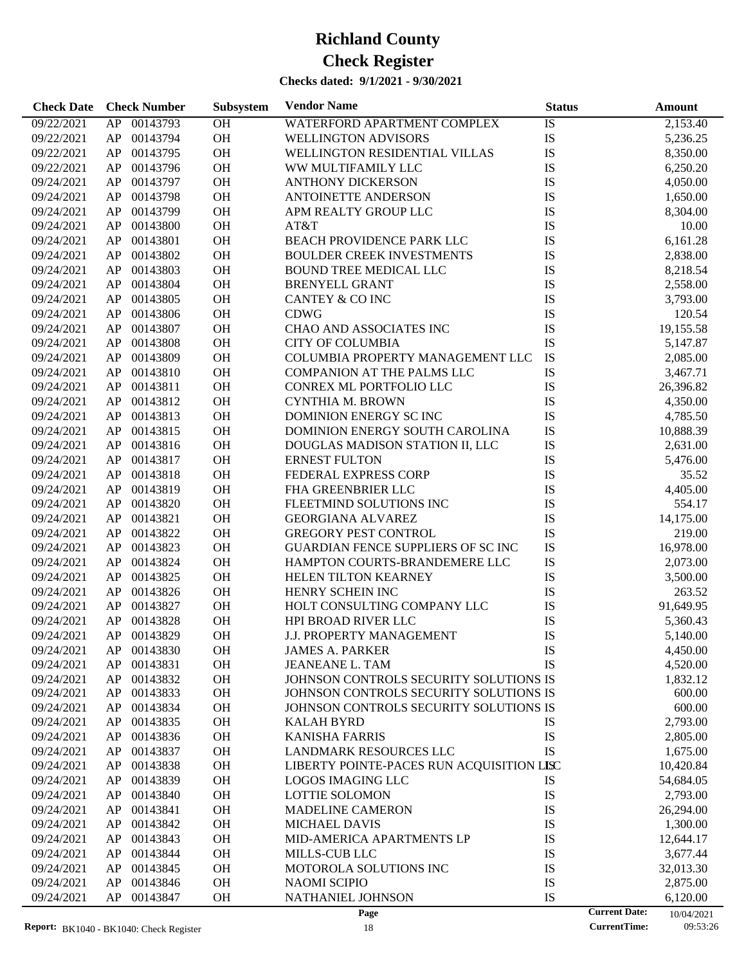### **Checks dated: 9/1/2021 - 9/30/2021**

| IS<br>09/22/2021<br>AP<br>00143793<br><b>OH</b><br>2,153.40<br>WATERFORD APARTMENT COMPLEX<br>OH<br>IS<br>09/22/2021<br>AP<br>00143794<br><b>WELLINGTON ADVISORS</b><br>5,236.25<br>IS<br>OH<br>09/22/2021<br>AP<br>00143795<br>WELLINGTON RESIDENTIAL VILLAS<br>8,350.00<br>OH<br>IS<br>AP<br>00143796<br>6,250.20<br>09/22/2021<br>WW MULTIFAMILY LLC<br>OH<br>IS<br>AP<br>00143797<br>4,050.00<br>09/24/2021<br><b>ANTHONY DICKERSON</b><br>OH<br>IS<br>AP<br>00143798<br>1,650.00<br>09/24/2021<br><b>ANTOINETTE ANDERSON</b><br>IS<br>00143799<br>OH<br>AP<br>8,304.00<br>09/24/2021<br>APM REALTY GROUP LLC<br>OH<br>IS<br>AP<br>00143800<br>AT&T<br>10.00<br>09/24/2021<br>OH<br>IS<br>AP<br>00143801<br>BEACH PROVIDENCE PARK LLC<br>6,161.28<br>09/24/2021<br>IS<br>00143802<br>OH<br>AP<br><b>BOULDER CREEK INVESTMENTS</b><br>2,838.00<br>09/24/2021<br>OH<br>IS<br>AP<br>00143803<br>09/24/2021<br><b>BOUND TREE MEDICAL LLC</b><br>8,218.54<br>OH<br>IS<br>AP<br>00143804<br>09/24/2021<br><b>BRENYELL GRANT</b><br>2,558.00<br>IS<br>00143805<br>OH<br>AP<br><b>CANTEY &amp; CO INC</b><br>09/24/2021<br>3,793.00<br>IS<br>00143806<br>OH<br>AP<br><b>CDWG</b><br>120.54<br>09/24/2021<br>OH<br>IS<br>AP<br>00143807<br>CHAO AND ASSOCIATES INC<br>19,155.58<br>09/24/2021<br>OH<br>IS<br>AP<br>00143808<br><b>CITY OF COLUMBIA</b><br>09/24/2021<br>5,147.87<br>IS<br>OH<br>AP<br>00143809<br>COLUMBIA PROPERTY MANAGEMENT LLC<br>09/24/2021<br>2,085.00<br>OH<br>IS<br>AP<br>00143810<br>3,467.71<br>09/24/2021<br><b>COMPANION AT THE PALMS LLC</b><br>OH<br>IS<br>AP<br>00143811<br>09/24/2021<br><b>CONREX ML PORTFOLIO LLC</b><br>26,396.82<br>OH<br>IS<br>AP<br>00143812<br>09/24/2021<br><b>CYNTHIA M. BROWN</b><br>4,350.00<br>IS<br>00143813<br>OH<br>AP<br>DOMINION ENERGY SC INC<br>4,785.50<br>09/24/2021<br>OH<br>IS<br>AP<br>00143815<br>DOMINION ENERGY SOUTH CAROLINA<br>10,888.39<br>09/24/2021<br>OH<br>IS<br>AP<br>00143816<br>09/24/2021<br>DOUGLAS MADISON STATION II, LLC<br>2,631.00<br>IS<br>OH<br>AP<br>00143817<br><b>ERNEST FULTON</b><br>09/24/2021<br>5,476.00<br>IS<br>OH<br>AP<br>00143818<br>FEDERAL EXPRESS CORP<br>35.52<br>09/24/2021<br>OH<br>IS<br>AP<br>00143819<br>4,405.00<br>09/24/2021<br>FHA GREENBRIER LLC<br>OH<br>IS<br>AP<br>00143820<br>09/24/2021<br>FLEETMIND SOLUTIONS INC<br>554.17<br>IS<br>00143821<br>OH<br>AP<br>14,175.00<br>09/24/2021<br><b>GEORGIANA ALVAREZ</b><br>OH<br>IS<br>AP<br>00143822<br><b>GREGORY PEST CONTROL</b><br>219.00<br>09/24/2021<br>OH<br>IS<br>AP<br>00143823<br>GUARDIAN FENCE SUPPLIERS OF SC INC<br>16,978.00<br>09/24/2021<br>00143824<br>OH<br>IS<br>AP<br>09/24/2021<br>HAMPTON COURTS-BRANDEMERE LLC<br>2,073.00<br>IS<br>00143825<br>OH<br>AP<br>HELEN TILTON KEARNEY<br>09/24/2021<br>3,500.00<br>IS<br>AP<br>00143826<br>OH<br>HENRY SCHEIN INC<br>263.52<br>09/24/2021<br>IS<br>AP<br>00143827<br>OH<br>HOLT CONSULTING COMPANY LLC<br>09/24/2021<br>91,649.95<br>IS<br>AP<br>00143828<br>OH<br>HPI BROAD RIVER LLC<br>09/24/2021<br>5,360.43<br>IS<br>AP<br>00143829<br><b>OH</b><br>J.J. PROPERTY MANAGEMENT<br>09/24/2021<br>5,140.00<br>IS<br>${\sf AP}$<br>00143830<br>09/24/2021<br><b>OH</b><br>4,450.00<br>JAMES A. PARKER<br>IS<br>00143831<br>OH<br><b>JEANEANE L. TAM</b><br>4,520.00<br>09/24/2021<br>AP<br>00143832<br>09/24/2021<br>AP<br>OH<br>JOHNSON CONTROLS SECURITY SOLUTIONS IS<br>1,832.12<br>00143833<br>OH<br>JOHNSON CONTROLS SECURITY SOLUTIONS IS<br>09/24/2021<br>AP<br>600.00<br>AP<br>00143834<br><b>OH</b><br>JOHNSON CONTROLS SECURITY SOLUTIONS IS<br>600.00<br>09/24/2021<br>AP<br>00143835<br><b>OH</b><br>IS<br>2,793.00<br>09/24/2021<br><b>KALAH BYRD</b><br>IS<br>AP<br>00143836<br><b>OH</b><br><b>KANISHA FARRIS</b><br>09/24/2021<br>2,805.00<br>IS<br>AP<br>00143837<br><b>OH</b><br>1,675.00<br>09/24/2021<br><b>LANDMARK RESOURCES LLC</b><br>AP<br>00143838<br><b>OH</b><br>LIBERTY POINTE-PACES RUN ACQUISITION LISC<br>10,420.84<br>09/24/2021<br>IS<br>AP<br>00143839<br><b>OH</b><br><b>LOGOS IMAGING LLC</b><br>09/24/2021<br>54,684.05<br>IS<br>AP<br>00143840<br><b>OH</b><br><b>LOTTIE SOLOMON</b><br>2,793.00<br>09/24/2021<br>IS<br>AP<br>00143841<br><b>OH</b><br><b>MADELINE CAMERON</b><br>26,294.00<br>09/24/2021<br>IS<br>AP<br>00143842<br><b>OH</b><br>MICHAEL DAVIS<br>1,300.00<br>09/24/2021<br>IS<br>AP<br>00143843<br><b>OH</b><br>MID-AMERICA APARTMENTS LP<br>09/24/2021<br>12,644.17<br>IS<br>AP<br>00143844<br><b>OH</b><br>MILLS-CUB LLC<br>09/24/2021<br>3,677.44<br>IS<br>AP<br>00143845<br><b>OH</b><br>MOTOROLA SOLUTIONS INC<br>32,013.30<br>09/24/2021<br>IS<br>09/24/2021<br>AP<br>00143846<br><b>OH</b><br><b>NAOMI SCIPIO</b><br>2,875.00<br>IS<br>09/24/2021<br>${\sf AP}$<br>00143847<br><b>OH</b><br>NATHANIEL JOHNSON<br>6,120.00 | <b>Check Date</b> | <b>Check Number</b> | Subsystem | <b>Vendor Name</b> | <b>Status</b> |                      | Amount     |
|------------------------------------------------------------------------------------------------------------------------------------------------------------------------------------------------------------------------------------------------------------------------------------------------------------------------------------------------------------------------------------------------------------------------------------------------------------------------------------------------------------------------------------------------------------------------------------------------------------------------------------------------------------------------------------------------------------------------------------------------------------------------------------------------------------------------------------------------------------------------------------------------------------------------------------------------------------------------------------------------------------------------------------------------------------------------------------------------------------------------------------------------------------------------------------------------------------------------------------------------------------------------------------------------------------------------------------------------------------------------------------------------------------------------------------------------------------------------------------------------------------------------------------------------------------------------------------------------------------------------------------------------------------------------------------------------------------------------------------------------------------------------------------------------------------------------------------------------------------------------------------------------------------------------------------------------------------------------------------------------------------------------------------------------------------------------------------------------------------------------------------------------------------------------------------------------------------------------------------------------------------------------------------------------------------------------------------------------------------------------------------------------------------------------------------------------------------------------------------------------------------------------------------------------------------------------------------------------------------------------------------------------------------------------------------------------------------------------------------------------------------------------------------------------------------------------------------------------------------------------------------------------------------------------------------------------------------------------------------------------------------------------------------------------------------------------------------------------------------------------------------------------------------------------------------------------------------------------------------------------------------------------------------------------------------------------------------------------------------------------------------------------------------------------------------------------------------------------------------------------------------------------------------------------------------------------------------------------------------------------------------------------------------------------------------------------------------------------------------------------------------------------------------------------------------------------------------------------------------------------------------------------------------------------------------------------------------------------------------------------------------------------------------------------------------------------------------------------------------------------------------------------------------------------------------------------------------------------------------------------------------------------------------------------------------------------------------------------------------------------------------------------------------------------------------------------------------------------------------------------------------------------------------------------------------------------------------------------------------------------------------------------------------------------------------------------------------------------------------------------------------------------------------------------------------------------------------|-------------------|---------------------|-----------|--------------------|---------------|----------------------|------------|
|                                                                                                                                                                                                                                                                                                                                                                                                                                                                                                                                                                                                                                                                                                                                                                                                                                                                                                                                                                                                                                                                                                                                                                                                                                                                                                                                                                                                                                                                                                                                                                                                                                                                                                                                                                                                                                                                                                                                                                                                                                                                                                                                                                                                                                                                                                                                                                                                                                                                                                                                                                                                                                                                                                                                                                                                                                                                                                                                                                                                                                                                                                                                                                                                                                                                                                                                                                                                                                                                                                                                                                                                                                                                                                                                                                                                                                                                                                                                                                                                                                                                                                                                                                                                                                                                                                                                                                                                                                                                                                                                                                                                                                                                                                                                                                                                                                    |                   |                     |           |                    |               |                      |            |
|                                                                                                                                                                                                                                                                                                                                                                                                                                                                                                                                                                                                                                                                                                                                                                                                                                                                                                                                                                                                                                                                                                                                                                                                                                                                                                                                                                                                                                                                                                                                                                                                                                                                                                                                                                                                                                                                                                                                                                                                                                                                                                                                                                                                                                                                                                                                                                                                                                                                                                                                                                                                                                                                                                                                                                                                                                                                                                                                                                                                                                                                                                                                                                                                                                                                                                                                                                                                                                                                                                                                                                                                                                                                                                                                                                                                                                                                                                                                                                                                                                                                                                                                                                                                                                                                                                                                                                                                                                                                                                                                                                                                                                                                                                                                                                                                                                    |                   |                     |           |                    |               |                      |            |
|                                                                                                                                                                                                                                                                                                                                                                                                                                                                                                                                                                                                                                                                                                                                                                                                                                                                                                                                                                                                                                                                                                                                                                                                                                                                                                                                                                                                                                                                                                                                                                                                                                                                                                                                                                                                                                                                                                                                                                                                                                                                                                                                                                                                                                                                                                                                                                                                                                                                                                                                                                                                                                                                                                                                                                                                                                                                                                                                                                                                                                                                                                                                                                                                                                                                                                                                                                                                                                                                                                                                                                                                                                                                                                                                                                                                                                                                                                                                                                                                                                                                                                                                                                                                                                                                                                                                                                                                                                                                                                                                                                                                                                                                                                                                                                                                                                    |                   |                     |           |                    |               |                      |            |
|                                                                                                                                                                                                                                                                                                                                                                                                                                                                                                                                                                                                                                                                                                                                                                                                                                                                                                                                                                                                                                                                                                                                                                                                                                                                                                                                                                                                                                                                                                                                                                                                                                                                                                                                                                                                                                                                                                                                                                                                                                                                                                                                                                                                                                                                                                                                                                                                                                                                                                                                                                                                                                                                                                                                                                                                                                                                                                                                                                                                                                                                                                                                                                                                                                                                                                                                                                                                                                                                                                                                                                                                                                                                                                                                                                                                                                                                                                                                                                                                                                                                                                                                                                                                                                                                                                                                                                                                                                                                                                                                                                                                                                                                                                                                                                                                                                    |                   |                     |           |                    |               |                      |            |
|                                                                                                                                                                                                                                                                                                                                                                                                                                                                                                                                                                                                                                                                                                                                                                                                                                                                                                                                                                                                                                                                                                                                                                                                                                                                                                                                                                                                                                                                                                                                                                                                                                                                                                                                                                                                                                                                                                                                                                                                                                                                                                                                                                                                                                                                                                                                                                                                                                                                                                                                                                                                                                                                                                                                                                                                                                                                                                                                                                                                                                                                                                                                                                                                                                                                                                                                                                                                                                                                                                                                                                                                                                                                                                                                                                                                                                                                                                                                                                                                                                                                                                                                                                                                                                                                                                                                                                                                                                                                                                                                                                                                                                                                                                                                                                                                                                    |                   |                     |           |                    |               |                      |            |
|                                                                                                                                                                                                                                                                                                                                                                                                                                                                                                                                                                                                                                                                                                                                                                                                                                                                                                                                                                                                                                                                                                                                                                                                                                                                                                                                                                                                                                                                                                                                                                                                                                                                                                                                                                                                                                                                                                                                                                                                                                                                                                                                                                                                                                                                                                                                                                                                                                                                                                                                                                                                                                                                                                                                                                                                                                                                                                                                                                                                                                                                                                                                                                                                                                                                                                                                                                                                                                                                                                                                                                                                                                                                                                                                                                                                                                                                                                                                                                                                                                                                                                                                                                                                                                                                                                                                                                                                                                                                                                                                                                                                                                                                                                                                                                                                                                    |                   |                     |           |                    |               |                      |            |
|                                                                                                                                                                                                                                                                                                                                                                                                                                                                                                                                                                                                                                                                                                                                                                                                                                                                                                                                                                                                                                                                                                                                                                                                                                                                                                                                                                                                                                                                                                                                                                                                                                                                                                                                                                                                                                                                                                                                                                                                                                                                                                                                                                                                                                                                                                                                                                                                                                                                                                                                                                                                                                                                                                                                                                                                                                                                                                                                                                                                                                                                                                                                                                                                                                                                                                                                                                                                                                                                                                                                                                                                                                                                                                                                                                                                                                                                                                                                                                                                                                                                                                                                                                                                                                                                                                                                                                                                                                                                                                                                                                                                                                                                                                                                                                                                                                    |                   |                     |           |                    |               |                      |            |
|                                                                                                                                                                                                                                                                                                                                                                                                                                                                                                                                                                                                                                                                                                                                                                                                                                                                                                                                                                                                                                                                                                                                                                                                                                                                                                                                                                                                                                                                                                                                                                                                                                                                                                                                                                                                                                                                                                                                                                                                                                                                                                                                                                                                                                                                                                                                                                                                                                                                                                                                                                                                                                                                                                                                                                                                                                                                                                                                                                                                                                                                                                                                                                                                                                                                                                                                                                                                                                                                                                                                                                                                                                                                                                                                                                                                                                                                                                                                                                                                                                                                                                                                                                                                                                                                                                                                                                                                                                                                                                                                                                                                                                                                                                                                                                                                                                    |                   |                     |           |                    |               |                      |            |
|                                                                                                                                                                                                                                                                                                                                                                                                                                                                                                                                                                                                                                                                                                                                                                                                                                                                                                                                                                                                                                                                                                                                                                                                                                                                                                                                                                                                                                                                                                                                                                                                                                                                                                                                                                                                                                                                                                                                                                                                                                                                                                                                                                                                                                                                                                                                                                                                                                                                                                                                                                                                                                                                                                                                                                                                                                                                                                                                                                                                                                                                                                                                                                                                                                                                                                                                                                                                                                                                                                                                                                                                                                                                                                                                                                                                                                                                                                                                                                                                                                                                                                                                                                                                                                                                                                                                                                                                                                                                                                                                                                                                                                                                                                                                                                                                                                    |                   |                     |           |                    |               |                      |            |
|                                                                                                                                                                                                                                                                                                                                                                                                                                                                                                                                                                                                                                                                                                                                                                                                                                                                                                                                                                                                                                                                                                                                                                                                                                                                                                                                                                                                                                                                                                                                                                                                                                                                                                                                                                                                                                                                                                                                                                                                                                                                                                                                                                                                                                                                                                                                                                                                                                                                                                                                                                                                                                                                                                                                                                                                                                                                                                                                                                                                                                                                                                                                                                                                                                                                                                                                                                                                                                                                                                                                                                                                                                                                                                                                                                                                                                                                                                                                                                                                                                                                                                                                                                                                                                                                                                                                                                                                                                                                                                                                                                                                                                                                                                                                                                                                                                    |                   |                     |           |                    |               |                      |            |
|                                                                                                                                                                                                                                                                                                                                                                                                                                                                                                                                                                                                                                                                                                                                                                                                                                                                                                                                                                                                                                                                                                                                                                                                                                                                                                                                                                                                                                                                                                                                                                                                                                                                                                                                                                                                                                                                                                                                                                                                                                                                                                                                                                                                                                                                                                                                                                                                                                                                                                                                                                                                                                                                                                                                                                                                                                                                                                                                                                                                                                                                                                                                                                                                                                                                                                                                                                                                                                                                                                                                                                                                                                                                                                                                                                                                                                                                                                                                                                                                                                                                                                                                                                                                                                                                                                                                                                                                                                                                                                                                                                                                                                                                                                                                                                                                                                    |                   |                     |           |                    |               |                      |            |
|                                                                                                                                                                                                                                                                                                                                                                                                                                                                                                                                                                                                                                                                                                                                                                                                                                                                                                                                                                                                                                                                                                                                                                                                                                                                                                                                                                                                                                                                                                                                                                                                                                                                                                                                                                                                                                                                                                                                                                                                                                                                                                                                                                                                                                                                                                                                                                                                                                                                                                                                                                                                                                                                                                                                                                                                                                                                                                                                                                                                                                                                                                                                                                                                                                                                                                                                                                                                                                                                                                                                                                                                                                                                                                                                                                                                                                                                                                                                                                                                                                                                                                                                                                                                                                                                                                                                                                                                                                                                                                                                                                                                                                                                                                                                                                                                                                    |                   |                     |           |                    |               |                      |            |
|                                                                                                                                                                                                                                                                                                                                                                                                                                                                                                                                                                                                                                                                                                                                                                                                                                                                                                                                                                                                                                                                                                                                                                                                                                                                                                                                                                                                                                                                                                                                                                                                                                                                                                                                                                                                                                                                                                                                                                                                                                                                                                                                                                                                                                                                                                                                                                                                                                                                                                                                                                                                                                                                                                                                                                                                                                                                                                                                                                                                                                                                                                                                                                                                                                                                                                                                                                                                                                                                                                                                                                                                                                                                                                                                                                                                                                                                                                                                                                                                                                                                                                                                                                                                                                                                                                                                                                                                                                                                                                                                                                                                                                                                                                                                                                                                                                    |                   |                     |           |                    |               |                      |            |
|                                                                                                                                                                                                                                                                                                                                                                                                                                                                                                                                                                                                                                                                                                                                                                                                                                                                                                                                                                                                                                                                                                                                                                                                                                                                                                                                                                                                                                                                                                                                                                                                                                                                                                                                                                                                                                                                                                                                                                                                                                                                                                                                                                                                                                                                                                                                                                                                                                                                                                                                                                                                                                                                                                                                                                                                                                                                                                                                                                                                                                                                                                                                                                                                                                                                                                                                                                                                                                                                                                                                                                                                                                                                                                                                                                                                                                                                                                                                                                                                                                                                                                                                                                                                                                                                                                                                                                                                                                                                                                                                                                                                                                                                                                                                                                                                                                    |                   |                     |           |                    |               |                      |            |
|                                                                                                                                                                                                                                                                                                                                                                                                                                                                                                                                                                                                                                                                                                                                                                                                                                                                                                                                                                                                                                                                                                                                                                                                                                                                                                                                                                                                                                                                                                                                                                                                                                                                                                                                                                                                                                                                                                                                                                                                                                                                                                                                                                                                                                                                                                                                                                                                                                                                                                                                                                                                                                                                                                                                                                                                                                                                                                                                                                                                                                                                                                                                                                                                                                                                                                                                                                                                                                                                                                                                                                                                                                                                                                                                                                                                                                                                                                                                                                                                                                                                                                                                                                                                                                                                                                                                                                                                                                                                                                                                                                                                                                                                                                                                                                                                                                    |                   |                     |           |                    |               |                      |            |
|                                                                                                                                                                                                                                                                                                                                                                                                                                                                                                                                                                                                                                                                                                                                                                                                                                                                                                                                                                                                                                                                                                                                                                                                                                                                                                                                                                                                                                                                                                                                                                                                                                                                                                                                                                                                                                                                                                                                                                                                                                                                                                                                                                                                                                                                                                                                                                                                                                                                                                                                                                                                                                                                                                                                                                                                                                                                                                                                                                                                                                                                                                                                                                                                                                                                                                                                                                                                                                                                                                                                                                                                                                                                                                                                                                                                                                                                                                                                                                                                                                                                                                                                                                                                                                                                                                                                                                                                                                                                                                                                                                                                                                                                                                                                                                                                                                    |                   |                     |           |                    |               |                      |            |
|                                                                                                                                                                                                                                                                                                                                                                                                                                                                                                                                                                                                                                                                                                                                                                                                                                                                                                                                                                                                                                                                                                                                                                                                                                                                                                                                                                                                                                                                                                                                                                                                                                                                                                                                                                                                                                                                                                                                                                                                                                                                                                                                                                                                                                                                                                                                                                                                                                                                                                                                                                                                                                                                                                                                                                                                                                                                                                                                                                                                                                                                                                                                                                                                                                                                                                                                                                                                                                                                                                                                                                                                                                                                                                                                                                                                                                                                                                                                                                                                                                                                                                                                                                                                                                                                                                                                                                                                                                                                                                                                                                                                                                                                                                                                                                                                                                    |                   |                     |           |                    |               |                      |            |
|                                                                                                                                                                                                                                                                                                                                                                                                                                                                                                                                                                                                                                                                                                                                                                                                                                                                                                                                                                                                                                                                                                                                                                                                                                                                                                                                                                                                                                                                                                                                                                                                                                                                                                                                                                                                                                                                                                                                                                                                                                                                                                                                                                                                                                                                                                                                                                                                                                                                                                                                                                                                                                                                                                                                                                                                                                                                                                                                                                                                                                                                                                                                                                                                                                                                                                                                                                                                                                                                                                                                                                                                                                                                                                                                                                                                                                                                                                                                                                                                                                                                                                                                                                                                                                                                                                                                                                                                                                                                                                                                                                                                                                                                                                                                                                                                                                    |                   |                     |           |                    |               |                      |            |
|                                                                                                                                                                                                                                                                                                                                                                                                                                                                                                                                                                                                                                                                                                                                                                                                                                                                                                                                                                                                                                                                                                                                                                                                                                                                                                                                                                                                                                                                                                                                                                                                                                                                                                                                                                                                                                                                                                                                                                                                                                                                                                                                                                                                                                                                                                                                                                                                                                                                                                                                                                                                                                                                                                                                                                                                                                                                                                                                                                                                                                                                                                                                                                                                                                                                                                                                                                                                                                                                                                                                                                                                                                                                                                                                                                                                                                                                                                                                                                                                                                                                                                                                                                                                                                                                                                                                                                                                                                                                                                                                                                                                                                                                                                                                                                                                                                    |                   |                     |           |                    |               |                      |            |
|                                                                                                                                                                                                                                                                                                                                                                                                                                                                                                                                                                                                                                                                                                                                                                                                                                                                                                                                                                                                                                                                                                                                                                                                                                                                                                                                                                                                                                                                                                                                                                                                                                                                                                                                                                                                                                                                                                                                                                                                                                                                                                                                                                                                                                                                                                                                                                                                                                                                                                                                                                                                                                                                                                                                                                                                                                                                                                                                                                                                                                                                                                                                                                                                                                                                                                                                                                                                                                                                                                                                                                                                                                                                                                                                                                                                                                                                                                                                                                                                                                                                                                                                                                                                                                                                                                                                                                                                                                                                                                                                                                                                                                                                                                                                                                                                                                    |                   |                     |           |                    |               |                      |            |
|                                                                                                                                                                                                                                                                                                                                                                                                                                                                                                                                                                                                                                                                                                                                                                                                                                                                                                                                                                                                                                                                                                                                                                                                                                                                                                                                                                                                                                                                                                                                                                                                                                                                                                                                                                                                                                                                                                                                                                                                                                                                                                                                                                                                                                                                                                                                                                                                                                                                                                                                                                                                                                                                                                                                                                                                                                                                                                                                                                                                                                                                                                                                                                                                                                                                                                                                                                                                                                                                                                                                                                                                                                                                                                                                                                                                                                                                                                                                                                                                                                                                                                                                                                                                                                                                                                                                                                                                                                                                                                                                                                                                                                                                                                                                                                                                                                    |                   |                     |           |                    |               |                      |            |
|                                                                                                                                                                                                                                                                                                                                                                                                                                                                                                                                                                                                                                                                                                                                                                                                                                                                                                                                                                                                                                                                                                                                                                                                                                                                                                                                                                                                                                                                                                                                                                                                                                                                                                                                                                                                                                                                                                                                                                                                                                                                                                                                                                                                                                                                                                                                                                                                                                                                                                                                                                                                                                                                                                                                                                                                                                                                                                                                                                                                                                                                                                                                                                                                                                                                                                                                                                                                                                                                                                                                                                                                                                                                                                                                                                                                                                                                                                                                                                                                                                                                                                                                                                                                                                                                                                                                                                                                                                                                                                                                                                                                                                                                                                                                                                                                                                    |                   |                     |           |                    |               |                      |            |
|                                                                                                                                                                                                                                                                                                                                                                                                                                                                                                                                                                                                                                                                                                                                                                                                                                                                                                                                                                                                                                                                                                                                                                                                                                                                                                                                                                                                                                                                                                                                                                                                                                                                                                                                                                                                                                                                                                                                                                                                                                                                                                                                                                                                                                                                                                                                                                                                                                                                                                                                                                                                                                                                                                                                                                                                                                                                                                                                                                                                                                                                                                                                                                                                                                                                                                                                                                                                                                                                                                                                                                                                                                                                                                                                                                                                                                                                                                                                                                                                                                                                                                                                                                                                                                                                                                                                                                                                                                                                                                                                                                                                                                                                                                                                                                                                                                    |                   |                     |           |                    |               |                      |            |
|                                                                                                                                                                                                                                                                                                                                                                                                                                                                                                                                                                                                                                                                                                                                                                                                                                                                                                                                                                                                                                                                                                                                                                                                                                                                                                                                                                                                                                                                                                                                                                                                                                                                                                                                                                                                                                                                                                                                                                                                                                                                                                                                                                                                                                                                                                                                                                                                                                                                                                                                                                                                                                                                                                                                                                                                                                                                                                                                                                                                                                                                                                                                                                                                                                                                                                                                                                                                                                                                                                                                                                                                                                                                                                                                                                                                                                                                                                                                                                                                                                                                                                                                                                                                                                                                                                                                                                                                                                                                                                                                                                                                                                                                                                                                                                                                                                    |                   |                     |           |                    |               |                      |            |
|                                                                                                                                                                                                                                                                                                                                                                                                                                                                                                                                                                                                                                                                                                                                                                                                                                                                                                                                                                                                                                                                                                                                                                                                                                                                                                                                                                                                                                                                                                                                                                                                                                                                                                                                                                                                                                                                                                                                                                                                                                                                                                                                                                                                                                                                                                                                                                                                                                                                                                                                                                                                                                                                                                                                                                                                                                                                                                                                                                                                                                                                                                                                                                                                                                                                                                                                                                                                                                                                                                                                                                                                                                                                                                                                                                                                                                                                                                                                                                                                                                                                                                                                                                                                                                                                                                                                                                                                                                                                                                                                                                                                                                                                                                                                                                                                                                    |                   |                     |           |                    |               |                      |            |
|                                                                                                                                                                                                                                                                                                                                                                                                                                                                                                                                                                                                                                                                                                                                                                                                                                                                                                                                                                                                                                                                                                                                                                                                                                                                                                                                                                                                                                                                                                                                                                                                                                                                                                                                                                                                                                                                                                                                                                                                                                                                                                                                                                                                                                                                                                                                                                                                                                                                                                                                                                                                                                                                                                                                                                                                                                                                                                                                                                                                                                                                                                                                                                                                                                                                                                                                                                                                                                                                                                                                                                                                                                                                                                                                                                                                                                                                                                                                                                                                                                                                                                                                                                                                                                                                                                                                                                                                                                                                                                                                                                                                                                                                                                                                                                                                                                    |                   |                     |           |                    |               |                      |            |
|                                                                                                                                                                                                                                                                                                                                                                                                                                                                                                                                                                                                                                                                                                                                                                                                                                                                                                                                                                                                                                                                                                                                                                                                                                                                                                                                                                                                                                                                                                                                                                                                                                                                                                                                                                                                                                                                                                                                                                                                                                                                                                                                                                                                                                                                                                                                                                                                                                                                                                                                                                                                                                                                                                                                                                                                                                                                                                                                                                                                                                                                                                                                                                                                                                                                                                                                                                                                                                                                                                                                                                                                                                                                                                                                                                                                                                                                                                                                                                                                                                                                                                                                                                                                                                                                                                                                                                                                                                                                                                                                                                                                                                                                                                                                                                                                                                    |                   |                     |           |                    |               |                      |            |
|                                                                                                                                                                                                                                                                                                                                                                                                                                                                                                                                                                                                                                                                                                                                                                                                                                                                                                                                                                                                                                                                                                                                                                                                                                                                                                                                                                                                                                                                                                                                                                                                                                                                                                                                                                                                                                                                                                                                                                                                                                                                                                                                                                                                                                                                                                                                                                                                                                                                                                                                                                                                                                                                                                                                                                                                                                                                                                                                                                                                                                                                                                                                                                                                                                                                                                                                                                                                                                                                                                                                                                                                                                                                                                                                                                                                                                                                                                                                                                                                                                                                                                                                                                                                                                                                                                                                                                                                                                                                                                                                                                                                                                                                                                                                                                                                                                    |                   |                     |           |                    |               |                      |            |
|                                                                                                                                                                                                                                                                                                                                                                                                                                                                                                                                                                                                                                                                                                                                                                                                                                                                                                                                                                                                                                                                                                                                                                                                                                                                                                                                                                                                                                                                                                                                                                                                                                                                                                                                                                                                                                                                                                                                                                                                                                                                                                                                                                                                                                                                                                                                                                                                                                                                                                                                                                                                                                                                                                                                                                                                                                                                                                                                                                                                                                                                                                                                                                                                                                                                                                                                                                                                                                                                                                                                                                                                                                                                                                                                                                                                                                                                                                                                                                                                                                                                                                                                                                                                                                                                                                                                                                                                                                                                                                                                                                                                                                                                                                                                                                                                                                    |                   |                     |           |                    |               |                      |            |
|                                                                                                                                                                                                                                                                                                                                                                                                                                                                                                                                                                                                                                                                                                                                                                                                                                                                                                                                                                                                                                                                                                                                                                                                                                                                                                                                                                                                                                                                                                                                                                                                                                                                                                                                                                                                                                                                                                                                                                                                                                                                                                                                                                                                                                                                                                                                                                                                                                                                                                                                                                                                                                                                                                                                                                                                                                                                                                                                                                                                                                                                                                                                                                                                                                                                                                                                                                                                                                                                                                                                                                                                                                                                                                                                                                                                                                                                                                                                                                                                                                                                                                                                                                                                                                                                                                                                                                                                                                                                                                                                                                                                                                                                                                                                                                                                                                    |                   |                     |           |                    |               |                      |            |
|                                                                                                                                                                                                                                                                                                                                                                                                                                                                                                                                                                                                                                                                                                                                                                                                                                                                                                                                                                                                                                                                                                                                                                                                                                                                                                                                                                                                                                                                                                                                                                                                                                                                                                                                                                                                                                                                                                                                                                                                                                                                                                                                                                                                                                                                                                                                                                                                                                                                                                                                                                                                                                                                                                                                                                                                                                                                                                                                                                                                                                                                                                                                                                                                                                                                                                                                                                                                                                                                                                                                                                                                                                                                                                                                                                                                                                                                                                                                                                                                                                                                                                                                                                                                                                                                                                                                                                                                                                                                                                                                                                                                                                                                                                                                                                                                                                    |                   |                     |           |                    |               |                      |            |
|                                                                                                                                                                                                                                                                                                                                                                                                                                                                                                                                                                                                                                                                                                                                                                                                                                                                                                                                                                                                                                                                                                                                                                                                                                                                                                                                                                                                                                                                                                                                                                                                                                                                                                                                                                                                                                                                                                                                                                                                                                                                                                                                                                                                                                                                                                                                                                                                                                                                                                                                                                                                                                                                                                                                                                                                                                                                                                                                                                                                                                                                                                                                                                                                                                                                                                                                                                                                                                                                                                                                                                                                                                                                                                                                                                                                                                                                                                                                                                                                                                                                                                                                                                                                                                                                                                                                                                                                                                                                                                                                                                                                                                                                                                                                                                                                                                    |                   |                     |           |                    |               |                      |            |
|                                                                                                                                                                                                                                                                                                                                                                                                                                                                                                                                                                                                                                                                                                                                                                                                                                                                                                                                                                                                                                                                                                                                                                                                                                                                                                                                                                                                                                                                                                                                                                                                                                                                                                                                                                                                                                                                                                                                                                                                                                                                                                                                                                                                                                                                                                                                                                                                                                                                                                                                                                                                                                                                                                                                                                                                                                                                                                                                                                                                                                                                                                                                                                                                                                                                                                                                                                                                                                                                                                                                                                                                                                                                                                                                                                                                                                                                                                                                                                                                                                                                                                                                                                                                                                                                                                                                                                                                                                                                                                                                                                                                                                                                                                                                                                                                                                    |                   |                     |           |                    |               |                      |            |
|                                                                                                                                                                                                                                                                                                                                                                                                                                                                                                                                                                                                                                                                                                                                                                                                                                                                                                                                                                                                                                                                                                                                                                                                                                                                                                                                                                                                                                                                                                                                                                                                                                                                                                                                                                                                                                                                                                                                                                                                                                                                                                                                                                                                                                                                                                                                                                                                                                                                                                                                                                                                                                                                                                                                                                                                                                                                                                                                                                                                                                                                                                                                                                                                                                                                                                                                                                                                                                                                                                                                                                                                                                                                                                                                                                                                                                                                                                                                                                                                                                                                                                                                                                                                                                                                                                                                                                                                                                                                                                                                                                                                                                                                                                                                                                                                                                    |                   |                     |           |                    |               |                      |            |
|                                                                                                                                                                                                                                                                                                                                                                                                                                                                                                                                                                                                                                                                                                                                                                                                                                                                                                                                                                                                                                                                                                                                                                                                                                                                                                                                                                                                                                                                                                                                                                                                                                                                                                                                                                                                                                                                                                                                                                                                                                                                                                                                                                                                                                                                                                                                                                                                                                                                                                                                                                                                                                                                                                                                                                                                                                                                                                                                                                                                                                                                                                                                                                                                                                                                                                                                                                                                                                                                                                                                                                                                                                                                                                                                                                                                                                                                                                                                                                                                                                                                                                                                                                                                                                                                                                                                                                                                                                                                                                                                                                                                                                                                                                                                                                                                                                    |                   |                     |           |                    |               |                      |            |
|                                                                                                                                                                                                                                                                                                                                                                                                                                                                                                                                                                                                                                                                                                                                                                                                                                                                                                                                                                                                                                                                                                                                                                                                                                                                                                                                                                                                                                                                                                                                                                                                                                                                                                                                                                                                                                                                                                                                                                                                                                                                                                                                                                                                                                                                                                                                                                                                                                                                                                                                                                                                                                                                                                                                                                                                                                                                                                                                                                                                                                                                                                                                                                                                                                                                                                                                                                                                                                                                                                                                                                                                                                                                                                                                                                                                                                                                                                                                                                                                                                                                                                                                                                                                                                                                                                                                                                                                                                                                                                                                                                                                                                                                                                                                                                                                                                    |                   |                     |           |                    |               |                      |            |
|                                                                                                                                                                                                                                                                                                                                                                                                                                                                                                                                                                                                                                                                                                                                                                                                                                                                                                                                                                                                                                                                                                                                                                                                                                                                                                                                                                                                                                                                                                                                                                                                                                                                                                                                                                                                                                                                                                                                                                                                                                                                                                                                                                                                                                                                                                                                                                                                                                                                                                                                                                                                                                                                                                                                                                                                                                                                                                                                                                                                                                                                                                                                                                                                                                                                                                                                                                                                                                                                                                                                                                                                                                                                                                                                                                                                                                                                                                                                                                                                                                                                                                                                                                                                                                                                                                                                                                                                                                                                                                                                                                                                                                                                                                                                                                                                                                    |                   |                     |           |                    |               |                      |            |
|                                                                                                                                                                                                                                                                                                                                                                                                                                                                                                                                                                                                                                                                                                                                                                                                                                                                                                                                                                                                                                                                                                                                                                                                                                                                                                                                                                                                                                                                                                                                                                                                                                                                                                                                                                                                                                                                                                                                                                                                                                                                                                                                                                                                                                                                                                                                                                                                                                                                                                                                                                                                                                                                                                                                                                                                                                                                                                                                                                                                                                                                                                                                                                                                                                                                                                                                                                                                                                                                                                                                                                                                                                                                                                                                                                                                                                                                                                                                                                                                                                                                                                                                                                                                                                                                                                                                                                                                                                                                                                                                                                                                                                                                                                                                                                                                                                    |                   |                     |           |                    |               |                      |            |
|                                                                                                                                                                                                                                                                                                                                                                                                                                                                                                                                                                                                                                                                                                                                                                                                                                                                                                                                                                                                                                                                                                                                                                                                                                                                                                                                                                                                                                                                                                                                                                                                                                                                                                                                                                                                                                                                                                                                                                                                                                                                                                                                                                                                                                                                                                                                                                                                                                                                                                                                                                                                                                                                                                                                                                                                                                                                                                                                                                                                                                                                                                                                                                                                                                                                                                                                                                                                                                                                                                                                                                                                                                                                                                                                                                                                                                                                                                                                                                                                                                                                                                                                                                                                                                                                                                                                                                                                                                                                                                                                                                                                                                                                                                                                                                                                                                    |                   |                     |           |                    |               |                      |            |
|                                                                                                                                                                                                                                                                                                                                                                                                                                                                                                                                                                                                                                                                                                                                                                                                                                                                                                                                                                                                                                                                                                                                                                                                                                                                                                                                                                                                                                                                                                                                                                                                                                                                                                                                                                                                                                                                                                                                                                                                                                                                                                                                                                                                                                                                                                                                                                                                                                                                                                                                                                                                                                                                                                                                                                                                                                                                                                                                                                                                                                                                                                                                                                                                                                                                                                                                                                                                                                                                                                                                                                                                                                                                                                                                                                                                                                                                                                                                                                                                                                                                                                                                                                                                                                                                                                                                                                                                                                                                                                                                                                                                                                                                                                                                                                                                                                    |                   |                     |           |                    |               |                      |            |
|                                                                                                                                                                                                                                                                                                                                                                                                                                                                                                                                                                                                                                                                                                                                                                                                                                                                                                                                                                                                                                                                                                                                                                                                                                                                                                                                                                                                                                                                                                                                                                                                                                                                                                                                                                                                                                                                                                                                                                                                                                                                                                                                                                                                                                                                                                                                                                                                                                                                                                                                                                                                                                                                                                                                                                                                                                                                                                                                                                                                                                                                                                                                                                                                                                                                                                                                                                                                                                                                                                                                                                                                                                                                                                                                                                                                                                                                                                                                                                                                                                                                                                                                                                                                                                                                                                                                                                                                                                                                                                                                                                                                                                                                                                                                                                                                                                    |                   |                     |           |                    |               |                      |            |
|                                                                                                                                                                                                                                                                                                                                                                                                                                                                                                                                                                                                                                                                                                                                                                                                                                                                                                                                                                                                                                                                                                                                                                                                                                                                                                                                                                                                                                                                                                                                                                                                                                                                                                                                                                                                                                                                                                                                                                                                                                                                                                                                                                                                                                                                                                                                                                                                                                                                                                                                                                                                                                                                                                                                                                                                                                                                                                                                                                                                                                                                                                                                                                                                                                                                                                                                                                                                                                                                                                                                                                                                                                                                                                                                                                                                                                                                                                                                                                                                                                                                                                                                                                                                                                                                                                                                                                                                                                                                                                                                                                                                                                                                                                                                                                                                                                    |                   |                     |           |                    |               |                      |            |
|                                                                                                                                                                                                                                                                                                                                                                                                                                                                                                                                                                                                                                                                                                                                                                                                                                                                                                                                                                                                                                                                                                                                                                                                                                                                                                                                                                                                                                                                                                                                                                                                                                                                                                                                                                                                                                                                                                                                                                                                                                                                                                                                                                                                                                                                                                                                                                                                                                                                                                                                                                                                                                                                                                                                                                                                                                                                                                                                                                                                                                                                                                                                                                                                                                                                                                                                                                                                                                                                                                                                                                                                                                                                                                                                                                                                                                                                                                                                                                                                                                                                                                                                                                                                                                                                                                                                                                                                                                                                                                                                                                                                                                                                                                                                                                                                                                    |                   |                     |           |                    |               |                      |            |
|                                                                                                                                                                                                                                                                                                                                                                                                                                                                                                                                                                                                                                                                                                                                                                                                                                                                                                                                                                                                                                                                                                                                                                                                                                                                                                                                                                                                                                                                                                                                                                                                                                                                                                                                                                                                                                                                                                                                                                                                                                                                                                                                                                                                                                                                                                                                                                                                                                                                                                                                                                                                                                                                                                                                                                                                                                                                                                                                                                                                                                                                                                                                                                                                                                                                                                                                                                                                                                                                                                                                                                                                                                                                                                                                                                                                                                                                                                                                                                                                                                                                                                                                                                                                                                                                                                                                                                                                                                                                                                                                                                                                                                                                                                                                                                                                                                    |                   |                     |           |                    |               |                      |            |
|                                                                                                                                                                                                                                                                                                                                                                                                                                                                                                                                                                                                                                                                                                                                                                                                                                                                                                                                                                                                                                                                                                                                                                                                                                                                                                                                                                                                                                                                                                                                                                                                                                                                                                                                                                                                                                                                                                                                                                                                                                                                                                                                                                                                                                                                                                                                                                                                                                                                                                                                                                                                                                                                                                                                                                                                                                                                                                                                                                                                                                                                                                                                                                                                                                                                                                                                                                                                                                                                                                                                                                                                                                                                                                                                                                                                                                                                                                                                                                                                                                                                                                                                                                                                                                                                                                                                                                                                                                                                                                                                                                                                                                                                                                                                                                                                                                    |                   |                     |           |                    |               |                      |            |
|                                                                                                                                                                                                                                                                                                                                                                                                                                                                                                                                                                                                                                                                                                                                                                                                                                                                                                                                                                                                                                                                                                                                                                                                                                                                                                                                                                                                                                                                                                                                                                                                                                                                                                                                                                                                                                                                                                                                                                                                                                                                                                                                                                                                                                                                                                                                                                                                                                                                                                                                                                                                                                                                                                                                                                                                                                                                                                                                                                                                                                                                                                                                                                                                                                                                                                                                                                                                                                                                                                                                                                                                                                                                                                                                                                                                                                                                                                                                                                                                                                                                                                                                                                                                                                                                                                                                                                                                                                                                                                                                                                                                                                                                                                                                                                                                                                    |                   |                     |           |                    |               |                      |            |
|                                                                                                                                                                                                                                                                                                                                                                                                                                                                                                                                                                                                                                                                                                                                                                                                                                                                                                                                                                                                                                                                                                                                                                                                                                                                                                                                                                                                                                                                                                                                                                                                                                                                                                                                                                                                                                                                                                                                                                                                                                                                                                                                                                                                                                                                                                                                                                                                                                                                                                                                                                                                                                                                                                                                                                                                                                                                                                                                                                                                                                                                                                                                                                                                                                                                                                                                                                                                                                                                                                                                                                                                                                                                                                                                                                                                                                                                                                                                                                                                                                                                                                                                                                                                                                                                                                                                                                                                                                                                                                                                                                                                                                                                                                                                                                                                                                    |                   |                     |           |                    |               |                      |            |
|                                                                                                                                                                                                                                                                                                                                                                                                                                                                                                                                                                                                                                                                                                                                                                                                                                                                                                                                                                                                                                                                                                                                                                                                                                                                                                                                                                                                                                                                                                                                                                                                                                                                                                                                                                                                                                                                                                                                                                                                                                                                                                                                                                                                                                                                                                                                                                                                                                                                                                                                                                                                                                                                                                                                                                                                                                                                                                                                                                                                                                                                                                                                                                                                                                                                                                                                                                                                                                                                                                                                                                                                                                                                                                                                                                                                                                                                                                                                                                                                                                                                                                                                                                                                                                                                                                                                                                                                                                                                                                                                                                                                                                                                                                                                                                                                                                    |                   |                     |           |                    |               |                      |            |
|                                                                                                                                                                                                                                                                                                                                                                                                                                                                                                                                                                                                                                                                                                                                                                                                                                                                                                                                                                                                                                                                                                                                                                                                                                                                                                                                                                                                                                                                                                                                                                                                                                                                                                                                                                                                                                                                                                                                                                                                                                                                                                                                                                                                                                                                                                                                                                                                                                                                                                                                                                                                                                                                                                                                                                                                                                                                                                                                                                                                                                                                                                                                                                                                                                                                                                                                                                                                                                                                                                                                                                                                                                                                                                                                                                                                                                                                                                                                                                                                                                                                                                                                                                                                                                                                                                                                                                                                                                                                                                                                                                                                                                                                                                                                                                                                                                    |                   |                     |           |                    |               |                      |            |
|                                                                                                                                                                                                                                                                                                                                                                                                                                                                                                                                                                                                                                                                                                                                                                                                                                                                                                                                                                                                                                                                                                                                                                                                                                                                                                                                                                                                                                                                                                                                                                                                                                                                                                                                                                                                                                                                                                                                                                                                                                                                                                                                                                                                                                                                                                                                                                                                                                                                                                                                                                                                                                                                                                                                                                                                                                                                                                                                                                                                                                                                                                                                                                                                                                                                                                                                                                                                                                                                                                                                                                                                                                                                                                                                                                                                                                                                                                                                                                                                                                                                                                                                                                                                                                                                                                                                                                                                                                                                                                                                                                                                                                                                                                                                                                                                                                    |                   |                     |           |                    |               |                      |            |
|                                                                                                                                                                                                                                                                                                                                                                                                                                                                                                                                                                                                                                                                                                                                                                                                                                                                                                                                                                                                                                                                                                                                                                                                                                                                                                                                                                                                                                                                                                                                                                                                                                                                                                                                                                                                                                                                                                                                                                                                                                                                                                                                                                                                                                                                                                                                                                                                                                                                                                                                                                                                                                                                                                                                                                                                                                                                                                                                                                                                                                                                                                                                                                                                                                                                                                                                                                                                                                                                                                                                                                                                                                                                                                                                                                                                                                                                                                                                                                                                                                                                                                                                                                                                                                                                                                                                                                                                                                                                                                                                                                                                                                                                                                                                                                                                                                    |                   |                     |           |                    |               |                      |            |
|                                                                                                                                                                                                                                                                                                                                                                                                                                                                                                                                                                                                                                                                                                                                                                                                                                                                                                                                                                                                                                                                                                                                                                                                                                                                                                                                                                                                                                                                                                                                                                                                                                                                                                                                                                                                                                                                                                                                                                                                                                                                                                                                                                                                                                                                                                                                                                                                                                                                                                                                                                                                                                                                                                                                                                                                                                                                                                                                                                                                                                                                                                                                                                                                                                                                                                                                                                                                                                                                                                                                                                                                                                                                                                                                                                                                                                                                                                                                                                                                                                                                                                                                                                                                                                                                                                                                                                                                                                                                                                                                                                                                                                                                                                                                                                                                                                    |                   |                     |           |                    |               |                      |            |
|                                                                                                                                                                                                                                                                                                                                                                                                                                                                                                                                                                                                                                                                                                                                                                                                                                                                                                                                                                                                                                                                                                                                                                                                                                                                                                                                                                                                                                                                                                                                                                                                                                                                                                                                                                                                                                                                                                                                                                                                                                                                                                                                                                                                                                                                                                                                                                                                                                                                                                                                                                                                                                                                                                                                                                                                                                                                                                                                                                                                                                                                                                                                                                                                                                                                                                                                                                                                                                                                                                                                                                                                                                                                                                                                                                                                                                                                                                                                                                                                                                                                                                                                                                                                                                                                                                                                                                                                                                                                                                                                                                                                                                                                                                                                                                                                                                    |                   |                     |           |                    |               |                      |            |
|                                                                                                                                                                                                                                                                                                                                                                                                                                                                                                                                                                                                                                                                                                                                                                                                                                                                                                                                                                                                                                                                                                                                                                                                                                                                                                                                                                                                                                                                                                                                                                                                                                                                                                                                                                                                                                                                                                                                                                                                                                                                                                                                                                                                                                                                                                                                                                                                                                                                                                                                                                                                                                                                                                                                                                                                                                                                                                                                                                                                                                                                                                                                                                                                                                                                                                                                                                                                                                                                                                                                                                                                                                                                                                                                                                                                                                                                                                                                                                                                                                                                                                                                                                                                                                                                                                                                                                                                                                                                                                                                                                                                                                                                                                                                                                                                                                    |                   |                     |           |                    |               |                      |            |
|                                                                                                                                                                                                                                                                                                                                                                                                                                                                                                                                                                                                                                                                                                                                                                                                                                                                                                                                                                                                                                                                                                                                                                                                                                                                                                                                                                                                                                                                                                                                                                                                                                                                                                                                                                                                                                                                                                                                                                                                                                                                                                                                                                                                                                                                                                                                                                                                                                                                                                                                                                                                                                                                                                                                                                                                                                                                                                                                                                                                                                                                                                                                                                                                                                                                                                                                                                                                                                                                                                                                                                                                                                                                                                                                                                                                                                                                                                                                                                                                                                                                                                                                                                                                                                                                                                                                                                                                                                                                                                                                                                                                                                                                                                                                                                                                                                    |                   |                     |           | Page               |               | <b>Current Date:</b> | 10/04/2021 |

10/04/2021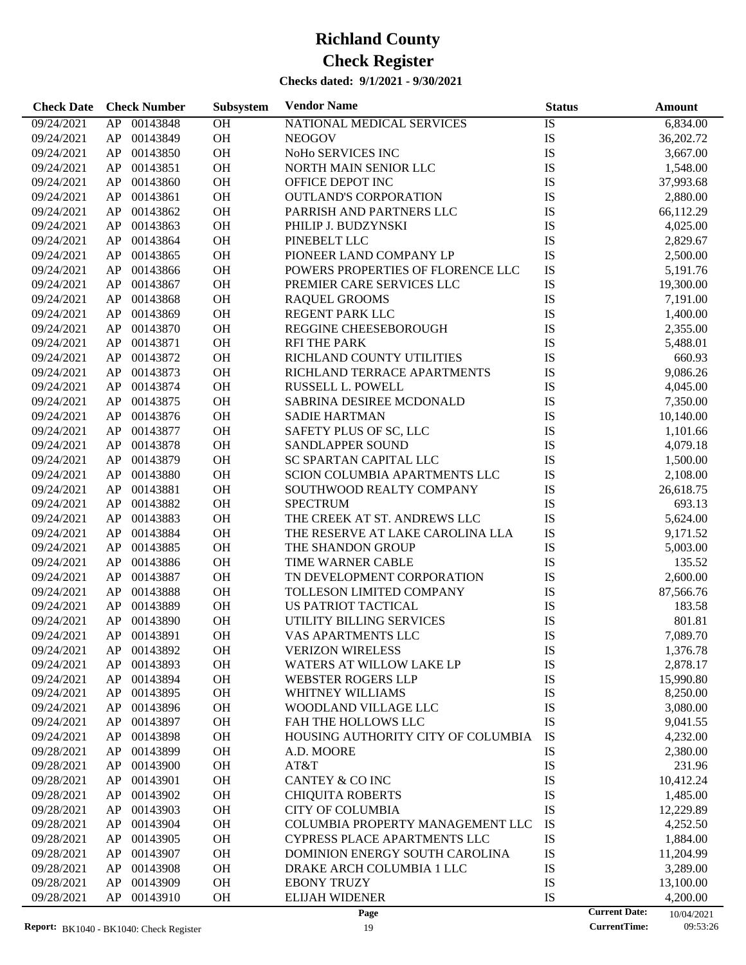**Check Date Check Number Subsystem Vendor Name Status Status Amount** 

09/24/2021 AP 00143848 OH NATIONAL MEDICAL SERVICES IS 6,834.00

**Subsystem**

| 09/24/2021 | AP | 00143849    | OH        | <b>NEOGOV</b>                      | IS            | 36,202.72 |
|------------|----|-------------|-----------|------------------------------------|---------------|-----------|
| 09/24/2021 | AP | 00143850    | OH        | NoHo SERVICES INC                  | ${\rm IS}$    | 3,667.00  |
| 09/24/2021 | AP | 00143851    | OH        | NORTH MAIN SENIOR LLC              | ${\rm IS}$    | 1,548.00  |
| 09/24/2021 | AP | 00143860    | OH        | OFFICE DEPOT INC                   | IS            | 37,993.68 |
| 09/24/2021 | AP | 00143861    | OH        | <b>OUTLAND'S CORPORATION</b>       | ${\rm IS}$    | 2,880.00  |
| 09/24/2021 | AP | 00143862    | OH        | PARRISH AND PARTNERS LLC           | ${\rm IS}$    | 66,112.29 |
| 09/24/2021 | AP | 00143863    | OH        | PHILIP J. BUDZYNSKI                | IS            | 4,025.00  |
| 09/24/2021 | AP | 00143864    | OH        | PINEBELT LLC                       | ${\rm IS}$    | 2,829.67  |
| 09/24/2021 | AP | 00143865    | OH        | PIONEER LAND COMPANY LP            | IS            | 2,500.00  |
| 09/24/2021 | AP | 00143866    | OH        | POWERS PROPERTIES OF FLORENCE LLC  | IS            | 5,191.76  |
| 09/24/2021 | AP | 00143867    | OH        | PREMIER CARE SERVICES LLC          | IS            | 19,300.00 |
| 09/24/2021 | AP | 00143868    | OH        | <b>RAQUEL GROOMS</b>               | IS            | 7,191.00  |
| 09/24/2021 | AP | 00143869    | OH        | REGENT PARK LLC                    | IS            | 1,400.00  |
| 09/24/2021 | AP | 00143870    | OH        | REGGINE CHEESEBOROUGH              | IS            | 2,355.00  |
| 09/24/2021 | AP | 00143871    | OH        | <b>RFI THE PARK</b>                | IS            | 5,488.01  |
| 09/24/2021 | AP | 00143872    | OH        | RICHLAND COUNTY UTILITIES          | IS            | 660.93    |
| 09/24/2021 | AP | 00143873    | OH        | RICHLAND TERRACE APARTMENTS        | IS            | 9,086.26  |
| 09/24/2021 | AP | 00143874    | OH        | RUSSELL L. POWELL                  | IS            | 4,045.00  |
| 09/24/2021 | AP | 00143875    | OH        | SABRINA DESIREE MCDONALD           | IS            | 7,350.00  |
| 09/24/2021 | AP | 00143876    | OH        | <b>SADIE HARTMAN</b>               | IS            | 10,140.00 |
| 09/24/2021 | AP | 00143877    | OH        | SAFETY PLUS OF SC, LLC             | ${\rm IS}$    | 1,101.66  |
| 09/24/2021 | AP | 00143878    | OH        | SANDLAPPER SOUND                   | ${\rm IS}$    | 4,079.18  |
| 09/24/2021 | AP | 00143879    | OH        | SC SPARTAN CAPITAL LLC             | IS            | 1,500.00  |
| 09/24/2021 | AP | 00143880    | OH        | SCION COLUMBIA APARTMENTS LLC      | IS            | 2,108.00  |
| 09/24/2021 | AP | 00143881    | OH        | SOUTHWOOD REALTY COMPANY           | IS            | 26,618.75 |
| 09/24/2021 | AP | 00143882    | OH        | <b>SPECTRUM</b>                    | IS            | 693.13    |
| 09/24/2021 | AP | 00143883    | OH        | THE CREEK AT ST. ANDREWS LLC       | IS            | 5,624.00  |
| 09/24/2021 | AP | 00143884    | OH        | THE RESERVE AT LAKE CAROLINA LLA   | IS            | 9,171.52  |
| 09/24/2021 | AP | 00143885    | OH        | THE SHANDON GROUP                  | IS            | 5,003.00  |
| 09/24/2021 | AP | 00143886    | OH        | TIME WARNER CABLE                  | ${\rm IS}$    | 135.52    |
| 09/24/2021 | AP | 00143887    | OH        | TN DEVELOPMENT CORPORATION         | ${\rm IS}$    | 2,600.00  |
| 09/24/2021 | AP | 00143888    | OH        | TOLLESON LIMITED COMPANY           | IS            | 87,566.76 |
| 09/24/2021 | AP | 00143889    | OH        | US PATRIOT TACTICAL                | IS            | 183.58    |
| 09/24/2021 | AP | 00143890    | OH        | UTILITY BILLING SERVICES           | IS            | 801.81    |
| 09/24/2021 | AP | 00143891    | OH        | VAS APARTMENTS LLC                 | IS            | 7,089.70  |
| 09/24/2021 | AP | 00143892    | OH        | <b>VERIZON WIRELESS</b>            | IS            | 1,376.78  |
| 09/24/2021 |    | AP 00143893 | OH        | WATERS AT WILLOW LAKE LP           | <b>IS</b>     | 2,878.17  |
| 09/24/2021 |    | AP 00143894 | OH        | WEBSTER ROGERS LLP                 | $\mathbf{IS}$ | 15,990.80 |
| 09/24/2021 |    | AP 00143895 | <b>OH</b> | WHITNEY WILLIAMS                   | IS            | 8,250.00  |
| 09/24/2021 | AP | 00143896    | OH        | WOODLAND VILLAGE LLC               | IS            | 3,080.00  |
| 09/24/2021 | AP | 00143897    | OH        | FAH THE HOLLOWS LLC                | IS            | 9,041.55  |
| 09/24/2021 | AP | 00143898    | OH        | HOUSING AUTHORITY CITY OF COLUMBIA | IS            | 4,232.00  |
| 09/28/2021 | AP | 00143899    | OH        | A.D. MOORE                         | IS            | 2,380.00  |
| 09/28/2021 | AP | 00143900    | OH        | AT&T                               | IS            | 231.96    |
| 09/28/2021 |    | AP 00143901 | OH        | CANTEY & CO INC                    | IS            | 10,412.24 |
| 09/28/2021 |    | AP 00143902 | OH        | <b>CHIQUITA ROBERTS</b>            | IS            | 1,485.00  |

09/28/2021 AP 00143903 OH CITY OF COLUMBIA IS IS 12,229.89 09/28/2021 AP 00143904 OH COLUMBIA PROPERTY MANAGEMENT LLC IS 4,252.50 09/28/2021 AP 00143905 OH CYPRESS PLACE APARTMENTS LLC IS 1,884.00 09/28/2021 AP 00143907 OH DOMINION ENERGY SOUTH CAROLINA IS 11,204.99 09/28/2021 AP 00143908 OH DRAKE ARCH COLUMBIA 1 LLC IS 3,289.00 09/28/2021 AP 00143909 OH EBONY TRUZY IS IS 13,100.00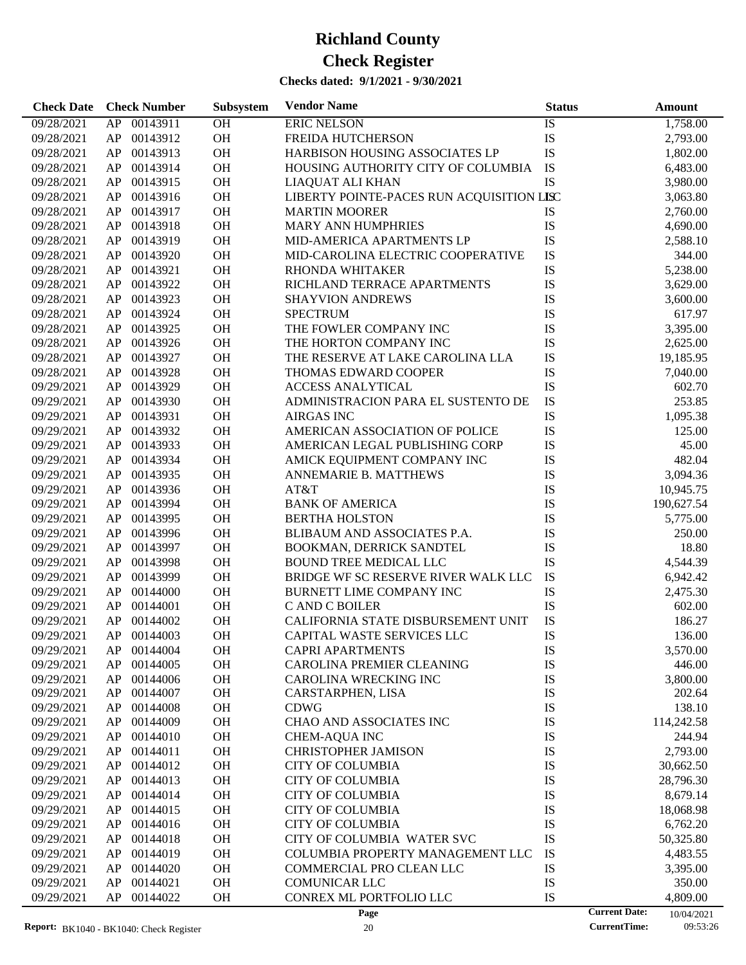| 00143911<br>OH<br><b>ERIC NELSON</b><br>09/28/2021<br>AP<br>IS<br>1,758.00<br>OH<br>IS<br>00143912<br><b>FREIDA HUTCHERSON</b><br>09/28/2021<br>AP<br>2,793.00<br>OH<br>IS<br>AP<br>00143913<br>HARBISON HOUSING ASSOCIATES LP<br>09/28/2021<br>1,802.00<br>OH<br>IS<br>00143914<br>HOUSING AUTHORITY CITY OF COLUMBIA<br>6,483.00<br>09/28/2021<br>AP<br>IS<br>OH<br>00143915<br>3,980.00<br>09/28/2021<br>AP<br>LIAQUAT ALI KHAN<br>OH<br>LIBERTY POINTE-PACES RUN ACQUISITION LISC<br>00143916<br>09/28/2021<br>AP<br>3,063.80<br>OH<br>00143917<br>IS<br>2,760.00<br>09/28/2021<br>AP<br><b>MARTIN MOORER</b><br>OH<br>IS<br>00143918<br><b>MARY ANN HUMPHRIES</b><br>4,690.00<br>09/28/2021<br>AP<br>OH<br>IS<br>00143919<br>09/28/2021<br>AP<br>MID-AMERICA APARTMENTS LP<br>2,588.10<br>OH<br>IS<br>00143920<br>MID-CAROLINA ELECTRIC COOPERATIVE<br>344.00<br>09/28/2021<br>AP<br>OH<br>IS<br>00143921<br>5,238.00<br>09/28/2021<br>AP<br>RHONDA WHITAKER<br>OH<br>IS<br>00143922<br>RICHLAND TERRACE APARTMENTS<br>3,629.00<br>09/28/2021<br>AP<br>OH<br>IS<br>00143923<br>09/28/2021<br>AP<br><b>SHAYVION ANDREWS</b><br>3,600.00<br>OH<br>00143924<br><b>SPECTRUM</b><br>IS<br>09/28/2021<br>AP<br>617.97<br>OH<br>IS<br>00143925<br>THE FOWLER COMPANY INC<br>3,395.00<br>09/28/2021<br>AP<br>OH<br>IS<br>00143926<br>THE HORTON COMPANY INC<br>09/28/2021<br>AP<br>2,625.00<br>OH<br>IS<br>00143927<br>09/28/2021<br>AP<br>THE RESERVE AT LAKE CAROLINA LLA<br>19,185.95<br>OH<br>IS<br>00143928<br>09/28/2021<br>AP<br>THOMAS EDWARD COOPER<br>7,040.00<br>OH<br>IS<br>00143929<br><b>ACCESS ANALYTICAL</b><br>602.70<br>09/29/2021<br>AP<br>OH<br>IS<br>00143930<br>ADMINISTRACION PARA EL SUSTENTO DE<br>253.85<br>09/29/2021<br>AP<br>OH<br>IS<br>00143931<br><b>AIRGAS INC</b><br>09/29/2021<br>AP<br>1,095.38<br>OH<br>IS<br>00143932<br>AMERICAN ASSOCIATION OF POLICE<br>125.00<br>09/29/2021<br>AP<br>OH<br>IS<br>00143933<br>AMERICAN LEGAL PUBLISHING CORP<br>45.00<br>09/29/2021<br>AP<br>OH<br>IS<br>00143934<br>482.04<br>09/29/2021<br>AP<br>AMICK EQUIPMENT COMPANY INC<br>OH<br>IS<br>00143935<br>09/29/2021<br>AP<br>ANNEMARIE B. MATTHEWS<br>3,094.36<br>OH<br>00143936<br>AT&T<br>IS<br>09/29/2021<br>AP<br>10,945.75<br>OH<br>IS<br>00143994<br><b>BANK OF AMERICA</b><br>09/29/2021<br>AP<br>190,627.54<br>OH<br>IS<br>00143995<br><b>BERTHA HOLSTON</b><br>09/29/2021<br>AP<br>5,775.00<br>OH<br>IS<br>00143996<br>BLIBAUM AND ASSOCIATES P.A.<br>250.00<br>09/29/2021<br>AP<br>OH<br>IS<br>00143997<br>BOOKMAN, DERRICK SANDTEL<br>18.80<br>09/29/2021<br>AP<br>OH<br>IS<br>00143998<br>4,544.39<br>09/29/2021<br>AP<br><b>BOUND TREE MEDICAL LLC</b><br>OH<br>IS<br>00143999<br>BRIDGE WF SC RESERVE RIVER WALK LLC<br>6,942.42<br>09/29/2021<br>AP<br>OH<br>IS<br>00144000<br>2,475.30<br>09/29/2021<br>AP<br>BURNETT LIME COMPANY INC<br>OH<br>IS<br>00144001<br>C AND C BOILER<br>09/29/2021<br>AP<br>602.00<br>IS<br>AP<br>00144002<br>OH<br>CALIFORNIA STATE DISBURSEMENT UNIT<br>186.27<br>09/29/2021<br>IS<br>AP<br>00144003<br><b>OH</b><br>CAPITAL WASTE SERVICES LLC<br>09/29/2021<br>136.00<br>09/29/2021<br>AP<br>00144004<br><b>OH</b><br><b>CAPRI APARTMENTS</b><br>IS<br>3,570.00<br>00144005<br>OH<br>CAROLINA PREMIER CLEANING<br>IS<br>446.00<br>09/29/2021<br>AP<br>AP<br>00144006<br>OH<br><b>CAROLINA WRECKING INC</b><br>IS<br>3,800.00<br>09/29/2021<br>IS<br>00144007<br><b>OH</b><br>09/29/2021<br>AP<br>CARSTARPHEN, LISA<br>202.64<br>IS<br>OH<br>138.10<br>09/29/2021<br>AP<br>00144008<br><b>CDWG</b><br>IS<br>00144009<br>OH<br>CHAO AND ASSOCIATES INC<br>09/29/2021<br>AP<br>114,242.58<br>IS<br>00144010<br>OH<br>244.94<br>09/29/2021<br>AP<br><b>CHEM-AQUA INC</b><br>IS<br>00144011<br>OH<br>09/29/2021<br>AP<br><b>CHRISTOPHER JAMISON</b><br>2,793.00<br>IS<br>00144012<br>OH<br>09/29/2021<br>AP<br><b>CITY OF COLUMBIA</b><br>30,662.50<br>IS<br>00144013<br>OH<br>09/29/2021<br>AP<br><b>CITY OF COLUMBIA</b><br>28,796.30<br>IS<br>00144014<br>OH<br>09/29/2021<br>AP<br><b>CITY OF COLUMBIA</b><br>8,679.14<br>00144015<br>OH<br>IS<br>09/29/2021<br>AP<br><b>CITY OF COLUMBIA</b><br>18,068.98<br>IS<br>00144016<br>OH<br><b>CITY OF COLUMBIA</b><br>09/29/2021<br>AP<br>6,762.20<br>IS<br>00144018<br>OH<br>CITY OF COLUMBIA WATER SVC<br>09/29/2021<br>AP<br>50,325.80<br>IS<br>00144019<br>OH<br>09/29/2021<br>AP<br>COLUMBIA PROPERTY MANAGEMENT LLC<br>4,483.55<br>00144020<br>OH<br>IS<br>09/29/2021<br>AP<br>COMMERCIAL PRO CLEAN LLC<br>3,395.00<br>IS<br>00144021<br>OH<br><b>COMUNICAR LLC</b><br>09/29/2021<br>AP<br>350.00<br>IS<br>09/29/2021<br>00144022<br>OH<br>CONREX ML PORTFOLIO LLC<br>AP<br>4,809.00<br><b>Current Date:</b><br>Page<br>10/04/2021 | <b>Check Date</b> | <b>Check Number</b> | Subsystem | <b>Vendor Name</b> | <b>Status</b> | <b>Amount</b> |
|-----------------------------------------------------------------------------------------------------------------------------------------------------------------------------------------------------------------------------------------------------------------------------------------------------------------------------------------------------------------------------------------------------------------------------------------------------------------------------------------------------------------------------------------------------------------------------------------------------------------------------------------------------------------------------------------------------------------------------------------------------------------------------------------------------------------------------------------------------------------------------------------------------------------------------------------------------------------------------------------------------------------------------------------------------------------------------------------------------------------------------------------------------------------------------------------------------------------------------------------------------------------------------------------------------------------------------------------------------------------------------------------------------------------------------------------------------------------------------------------------------------------------------------------------------------------------------------------------------------------------------------------------------------------------------------------------------------------------------------------------------------------------------------------------------------------------------------------------------------------------------------------------------------------------------------------------------------------------------------------------------------------------------------------------------------------------------------------------------------------------------------------------------------------------------------------------------------------------------------------------------------------------------------------------------------------------------------------------------------------------------------------------------------------------------------------------------------------------------------------------------------------------------------------------------------------------------------------------------------------------------------------------------------------------------------------------------------------------------------------------------------------------------------------------------------------------------------------------------------------------------------------------------------------------------------------------------------------------------------------------------------------------------------------------------------------------------------------------------------------------------------------------------------------------------------------------------------------------------------------------------------------------------------------------------------------------------------------------------------------------------------------------------------------------------------------------------------------------------------------------------------------------------------------------------------------------------------------------------------------------------------------------------------------------------------------------------------------------------------------------------------------------------------------------------------------------------------------------------------------------------------------------------------------------------------------------------------------------------------------------------------------------------------------------------------------------------------------------------------------------------------------------------------------------------------------------------------------------------------------------------------------------------------------------------------------------------------------------------------------------------------------------------------------------------------------------------------------------------------------------------------------------------------------------------------------------------------------------------------------------------------------------------------------------------------------------------------------------------------------------------------|-------------------|---------------------|-----------|--------------------|---------------|---------------|
|                                                                                                                                                                                                                                                                                                                                                                                                                                                                                                                                                                                                                                                                                                                                                                                                                                                                                                                                                                                                                                                                                                                                                                                                                                                                                                                                                                                                                                                                                                                                                                                                                                                                                                                                                                                                                                                                                                                                                                                                                                                                                                                                                                                                                                                                                                                                                                                                                                                                                                                                                                                                                                                                                                                                                                                                                                                                                                                                                                                                                                                                                                                                                                                                                                                                                                                                                                                                                                                                                                                                                                                                                                                                                                                                                                                                                                                                                                                                                                                                                                                                                                                                                                                                                                                                                                                                                                                                                                                                                                                                                                                                                                                                                                                                                           |                   |                     |           |                    |               |               |
|                                                                                                                                                                                                                                                                                                                                                                                                                                                                                                                                                                                                                                                                                                                                                                                                                                                                                                                                                                                                                                                                                                                                                                                                                                                                                                                                                                                                                                                                                                                                                                                                                                                                                                                                                                                                                                                                                                                                                                                                                                                                                                                                                                                                                                                                                                                                                                                                                                                                                                                                                                                                                                                                                                                                                                                                                                                                                                                                                                                                                                                                                                                                                                                                                                                                                                                                                                                                                                                                                                                                                                                                                                                                                                                                                                                                                                                                                                                                                                                                                                                                                                                                                                                                                                                                                                                                                                                                                                                                                                                                                                                                                                                                                                                                                           |                   |                     |           |                    |               |               |
|                                                                                                                                                                                                                                                                                                                                                                                                                                                                                                                                                                                                                                                                                                                                                                                                                                                                                                                                                                                                                                                                                                                                                                                                                                                                                                                                                                                                                                                                                                                                                                                                                                                                                                                                                                                                                                                                                                                                                                                                                                                                                                                                                                                                                                                                                                                                                                                                                                                                                                                                                                                                                                                                                                                                                                                                                                                                                                                                                                                                                                                                                                                                                                                                                                                                                                                                                                                                                                                                                                                                                                                                                                                                                                                                                                                                                                                                                                                                                                                                                                                                                                                                                                                                                                                                                                                                                                                                                                                                                                                                                                                                                                                                                                                                                           |                   |                     |           |                    |               |               |
|                                                                                                                                                                                                                                                                                                                                                                                                                                                                                                                                                                                                                                                                                                                                                                                                                                                                                                                                                                                                                                                                                                                                                                                                                                                                                                                                                                                                                                                                                                                                                                                                                                                                                                                                                                                                                                                                                                                                                                                                                                                                                                                                                                                                                                                                                                                                                                                                                                                                                                                                                                                                                                                                                                                                                                                                                                                                                                                                                                                                                                                                                                                                                                                                                                                                                                                                                                                                                                                                                                                                                                                                                                                                                                                                                                                                                                                                                                                                                                                                                                                                                                                                                                                                                                                                                                                                                                                                                                                                                                                                                                                                                                                                                                                                                           |                   |                     |           |                    |               |               |
|                                                                                                                                                                                                                                                                                                                                                                                                                                                                                                                                                                                                                                                                                                                                                                                                                                                                                                                                                                                                                                                                                                                                                                                                                                                                                                                                                                                                                                                                                                                                                                                                                                                                                                                                                                                                                                                                                                                                                                                                                                                                                                                                                                                                                                                                                                                                                                                                                                                                                                                                                                                                                                                                                                                                                                                                                                                                                                                                                                                                                                                                                                                                                                                                                                                                                                                                                                                                                                                                                                                                                                                                                                                                                                                                                                                                                                                                                                                                                                                                                                                                                                                                                                                                                                                                                                                                                                                                                                                                                                                                                                                                                                                                                                                                                           |                   |                     |           |                    |               |               |
|                                                                                                                                                                                                                                                                                                                                                                                                                                                                                                                                                                                                                                                                                                                                                                                                                                                                                                                                                                                                                                                                                                                                                                                                                                                                                                                                                                                                                                                                                                                                                                                                                                                                                                                                                                                                                                                                                                                                                                                                                                                                                                                                                                                                                                                                                                                                                                                                                                                                                                                                                                                                                                                                                                                                                                                                                                                                                                                                                                                                                                                                                                                                                                                                                                                                                                                                                                                                                                                                                                                                                                                                                                                                                                                                                                                                                                                                                                                                                                                                                                                                                                                                                                                                                                                                                                                                                                                                                                                                                                                                                                                                                                                                                                                                                           |                   |                     |           |                    |               |               |
|                                                                                                                                                                                                                                                                                                                                                                                                                                                                                                                                                                                                                                                                                                                                                                                                                                                                                                                                                                                                                                                                                                                                                                                                                                                                                                                                                                                                                                                                                                                                                                                                                                                                                                                                                                                                                                                                                                                                                                                                                                                                                                                                                                                                                                                                                                                                                                                                                                                                                                                                                                                                                                                                                                                                                                                                                                                                                                                                                                                                                                                                                                                                                                                                                                                                                                                                                                                                                                                                                                                                                                                                                                                                                                                                                                                                                                                                                                                                                                                                                                                                                                                                                                                                                                                                                                                                                                                                                                                                                                                                                                                                                                                                                                                                                           |                   |                     |           |                    |               |               |
|                                                                                                                                                                                                                                                                                                                                                                                                                                                                                                                                                                                                                                                                                                                                                                                                                                                                                                                                                                                                                                                                                                                                                                                                                                                                                                                                                                                                                                                                                                                                                                                                                                                                                                                                                                                                                                                                                                                                                                                                                                                                                                                                                                                                                                                                                                                                                                                                                                                                                                                                                                                                                                                                                                                                                                                                                                                                                                                                                                                                                                                                                                                                                                                                                                                                                                                                                                                                                                                                                                                                                                                                                                                                                                                                                                                                                                                                                                                                                                                                                                                                                                                                                                                                                                                                                                                                                                                                                                                                                                                                                                                                                                                                                                                                                           |                   |                     |           |                    |               |               |
|                                                                                                                                                                                                                                                                                                                                                                                                                                                                                                                                                                                                                                                                                                                                                                                                                                                                                                                                                                                                                                                                                                                                                                                                                                                                                                                                                                                                                                                                                                                                                                                                                                                                                                                                                                                                                                                                                                                                                                                                                                                                                                                                                                                                                                                                                                                                                                                                                                                                                                                                                                                                                                                                                                                                                                                                                                                                                                                                                                                                                                                                                                                                                                                                                                                                                                                                                                                                                                                                                                                                                                                                                                                                                                                                                                                                                                                                                                                                                                                                                                                                                                                                                                                                                                                                                                                                                                                                                                                                                                                                                                                                                                                                                                                                                           |                   |                     |           |                    |               |               |
|                                                                                                                                                                                                                                                                                                                                                                                                                                                                                                                                                                                                                                                                                                                                                                                                                                                                                                                                                                                                                                                                                                                                                                                                                                                                                                                                                                                                                                                                                                                                                                                                                                                                                                                                                                                                                                                                                                                                                                                                                                                                                                                                                                                                                                                                                                                                                                                                                                                                                                                                                                                                                                                                                                                                                                                                                                                                                                                                                                                                                                                                                                                                                                                                                                                                                                                                                                                                                                                                                                                                                                                                                                                                                                                                                                                                                                                                                                                                                                                                                                                                                                                                                                                                                                                                                                                                                                                                                                                                                                                                                                                                                                                                                                                                                           |                   |                     |           |                    |               |               |
|                                                                                                                                                                                                                                                                                                                                                                                                                                                                                                                                                                                                                                                                                                                                                                                                                                                                                                                                                                                                                                                                                                                                                                                                                                                                                                                                                                                                                                                                                                                                                                                                                                                                                                                                                                                                                                                                                                                                                                                                                                                                                                                                                                                                                                                                                                                                                                                                                                                                                                                                                                                                                                                                                                                                                                                                                                                                                                                                                                                                                                                                                                                                                                                                                                                                                                                                                                                                                                                                                                                                                                                                                                                                                                                                                                                                                                                                                                                                                                                                                                                                                                                                                                                                                                                                                                                                                                                                                                                                                                                                                                                                                                                                                                                                                           |                   |                     |           |                    |               |               |
|                                                                                                                                                                                                                                                                                                                                                                                                                                                                                                                                                                                                                                                                                                                                                                                                                                                                                                                                                                                                                                                                                                                                                                                                                                                                                                                                                                                                                                                                                                                                                                                                                                                                                                                                                                                                                                                                                                                                                                                                                                                                                                                                                                                                                                                                                                                                                                                                                                                                                                                                                                                                                                                                                                                                                                                                                                                                                                                                                                                                                                                                                                                                                                                                                                                                                                                                                                                                                                                                                                                                                                                                                                                                                                                                                                                                                                                                                                                                                                                                                                                                                                                                                                                                                                                                                                                                                                                                                                                                                                                                                                                                                                                                                                                                                           |                   |                     |           |                    |               |               |
|                                                                                                                                                                                                                                                                                                                                                                                                                                                                                                                                                                                                                                                                                                                                                                                                                                                                                                                                                                                                                                                                                                                                                                                                                                                                                                                                                                                                                                                                                                                                                                                                                                                                                                                                                                                                                                                                                                                                                                                                                                                                                                                                                                                                                                                                                                                                                                                                                                                                                                                                                                                                                                                                                                                                                                                                                                                                                                                                                                                                                                                                                                                                                                                                                                                                                                                                                                                                                                                                                                                                                                                                                                                                                                                                                                                                                                                                                                                                                                                                                                                                                                                                                                                                                                                                                                                                                                                                                                                                                                                                                                                                                                                                                                                                                           |                   |                     |           |                    |               |               |
|                                                                                                                                                                                                                                                                                                                                                                                                                                                                                                                                                                                                                                                                                                                                                                                                                                                                                                                                                                                                                                                                                                                                                                                                                                                                                                                                                                                                                                                                                                                                                                                                                                                                                                                                                                                                                                                                                                                                                                                                                                                                                                                                                                                                                                                                                                                                                                                                                                                                                                                                                                                                                                                                                                                                                                                                                                                                                                                                                                                                                                                                                                                                                                                                                                                                                                                                                                                                                                                                                                                                                                                                                                                                                                                                                                                                                                                                                                                                                                                                                                                                                                                                                                                                                                                                                                                                                                                                                                                                                                                                                                                                                                                                                                                                                           |                   |                     |           |                    |               |               |
|                                                                                                                                                                                                                                                                                                                                                                                                                                                                                                                                                                                                                                                                                                                                                                                                                                                                                                                                                                                                                                                                                                                                                                                                                                                                                                                                                                                                                                                                                                                                                                                                                                                                                                                                                                                                                                                                                                                                                                                                                                                                                                                                                                                                                                                                                                                                                                                                                                                                                                                                                                                                                                                                                                                                                                                                                                                                                                                                                                                                                                                                                                                                                                                                                                                                                                                                                                                                                                                                                                                                                                                                                                                                                                                                                                                                                                                                                                                                                                                                                                                                                                                                                                                                                                                                                                                                                                                                                                                                                                                                                                                                                                                                                                                                                           |                   |                     |           |                    |               |               |
|                                                                                                                                                                                                                                                                                                                                                                                                                                                                                                                                                                                                                                                                                                                                                                                                                                                                                                                                                                                                                                                                                                                                                                                                                                                                                                                                                                                                                                                                                                                                                                                                                                                                                                                                                                                                                                                                                                                                                                                                                                                                                                                                                                                                                                                                                                                                                                                                                                                                                                                                                                                                                                                                                                                                                                                                                                                                                                                                                                                                                                                                                                                                                                                                                                                                                                                                                                                                                                                                                                                                                                                                                                                                                                                                                                                                                                                                                                                                                                                                                                                                                                                                                                                                                                                                                                                                                                                                                                                                                                                                                                                                                                                                                                                                                           |                   |                     |           |                    |               |               |
|                                                                                                                                                                                                                                                                                                                                                                                                                                                                                                                                                                                                                                                                                                                                                                                                                                                                                                                                                                                                                                                                                                                                                                                                                                                                                                                                                                                                                                                                                                                                                                                                                                                                                                                                                                                                                                                                                                                                                                                                                                                                                                                                                                                                                                                                                                                                                                                                                                                                                                                                                                                                                                                                                                                                                                                                                                                                                                                                                                                                                                                                                                                                                                                                                                                                                                                                                                                                                                                                                                                                                                                                                                                                                                                                                                                                                                                                                                                                                                                                                                                                                                                                                                                                                                                                                                                                                                                                                                                                                                                                                                                                                                                                                                                                                           |                   |                     |           |                    |               |               |
|                                                                                                                                                                                                                                                                                                                                                                                                                                                                                                                                                                                                                                                                                                                                                                                                                                                                                                                                                                                                                                                                                                                                                                                                                                                                                                                                                                                                                                                                                                                                                                                                                                                                                                                                                                                                                                                                                                                                                                                                                                                                                                                                                                                                                                                                                                                                                                                                                                                                                                                                                                                                                                                                                                                                                                                                                                                                                                                                                                                                                                                                                                                                                                                                                                                                                                                                                                                                                                                                                                                                                                                                                                                                                                                                                                                                                                                                                                                                                                                                                                                                                                                                                                                                                                                                                                                                                                                                                                                                                                                                                                                                                                                                                                                                                           |                   |                     |           |                    |               |               |
|                                                                                                                                                                                                                                                                                                                                                                                                                                                                                                                                                                                                                                                                                                                                                                                                                                                                                                                                                                                                                                                                                                                                                                                                                                                                                                                                                                                                                                                                                                                                                                                                                                                                                                                                                                                                                                                                                                                                                                                                                                                                                                                                                                                                                                                                                                                                                                                                                                                                                                                                                                                                                                                                                                                                                                                                                                                                                                                                                                                                                                                                                                                                                                                                                                                                                                                                                                                                                                                                                                                                                                                                                                                                                                                                                                                                                                                                                                                                                                                                                                                                                                                                                                                                                                                                                                                                                                                                                                                                                                                                                                                                                                                                                                                                                           |                   |                     |           |                    |               |               |
|                                                                                                                                                                                                                                                                                                                                                                                                                                                                                                                                                                                                                                                                                                                                                                                                                                                                                                                                                                                                                                                                                                                                                                                                                                                                                                                                                                                                                                                                                                                                                                                                                                                                                                                                                                                                                                                                                                                                                                                                                                                                                                                                                                                                                                                                                                                                                                                                                                                                                                                                                                                                                                                                                                                                                                                                                                                                                                                                                                                                                                                                                                                                                                                                                                                                                                                                                                                                                                                                                                                                                                                                                                                                                                                                                                                                                                                                                                                                                                                                                                                                                                                                                                                                                                                                                                                                                                                                                                                                                                                                                                                                                                                                                                                                                           |                   |                     |           |                    |               |               |
|                                                                                                                                                                                                                                                                                                                                                                                                                                                                                                                                                                                                                                                                                                                                                                                                                                                                                                                                                                                                                                                                                                                                                                                                                                                                                                                                                                                                                                                                                                                                                                                                                                                                                                                                                                                                                                                                                                                                                                                                                                                                                                                                                                                                                                                                                                                                                                                                                                                                                                                                                                                                                                                                                                                                                                                                                                                                                                                                                                                                                                                                                                                                                                                                                                                                                                                                                                                                                                                                                                                                                                                                                                                                                                                                                                                                                                                                                                                                                                                                                                                                                                                                                                                                                                                                                                                                                                                                                                                                                                                                                                                                                                                                                                                                                           |                   |                     |           |                    |               |               |
|                                                                                                                                                                                                                                                                                                                                                                                                                                                                                                                                                                                                                                                                                                                                                                                                                                                                                                                                                                                                                                                                                                                                                                                                                                                                                                                                                                                                                                                                                                                                                                                                                                                                                                                                                                                                                                                                                                                                                                                                                                                                                                                                                                                                                                                                                                                                                                                                                                                                                                                                                                                                                                                                                                                                                                                                                                                                                                                                                                                                                                                                                                                                                                                                                                                                                                                                                                                                                                                                                                                                                                                                                                                                                                                                                                                                                                                                                                                                                                                                                                                                                                                                                                                                                                                                                                                                                                                                                                                                                                                                                                                                                                                                                                                                                           |                   |                     |           |                    |               |               |
|                                                                                                                                                                                                                                                                                                                                                                                                                                                                                                                                                                                                                                                                                                                                                                                                                                                                                                                                                                                                                                                                                                                                                                                                                                                                                                                                                                                                                                                                                                                                                                                                                                                                                                                                                                                                                                                                                                                                                                                                                                                                                                                                                                                                                                                                                                                                                                                                                                                                                                                                                                                                                                                                                                                                                                                                                                                                                                                                                                                                                                                                                                                                                                                                                                                                                                                                                                                                                                                                                                                                                                                                                                                                                                                                                                                                                                                                                                                                                                                                                                                                                                                                                                                                                                                                                                                                                                                                                                                                                                                                                                                                                                                                                                                                                           |                   |                     |           |                    |               |               |
|                                                                                                                                                                                                                                                                                                                                                                                                                                                                                                                                                                                                                                                                                                                                                                                                                                                                                                                                                                                                                                                                                                                                                                                                                                                                                                                                                                                                                                                                                                                                                                                                                                                                                                                                                                                                                                                                                                                                                                                                                                                                                                                                                                                                                                                                                                                                                                                                                                                                                                                                                                                                                                                                                                                                                                                                                                                                                                                                                                                                                                                                                                                                                                                                                                                                                                                                                                                                                                                                                                                                                                                                                                                                                                                                                                                                                                                                                                                                                                                                                                                                                                                                                                                                                                                                                                                                                                                                                                                                                                                                                                                                                                                                                                                                                           |                   |                     |           |                    |               |               |
|                                                                                                                                                                                                                                                                                                                                                                                                                                                                                                                                                                                                                                                                                                                                                                                                                                                                                                                                                                                                                                                                                                                                                                                                                                                                                                                                                                                                                                                                                                                                                                                                                                                                                                                                                                                                                                                                                                                                                                                                                                                                                                                                                                                                                                                                                                                                                                                                                                                                                                                                                                                                                                                                                                                                                                                                                                                                                                                                                                                                                                                                                                                                                                                                                                                                                                                                                                                                                                                                                                                                                                                                                                                                                                                                                                                                                                                                                                                                                                                                                                                                                                                                                                                                                                                                                                                                                                                                                                                                                                                                                                                                                                                                                                                                                           |                   |                     |           |                    |               |               |
|                                                                                                                                                                                                                                                                                                                                                                                                                                                                                                                                                                                                                                                                                                                                                                                                                                                                                                                                                                                                                                                                                                                                                                                                                                                                                                                                                                                                                                                                                                                                                                                                                                                                                                                                                                                                                                                                                                                                                                                                                                                                                                                                                                                                                                                                                                                                                                                                                                                                                                                                                                                                                                                                                                                                                                                                                                                                                                                                                                                                                                                                                                                                                                                                                                                                                                                                                                                                                                                                                                                                                                                                                                                                                                                                                                                                                                                                                                                                                                                                                                                                                                                                                                                                                                                                                                                                                                                                                                                                                                                                                                                                                                                                                                                                                           |                   |                     |           |                    |               |               |
|                                                                                                                                                                                                                                                                                                                                                                                                                                                                                                                                                                                                                                                                                                                                                                                                                                                                                                                                                                                                                                                                                                                                                                                                                                                                                                                                                                                                                                                                                                                                                                                                                                                                                                                                                                                                                                                                                                                                                                                                                                                                                                                                                                                                                                                                                                                                                                                                                                                                                                                                                                                                                                                                                                                                                                                                                                                                                                                                                                                                                                                                                                                                                                                                                                                                                                                                                                                                                                                                                                                                                                                                                                                                                                                                                                                                                                                                                                                                                                                                                                                                                                                                                                                                                                                                                                                                                                                                                                                                                                                                                                                                                                                                                                                                                           |                   |                     |           |                    |               |               |
|                                                                                                                                                                                                                                                                                                                                                                                                                                                                                                                                                                                                                                                                                                                                                                                                                                                                                                                                                                                                                                                                                                                                                                                                                                                                                                                                                                                                                                                                                                                                                                                                                                                                                                                                                                                                                                                                                                                                                                                                                                                                                                                                                                                                                                                                                                                                                                                                                                                                                                                                                                                                                                                                                                                                                                                                                                                                                                                                                                                                                                                                                                                                                                                                                                                                                                                                                                                                                                                                                                                                                                                                                                                                                                                                                                                                                                                                                                                                                                                                                                                                                                                                                                                                                                                                                                                                                                                                                                                                                                                                                                                                                                                                                                                                                           |                   |                     |           |                    |               |               |
|                                                                                                                                                                                                                                                                                                                                                                                                                                                                                                                                                                                                                                                                                                                                                                                                                                                                                                                                                                                                                                                                                                                                                                                                                                                                                                                                                                                                                                                                                                                                                                                                                                                                                                                                                                                                                                                                                                                                                                                                                                                                                                                                                                                                                                                                                                                                                                                                                                                                                                                                                                                                                                                                                                                                                                                                                                                                                                                                                                                                                                                                                                                                                                                                                                                                                                                                                                                                                                                                                                                                                                                                                                                                                                                                                                                                                                                                                                                                                                                                                                                                                                                                                                                                                                                                                                                                                                                                                                                                                                                                                                                                                                                                                                                                                           |                   |                     |           |                    |               |               |
|                                                                                                                                                                                                                                                                                                                                                                                                                                                                                                                                                                                                                                                                                                                                                                                                                                                                                                                                                                                                                                                                                                                                                                                                                                                                                                                                                                                                                                                                                                                                                                                                                                                                                                                                                                                                                                                                                                                                                                                                                                                                                                                                                                                                                                                                                                                                                                                                                                                                                                                                                                                                                                                                                                                                                                                                                                                                                                                                                                                                                                                                                                                                                                                                                                                                                                                                                                                                                                                                                                                                                                                                                                                                                                                                                                                                                                                                                                                                                                                                                                                                                                                                                                                                                                                                                                                                                                                                                                                                                                                                                                                                                                                                                                                                                           |                   |                     |           |                    |               |               |
|                                                                                                                                                                                                                                                                                                                                                                                                                                                                                                                                                                                                                                                                                                                                                                                                                                                                                                                                                                                                                                                                                                                                                                                                                                                                                                                                                                                                                                                                                                                                                                                                                                                                                                                                                                                                                                                                                                                                                                                                                                                                                                                                                                                                                                                                                                                                                                                                                                                                                                                                                                                                                                                                                                                                                                                                                                                                                                                                                                                                                                                                                                                                                                                                                                                                                                                                                                                                                                                                                                                                                                                                                                                                                                                                                                                                                                                                                                                                                                                                                                                                                                                                                                                                                                                                                                                                                                                                                                                                                                                                                                                                                                                                                                                                                           |                   |                     |           |                    |               |               |
|                                                                                                                                                                                                                                                                                                                                                                                                                                                                                                                                                                                                                                                                                                                                                                                                                                                                                                                                                                                                                                                                                                                                                                                                                                                                                                                                                                                                                                                                                                                                                                                                                                                                                                                                                                                                                                                                                                                                                                                                                                                                                                                                                                                                                                                                                                                                                                                                                                                                                                                                                                                                                                                                                                                                                                                                                                                                                                                                                                                                                                                                                                                                                                                                                                                                                                                                                                                                                                                                                                                                                                                                                                                                                                                                                                                                                                                                                                                                                                                                                                                                                                                                                                                                                                                                                                                                                                                                                                                                                                                                                                                                                                                                                                                                                           |                   |                     |           |                    |               |               |
|                                                                                                                                                                                                                                                                                                                                                                                                                                                                                                                                                                                                                                                                                                                                                                                                                                                                                                                                                                                                                                                                                                                                                                                                                                                                                                                                                                                                                                                                                                                                                                                                                                                                                                                                                                                                                                                                                                                                                                                                                                                                                                                                                                                                                                                                                                                                                                                                                                                                                                                                                                                                                                                                                                                                                                                                                                                                                                                                                                                                                                                                                                                                                                                                                                                                                                                                                                                                                                                                                                                                                                                                                                                                                                                                                                                                                                                                                                                                                                                                                                                                                                                                                                                                                                                                                                                                                                                                                                                                                                                                                                                                                                                                                                                                                           |                   |                     |           |                    |               |               |
|                                                                                                                                                                                                                                                                                                                                                                                                                                                                                                                                                                                                                                                                                                                                                                                                                                                                                                                                                                                                                                                                                                                                                                                                                                                                                                                                                                                                                                                                                                                                                                                                                                                                                                                                                                                                                                                                                                                                                                                                                                                                                                                                                                                                                                                                                                                                                                                                                                                                                                                                                                                                                                                                                                                                                                                                                                                                                                                                                                                                                                                                                                                                                                                                                                                                                                                                                                                                                                                                                                                                                                                                                                                                                                                                                                                                                                                                                                                                                                                                                                                                                                                                                                                                                                                                                                                                                                                                                                                                                                                                                                                                                                                                                                                                                           |                   |                     |           |                    |               |               |
|                                                                                                                                                                                                                                                                                                                                                                                                                                                                                                                                                                                                                                                                                                                                                                                                                                                                                                                                                                                                                                                                                                                                                                                                                                                                                                                                                                                                                                                                                                                                                                                                                                                                                                                                                                                                                                                                                                                                                                                                                                                                                                                                                                                                                                                                                                                                                                                                                                                                                                                                                                                                                                                                                                                                                                                                                                                                                                                                                                                                                                                                                                                                                                                                                                                                                                                                                                                                                                                                                                                                                                                                                                                                                                                                                                                                                                                                                                                                                                                                                                                                                                                                                                                                                                                                                                                                                                                                                                                                                                                                                                                                                                                                                                                                                           |                   |                     |           |                    |               |               |
|                                                                                                                                                                                                                                                                                                                                                                                                                                                                                                                                                                                                                                                                                                                                                                                                                                                                                                                                                                                                                                                                                                                                                                                                                                                                                                                                                                                                                                                                                                                                                                                                                                                                                                                                                                                                                                                                                                                                                                                                                                                                                                                                                                                                                                                                                                                                                                                                                                                                                                                                                                                                                                                                                                                                                                                                                                                                                                                                                                                                                                                                                                                                                                                                                                                                                                                                                                                                                                                                                                                                                                                                                                                                                                                                                                                                                                                                                                                                                                                                                                                                                                                                                                                                                                                                                                                                                                                                                                                                                                                                                                                                                                                                                                                                                           |                   |                     |           |                    |               |               |
|                                                                                                                                                                                                                                                                                                                                                                                                                                                                                                                                                                                                                                                                                                                                                                                                                                                                                                                                                                                                                                                                                                                                                                                                                                                                                                                                                                                                                                                                                                                                                                                                                                                                                                                                                                                                                                                                                                                                                                                                                                                                                                                                                                                                                                                                                                                                                                                                                                                                                                                                                                                                                                                                                                                                                                                                                                                                                                                                                                                                                                                                                                                                                                                                                                                                                                                                                                                                                                                                                                                                                                                                                                                                                                                                                                                                                                                                                                                                                                                                                                                                                                                                                                                                                                                                                                                                                                                                                                                                                                                                                                                                                                                                                                                                                           |                   |                     |           |                    |               |               |
|                                                                                                                                                                                                                                                                                                                                                                                                                                                                                                                                                                                                                                                                                                                                                                                                                                                                                                                                                                                                                                                                                                                                                                                                                                                                                                                                                                                                                                                                                                                                                                                                                                                                                                                                                                                                                                                                                                                                                                                                                                                                                                                                                                                                                                                                                                                                                                                                                                                                                                                                                                                                                                                                                                                                                                                                                                                                                                                                                                                                                                                                                                                                                                                                                                                                                                                                                                                                                                                                                                                                                                                                                                                                                                                                                                                                                                                                                                                                                                                                                                                                                                                                                                                                                                                                                                                                                                                                                                                                                                                                                                                                                                                                                                                                                           |                   |                     |           |                    |               |               |
|                                                                                                                                                                                                                                                                                                                                                                                                                                                                                                                                                                                                                                                                                                                                                                                                                                                                                                                                                                                                                                                                                                                                                                                                                                                                                                                                                                                                                                                                                                                                                                                                                                                                                                                                                                                                                                                                                                                                                                                                                                                                                                                                                                                                                                                                                                                                                                                                                                                                                                                                                                                                                                                                                                                                                                                                                                                                                                                                                                                                                                                                                                                                                                                                                                                                                                                                                                                                                                                                                                                                                                                                                                                                                                                                                                                                                                                                                                                                                                                                                                                                                                                                                                                                                                                                                                                                                                                                                                                                                                                                                                                                                                                                                                                                                           |                   |                     |           |                    |               |               |
|                                                                                                                                                                                                                                                                                                                                                                                                                                                                                                                                                                                                                                                                                                                                                                                                                                                                                                                                                                                                                                                                                                                                                                                                                                                                                                                                                                                                                                                                                                                                                                                                                                                                                                                                                                                                                                                                                                                                                                                                                                                                                                                                                                                                                                                                                                                                                                                                                                                                                                                                                                                                                                                                                                                                                                                                                                                                                                                                                                                                                                                                                                                                                                                                                                                                                                                                                                                                                                                                                                                                                                                                                                                                                                                                                                                                                                                                                                                                                                                                                                                                                                                                                                                                                                                                                                                                                                                                                                                                                                                                                                                                                                                                                                                                                           |                   |                     |           |                    |               |               |
|                                                                                                                                                                                                                                                                                                                                                                                                                                                                                                                                                                                                                                                                                                                                                                                                                                                                                                                                                                                                                                                                                                                                                                                                                                                                                                                                                                                                                                                                                                                                                                                                                                                                                                                                                                                                                                                                                                                                                                                                                                                                                                                                                                                                                                                                                                                                                                                                                                                                                                                                                                                                                                                                                                                                                                                                                                                                                                                                                                                                                                                                                                                                                                                                                                                                                                                                                                                                                                                                                                                                                                                                                                                                                                                                                                                                                                                                                                                                                                                                                                                                                                                                                                                                                                                                                                                                                                                                                                                                                                                                                                                                                                                                                                                                                           |                   |                     |           |                    |               |               |
|                                                                                                                                                                                                                                                                                                                                                                                                                                                                                                                                                                                                                                                                                                                                                                                                                                                                                                                                                                                                                                                                                                                                                                                                                                                                                                                                                                                                                                                                                                                                                                                                                                                                                                                                                                                                                                                                                                                                                                                                                                                                                                                                                                                                                                                                                                                                                                                                                                                                                                                                                                                                                                                                                                                                                                                                                                                                                                                                                                                                                                                                                                                                                                                                                                                                                                                                                                                                                                                                                                                                                                                                                                                                                                                                                                                                                                                                                                                                                                                                                                                                                                                                                                                                                                                                                                                                                                                                                                                                                                                                                                                                                                                                                                                                                           |                   |                     |           |                    |               |               |
|                                                                                                                                                                                                                                                                                                                                                                                                                                                                                                                                                                                                                                                                                                                                                                                                                                                                                                                                                                                                                                                                                                                                                                                                                                                                                                                                                                                                                                                                                                                                                                                                                                                                                                                                                                                                                                                                                                                                                                                                                                                                                                                                                                                                                                                                                                                                                                                                                                                                                                                                                                                                                                                                                                                                                                                                                                                                                                                                                                                                                                                                                                                                                                                                                                                                                                                                                                                                                                                                                                                                                                                                                                                                                                                                                                                                                                                                                                                                                                                                                                                                                                                                                                                                                                                                                                                                                                                                                                                                                                                                                                                                                                                                                                                                                           |                   |                     |           |                    |               |               |
|                                                                                                                                                                                                                                                                                                                                                                                                                                                                                                                                                                                                                                                                                                                                                                                                                                                                                                                                                                                                                                                                                                                                                                                                                                                                                                                                                                                                                                                                                                                                                                                                                                                                                                                                                                                                                                                                                                                                                                                                                                                                                                                                                                                                                                                                                                                                                                                                                                                                                                                                                                                                                                                                                                                                                                                                                                                                                                                                                                                                                                                                                                                                                                                                                                                                                                                                                                                                                                                                                                                                                                                                                                                                                                                                                                                                                                                                                                                                                                                                                                                                                                                                                                                                                                                                                                                                                                                                                                                                                                                                                                                                                                                                                                                                                           |                   |                     |           |                    |               |               |
|                                                                                                                                                                                                                                                                                                                                                                                                                                                                                                                                                                                                                                                                                                                                                                                                                                                                                                                                                                                                                                                                                                                                                                                                                                                                                                                                                                                                                                                                                                                                                                                                                                                                                                                                                                                                                                                                                                                                                                                                                                                                                                                                                                                                                                                                                                                                                                                                                                                                                                                                                                                                                                                                                                                                                                                                                                                                                                                                                                                                                                                                                                                                                                                                                                                                                                                                                                                                                                                                                                                                                                                                                                                                                                                                                                                                                                                                                                                                                                                                                                                                                                                                                                                                                                                                                                                                                                                                                                                                                                                                                                                                                                                                                                                                                           |                   |                     |           |                    |               |               |
|                                                                                                                                                                                                                                                                                                                                                                                                                                                                                                                                                                                                                                                                                                                                                                                                                                                                                                                                                                                                                                                                                                                                                                                                                                                                                                                                                                                                                                                                                                                                                                                                                                                                                                                                                                                                                                                                                                                                                                                                                                                                                                                                                                                                                                                                                                                                                                                                                                                                                                                                                                                                                                                                                                                                                                                                                                                                                                                                                                                                                                                                                                                                                                                                                                                                                                                                                                                                                                                                                                                                                                                                                                                                                                                                                                                                                                                                                                                                                                                                                                                                                                                                                                                                                                                                                                                                                                                                                                                                                                                                                                                                                                                                                                                                                           |                   |                     |           |                    |               |               |
|                                                                                                                                                                                                                                                                                                                                                                                                                                                                                                                                                                                                                                                                                                                                                                                                                                                                                                                                                                                                                                                                                                                                                                                                                                                                                                                                                                                                                                                                                                                                                                                                                                                                                                                                                                                                                                                                                                                                                                                                                                                                                                                                                                                                                                                                                                                                                                                                                                                                                                                                                                                                                                                                                                                                                                                                                                                                                                                                                                                                                                                                                                                                                                                                                                                                                                                                                                                                                                                                                                                                                                                                                                                                                                                                                                                                                                                                                                                                                                                                                                                                                                                                                                                                                                                                                                                                                                                                                                                                                                                                                                                                                                                                                                                                                           |                   |                     |           |                    |               |               |
|                                                                                                                                                                                                                                                                                                                                                                                                                                                                                                                                                                                                                                                                                                                                                                                                                                                                                                                                                                                                                                                                                                                                                                                                                                                                                                                                                                                                                                                                                                                                                                                                                                                                                                                                                                                                                                                                                                                                                                                                                                                                                                                                                                                                                                                                                                                                                                                                                                                                                                                                                                                                                                                                                                                                                                                                                                                                                                                                                                                                                                                                                                                                                                                                                                                                                                                                                                                                                                                                                                                                                                                                                                                                                                                                                                                                                                                                                                                                                                                                                                                                                                                                                                                                                                                                                                                                                                                                                                                                                                                                                                                                                                                                                                                                                           |                   |                     |           |                    |               |               |
|                                                                                                                                                                                                                                                                                                                                                                                                                                                                                                                                                                                                                                                                                                                                                                                                                                                                                                                                                                                                                                                                                                                                                                                                                                                                                                                                                                                                                                                                                                                                                                                                                                                                                                                                                                                                                                                                                                                                                                                                                                                                                                                                                                                                                                                                                                                                                                                                                                                                                                                                                                                                                                                                                                                                                                                                                                                                                                                                                                                                                                                                                                                                                                                                                                                                                                                                                                                                                                                                                                                                                                                                                                                                                                                                                                                                                                                                                                                                                                                                                                                                                                                                                                                                                                                                                                                                                                                                                                                                                                                                                                                                                                                                                                                                                           |                   |                     |           |                    |               |               |
|                                                                                                                                                                                                                                                                                                                                                                                                                                                                                                                                                                                                                                                                                                                                                                                                                                                                                                                                                                                                                                                                                                                                                                                                                                                                                                                                                                                                                                                                                                                                                                                                                                                                                                                                                                                                                                                                                                                                                                                                                                                                                                                                                                                                                                                                                                                                                                                                                                                                                                                                                                                                                                                                                                                                                                                                                                                                                                                                                                                                                                                                                                                                                                                                                                                                                                                                                                                                                                                                                                                                                                                                                                                                                                                                                                                                                                                                                                                                                                                                                                                                                                                                                                                                                                                                                                                                                                                                                                                                                                                                                                                                                                                                                                                                                           |                   |                     |           |                    |               |               |
|                                                                                                                                                                                                                                                                                                                                                                                                                                                                                                                                                                                                                                                                                                                                                                                                                                                                                                                                                                                                                                                                                                                                                                                                                                                                                                                                                                                                                                                                                                                                                                                                                                                                                                                                                                                                                                                                                                                                                                                                                                                                                                                                                                                                                                                                                                                                                                                                                                                                                                                                                                                                                                                                                                                                                                                                                                                                                                                                                                                                                                                                                                                                                                                                                                                                                                                                                                                                                                                                                                                                                                                                                                                                                                                                                                                                                                                                                                                                                                                                                                                                                                                                                                                                                                                                                                                                                                                                                                                                                                                                                                                                                                                                                                                                                           |                   |                     |           |                    |               |               |
|                                                                                                                                                                                                                                                                                                                                                                                                                                                                                                                                                                                                                                                                                                                                                                                                                                                                                                                                                                                                                                                                                                                                                                                                                                                                                                                                                                                                                                                                                                                                                                                                                                                                                                                                                                                                                                                                                                                                                                                                                                                                                                                                                                                                                                                                                                                                                                                                                                                                                                                                                                                                                                                                                                                                                                                                                                                                                                                                                                                                                                                                                                                                                                                                                                                                                                                                                                                                                                                                                                                                                                                                                                                                                                                                                                                                                                                                                                                                                                                                                                                                                                                                                                                                                                                                                                                                                                                                                                                                                                                                                                                                                                                                                                                                                           |                   |                     |           |                    |               |               |
|                                                                                                                                                                                                                                                                                                                                                                                                                                                                                                                                                                                                                                                                                                                                                                                                                                                                                                                                                                                                                                                                                                                                                                                                                                                                                                                                                                                                                                                                                                                                                                                                                                                                                                                                                                                                                                                                                                                                                                                                                                                                                                                                                                                                                                                                                                                                                                                                                                                                                                                                                                                                                                                                                                                                                                                                                                                                                                                                                                                                                                                                                                                                                                                                                                                                                                                                                                                                                                                                                                                                                                                                                                                                                                                                                                                                                                                                                                                                                                                                                                                                                                                                                                                                                                                                                                                                                                                                                                                                                                                                                                                                                                                                                                                                                           |                   |                     |           |                    |               |               |
|                                                                                                                                                                                                                                                                                                                                                                                                                                                                                                                                                                                                                                                                                                                                                                                                                                                                                                                                                                                                                                                                                                                                                                                                                                                                                                                                                                                                                                                                                                                                                                                                                                                                                                                                                                                                                                                                                                                                                                                                                                                                                                                                                                                                                                                                                                                                                                                                                                                                                                                                                                                                                                                                                                                                                                                                                                                                                                                                                                                                                                                                                                                                                                                                                                                                                                                                                                                                                                                                                                                                                                                                                                                                                                                                                                                                                                                                                                                                                                                                                                                                                                                                                                                                                                                                                                                                                                                                                                                                                                                                                                                                                                                                                                                                                           |                   |                     |           |                    |               |               |
|                                                                                                                                                                                                                                                                                                                                                                                                                                                                                                                                                                                                                                                                                                                                                                                                                                                                                                                                                                                                                                                                                                                                                                                                                                                                                                                                                                                                                                                                                                                                                                                                                                                                                                                                                                                                                                                                                                                                                                                                                                                                                                                                                                                                                                                                                                                                                                                                                                                                                                                                                                                                                                                                                                                                                                                                                                                                                                                                                                                                                                                                                                                                                                                                                                                                                                                                                                                                                                                                                                                                                                                                                                                                                                                                                                                                                                                                                                                                                                                                                                                                                                                                                                                                                                                                                                                                                                                                                                                                                                                                                                                                                                                                                                                                                           |                   |                     |           |                    |               |               |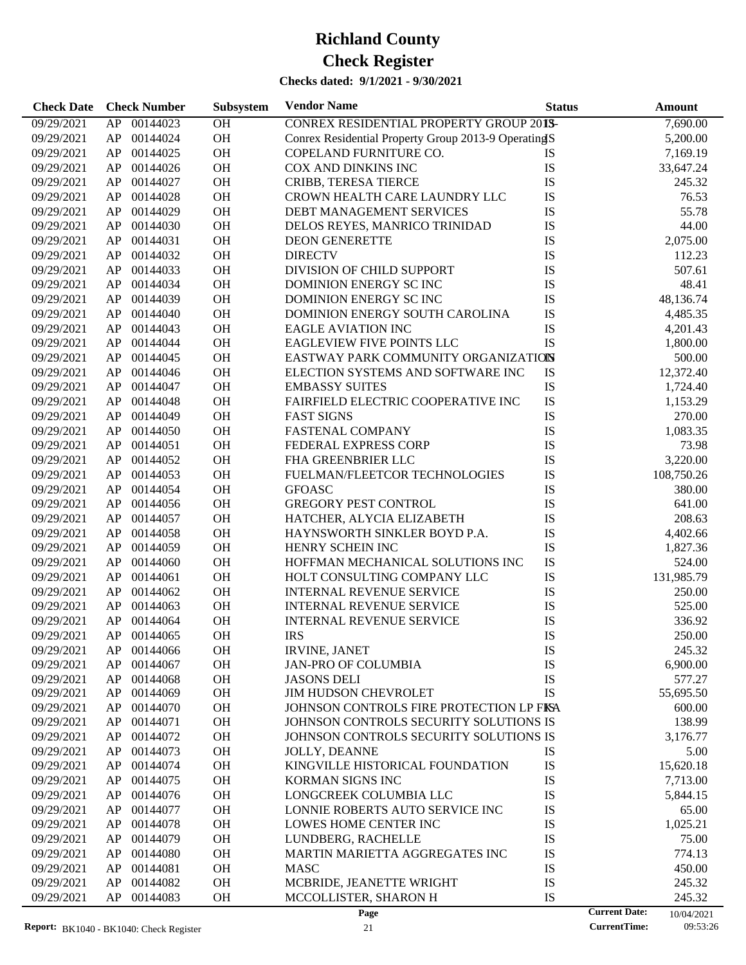| <b>Check Date</b>                               |    | <b>Check Number</b> | Subsystem | <b>Vendor Name</b>                                  | <b>Status</b> |                      | <b>Amount</b> |
|-------------------------------------------------|----|---------------------|-----------|-----------------------------------------------------|---------------|----------------------|---------------|
| 09/29/2021                                      | AP | 00144023            | <b>OH</b> | CONREX RESIDENTIAL PROPERTY GROUP 201S-             |               |                      | 7,690.00      |
| 09/29/2021                                      | AP | 00144024            | OH        | Conrex Residential Property Group 2013-9 OperatingS |               |                      | 5,200.00      |
| 09/29/2021                                      | AP | 00144025            | OH        | COPELAND FURNITURE CO.                              | <b>IS</b>     |                      | 7,169.19      |
| 09/29/2021                                      | AP | 00144026            | <b>OH</b> | COX AND DINKINS INC                                 | IS            |                      | 33,647.24     |
| 09/29/2021                                      | AP | 00144027            | OH        | CRIBB, TERESA TIERCE                                | IS            |                      | 245.32        |
| 09/29/2021                                      | AP | 00144028            | OH        | CROWN HEALTH CARE LAUNDRY LLC                       | IS            |                      | 76.53         |
| 09/29/2021                                      | AP | 00144029            | <b>OH</b> | DEBT MANAGEMENT SERVICES                            | IS            |                      | 55.78         |
| 09/29/2021                                      | AP | 00144030            | <b>OH</b> | DELOS REYES, MANRICO TRINIDAD                       | IS            |                      | 44.00         |
| 09/29/2021                                      | AP | 00144031            | OH        | <b>DEON GENERETTE</b>                               | IS            |                      | 2,075.00      |
| 09/29/2021                                      | AP | 00144032            | OH        | <b>DIRECTV</b>                                      | IS            |                      | 112.23        |
| 09/29/2021                                      | AP | 00144033            | <b>OH</b> | DIVISION OF CHILD SUPPORT                           | IS            |                      | 507.61        |
| 09/29/2021                                      | AP | 00144034            | <b>OH</b> | DOMINION ENERGY SCINC                               | IS            |                      | 48.41         |
| 09/29/2021                                      | AP | 00144039            | OH        | DOMINION ENERGY SCINC                               | IS            |                      | 48,136.74     |
| 09/29/2021                                      | AP | 00144040            | OH        | DOMINION ENERGY SOUTH CAROLINA                      | IS            |                      | 4,485.35      |
| 09/29/2021                                      | AP | 00144043            | <b>OH</b> | <b>EAGLE AVIATION INC</b>                           | IS            |                      | 4,201.43      |
| 09/29/2021                                      | AP | 00144044            | <b>OH</b> | <b>EAGLEVIEW FIVE POINTS LLC</b>                    | IS            |                      | 1,800.00      |
| 09/29/2021                                      | AP | 00144045            | OH        | EASTWAY PARK COMMUNITY ORGANIZATION                 |               |                      | 500.00        |
| 09/29/2021                                      | AP | 00144046            | OH        | ELECTION SYSTEMS AND SOFTWARE INC                   | IS            |                      | 12,372.40     |
| 09/29/2021                                      | AP | 00144047            | <b>OH</b> | <b>EMBASSY SUITES</b>                               | IS            |                      | 1,724.40      |
| 09/29/2021                                      | AP | 00144048            | <b>OH</b> | FAIRFIELD ELECTRIC COOPERATIVE INC                  | IS            |                      | 1,153.29      |
| 09/29/2021                                      | AP | 00144049            | OH        | <b>FAST SIGNS</b>                                   | IS            |                      | 270.00        |
| 09/29/2021                                      | AP | 00144050            | <b>OH</b> | <b>FASTENAL COMPANY</b>                             | IS            |                      | 1,083.35      |
| 09/29/2021                                      | AP | 00144051            | <b>OH</b> | FEDERAL EXPRESS CORP                                | IS            |                      | 73.98         |
| 09/29/2021                                      | AP | 00144052            | <b>OH</b> | FHA GREENBRIER LLC                                  | IS            |                      | 3,220.00      |
| 09/29/2021                                      | AP | 00144053            | OH        | FUELMAN/FLEETCOR TECHNOLOGIES                       | IS            |                      | 108,750.26    |
| 09/29/2021                                      | AP | 00144054            | <b>OH</b> | <b>GFOASC</b>                                       | IS            |                      | 380.00        |
| 09/29/2021                                      | AP | 00144056            | <b>OH</b> | <b>GREGORY PEST CONTROL</b>                         | IS            |                      | 641.00        |
| 09/29/2021                                      | AP | 00144057            | <b>OH</b> | HATCHER, ALYCIA ELIZABETH                           | IS            |                      | 208.63        |
| 09/29/2021                                      | AP | 00144058            | OH        | HAYNSWORTH SINKLER BOYD P.A.                        | IS            |                      | 4,402.66      |
| 09/29/2021                                      | AP | 00144059            | <b>OH</b> | HENRY SCHEIN INC                                    | IS            |                      | 1,827.36      |
| 09/29/2021                                      | AP | 00144060            | <b>OH</b> | HOFFMAN MECHANICAL SOLUTIONS INC                    | IS            |                      | 524.00        |
| 09/29/2021                                      | AP | 00144061            | <b>OH</b> | HOLT CONSULTING COMPANY LLC                         | IS            |                      | 131,985.79    |
| 09/29/2021                                      | AP | 00144062            | <b>OH</b> | <b>INTERNAL REVENUE SERVICE</b>                     | IS            |                      | 250.00        |
| 09/29/2021                                      | AP | 00144063            | <b>OH</b> | <b>INTERNAL REVENUE SERVICE</b>                     | IS            |                      | 525.00        |
| 09/29/2021                                      | AP | 00144064            | <b>OH</b> | INTERNAL REVENUE SERVICE                            | IS            |                      | 336.92        |
| 09/29/2021                                      | AP | 00144065            | <b>OH</b> | <b>IRS</b>                                          | IS            |                      | 250.00        |
| 09/29/2021                                      | AP | 00144066            | <b>OH</b> | <b>IRVINE, JANET</b>                                | IS            |                      | 245.32        |
| 09/29/2021                                      | AP | 00144067            | OH        | <b>JAN-PRO OF COLUMBIA</b>                          | IS            |                      | 6,900.00      |
| 09/29/2021                                      | AP | 00144068            | OH        | <b>JASONS DELI</b>                                  | IS            |                      | 577.27        |
| 09/29/2021                                      | AP | 00144069            | OH        | JIM HUDSON CHEVROLET                                | IS            |                      | 55,695.50     |
| 09/29/2021                                      | AP | 00144070            | OH        | JOHNSON CONTROLS FIRE PROTECTION LP FISA            |               |                      | 600.00        |
| 09/29/2021                                      | AP | 00144071            | OH        | JOHNSON CONTROLS SECURITY SOLUTIONS IS              |               |                      | 138.99        |
| 09/29/2021                                      | AP | 00144072            | OH        | JOHNSON CONTROLS SECURITY SOLUTIONS IS              |               |                      | 3,176.77      |
| 09/29/2021                                      | AP | 00144073            | OH        | JOLLY, DEANNE                                       | IS            |                      | 5.00          |
| 09/29/2021                                      | AP | 00144074            | OH        | KINGVILLE HISTORICAL FOUNDATION                     | IS            |                      | 15,620.18     |
| 09/29/2021                                      | AP | 00144075            | OH        | <b>KORMAN SIGNS INC</b>                             | IS            |                      | 7,713.00      |
| 09/29/2021                                      | AP | 00144076            | OH        | LONGCREEK COLUMBIA LLC                              | IS            |                      | 5,844.15      |
| 09/29/2021                                      | AP | 00144077            | OH        | LONNIE ROBERTS AUTO SERVICE INC                     | IS            |                      | 65.00         |
| 09/29/2021                                      | AP | 00144078            | OH        | LOWES HOME CENTER INC                               | IS            |                      | 1,025.21      |
| 09/29/2021                                      | AP | 00144079            | OH        | LUNDBERG, RACHELLE                                  | IS            |                      | 75.00         |
| 09/29/2021                                      | AP | 00144080            | OH        | MARTIN MARIETTA AGGREGATES INC                      | IS            |                      | 774.13        |
| 09/29/2021                                      | AP | 00144081            | OH        | <b>MASC</b>                                         | IS            |                      | 450.00        |
| 09/29/2021                                      | AP | 00144082            | OH        | MCBRIDE, JEANETTE WRIGHT                            | IS            |                      | 245.32        |
| 09/29/2021                                      | AP | 00144083            | OH        | MCCOLLISTER, SHARON H                               | IS            |                      | 245.32        |
|                                                 |    |                     |           | Page                                                |               | <b>Current Date:</b> | 10/04/2021    |
| <b>Report:</b> $RK1040 - RK1040$ Check Register |    |                     |           | 21                                                  |               | <b>CurrentTime:</b>  | 09:53:26      |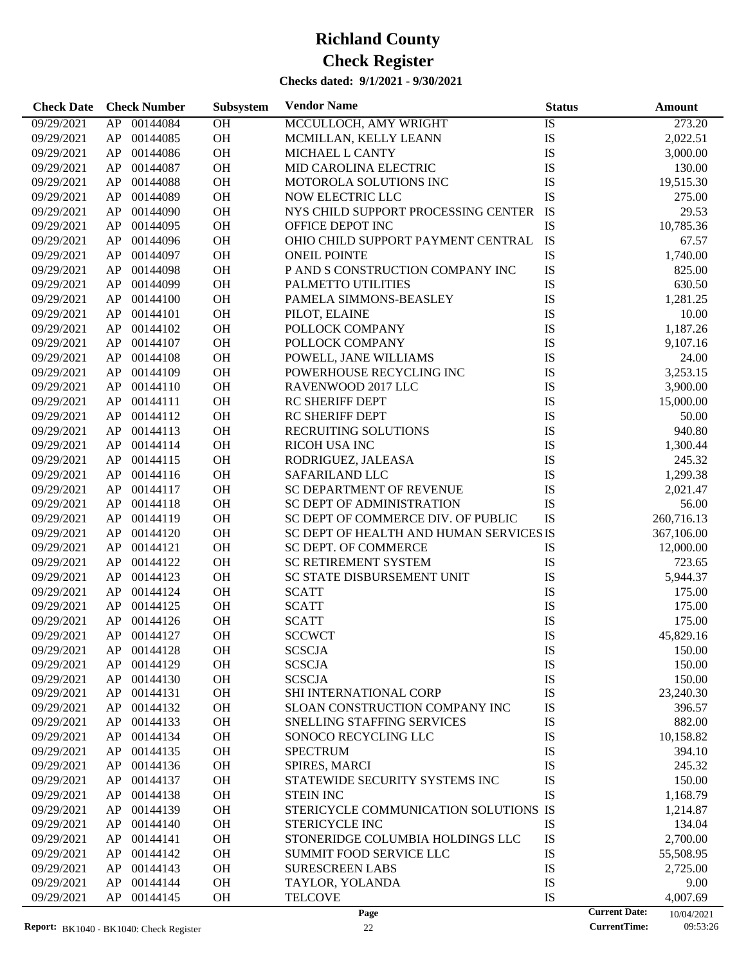| <b>Check Date</b>                               |    | <b>Check Number</b> | Subsystem | <b>Vendor Name</b>                      | <b>Status</b> |                                             | Amount                 |
|-------------------------------------------------|----|---------------------|-----------|-----------------------------------------|---------------|---------------------------------------------|------------------------|
| 09/29/2021                                      | AP | 00144084            | OH        | MCCULLOCH, AMY WRIGHT                   | IS            |                                             | 273.20                 |
| 09/29/2021                                      | AP | 00144085            | OH        | MCMILLAN, KELLY LEANN                   | IS            |                                             | 2,022.51               |
| 09/29/2021                                      | AP | 00144086            | <b>OH</b> | MICHAEL L CANTY                         | IS            |                                             | 3,000.00               |
| 09/29/2021                                      | AP | 00144087            | <b>OH</b> | MID CAROLINA ELECTRIC                   | IS            |                                             | 130.00                 |
| 09/29/2021                                      | AP | 00144088            | OH        | MOTOROLA SOLUTIONS INC                  | IS            |                                             | 19,515.30              |
| 09/29/2021                                      | AP | 00144089            | OH        | NOW ELECTRIC LLC                        | IS            |                                             | 275.00                 |
| 09/29/2021                                      | AP | 00144090            | <b>OH</b> | NYS CHILD SUPPORT PROCESSING CENTER     | IS            |                                             | 29.53                  |
| 09/29/2021                                      | AP | 00144095            | OH        | OFFICE DEPOT INC                        | IS            |                                             | 10,785.36              |
| 09/29/2021                                      | AP | 00144096            | OH        | OHIO CHILD SUPPORT PAYMENT CENTRAL      | IS            |                                             | 67.57                  |
| 09/29/2021                                      | AP | 00144097            | <b>OH</b> | <b>ONEIL POINTE</b>                     | IS            |                                             | 1,740.00               |
| 09/29/2021                                      | AP | 00144098            | <b>OH</b> | P AND S CONSTRUCTION COMPANY INC        | IS            |                                             | 825.00                 |
| 09/29/2021                                      | AP | 00144099            | OH        | PALMETTO UTILITIES                      | IS            |                                             | 630.50                 |
| 09/29/2021                                      | AP | 00144100            | <b>OH</b> | PAMELA SIMMONS-BEASLEY                  | IS            |                                             | 1,281.25               |
| 09/29/2021                                      | AP | 00144101            | OH        | PILOT, ELAINE                           | IS            |                                             | 10.00                  |
| 09/29/2021                                      | AP | 00144102            | OH        | POLLOCK COMPANY                         | IS            |                                             | 1,187.26               |
| 09/29/2021                                      | AP | 00144107            | OH        | POLLOCK COMPANY                         | IS            |                                             | 9,107.16               |
| 09/29/2021                                      | AP | 00144108            | OH        | POWELL, JANE WILLIAMS                   | IS            |                                             | 24.00                  |
| 09/29/2021                                      | AP | 00144109            | <b>OH</b> | POWERHOUSE RECYCLING INC                | IS            |                                             | 3,253.15               |
| 09/29/2021                                      | AP | 00144110            | OH        | RAVENWOOD 2017 LLC                      | IS            |                                             | 3,900.00               |
| 09/29/2021                                      | AP | 00144111            | <b>OH</b> | <b>RC SHERIFF DEPT</b>                  | IS            |                                             | 15,000.00              |
| 09/29/2021                                      | AP | 00144112            | <b>OH</b> | <b>RC SHERIFF DEPT</b>                  | IS            |                                             | 50.00                  |
| 09/29/2021                                      | AP | 00144113            | <b>OH</b> | RECRUITING SOLUTIONS                    | IS            |                                             | 940.80                 |
| 09/29/2021                                      | AP | 00144114            | <b>OH</b> | <b>RICOH USA INC</b>                    | IS            |                                             | 1,300.44               |
| 09/29/2021                                      | AP | 00144115            | <b>OH</b> | RODRIGUEZ, JALEASA                      | IS            |                                             | 245.32                 |
| 09/29/2021                                      | AP | 00144116            | <b>OH</b> | SAFARILAND LLC                          | IS            |                                             | 1,299.38               |
| 09/29/2021                                      | AP | 00144117            | <b>OH</b> | SC DEPARTMENT OF REVENUE                | IS            |                                             | 2,021.47               |
| 09/29/2021                                      | AP | 00144118            | <b>OH</b> | <b>SC DEPT OF ADMINISTRATION</b>        | IS            |                                             | 56.00                  |
| 09/29/2021                                      | AP | 00144119            | <b>OH</b> | SC DEPT OF COMMERCE DIV. OF PUBLIC      | IS            |                                             | 260,716.13             |
| 09/29/2021                                      | AP | 00144120            | OH        | SC DEPT OF HEALTH AND HUMAN SERVICES IS |               |                                             | 367,106.00             |
| 09/29/2021                                      | AP | 00144121            | <b>OH</b> | SC DEPT. OF COMMERCE                    | IS            |                                             | 12,000.00              |
| 09/29/2021                                      | AP | 00144122            | <b>OH</b> | <b>SC RETIREMENT SYSTEM</b>             | IS            |                                             | 723.65                 |
| 09/29/2021                                      | AP | 00144123            | <b>OH</b> | SC STATE DISBURSEMENT UNIT              | IS            |                                             | 5,944.37               |
| 09/29/2021                                      | AP | 00144124            | OH        | <b>SCATT</b>                            | IS            |                                             | 175.00                 |
| 09/29/2021                                      | AP | 00144125            | OH        | <b>SCATT</b>                            | IS            |                                             | 175.00                 |
| 09/29/2021                                      | AP | 00144126            | OH        | <b>SCATT</b>                            | IS            |                                             | 175.00                 |
| 09/29/2021                                      |    | AP 00144127         | <b>OH</b> | <b>SCCWCT</b>                           | IS            |                                             | 45,829.16              |
| 09/29/2021                                      | AP | 00144128            | <b>OH</b> | <b>SCSCJA</b>                           | IS            |                                             | 150.00                 |
| 09/29/2021                                      | AP | 00144129            | <b>OH</b> | <b>SCSCJA</b>                           | IS            |                                             | 150.00                 |
| 09/29/2021                                      | AP | 00144130            | <b>OH</b> | <b>SCSCJA</b>                           | IS            |                                             | 150.00                 |
| 09/29/2021                                      | AP | 00144131            | <b>OH</b> | SHI INTERNATIONAL CORP                  | IS            |                                             | 23,240.30              |
| 09/29/2021                                      | AP | 00144132            | <b>OH</b> | SLOAN CONSTRUCTION COMPANY INC          | IS            |                                             | 396.57                 |
| 09/29/2021                                      | AP | 00144133            | <b>OH</b> | <b>SNELLING STAFFING SERVICES</b>       | IS            |                                             | 882.00                 |
| 09/29/2021                                      | AP | 00144134            | <b>OH</b> | SONOCO RECYCLING LLC                    | IS            |                                             | 10,158.82              |
| 09/29/2021                                      | AP | 00144135            | <b>OH</b> | <b>SPECTRUM</b>                         | IS            |                                             | 394.10                 |
| 09/29/2021                                      | AP | 00144136            | <b>OH</b> | SPIRES, MARCI                           | IS            |                                             | 245.32                 |
| 09/29/2021                                      | AP | 00144137            | <b>OH</b> | STATEWIDE SECURITY SYSTEMS INC          | IS            |                                             | 150.00                 |
| 09/29/2021                                      | AP | 00144138            | <b>OH</b> | <b>STEIN INC</b>                        | IS            |                                             | 1,168.79               |
| 09/29/2021                                      | AP | 00144139            | <b>OH</b> | STERICYCLE COMMUNICATION SOLUTIONS IS   |               |                                             | 1,214.87               |
| 09/29/2021                                      | AP | 00144140            | <b>OH</b> | <b>STERICYCLE INC</b>                   | IS            |                                             | 134.04                 |
| 09/29/2021                                      | AP | 00144141            | <b>OH</b> | STONERIDGE COLUMBIA HOLDINGS LLC        | IS            |                                             | 2,700.00               |
| 09/29/2021                                      | AP | 00144142            | <b>OH</b> | <b>SUMMIT FOOD SERVICE LLC</b>          | IS            |                                             | 55,508.95              |
| 09/29/2021                                      | AP | 00144143            | <b>OH</b> | <b>SURESCREEN LABS</b>                  | IS            |                                             | 2,725.00               |
| 09/29/2021                                      | AP | 00144144            | <b>OH</b> | TAYLOR, YOLANDA                         | IS            |                                             | 9.00                   |
| 09/29/2021                                      | AP | 00144145            | <b>OH</b> | <b>TELCOVE</b>                          | IS            |                                             | 4,007.69               |
| <b>Report:</b> $RK1040 - RK1040$ Check Register |    |                     |           | Page<br>22                              |               | <b>Current Date:</b><br><b>CurrentTime:</b> | 10/04/2021<br>09:53:26 |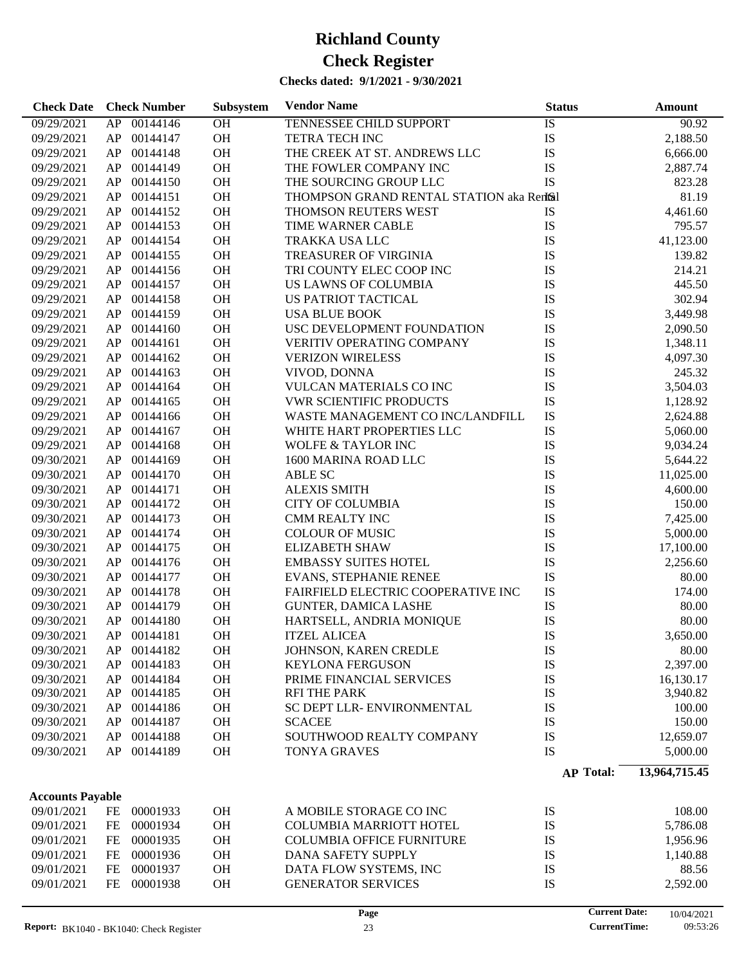| <b>Check Date</b>       | <b>Check Number</b> | Subsystem | <b>Vendor Name</b>                        | <b>Status</b>        | <b>Amount</b> |
|-------------------------|---------------------|-----------|-------------------------------------------|----------------------|---------------|
| 09/29/2021              | 00144146<br>AP      | OH        | <b>TENNESSEE CHILD SUPPORT</b>            | IS                   | 90.92         |
| 09/29/2021              | 00144147<br>AP      | OH        | <b>TETRA TECH INC</b>                     | IS                   | 2,188.50      |
| 09/29/2021              | 00144148<br>AP      | OH        | THE CREEK AT ST. ANDREWS LLC              | IS                   | 6,666.00      |
| 09/29/2021              | 00144149<br>AP      | <b>OH</b> | THE FOWLER COMPANY INC                    | IS                   | 2,887.74      |
| 09/29/2021              | 00144150<br>AP      | <b>OH</b> | THE SOURCING GROUP LLC                    | IS                   | 823.28        |
| 09/29/2021              | 00144151<br>AP      | <b>OH</b> | THOMPSON GRAND RENTAL STATION aka Rentsil |                      | 81.19         |
| 09/29/2021              | 00144152<br>AP      | <b>OH</b> | THOMSON REUTERS WEST                      | IS                   | 4,461.60      |
| 09/29/2021              | 00144153<br>AP      | <b>OH</b> | TIME WARNER CABLE                         | IS                   | 795.57        |
| 09/29/2021              | 00144154<br>AP      | <b>OH</b> | <b>TRAKKA USA LLC</b>                     | IS                   | 41,123.00     |
| 09/29/2021              | 00144155<br>AP      | <b>OH</b> | TREASURER OF VIRGINIA                     | IS                   | 139.82        |
| 09/29/2021              | 00144156<br>AP      | <b>OH</b> | TRI COUNTY ELEC COOP INC                  | IS                   | 214.21        |
| 09/29/2021              | 00144157<br>AP      | <b>OH</b> | US LAWNS OF COLUMBIA                      | IS                   | 445.50        |
| 09/29/2021              | 00144158<br>AP      | <b>OH</b> | US PATRIOT TACTICAL                       | IS                   | 302.94        |
| 09/29/2021              | 00144159<br>AP      | <b>OH</b> | <b>USA BLUE BOOK</b>                      | IS                   | 3,449.98      |
| 09/29/2021              | 00144160<br>AP      | OH        | USC DEVELOPMENT FOUNDATION                | IS                   | 2,090.50      |
| 09/29/2021              | 00144161<br>AP      | <b>OH</b> | <b>VERITIV OPERATING COMPANY</b>          | IS                   | 1,348.11      |
| 09/29/2021              | 00144162<br>AP      | OH        | <b>VERIZON WIRELESS</b>                   | IS                   | 4,097.30      |
| 09/29/2021              | 00144163<br>AP      | <b>OH</b> | VIVOD, DONNA                              | IS                   | 245.32        |
| 09/29/2021              | 00144164<br>AP      | <b>OH</b> | VULCAN MATERIALS CO INC                   | IS                   | 3,504.03      |
| 09/29/2021              | 00144165<br>AP      | <b>OH</b> | <b>VWR SCIENTIFIC PRODUCTS</b>            | IS                   | 1,128.92      |
| 09/29/2021              | 00144166<br>AP      | <b>OH</b> | WASTE MANAGEMENT CO INC/LANDFILL          | IS                   | 2,624.88      |
| 09/29/2021              | 00144167<br>AP      | <b>OH</b> | WHITE HART PROPERTIES LLC                 | IS                   | 5,060.00      |
| 09/29/2021              | 00144168<br>AP      | <b>OH</b> | <b>WOLFE &amp; TAYLOR INC</b>             | IS                   | 9,034.24      |
| 09/30/2021              | 00144169<br>AP      | <b>OH</b> | 1600 MARINA ROAD LLC                      | IS                   | 5,644.22      |
| 09/30/2021              | 00144170<br>AP      | <b>OH</b> | <b>ABLE SC</b>                            | IS                   | 11,025.00     |
| 09/30/2021              | 00144171<br>AP      | <b>OH</b> | <b>ALEXIS SMITH</b>                       | IS                   | 4,600.00      |
| 09/30/2021              | 00144172<br>AP      | <b>OH</b> | <b>CITY OF COLUMBIA</b>                   | IS                   | 150.00        |
| 09/30/2021              | 00144173<br>AP      | <b>OH</b> | CMM REALTY INC                            | IS                   | 7,425.00      |
| 09/30/2021              | 00144174<br>AP      | <b>OH</b> | <b>COLOUR OF MUSIC</b>                    | IS                   | 5,000.00      |
| 09/30/2021              | 00144175<br>AP      | <b>OH</b> | <b>ELIZABETH SHAW</b>                     | IS                   | 17,100.00     |
| 09/30/2021              | 00144176<br>AP      | <b>OH</b> | <b>EMBASSY SUITES HOTEL</b>               | IS                   | 2,256.60      |
| 09/30/2021              | 00144177<br>AP      | <b>OH</b> | <b>EVANS, STEPHANIE RENEE</b>             | IS                   | 80.00         |
| 09/30/2021              | 00144178<br>AP      | <b>OH</b> | FAIRFIELD ELECTRIC COOPERATIVE INC        | IS                   | 174.00        |
| 09/30/2021              | 00144179<br>AP      | OH        | <b>GUNTER, DAMICA LASHE</b>               | IS                   | 80.00         |
| 09/30/2021              | AP<br>00144180      | OH        | HARTSELL, ANDRIA MONIQUE                  | IS                   | 80.00         |
| 09/30/2021              | AP 00144181         | <b>OH</b> | <b>ITZEL ALICEA</b>                       | IS                   | 3,650.00      |
| 09/30/2021              | AP<br>00144182      | <b>OH</b> | JOHNSON, KAREN CREDLE                     | IS                   | 80.00         |
| 09/30/2021              | 00144183<br>AP      | <b>OH</b> | <b>KEYLONA FERGUSON</b>                   | IS                   | 2,397.00      |
| 09/30/2021              | 00144184<br>AP      | <b>OH</b> | PRIME FINANCIAL SERVICES                  | IS                   | 16,130.17     |
| 09/30/2021              | 00144185<br>AP      | OH        | <b>RFI THE PARK</b>                       | IS                   | 3,940.82      |
| 09/30/2021              | 00144186<br>AP      | OH        | SC DEPT LLR- ENVIRONMENTAL                | IS                   | 100.00        |
| 09/30/2021              | 00144187<br>AP      | OH        | <b>SCACEE</b>                             | IS                   | 150.00        |
| 09/30/2021              | AP<br>00144188      | OH        | SOUTHWOOD REALTY COMPANY                  | IS                   | 12,659.07     |
| 09/30/2021              | AP<br>00144189      | OH        | <b>TONYA GRAVES</b>                       | IS                   | 5,000.00      |
|                         |                     |           |                                           |                      |               |
|                         |                     |           |                                           | <b>AP Total:</b>     | 13,964,715.45 |
| <b>Accounts Payable</b> |                     |           |                                           |                      |               |
| 09/01/2021              | FE<br>00001933      | <b>OH</b> | A MOBILE STORAGE CO INC                   | IS                   | 108.00        |
| 09/01/2021              | FE<br>00001934      | <b>OH</b> | <b>COLUMBIA MARRIOTT HOTEL</b>            | IS                   | 5,786.08      |
| 09/01/2021              | FE<br>00001935      | <b>OH</b> | <b>COLUMBIA OFFICE FURNITURE</b>          | IS                   | 1,956.96      |
| 09/01/2021              | 00001936<br>FE      | <b>OH</b> | DANA SAFETY SUPPLY                        | IS                   | 1,140.88      |
| 09/01/2021              | 00001937<br>FE      | <b>OH</b> | DATA FLOW SYSTEMS, INC                    | IS                   | 88.56         |
| 09/01/2021              | FE<br>00001938      | OH        | <b>GENERATOR SERVICES</b>                 | IS                   | 2,592.00      |
|                         |                     |           | Page                                      | <b>Current Date:</b> | 10/04/2021    |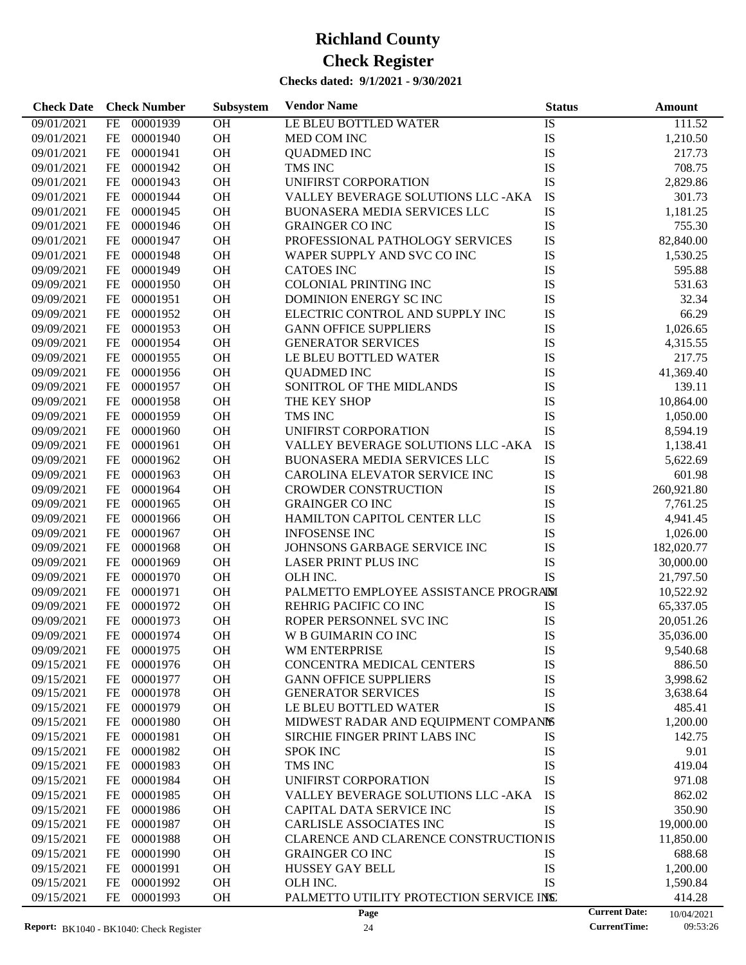| <b>Check Date</b> | <b>Check Number</b>   | Subsystem | <b>Vendor Name</b>                           | <b>Status</b> | Amount                             |
|-------------------|-----------------------|-----------|----------------------------------------------|---------------|------------------------------------|
| 09/01/2021        | 00001939<br>FE        | OH        | LE BLEU BOTTLED WATER                        | IS            | 111.52                             |
| 09/01/2021        | FE<br>00001940        | OH        | MED COM INC                                  | IS            | 1,210.50                           |
| 09/01/2021        | FE<br>00001941        | OH        | <b>QUADMED INC</b>                           | IS            | 217.73                             |
| 09/01/2021        | FE<br>00001942        | OH        | TMS INC                                      | IS            | 708.75                             |
| 09/01/2021        | FE<br>00001943        | OH        | UNIFIRST CORPORATION                         | IS            | 2,829.86                           |
| 09/01/2021        | FE<br>00001944        | OH        | VALLEY BEVERAGE SOLUTIONS LLC -AKA           | IS            | 301.73                             |
| 09/01/2021        | FE<br>00001945        | OH        | BUONASERA MEDIA SERVICES LLC                 | IS            | 1,181.25                           |
| 09/01/2021        | FE<br>00001946        | OH        | <b>GRAINGER CO INC</b>                       | IS            | 755.30                             |
| 09/01/2021        | FE<br>00001947        | OH        | PROFESSIONAL PATHOLOGY SERVICES              | IS            | 82,840.00                          |
| 09/01/2021        | FE<br>00001948        | OH        | WAPER SUPPLY AND SVC CO INC                  | IS            | 1,530.25                           |
| 09/09/2021        | FE<br>00001949        | OH        | <b>CATOES INC</b>                            | IS            | 595.88                             |
| 09/09/2021        | FE<br>00001950        | OH        | <b>COLONIAL PRINTING INC</b>                 | IS            | 531.63                             |
| 09/09/2021        | FE<br>00001951        | OH        | DOMINION ENERGY SC INC                       | IS            | 32.34                              |
| 09/09/2021        | FE<br>00001952        | OH        | ELECTRIC CONTROL AND SUPPLY INC              | IS            | 66.29                              |
| 09/09/2021        | FE<br>00001953        | OH        | <b>GANN OFFICE SUPPLIERS</b>                 | IS            | 1,026.65                           |
| 09/09/2021        | FE<br>00001954        | OH        | <b>GENERATOR SERVICES</b>                    | IS            | 4,315.55                           |
| 09/09/2021        | FE<br>00001955        | OH        | LE BLEU BOTTLED WATER                        | IS            | 217.75                             |
| 09/09/2021        | FE<br>00001956        | OH        | <b>QUADMED INC</b>                           | IS            | 41,369.40                          |
| 09/09/2021        | FE<br>00001957        | OH        | SONITROL OF THE MIDLANDS                     | IS            | 139.11                             |
| 09/09/2021        | FE<br>00001958        | OH        | THE KEY SHOP                                 | IS            | 10,864.00                          |
| 09/09/2021        | FE<br>00001959        | OH        | TMS INC                                      | IS            | 1,050.00                           |
| 09/09/2021        | FE<br>00001960        | OH        | UNIFIRST CORPORATION                         | IS            | 8,594.19                           |
| 09/09/2021        | FE<br>00001961        | OH        | VALLEY BEVERAGE SOLUTIONS LLC - AKA          | IS            | 1,138.41                           |
| 09/09/2021        | FE<br>00001962        | OH        | BUONASERA MEDIA SERVICES LLC                 | IS            | 5,622.69                           |
| 09/09/2021        | FE<br>00001963        | OH        | CAROLINA ELEVATOR SERVICE INC                | IS            | 601.98                             |
| 09/09/2021        | <b>FE</b><br>00001964 | OH        | <b>CROWDER CONSTRUCTION</b>                  | IS            | 260,921.80                         |
| 09/09/2021        | FE<br>00001965        | OH        | <b>GRAINGER CO INC</b>                       | IS            | 7,761.25                           |
| 09/09/2021        | FE<br>00001966        | OH        | HAMILTON CAPITOL CENTER LLC                  | IS            | 4,941.45                           |
| 09/09/2021        | FE<br>00001967        | OH        | <b>INFOSENSE INC</b>                         | IS            | 1,026.00                           |
| 09/09/2021        | <b>FE</b><br>00001968 | OH        | JOHNSONS GARBAGE SERVICE INC                 | IS            | 182,020.77                         |
| 09/09/2021        | <b>FE</b><br>00001969 | OH        | LASER PRINT PLUS INC                         | IS            | 30,000.00                          |
| 09/09/2021        | <b>FE</b><br>00001970 | OH        | OLH INC.                                     | <b>IS</b>     | 21,797.50                          |
| 09/09/2021        | <b>FE</b><br>00001971 | OH        | PALMETTO EMPLOYEE ASSISTANCE PROGRAIM        |               | 10,522.92                          |
| 09/09/2021        | <b>FE</b><br>00001972 | OH        | REHRIG PACIFIC CO INC                        | IS            | 65,337.05                          |
| 09/09/2021        | <b>FE</b><br>00001973 | OH        | ROPER PERSONNEL SVC INC                      | IS            | 20,051.26                          |
| 09/09/2021        | FE<br>00001974        | <b>OH</b> | <b>W B GUIMARIN CO INC</b>                   | IS            | 35,036.00                          |
| 09/09/2021        | 00001975<br>FE        | OH        | WM ENTERPRISE                                | IS            | 9,540.68                           |
| 09/15/2021        | 00001976<br>FE        | <b>OH</b> | <b>CONCENTRA MEDICAL CENTERS</b>             | IS            | 886.50                             |
| 09/15/2021        | 00001977<br>FE        | OH        | <b>GANN OFFICE SUPPLIERS</b>                 | IS            | 3,998.62                           |
| 09/15/2021        | 00001978<br>FE        | <b>OH</b> | <b>GENERATOR SERVICES</b>                    | IS            | 3,638.64                           |
| 09/15/2021        | FE<br>00001979        | OH        | LE BLEU BOTTLED WATER                        | IS            | 485.41                             |
| 09/15/2021        | FE<br>00001980        | OH        | MIDWEST RADAR AND EQUIPMENT COMPANIS         |               | 1,200.00                           |
| 09/15/2021        | FE<br>00001981        | OH        | SIRCHIE FINGER PRINT LABS INC                | IS            | 142.75                             |
| 09/15/2021        | 00001982<br>FE        | OH        | <b>SPOK INC</b>                              | IS            | 9.01                               |
| 09/15/2021        | 00001983<br>FE        | OH        | TMS INC                                      | IS            | 419.04                             |
| 09/15/2021        | 00001984<br>FE        | OH        | UNIFIRST CORPORATION                         | IS            | 971.08                             |
| 09/15/2021        | 00001985<br>FE        | OH        | <b>VALLEY BEVERAGE SOLUTIONS LLC -AKA</b>    | IS            | 862.02                             |
| 09/15/2021        | FE<br>00001986        | OH        | CAPITAL DATA SERVICE INC                     | IS            | 350.90                             |
| 09/15/2021        | 00001987<br>FE        | OH        | CARLISLE ASSOCIATES INC                      | IS            | 19,000.00                          |
| 09/15/2021        | FE<br>00001988        | OH        | <b>CLARENCE AND CLARENCE CONSTRUCTION IS</b> |               | 11,850.00                          |
| 09/15/2021        | FE<br>00001990        | OH        | <b>GRAINGER CO INC</b>                       | IS            | 688.68                             |
| 09/15/2021        | FE<br>00001991        | OH        | <b>HUSSEY GAY BELL</b>                       | IS            | 1,200.00                           |
| 09/15/2021        | 00001992<br>FE        | OH        | OLH INC.                                     | IS            | 1,590.84                           |
| 09/15/2021        | FE<br>00001993        | <b>OH</b> | PALMETTO UTILITY PROTECTION SERVICE INS      |               | 414.28                             |
|                   |                       |           | Page                                         |               | <b>Current Date:</b><br>10/04/2021 |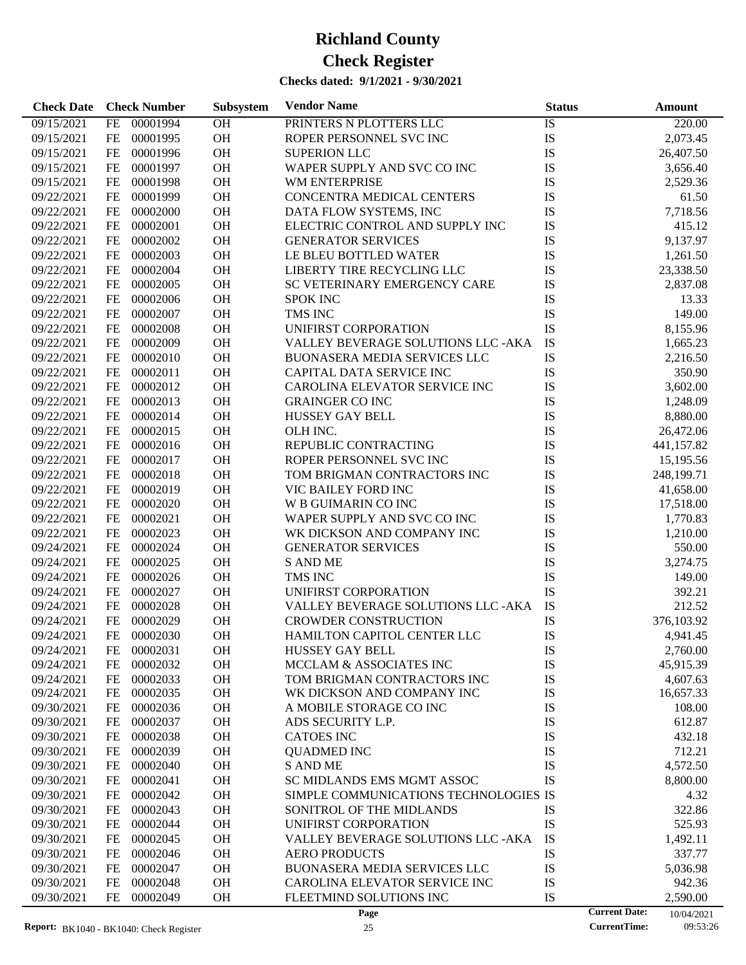| <b>Check Date</b>        | <b>Check Number</b>   | Subsystem | <b>Vendor Name</b>                    | <b>Status</b> | <b>Amount</b>                      |
|--------------------------|-----------------------|-----------|---------------------------------------|---------------|------------------------------------|
| 09/15/2021               | FE<br>00001994        | OH        | PRINTERS N PLOTTERS LLC               | IS            | 220.00                             |
| 09/15/2021               | $FE$<br>00001995      | OH        | ROPER PERSONNEL SVC INC               | IS            | 2,073.45                           |
| 09/15/2021               | <b>FE</b><br>00001996 | OH        | <b>SUPERION LLC</b>                   | IS            | 26,407.50                          |
| 09/15/2021               | <b>FE</b><br>00001997 | OH        | WAPER SUPPLY AND SVC CO INC           | IS            | 3,656.40                           |
| 09/15/2021               | FE<br>00001998        | OH        | WM ENTERPRISE                         | IS            | 2,529.36                           |
| 09/22/2021               | FE<br>00001999        | OH        | CONCENTRA MEDICAL CENTERS             | IS            | 61.50                              |
| 09/22/2021               | FE<br>00002000        | OH        | DATA FLOW SYSTEMS, INC                | IS            | 7,718.56                           |
| 09/22/2021               | <b>FE</b><br>00002001 | OH        | ELECTRIC CONTROL AND SUPPLY INC       | IS            | 415.12                             |
| 09/22/2021               | <b>FE</b><br>00002002 | OH        | <b>GENERATOR SERVICES</b>             | IS            | 9,137.97                           |
| 09/22/2021               | FE<br>00002003        | OH        | LE BLEU BOTTLED WATER                 | IS            | 1,261.50                           |
| 09/22/2021               | FE<br>00002004        | OH        | LIBERTY TIRE RECYCLING LLC            | IS            | 23,338.50                          |
| 09/22/2021               | <b>FE</b><br>00002005 | OH        | SC VETERINARY EMERGENCY CARE          | IS            | 2,837.08                           |
| 09/22/2021               | <b>FE</b><br>00002006 | OH        | <b>SPOK INC</b>                       | IS            | 13.33                              |
| 09/22/2021               | FE<br>00002007        | OH        | TMS INC                               | IS            | 149.00                             |
| 09/22/2021               | FE<br>00002008        | OH        | UNIFIRST CORPORATION                  | IS            | 8,155.96                           |
| 09/22/2021               | <b>FE</b><br>00002009 | OH        | VALLEY BEVERAGE SOLUTIONS LLC - AKA   | IS            | 1,665.23                           |
| 09/22/2021               | <b>FE</b><br>00002010 | OH        | <b>BUONASERA MEDIA SERVICES LLC</b>   | IS            | 2,216.50                           |
| 09/22/2021               | FE<br>00002011        | OH        | CAPITAL DATA SERVICE INC              | IS            | 350.90                             |
| 09/22/2021               | FE<br>00002012        | OH        | CAROLINA ELEVATOR SERVICE INC         | IS            | 3,602.00                           |
| 09/22/2021               | <b>FE</b><br>00002013 | OH        | <b>GRAINGER CO INC</b>                | IS            | 1,248.09                           |
| 09/22/2021               | <b>FE</b><br>00002014 | OH        | HUSSEY GAY BELL                       | IS            | 8,880.00                           |
| 09/22/2021               | FE<br>00002015        | OH        | OLH INC.                              | IS            | 26,472.06                          |
| 09/22/2021               | FE<br>00002016        | OH        | REPUBLIC CONTRACTING                  | IS            | 441,157.82                         |
| 09/22/2021               | <b>FE</b><br>00002017 | OH        | ROPER PERSONNEL SVC INC               | IS            | 15,195.56                          |
| 09/22/2021               | <b>FE</b><br>00002018 | OH        | TOM BRIGMAN CONTRACTORS INC           | IS            | 248,199.71                         |
| 09/22/2021               | FE<br>00002019        | OH        | VIC BAILEY FORD INC                   | IS            | 41,658.00                          |
| 09/22/2021               | <b>FE</b><br>00002020 | OH        | <b>W B GUIMARIN CO INC</b>            | IS            | 17,518.00                          |
| 09/22/2021               | <b>FE</b><br>00002021 | OH        | WAPER SUPPLY AND SVC CO INC           | IS            | 1,770.83                           |
| 09/22/2021               | <b>FE</b><br>00002023 | OH        | WK DICKSON AND COMPANY INC            | IS            | 1,210.00                           |
| 09/24/2021               | FE<br>00002024        | OH        | <b>GENERATOR SERVICES</b>             | IS            | 550.00                             |
| 09/24/2021               | FE<br>00002025        | OH        | <b>S AND ME</b>                       | IS            | 3,274.75                           |
| 09/24/2021               | FE<br>00002026        | OH        | TMS INC                               | IS            | 149.00                             |
| 09/24/2021               | 00002027<br>FE        | OH        | UNIFIRST CORPORATION                  | IS            | 392.21                             |
| 09/24/2021               | FE<br>00002028        | OH        | VALLEY BEVERAGE SOLUTIONS LLC -AKA    | IS            | 212.52                             |
| 09/24/2021               | <b>FE</b><br>00002029 | OH        | <b>CROWDER CONSTRUCTION</b>           | IS            | 376,103.92                         |
| 09/24/2021               | <b>FE</b><br>00002030 | <b>OH</b> | HAMILTON CAPITOL CENTER LLC           | IS            | 4,941.45                           |
| 09/24/2021               | 00002031<br>FE        | <b>OH</b> | <b>HUSSEY GAY BELL</b>                | IS            | 2,760.00                           |
| 09/24/2021               | 00002032<br>FE        | <b>OH</b> | MCCLAM & ASSOCIATES INC               | IS            | 45,915.39                          |
| 09/24/2021               | 00002033<br>FE        | OH        | TOM BRIGMAN CONTRACTORS INC           | IS            | 4,607.63                           |
| 09/24/2021               | 00002035<br>FE        | <b>OH</b> | WK DICKSON AND COMPANY INC            | IS            | 16,657.33                          |
| 09/30/2021               | 00002036<br>FE        | OH        | A MOBILE STORAGE CO INC               | IS            | 108.00                             |
| 09/30/2021               | 00002037<br>FE        | OH        | ADS SECURITY L.P.                     | IS            | 612.87                             |
| 09/30/2021               | 00002038<br>FE        | OH        | <b>CATOES INC</b>                     | IS            | 432.18                             |
| 09/30/2021               | 00002039<br>FE        | OH        | <b>QUADMED INC</b>                    | IS            | 712.21                             |
| 09/30/2021               | 00002040<br>FE        | OH        | <b>S AND ME</b>                       | IS            | 4,572.50                           |
| 09/30/2021               | 00002041<br>FE        | OH        | SC MIDLANDS EMS MGMT ASSOC            | IS            | 8,800.00                           |
| 09/30/2021               | 00002042<br>FE        | OH        | SIMPLE COMMUNICATIONS TECHNOLOGIES IS |               | 4.32                               |
| 09/30/2021               | 00002043<br>FE        | OH        | SONITROL OF THE MIDLANDS              | IS            | 322.86                             |
| 09/30/2021               | 00002044<br>FE        | OH        | UNIFIRST CORPORATION                  | IS            | 525.93                             |
| 09/30/2021               | 00002045<br>FE        | OH        | VALLEY BEVERAGE SOLUTIONS LLC -AKA    | IS            | 1,492.11                           |
| 09/30/2021               | 00002046<br>FE        | OH        | <b>AERO PRODUCTS</b>                  | IS            | 337.77                             |
| 09/30/2021               | 00002047<br>FE        | OH        | <b>BUONASERA MEDIA SERVICES LLC</b>   | IS            | 5,036.98                           |
|                          | 00002048              | OH        | CAROLINA ELEVATOR SERVICE INC         | IS            |                                    |
| 09/30/2021<br>09/30/2021 | FE<br>FE<br>00002049  | <b>OH</b> | FLEETMIND SOLUTIONS INC               | IS            | 942.36<br>2,590.00                 |
|                          |                       |           | Page                                  |               | <b>Current Date:</b><br>10/04/2021 |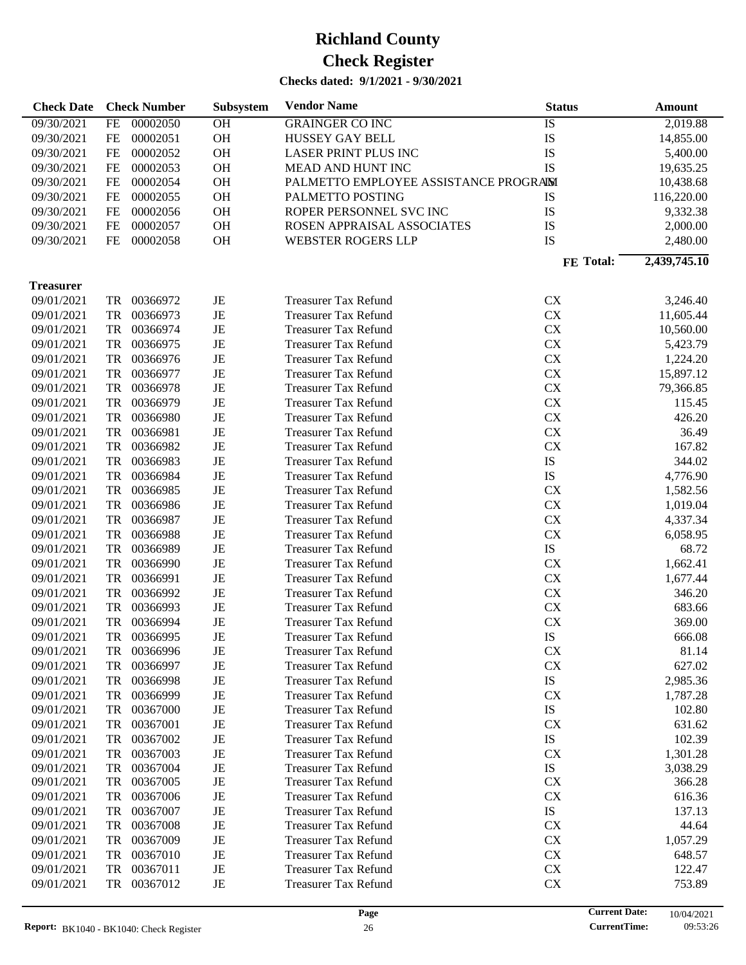| <b>Check Date</b> |           | <b>Check Number</b> | Subsystem | <b>Vendor Name</b>                    | <b>Status</b> | Amount       |
|-------------------|-----------|---------------------|-----------|---------------------------------------|---------------|--------------|
| 09/30/2021        | <b>FE</b> | 00002050            | OH        | <b>GRAINGER CO INC</b>                | IS            | 2,019.88     |
| 09/30/2021        | <b>FE</b> | 00002051            | OH        | HUSSEY GAY BELL                       | IS            | 14,855.00    |
| 09/30/2021        | FE        | 00002052            | OH        | LASER PRINT PLUS INC                  | IS            | 5,400.00     |
| 09/30/2021        | FE        | 00002053            | OH        | MEAD AND HUNT INC                     | IS            | 19,635.25    |
| 09/30/2021        | FE        | 00002054            | OH        | PALMETTO EMPLOYEE ASSISTANCE PROGRAIM |               | 10,438.68    |
| 09/30/2021        | FE        | 00002055            | OH        | PALMETTO POSTING                      | IS            | 116,220.00   |
| 09/30/2021        | FE        | 00002056            | OH        | ROPER PERSONNEL SVC INC               | IS            | 9,332.38     |
| 09/30/2021        | <b>FE</b> | 00002057            | OH        | ROSEN APPRAISAL ASSOCIATES            | IS            | 2,000.00     |
| 09/30/2021        | FE        | 00002058            | OH        | WEBSTER ROGERS LLP                    | IS            | 2,480.00     |
|                   |           |                     |           |                                       |               |              |
|                   |           |                     |           |                                       | FE Total:     | 2,439,745.10 |
| <b>Treasurer</b>  |           |                     |           |                                       |               |              |
| 09/01/2021        | TR        | 00366972            | JE        | <b>Treasurer Tax Refund</b>           | CX            | 3,246.40     |
| 09/01/2021        | TR        | 00366973            | JE        | <b>Treasurer Tax Refund</b>           | CX            | 11,605.44    |
| 09/01/2021        | TR        | 00366974            | JE        | <b>Treasurer Tax Refund</b>           | CX            | 10,560.00    |
| 09/01/2021        | TR        | 00366975            | JE        | <b>Treasurer Tax Refund</b>           | CX            | 5,423.79     |
| 09/01/2021        | TR        | 00366976            | JE        | <b>Treasurer Tax Refund</b>           | ${\rm CX}$    | 1,224.20     |
| 09/01/2021        | TR        | 00366977            | JE        | <b>Treasurer Tax Refund</b>           | ${\rm CX}$    | 15,897.12    |
| 09/01/2021        | TR        | 00366978            | JE        | <b>Treasurer Tax Refund</b>           | ${\rm CX}$    | 79,366.85    |
| 09/01/2021        | TR        | 00366979            | JE        | <b>Treasurer Tax Refund</b>           | CX            | 115.45       |
| 09/01/2021        | TR        | 00366980            | JE        | <b>Treasurer Tax Refund</b>           | ${\rm CX}$    | 426.20       |
| 09/01/2021        | TR        | 00366981            | JE        | <b>Treasurer Tax Refund</b>           | CX            | 36.49        |
| 09/01/2021        | TR        | 00366982            | JE        | <b>Treasurer Tax Refund</b>           | CX            | 167.82       |
| 09/01/2021        | TR        | 00366983            | JE        | <b>Treasurer Tax Refund</b>           | IS            | 344.02       |
| 09/01/2021        | TR        | 00366984            | JE        | <b>Treasurer Tax Refund</b>           | IS            | 4,776.90     |
| 09/01/2021        | TR        | 00366985            | JE        | <b>Treasurer Tax Refund</b>           | CX            | 1,582.56     |
| 09/01/2021        | TR        | 00366986            | JE        | <b>Treasurer Tax Refund</b>           | CX            | 1,019.04     |
| 09/01/2021        | TR        | 00366987            | JE        | <b>Treasurer Tax Refund</b>           | ${\rm CX}$    | 4,337.34     |
| 09/01/2021        | TR        | 00366988            | JE        | <b>Treasurer Tax Refund</b>           | CX            | 6,058.95     |
| 09/01/2021        | TR        | 00366989            | JE        | <b>Treasurer Tax Refund</b>           | IS            | 68.72        |
| 09/01/2021        | TR        | 00366990            | JE        | <b>Treasurer Tax Refund</b>           | ${\rm CX}$    | 1,662.41     |
| 09/01/2021        | TR        | 00366991            | JE        | <b>Treasurer Tax Refund</b>           | ${\rm CX}$    | 1,677.44     |
|                   | TR        | 00366992            | JE        |                                       | ${\rm CX}$    | 346.20       |
| 09/01/2021        | TR        | 00366993            |           | <b>Treasurer Tax Refund</b>           | ${\rm CX}$    |              |
| 09/01/2021        |           |                     | JE        | <b>Treasurer Tax Refund</b>           |               | 683.66       |
| 09/01/2021        | TR        | 00366994            | JE        | <b>Treasurer Tax Refund</b>           | <b>CX</b>     | 369.00       |
| 09/01/2021        | TR        | 00366995            | JE        | <b>Treasurer Tax Refund</b>           | IS            | 666.08       |
| 09/01/2021        | TR        | 00366996            | JE        | <b>Treasurer Tax Refund</b>           | CX            | 81.14        |
| 09/01/2021        | TR        | 00366997            | JE        | <b>Treasurer Tax Refund</b>           | CX            | 627.02       |
| 09/01/2021        | TR        | 00366998            | JE        | <b>Treasurer Tax Refund</b>           | IS            | 2,985.36     |
| 09/01/2021        | TR        | 00366999            | JE        | <b>Treasurer Tax Refund</b>           | CX            | 1,787.28     |
| 09/01/2021        | TR        | 00367000            | JE        | <b>Treasurer Tax Refund</b>           | IS            | 102.80       |
| 09/01/2021        | TR        | 00367001            | JE        | <b>Treasurer Tax Refund</b>           | CX            | 631.62       |
| 09/01/2021        | TR        | 00367002            | JE        | <b>Treasurer Tax Refund</b>           | IS            | 102.39       |
| 09/01/2021        | TR        | 00367003            | JE        | <b>Treasurer Tax Refund</b>           | CX            | 1,301.28     |
| 09/01/2021        | TR        | 00367004            | JE        | <b>Treasurer Tax Refund</b>           | IS            | 3,038.29     |
| 09/01/2021        | TR        | 00367005            | JE        | <b>Treasurer Tax Refund</b>           | <b>CX</b>     | 366.28       |
| 09/01/2021        | TR        | 00367006            | JE        | <b>Treasurer Tax Refund</b>           | <b>CX</b>     | 616.36       |
| 09/01/2021        | TR        | 00367007            | JE        | <b>Treasurer Tax Refund</b>           | IS            | 137.13       |
| 09/01/2021        | TR        | 00367008            | JE        | <b>Treasurer Tax Refund</b>           | <b>CX</b>     | 44.64        |
| 09/01/2021        | TR        | 00367009            | JE        | <b>Treasurer Tax Refund</b>           | <b>CX</b>     | 1,057.29     |
| 09/01/2021        | TR        | 00367010            | JE        | <b>Treasurer Tax Refund</b>           | <b>CX</b>     | 648.57       |
| 09/01/2021        | TR        | 00367011            | JE        | <b>Treasurer Tax Refund</b>           | CX            | 122.47       |
| 09/01/2021        | TR        | 00367012            | JE        | <b>Treasurer Tax Refund</b>           | <b>CX</b>     | 753.89       |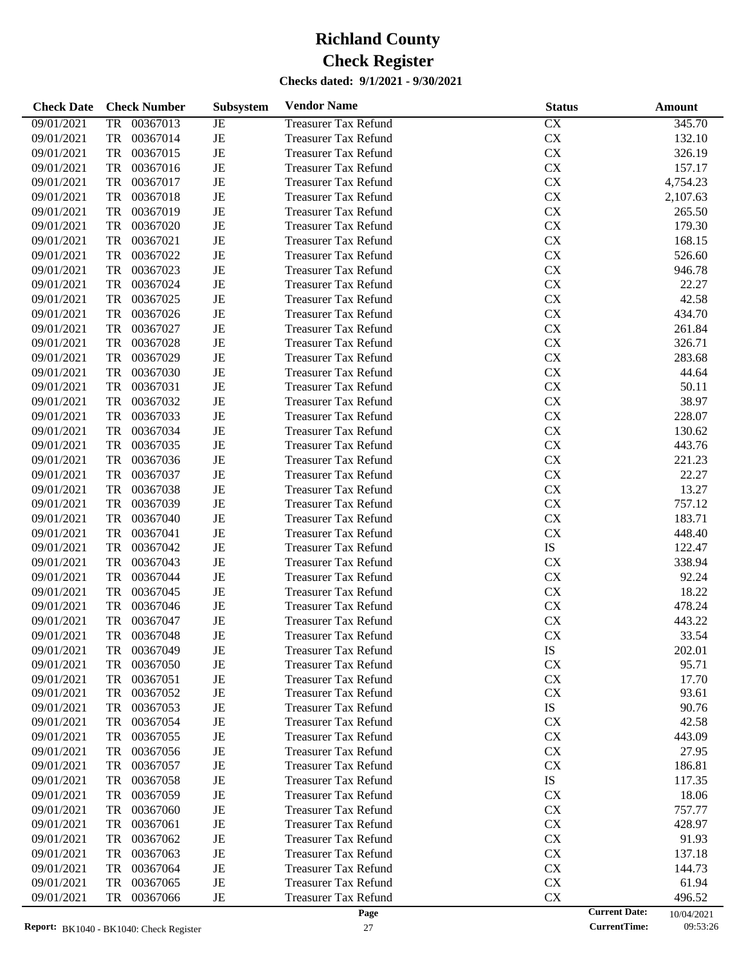| 09/01/2021<br>00367013<br><b>Treasurer Tax Refund</b><br>CX<br>345.70<br><b>TR</b><br>JE<br>$\rm{JE}$<br>${\rm CX}$<br>09/01/2021<br><b>TR</b><br>00367014<br><b>Treasurer Tax Refund</b><br>132.10<br>${\rm CX}$<br>09/01/2021<br><b>TR</b><br>00367015<br>$_{\rm JE}$<br>326.19<br><b>Treasurer Tax Refund</b><br>$\rm{JE}$<br>${\rm CX}$<br>09/01/2021<br><b>TR</b><br>00367016<br><b>Treasurer Tax Refund</b><br>157.17<br>$\rm{JE}$<br>${\rm CX}$<br>09/01/2021<br><b>TR</b><br>00367017<br>4,754.23<br><b>Treasurer Tax Refund</b><br>$\rm{JE}$<br>${\rm CX}$<br>09/01/2021<br><b>TR</b><br>00367018<br>2,107.63<br><b>Treasurer Tax Refund</b><br>$\rm{JE}$<br>${\rm CX}$<br>09/01/2021<br><b>TR</b><br>00367019<br>265.50<br><b>Treasurer Tax Refund</b><br>$\rm{JE}$<br>${\rm CX}$<br>09/01/2021<br><b>TR</b><br>00367020<br>179.30<br><b>Treasurer Tax Refund</b><br>$\rm{JE}$<br>${\rm CX}$<br>09/01/2021<br><b>TR</b><br>00367021<br>168.15<br><b>Treasurer Tax Refund</b><br>$\rm{JE}$<br>${\rm CX}$<br>09/01/2021<br><b>TR</b><br>00367022<br>526.60<br><b>Treasurer Tax Refund</b><br>$\rm{JE}$<br>${\rm CX}$<br>09/01/2021<br><b>TR</b><br>00367023<br>946.78<br><b>Treasurer Tax Refund</b><br>$\rm{JE}$<br>${\rm CX}$<br>09/01/2021<br><b>TR</b><br>00367024<br>22.27<br><b>Treasurer Tax Refund</b><br>$\rm{JE}$<br>${\rm CX}$<br>09/01/2021<br><b>TR</b><br>00367025<br>42.58<br><b>Treasurer Tax Refund</b><br>$\rm{JE}$<br>${\rm CX}$<br>09/01/2021<br><b>TR</b><br>00367026<br>434.70<br><b>Treasurer Tax Refund</b><br>$\rm{JE}$<br>${\rm CX}$<br>09/01/2021<br><b>TR</b><br>00367027<br>261.84<br><b>Treasurer Tax Refund</b><br>$\rm{JE}$<br>${\rm CX}$<br>09/01/2021<br><b>TR</b><br>00367028<br>326.71<br><b>Treasurer Tax Refund</b><br>$\rm{JE}$<br>${\rm CX}$<br>09/01/2021<br><b>TR</b><br>00367029<br>283.68<br><b>Treasurer Tax Refund</b><br>$\rm{JE}$<br>${\rm CX}$<br>09/01/2021<br><b>TR</b><br>00367030<br>44.64<br><b>Treasurer Tax Refund</b><br>$\rm{JE}$<br>${\rm CX}$<br>09/01/2021<br><b>TR</b><br>00367031<br>50.11<br><b>Treasurer Tax Refund</b><br>$\rm{JE}$<br>${\rm CX}$<br>09/01/2021<br><b>TR</b><br>00367032<br>38.97<br><b>Treasurer Tax Refund</b><br>$\rm{JE}$<br>${\rm CX}$<br>09/01/2021<br><b>TR</b><br>00367033<br>228.07<br><b>Treasurer Tax Refund</b><br>$\rm{JE}$<br>${\rm CX}$<br>09/01/2021<br><b>TR</b><br>00367034<br>130.62<br><b>Treasurer Tax Refund</b><br>$\rm{JE}$<br>${\rm CX}$<br>09/01/2021<br><b>TR</b><br>00367035<br>443.76<br><b>Treasurer Tax Refund</b><br>$\rm{JE}$<br>${\rm CX}$<br>09/01/2021<br><b>TR</b><br>00367036<br>221.23<br><b>Treasurer Tax Refund</b><br>$\rm{JE}$<br>${\rm CX}$<br>09/01/2021<br><b>TR</b><br>00367037<br>22.27<br><b>Treasurer Tax Refund</b><br>$\rm{JE}$<br>${\rm CX}$<br>09/01/2021<br><b>TR</b><br>00367038<br>13.27<br><b>Treasurer Tax Refund</b><br>$\rm{JE}$<br>${\rm CX}$<br>09/01/2021<br><b>TR</b><br>00367039<br>757.12<br><b>Treasurer Tax Refund</b><br>$\rm{JE}$<br>${\rm CX}$<br>09/01/2021<br><b>TR</b><br>00367040<br>183.71<br><b>Treasurer Tax Refund</b><br>$\rm{JE}$<br>${\rm CX}$<br>09/01/2021<br><b>TR</b><br>00367041<br>448.40<br><b>Treasurer Tax Refund</b><br>$\rm{JE}$<br>${\rm IS}$<br>09/01/2021<br><b>TR</b><br>00367042<br><b>Treasurer Tax Refund</b><br>122.47<br>$\rm{JE}$<br>09/01/2021<br><b>TR</b><br>00367043<br>CX<br>338.94<br><b>Treasurer Tax Refund</b><br>$\rm{JE}$<br>${\rm CX}$<br>09/01/2021<br><b>TR</b><br>00367044<br>92.24<br><b>Treasurer Tax Refund</b><br>${\rm CX}$<br>09/01/2021<br><b>TR</b><br>00367045<br>$\rm{JE}$<br>18.22<br><b>Treasurer Tax Refund</b><br>${\rm CX}$<br>09/01/2021<br><b>TR</b><br>00367046<br>$\rm{JE}$<br>478.24<br><b>Treasurer Tax Refund</b><br>$\rm{JE}$<br>${\rm CX}$<br>09/01/2021<br><b>TR</b><br>00367047<br>443.22<br><b>Treasurer Tax Refund</b><br>$\rm{JE}$<br>${\rm CX}$<br>09/01/2021<br><b>TR</b><br>00367048<br>33.54<br><b>Treasurer Tax Refund</b><br>09/01/2021<br>00367049<br><b>Treasurer Tax Refund</b><br>IS<br>202.01<br>JE<br>TR<br>$\rm{JE}$<br>CX<br>09/01/2021<br>TR<br>00367050<br><b>Treasurer Tax Refund</b><br>95.71<br>00367051<br>CX<br>09/01/2021<br>TR<br>JE<br><b>Treasurer Tax Refund</b><br>17.70<br>00367052<br>JE<br>CX<br>09/01/2021<br>TR<br><b>Treasurer Tax Refund</b><br>93.61<br>IS<br>09/01/2021<br>00367053<br>JE<br><b>Treasurer Tax Refund</b><br>90.76<br>TR<br>CX<br>09/01/2021<br>00367054<br>JE<br><b>Treasurer Tax Refund</b><br>42.58<br>TR<br>CX<br>09/01/2021<br>00367055<br>JE<br><b>Treasurer Tax Refund</b><br>443.09<br>TR<br>CX<br>09/01/2021<br>00367056<br>JE<br><b>Treasurer Tax Refund</b><br>27.95<br>TR<br>CX<br>09/01/2021<br>00367057<br>JE<br><b>Treasurer Tax Refund</b><br>TR<br>186.81<br>IS<br>09/01/2021<br>00367058<br>JE<br><b>Treasurer Tax Refund</b><br>117.35<br>TR<br>CX<br>09/01/2021<br>00367059<br>JE<br><b>Treasurer Tax Refund</b><br>18.06<br>TR<br>09/01/2021<br>00367060<br>JE<br><b>Treasurer Tax Refund</b><br>CX<br>757.77<br>TR<br>CX<br>09/01/2021<br>00367061<br>JE<br><b>Treasurer Tax Refund</b><br>428.97<br>TR<br>CX<br>09/01/2021<br>00367062<br>JE<br><b>Treasurer Tax Refund</b><br>TR<br>91.93<br>CX<br>09/01/2021<br>00367063<br>JE<br><b>Treasurer Tax Refund</b><br>TR<br>137.18<br>CX<br>09/01/2021<br>00367064<br>JE<br><b>Treasurer Tax Refund</b><br>TR<br>144.73<br>CX<br>09/01/2021<br>00367065<br>JE<br><b>Treasurer Tax Refund</b><br>61.94<br>TR<br>CX<br>09/01/2021<br>00367066<br>JE<br><b>Treasurer Tax Refund</b><br>TR<br>496.52<br><b>Current Date:</b> | <b>Check Date</b> | <b>Check Number</b> | <b>Subsystem</b> | <b>Vendor Name</b> | <b>Status</b> | Amount     |
|-----------------------------------------------------------------------------------------------------------------------------------------------------------------------------------------------------------------------------------------------------------------------------------------------------------------------------------------------------------------------------------------------------------------------------------------------------------------------------------------------------------------------------------------------------------------------------------------------------------------------------------------------------------------------------------------------------------------------------------------------------------------------------------------------------------------------------------------------------------------------------------------------------------------------------------------------------------------------------------------------------------------------------------------------------------------------------------------------------------------------------------------------------------------------------------------------------------------------------------------------------------------------------------------------------------------------------------------------------------------------------------------------------------------------------------------------------------------------------------------------------------------------------------------------------------------------------------------------------------------------------------------------------------------------------------------------------------------------------------------------------------------------------------------------------------------------------------------------------------------------------------------------------------------------------------------------------------------------------------------------------------------------------------------------------------------------------------------------------------------------------------------------------------------------------------------------------------------------------------------------------------------------------------------------------------------------------------------------------------------------------------------------------------------------------------------------------------------------------------------------------------------------------------------------------------------------------------------------------------------------------------------------------------------------------------------------------------------------------------------------------------------------------------------------------------------------------------------------------------------------------------------------------------------------------------------------------------------------------------------------------------------------------------------------------------------------------------------------------------------------------------------------------------------------------------------------------------------------------------------------------------------------------------------------------------------------------------------------------------------------------------------------------------------------------------------------------------------------------------------------------------------------------------------------------------------------------------------------------------------------------------------------------------------------------------------------------------------------------------------------------------------------------------------------------------------------------------------------------------------------------------------------------------------------------------------------------------------------------------------------------------------------------------------------------------------------------------------------------------------------------------------------------------------------------------------------------------------------------------------------------------------------------------------------------------------------------------------------------------------------------------------------------------------------------------------------------------------------------------------------------------------------------------------------------------------------------------------------------------------------------------------------------------------------------------------------------------------------------------------------------------------------------------------------------------------------------------------------------------------------------------------------------------------------------------------------------------------------------------------------------------------------------------------------------------------------------------------------------------------------------------------------------------------------------------------------------------------------------------------------------------------------------------------------------------------------------------------------------------------------------------------------------------------------------------------------------------------------------------------------------------------------------------------------------------------------------------------------|-------------------|---------------------|------------------|--------------------|---------------|------------|
|                                                                                                                                                                                                                                                                                                                                                                                                                                                                                                                                                                                                                                                                                                                                                                                                                                                                                                                                                                                                                                                                                                                                                                                                                                                                                                                                                                                                                                                                                                                                                                                                                                                                                                                                                                                                                                                                                                                                                                                                                                                                                                                                                                                                                                                                                                                                                                                                                                                                                                                                                                                                                                                                                                                                                                                                                                                                                                                                                                                                                                                                                                                                                                                                                                                                                                                                                                                                                                                                                                                                                                                                                                                                                                                                                                                                                                                                                                                                                                                                                                                                                                                                                                                                                                                                                                                                                                                                                                                                                                                                                                                                                                                                                                                                                                                                                                                                                                                                                                                                                                                                                                                                                                                                                                                                                                                                                                                                                                                                                                                                                                                               |                   |                     |                  |                    |               |            |
|                                                                                                                                                                                                                                                                                                                                                                                                                                                                                                                                                                                                                                                                                                                                                                                                                                                                                                                                                                                                                                                                                                                                                                                                                                                                                                                                                                                                                                                                                                                                                                                                                                                                                                                                                                                                                                                                                                                                                                                                                                                                                                                                                                                                                                                                                                                                                                                                                                                                                                                                                                                                                                                                                                                                                                                                                                                                                                                                                                                                                                                                                                                                                                                                                                                                                                                                                                                                                                                                                                                                                                                                                                                                                                                                                                                                                                                                                                                                                                                                                                                                                                                                                                                                                                                                                                                                                                                                                                                                                                                                                                                                                                                                                                                                                                                                                                                                                                                                                                                                                                                                                                                                                                                                                                                                                                                                                                                                                                                                                                                                                                                               |                   |                     |                  |                    |               |            |
|                                                                                                                                                                                                                                                                                                                                                                                                                                                                                                                                                                                                                                                                                                                                                                                                                                                                                                                                                                                                                                                                                                                                                                                                                                                                                                                                                                                                                                                                                                                                                                                                                                                                                                                                                                                                                                                                                                                                                                                                                                                                                                                                                                                                                                                                                                                                                                                                                                                                                                                                                                                                                                                                                                                                                                                                                                                                                                                                                                                                                                                                                                                                                                                                                                                                                                                                                                                                                                                                                                                                                                                                                                                                                                                                                                                                                                                                                                                                                                                                                                                                                                                                                                                                                                                                                                                                                                                                                                                                                                                                                                                                                                                                                                                                                                                                                                                                                                                                                                                                                                                                                                                                                                                                                                                                                                                                                                                                                                                                                                                                                                                               |                   |                     |                  |                    |               |            |
|                                                                                                                                                                                                                                                                                                                                                                                                                                                                                                                                                                                                                                                                                                                                                                                                                                                                                                                                                                                                                                                                                                                                                                                                                                                                                                                                                                                                                                                                                                                                                                                                                                                                                                                                                                                                                                                                                                                                                                                                                                                                                                                                                                                                                                                                                                                                                                                                                                                                                                                                                                                                                                                                                                                                                                                                                                                                                                                                                                                                                                                                                                                                                                                                                                                                                                                                                                                                                                                                                                                                                                                                                                                                                                                                                                                                                                                                                                                                                                                                                                                                                                                                                                                                                                                                                                                                                                                                                                                                                                                                                                                                                                                                                                                                                                                                                                                                                                                                                                                                                                                                                                                                                                                                                                                                                                                                                                                                                                                                                                                                                                                               |                   |                     |                  |                    |               |            |
|                                                                                                                                                                                                                                                                                                                                                                                                                                                                                                                                                                                                                                                                                                                                                                                                                                                                                                                                                                                                                                                                                                                                                                                                                                                                                                                                                                                                                                                                                                                                                                                                                                                                                                                                                                                                                                                                                                                                                                                                                                                                                                                                                                                                                                                                                                                                                                                                                                                                                                                                                                                                                                                                                                                                                                                                                                                                                                                                                                                                                                                                                                                                                                                                                                                                                                                                                                                                                                                                                                                                                                                                                                                                                                                                                                                                                                                                                                                                                                                                                                                                                                                                                                                                                                                                                                                                                                                                                                                                                                                                                                                                                                                                                                                                                                                                                                                                                                                                                                                                                                                                                                                                                                                                                                                                                                                                                                                                                                                                                                                                                                                               |                   |                     |                  |                    |               |            |
|                                                                                                                                                                                                                                                                                                                                                                                                                                                                                                                                                                                                                                                                                                                                                                                                                                                                                                                                                                                                                                                                                                                                                                                                                                                                                                                                                                                                                                                                                                                                                                                                                                                                                                                                                                                                                                                                                                                                                                                                                                                                                                                                                                                                                                                                                                                                                                                                                                                                                                                                                                                                                                                                                                                                                                                                                                                                                                                                                                                                                                                                                                                                                                                                                                                                                                                                                                                                                                                                                                                                                                                                                                                                                                                                                                                                                                                                                                                                                                                                                                                                                                                                                                                                                                                                                                                                                                                                                                                                                                                                                                                                                                                                                                                                                                                                                                                                                                                                                                                                                                                                                                                                                                                                                                                                                                                                                                                                                                                                                                                                                                                               |                   |                     |                  |                    |               |            |
|                                                                                                                                                                                                                                                                                                                                                                                                                                                                                                                                                                                                                                                                                                                                                                                                                                                                                                                                                                                                                                                                                                                                                                                                                                                                                                                                                                                                                                                                                                                                                                                                                                                                                                                                                                                                                                                                                                                                                                                                                                                                                                                                                                                                                                                                                                                                                                                                                                                                                                                                                                                                                                                                                                                                                                                                                                                                                                                                                                                                                                                                                                                                                                                                                                                                                                                                                                                                                                                                                                                                                                                                                                                                                                                                                                                                                                                                                                                                                                                                                                                                                                                                                                                                                                                                                                                                                                                                                                                                                                                                                                                                                                                                                                                                                                                                                                                                                                                                                                                                                                                                                                                                                                                                                                                                                                                                                                                                                                                                                                                                                                                               |                   |                     |                  |                    |               |            |
|                                                                                                                                                                                                                                                                                                                                                                                                                                                                                                                                                                                                                                                                                                                                                                                                                                                                                                                                                                                                                                                                                                                                                                                                                                                                                                                                                                                                                                                                                                                                                                                                                                                                                                                                                                                                                                                                                                                                                                                                                                                                                                                                                                                                                                                                                                                                                                                                                                                                                                                                                                                                                                                                                                                                                                                                                                                                                                                                                                                                                                                                                                                                                                                                                                                                                                                                                                                                                                                                                                                                                                                                                                                                                                                                                                                                                                                                                                                                                                                                                                                                                                                                                                                                                                                                                                                                                                                                                                                                                                                                                                                                                                                                                                                                                                                                                                                                                                                                                                                                                                                                                                                                                                                                                                                                                                                                                                                                                                                                                                                                                                                               |                   |                     |                  |                    |               |            |
|                                                                                                                                                                                                                                                                                                                                                                                                                                                                                                                                                                                                                                                                                                                                                                                                                                                                                                                                                                                                                                                                                                                                                                                                                                                                                                                                                                                                                                                                                                                                                                                                                                                                                                                                                                                                                                                                                                                                                                                                                                                                                                                                                                                                                                                                                                                                                                                                                                                                                                                                                                                                                                                                                                                                                                                                                                                                                                                                                                                                                                                                                                                                                                                                                                                                                                                                                                                                                                                                                                                                                                                                                                                                                                                                                                                                                                                                                                                                                                                                                                                                                                                                                                                                                                                                                                                                                                                                                                                                                                                                                                                                                                                                                                                                                                                                                                                                                                                                                                                                                                                                                                                                                                                                                                                                                                                                                                                                                                                                                                                                                                                               |                   |                     |                  |                    |               |            |
|                                                                                                                                                                                                                                                                                                                                                                                                                                                                                                                                                                                                                                                                                                                                                                                                                                                                                                                                                                                                                                                                                                                                                                                                                                                                                                                                                                                                                                                                                                                                                                                                                                                                                                                                                                                                                                                                                                                                                                                                                                                                                                                                                                                                                                                                                                                                                                                                                                                                                                                                                                                                                                                                                                                                                                                                                                                                                                                                                                                                                                                                                                                                                                                                                                                                                                                                                                                                                                                                                                                                                                                                                                                                                                                                                                                                                                                                                                                                                                                                                                                                                                                                                                                                                                                                                                                                                                                                                                                                                                                                                                                                                                                                                                                                                                                                                                                                                                                                                                                                                                                                                                                                                                                                                                                                                                                                                                                                                                                                                                                                                                                               |                   |                     |                  |                    |               |            |
|                                                                                                                                                                                                                                                                                                                                                                                                                                                                                                                                                                                                                                                                                                                                                                                                                                                                                                                                                                                                                                                                                                                                                                                                                                                                                                                                                                                                                                                                                                                                                                                                                                                                                                                                                                                                                                                                                                                                                                                                                                                                                                                                                                                                                                                                                                                                                                                                                                                                                                                                                                                                                                                                                                                                                                                                                                                                                                                                                                                                                                                                                                                                                                                                                                                                                                                                                                                                                                                                                                                                                                                                                                                                                                                                                                                                                                                                                                                                                                                                                                                                                                                                                                                                                                                                                                                                                                                                                                                                                                                                                                                                                                                                                                                                                                                                                                                                                                                                                                                                                                                                                                                                                                                                                                                                                                                                                                                                                                                                                                                                                                                               |                   |                     |                  |                    |               |            |
|                                                                                                                                                                                                                                                                                                                                                                                                                                                                                                                                                                                                                                                                                                                                                                                                                                                                                                                                                                                                                                                                                                                                                                                                                                                                                                                                                                                                                                                                                                                                                                                                                                                                                                                                                                                                                                                                                                                                                                                                                                                                                                                                                                                                                                                                                                                                                                                                                                                                                                                                                                                                                                                                                                                                                                                                                                                                                                                                                                                                                                                                                                                                                                                                                                                                                                                                                                                                                                                                                                                                                                                                                                                                                                                                                                                                                                                                                                                                                                                                                                                                                                                                                                                                                                                                                                                                                                                                                                                                                                                                                                                                                                                                                                                                                                                                                                                                                                                                                                                                                                                                                                                                                                                                                                                                                                                                                                                                                                                                                                                                                                                               |                   |                     |                  |                    |               |            |
|                                                                                                                                                                                                                                                                                                                                                                                                                                                                                                                                                                                                                                                                                                                                                                                                                                                                                                                                                                                                                                                                                                                                                                                                                                                                                                                                                                                                                                                                                                                                                                                                                                                                                                                                                                                                                                                                                                                                                                                                                                                                                                                                                                                                                                                                                                                                                                                                                                                                                                                                                                                                                                                                                                                                                                                                                                                                                                                                                                                                                                                                                                                                                                                                                                                                                                                                                                                                                                                                                                                                                                                                                                                                                                                                                                                                                                                                                                                                                                                                                                                                                                                                                                                                                                                                                                                                                                                                                                                                                                                                                                                                                                                                                                                                                                                                                                                                                                                                                                                                                                                                                                                                                                                                                                                                                                                                                                                                                                                                                                                                                                                               |                   |                     |                  |                    |               |            |
|                                                                                                                                                                                                                                                                                                                                                                                                                                                                                                                                                                                                                                                                                                                                                                                                                                                                                                                                                                                                                                                                                                                                                                                                                                                                                                                                                                                                                                                                                                                                                                                                                                                                                                                                                                                                                                                                                                                                                                                                                                                                                                                                                                                                                                                                                                                                                                                                                                                                                                                                                                                                                                                                                                                                                                                                                                                                                                                                                                                                                                                                                                                                                                                                                                                                                                                                                                                                                                                                                                                                                                                                                                                                                                                                                                                                                                                                                                                                                                                                                                                                                                                                                                                                                                                                                                                                                                                                                                                                                                                                                                                                                                                                                                                                                                                                                                                                                                                                                                                                                                                                                                                                                                                                                                                                                                                                                                                                                                                                                                                                                                                               |                   |                     |                  |                    |               |            |
|                                                                                                                                                                                                                                                                                                                                                                                                                                                                                                                                                                                                                                                                                                                                                                                                                                                                                                                                                                                                                                                                                                                                                                                                                                                                                                                                                                                                                                                                                                                                                                                                                                                                                                                                                                                                                                                                                                                                                                                                                                                                                                                                                                                                                                                                                                                                                                                                                                                                                                                                                                                                                                                                                                                                                                                                                                                                                                                                                                                                                                                                                                                                                                                                                                                                                                                                                                                                                                                                                                                                                                                                                                                                                                                                                                                                                                                                                                                                                                                                                                                                                                                                                                                                                                                                                                                                                                                                                                                                                                                                                                                                                                                                                                                                                                                                                                                                                                                                                                                                                                                                                                                                                                                                                                                                                                                                                                                                                                                                                                                                                                                               |                   |                     |                  |                    |               |            |
|                                                                                                                                                                                                                                                                                                                                                                                                                                                                                                                                                                                                                                                                                                                                                                                                                                                                                                                                                                                                                                                                                                                                                                                                                                                                                                                                                                                                                                                                                                                                                                                                                                                                                                                                                                                                                                                                                                                                                                                                                                                                                                                                                                                                                                                                                                                                                                                                                                                                                                                                                                                                                                                                                                                                                                                                                                                                                                                                                                                                                                                                                                                                                                                                                                                                                                                                                                                                                                                                                                                                                                                                                                                                                                                                                                                                                                                                                                                                                                                                                                                                                                                                                                                                                                                                                                                                                                                                                                                                                                                                                                                                                                                                                                                                                                                                                                                                                                                                                                                                                                                                                                                                                                                                                                                                                                                                                                                                                                                                                                                                                                                               |                   |                     |                  |                    |               |            |
|                                                                                                                                                                                                                                                                                                                                                                                                                                                                                                                                                                                                                                                                                                                                                                                                                                                                                                                                                                                                                                                                                                                                                                                                                                                                                                                                                                                                                                                                                                                                                                                                                                                                                                                                                                                                                                                                                                                                                                                                                                                                                                                                                                                                                                                                                                                                                                                                                                                                                                                                                                                                                                                                                                                                                                                                                                                                                                                                                                                                                                                                                                                                                                                                                                                                                                                                                                                                                                                                                                                                                                                                                                                                                                                                                                                                                                                                                                                                                                                                                                                                                                                                                                                                                                                                                                                                                                                                                                                                                                                                                                                                                                                                                                                                                                                                                                                                                                                                                                                                                                                                                                                                                                                                                                                                                                                                                                                                                                                                                                                                                                                               |                   |                     |                  |                    |               |            |
|                                                                                                                                                                                                                                                                                                                                                                                                                                                                                                                                                                                                                                                                                                                                                                                                                                                                                                                                                                                                                                                                                                                                                                                                                                                                                                                                                                                                                                                                                                                                                                                                                                                                                                                                                                                                                                                                                                                                                                                                                                                                                                                                                                                                                                                                                                                                                                                                                                                                                                                                                                                                                                                                                                                                                                                                                                                                                                                                                                                                                                                                                                                                                                                                                                                                                                                                                                                                                                                                                                                                                                                                                                                                                                                                                                                                                                                                                                                                                                                                                                                                                                                                                                                                                                                                                                                                                                                                                                                                                                                                                                                                                                                                                                                                                                                                                                                                                                                                                                                                                                                                                                                                                                                                                                                                                                                                                                                                                                                                                                                                                                                               |                   |                     |                  |                    |               |            |
|                                                                                                                                                                                                                                                                                                                                                                                                                                                                                                                                                                                                                                                                                                                                                                                                                                                                                                                                                                                                                                                                                                                                                                                                                                                                                                                                                                                                                                                                                                                                                                                                                                                                                                                                                                                                                                                                                                                                                                                                                                                                                                                                                                                                                                                                                                                                                                                                                                                                                                                                                                                                                                                                                                                                                                                                                                                                                                                                                                                                                                                                                                                                                                                                                                                                                                                                                                                                                                                                                                                                                                                                                                                                                                                                                                                                                                                                                                                                                                                                                                                                                                                                                                                                                                                                                                                                                                                                                                                                                                                                                                                                                                                                                                                                                                                                                                                                                                                                                                                                                                                                                                                                                                                                                                                                                                                                                                                                                                                                                                                                                                                               |                   |                     |                  |                    |               |            |
|                                                                                                                                                                                                                                                                                                                                                                                                                                                                                                                                                                                                                                                                                                                                                                                                                                                                                                                                                                                                                                                                                                                                                                                                                                                                                                                                                                                                                                                                                                                                                                                                                                                                                                                                                                                                                                                                                                                                                                                                                                                                                                                                                                                                                                                                                                                                                                                                                                                                                                                                                                                                                                                                                                                                                                                                                                                                                                                                                                                                                                                                                                                                                                                                                                                                                                                                                                                                                                                                                                                                                                                                                                                                                                                                                                                                                                                                                                                                                                                                                                                                                                                                                                                                                                                                                                                                                                                                                                                                                                                                                                                                                                                                                                                                                                                                                                                                                                                                                                                                                                                                                                                                                                                                                                                                                                                                                                                                                                                                                                                                                                                               |                   |                     |                  |                    |               |            |
|                                                                                                                                                                                                                                                                                                                                                                                                                                                                                                                                                                                                                                                                                                                                                                                                                                                                                                                                                                                                                                                                                                                                                                                                                                                                                                                                                                                                                                                                                                                                                                                                                                                                                                                                                                                                                                                                                                                                                                                                                                                                                                                                                                                                                                                                                                                                                                                                                                                                                                                                                                                                                                                                                                                                                                                                                                                                                                                                                                                                                                                                                                                                                                                                                                                                                                                                                                                                                                                                                                                                                                                                                                                                                                                                                                                                                                                                                                                                                                                                                                                                                                                                                                                                                                                                                                                                                                                                                                                                                                                                                                                                                                                                                                                                                                                                                                                                                                                                                                                                                                                                                                                                                                                                                                                                                                                                                                                                                                                                                                                                                                                               |                   |                     |                  |                    |               |            |
|                                                                                                                                                                                                                                                                                                                                                                                                                                                                                                                                                                                                                                                                                                                                                                                                                                                                                                                                                                                                                                                                                                                                                                                                                                                                                                                                                                                                                                                                                                                                                                                                                                                                                                                                                                                                                                                                                                                                                                                                                                                                                                                                                                                                                                                                                                                                                                                                                                                                                                                                                                                                                                                                                                                                                                                                                                                                                                                                                                                                                                                                                                                                                                                                                                                                                                                                                                                                                                                                                                                                                                                                                                                                                                                                                                                                                                                                                                                                                                                                                                                                                                                                                                                                                                                                                                                                                                                                                                                                                                                                                                                                                                                                                                                                                                                                                                                                                                                                                                                                                                                                                                                                                                                                                                                                                                                                                                                                                                                                                                                                                                                               |                   |                     |                  |                    |               |            |
|                                                                                                                                                                                                                                                                                                                                                                                                                                                                                                                                                                                                                                                                                                                                                                                                                                                                                                                                                                                                                                                                                                                                                                                                                                                                                                                                                                                                                                                                                                                                                                                                                                                                                                                                                                                                                                                                                                                                                                                                                                                                                                                                                                                                                                                                                                                                                                                                                                                                                                                                                                                                                                                                                                                                                                                                                                                                                                                                                                                                                                                                                                                                                                                                                                                                                                                                                                                                                                                                                                                                                                                                                                                                                                                                                                                                                                                                                                                                                                                                                                                                                                                                                                                                                                                                                                                                                                                                                                                                                                                                                                                                                                                                                                                                                                                                                                                                                                                                                                                                                                                                                                                                                                                                                                                                                                                                                                                                                                                                                                                                                                                               |                   |                     |                  |                    |               |            |
|                                                                                                                                                                                                                                                                                                                                                                                                                                                                                                                                                                                                                                                                                                                                                                                                                                                                                                                                                                                                                                                                                                                                                                                                                                                                                                                                                                                                                                                                                                                                                                                                                                                                                                                                                                                                                                                                                                                                                                                                                                                                                                                                                                                                                                                                                                                                                                                                                                                                                                                                                                                                                                                                                                                                                                                                                                                                                                                                                                                                                                                                                                                                                                                                                                                                                                                                                                                                                                                                                                                                                                                                                                                                                                                                                                                                                                                                                                                                                                                                                                                                                                                                                                                                                                                                                                                                                                                                                                                                                                                                                                                                                                                                                                                                                                                                                                                                                                                                                                                                                                                                                                                                                                                                                                                                                                                                                                                                                                                                                                                                                                                               |                   |                     |                  |                    |               |            |
|                                                                                                                                                                                                                                                                                                                                                                                                                                                                                                                                                                                                                                                                                                                                                                                                                                                                                                                                                                                                                                                                                                                                                                                                                                                                                                                                                                                                                                                                                                                                                                                                                                                                                                                                                                                                                                                                                                                                                                                                                                                                                                                                                                                                                                                                                                                                                                                                                                                                                                                                                                                                                                                                                                                                                                                                                                                                                                                                                                                                                                                                                                                                                                                                                                                                                                                                                                                                                                                                                                                                                                                                                                                                                                                                                                                                                                                                                                                                                                                                                                                                                                                                                                                                                                                                                                                                                                                                                                                                                                                                                                                                                                                                                                                                                                                                                                                                                                                                                                                                                                                                                                                                                                                                                                                                                                                                                                                                                                                                                                                                                                                               |                   |                     |                  |                    |               |            |
|                                                                                                                                                                                                                                                                                                                                                                                                                                                                                                                                                                                                                                                                                                                                                                                                                                                                                                                                                                                                                                                                                                                                                                                                                                                                                                                                                                                                                                                                                                                                                                                                                                                                                                                                                                                                                                                                                                                                                                                                                                                                                                                                                                                                                                                                                                                                                                                                                                                                                                                                                                                                                                                                                                                                                                                                                                                                                                                                                                                                                                                                                                                                                                                                                                                                                                                                                                                                                                                                                                                                                                                                                                                                                                                                                                                                                                                                                                                                                                                                                                                                                                                                                                                                                                                                                                                                                                                                                                                                                                                                                                                                                                                                                                                                                                                                                                                                                                                                                                                                                                                                                                                                                                                                                                                                                                                                                                                                                                                                                                                                                                                               |                   |                     |                  |                    |               |            |
|                                                                                                                                                                                                                                                                                                                                                                                                                                                                                                                                                                                                                                                                                                                                                                                                                                                                                                                                                                                                                                                                                                                                                                                                                                                                                                                                                                                                                                                                                                                                                                                                                                                                                                                                                                                                                                                                                                                                                                                                                                                                                                                                                                                                                                                                                                                                                                                                                                                                                                                                                                                                                                                                                                                                                                                                                                                                                                                                                                                                                                                                                                                                                                                                                                                                                                                                                                                                                                                                                                                                                                                                                                                                                                                                                                                                                                                                                                                                                                                                                                                                                                                                                                                                                                                                                                                                                                                                                                                                                                                                                                                                                                                                                                                                                                                                                                                                                                                                                                                                                                                                                                                                                                                                                                                                                                                                                                                                                                                                                                                                                                                               |                   |                     |                  |                    |               |            |
|                                                                                                                                                                                                                                                                                                                                                                                                                                                                                                                                                                                                                                                                                                                                                                                                                                                                                                                                                                                                                                                                                                                                                                                                                                                                                                                                                                                                                                                                                                                                                                                                                                                                                                                                                                                                                                                                                                                                                                                                                                                                                                                                                                                                                                                                                                                                                                                                                                                                                                                                                                                                                                                                                                                                                                                                                                                                                                                                                                                                                                                                                                                                                                                                                                                                                                                                                                                                                                                                                                                                                                                                                                                                                                                                                                                                                                                                                                                                                                                                                                                                                                                                                                                                                                                                                                                                                                                                                                                                                                                                                                                                                                                                                                                                                                                                                                                                                                                                                                                                                                                                                                                                                                                                                                                                                                                                                                                                                                                                                                                                                                                               |                   |                     |                  |                    |               |            |
|                                                                                                                                                                                                                                                                                                                                                                                                                                                                                                                                                                                                                                                                                                                                                                                                                                                                                                                                                                                                                                                                                                                                                                                                                                                                                                                                                                                                                                                                                                                                                                                                                                                                                                                                                                                                                                                                                                                                                                                                                                                                                                                                                                                                                                                                                                                                                                                                                                                                                                                                                                                                                                                                                                                                                                                                                                                                                                                                                                                                                                                                                                                                                                                                                                                                                                                                                                                                                                                                                                                                                                                                                                                                                                                                                                                                                                                                                                                                                                                                                                                                                                                                                                                                                                                                                                                                                                                                                                                                                                                                                                                                                                                                                                                                                                                                                                                                                                                                                                                                                                                                                                                                                                                                                                                                                                                                                                                                                                                                                                                                                                                               |                   |                     |                  |                    |               |            |
|                                                                                                                                                                                                                                                                                                                                                                                                                                                                                                                                                                                                                                                                                                                                                                                                                                                                                                                                                                                                                                                                                                                                                                                                                                                                                                                                                                                                                                                                                                                                                                                                                                                                                                                                                                                                                                                                                                                                                                                                                                                                                                                                                                                                                                                                                                                                                                                                                                                                                                                                                                                                                                                                                                                                                                                                                                                                                                                                                                                                                                                                                                                                                                                                                                                                                                                                                                                                                                                                                                                                                                                                                                                                                                                                                                                                                                                                                                                                                                                                                                                                                                                                                                                                                                                                                                                                                                                                                                                                                                                                                                                                                                                                                                                                                                                                                                                                                                                                                                                                                                                                                                                                                                                                                                                                                                                                                                                                                                                                                                                                                                                               |                   |                     |                  |                    |               |            |
|                                                                                                                                                                                                                                                                                                                                                                                                                                                                                                                                                                                                                                                                                                                                                                                                                                                                                                                                                                                                                                                                                                                                                                                                                                                                                                                                                                                                                                                                                                                                                                                                                                                                                                                                                                                                                                                                                                                                                                                                                                                                                                                                                                                                                                                                                                                                                                                                                                                                                                                                                                                                                                                                                                                                                                                                                                                                                                                                                                                                                                                                                                                                                                                                                                                                                                                                                                                                                                                                                                                                                                                                                                                                                                                                                                                                                                                                                                                                                                                                                                                                                                                                                                                                                                                                                                                                                                                                                                                                                                                                                                                                                                                                                                                                                                                                                                                                                                                                                                                                                                                                                                                                                                                                                                                                                                                                                                                                                                                                                                                                                                                               |                   |                     |                  |                    |               |            |
|                                                                                                                                                                                                                                                                                                                                                                                                                                                                                                                                                                                                                                                                                                                                                                                                                                                                                                                                                                                                                                                                                                                                                                                                                                                                                                                                                                                                                                                                                                                                                                                                                                                                                                                                                                                                                                                                                                                                                                                                                                                                                                                                                                                                                                                                                                                                                                                                                                                                                                                                                                                                                                                                                                                                                                                                                                                                                                                                                                                                                                                                                                                                                                                                                                                                                                                                                                                                                                                                                                                                                                                                                                                                                                                                                                                                                                                                                                                                                                                                                                                                                                                                                                                                                                                                                                                                                                                                                                                                                                                                                                                                                                                                                                                                                                                                                                                                                                                                                                                                                                                                                                                                                                                                                                                                                                                                                                                                                                                                                                                                                                                               |                   |                     |                  |                    |               |            |
|                                                                                                                                                                                                                                                                                                                                                                                                                                                                                                                                                                                                                                                                                                                                                                                                                                                                                                                                                                                                                                                                                                                                                                                                                                                                                                                                                                                                                                                                                                                                                                                                                                                                                                                                                                                                                                                                                                                                                                                                                                                                                                                                                                                                                                                                                                                                                                                                                                                                                                                                                                                                                                                                                                                                                                                                                                                                                                                                                                                                                                                                                                                                                                                                                                                                                                                                                                                                                                                                                                                                                                                                                                                                                                                                                                                                                                                                                                                                                                                                                                                                                                                                                                                                                                                                                                                                                                                                                                                                                                                                                                                                                                                                                                                                                                                                                                                                                                                                                                                                                                                                                                                                                                                                                                                                                                                                                                                                                                                                                                                                                                                               |                   |                     |                  |                    |               |            |
|                                                                                                                                                                                                                                                                                                                                                                                                                                                                                                                                                                                                                                                                                                                                                                                                                                                                                                                                                                                                                                                                                                                                                                                                                                                                                                                                                                                                                                                                                                                                                                                                                                                                                                                                                                                                                                                                                                                                                                                                                                                                                                                                                                                                                                                                                                                                                                                                                                                                                                                                                                                                                                                                                                                                                                                                                                                                                                                                                                                                                                                                                                                                                                                                                                                                                                                                                                                                                                                                                                                                                                                                                                                                                                                                                                                                                                                                                                                                                                                                                                                                                                                                                                                                                                                                                                                                                                                                                                                                                                                                                                                                                                                                                                                                                                                                                                                                                                                                                                                                                                                                                                                                                                                                                                                                                                                                                                                                                                                                                                                                                                                               |                   |                     |                  |                    |               |            |
|                                                                                                                                                                                                                                                                                                                                                                                                                                                                                                                                                                                                                                                                                                                                                                                                                                                                                                                                                                                                                                                                                                                                                                                                                                                                                                                                                                                                                                                                                                                                                                                                                                                                                                                                                                                                                                                                                                                                                                                                                                                                                                                                                                                                                                                                                                                                                                                                                                                                                                                                                                                                                                                                                                                                                                                                                                                                                                                                                                                                                                                                                                                                                                                                                                                                                                                                                                                                                                                                                                                                                                                                                                                                                                                                                                                                                                                                                                                                                                                                                                                                                                                                                                                                                                                                                                                                                                                                                                                                                                                                                                                                                                                                                                                                                                                                                                                                                                                                                                                                                                                                                                                                                                                                                                                                                                                                                                                                                                                                                                                                                                                               |                   |                     |                  |                    |               |            |
|                                                                                                                                                                                                                                                                                                                                                                                                                                                                                                                                                                                                                                                                                                                                                                                                                                                                                                                                                                                                                                                                                                                                                                                                                                                                                                                                                                                                                                                                                                                                                                                                                                                                                                                                                                                                                                                                                                                                                                                                                                                                                                                                                                                                                                                                                                                                                                                                                                                                                                                                                                                                                                                                                                                                                                                                                                                                                                                                                                                                                                                                                                                                                                                                                                                                                                                                                                                                                                                                                                                                                                                                                                                                                                                                                                                                                                                                                                                                                                                                                                                                                                                                                                                                                                                                                                                                                                                                                                                                                                                                                                                                                                                                                                                                                                                                                                                                                                                                                                                                                                                                                                                                                                                                                                                                                                                                                                                                                                                                                                                                                                                               |                   |                     |                  |                    |               |            |
|                                                                                                                                                                                                                                                                                                                                                                                                                                                                                                                                                                                                                                                                                                                                                                                                                                                                                                                                                                                                                                                                                                                                                                                                                                                                                                                                                                                                                                                                                                                                                                                                                                                                                                                                                                                                                                                                                                                                                                                                                                                                                                                                                                                                                                                                                                                                                                                                                                                                                                                                                                                                                                                                                                                                                                                                                                                                                                                                                                                                                                                                                                                                                                                                                                                                                                                                                                                                                                                                                                                                                                                                                                                                                                                                                                                                                                                                                                                                                                                                                                                                                                                                                                                                                                                                                                                                                                                                                                                                                                                                                                                                                                                                                                                                                                                                                                                                                                                                                                                                                                                                                                                                                                                                                                                                                                                                                                                                                                                                                                                                                                                               |                   |                     |                  |                    |               |            |
|                                                                                                                                                                                                                                                                                                                                                                                                                                                                                                                                                                                                                                                                                                                                                                                                                                                                                                                                                                                                                                                                                                                                                                                                                                                                                                                                                                                                                                                                                                                                                                                                                                                                                                                                                                                                                                                                                                                                                                                                                                                                                                                                                                                                                                                                                                                                                                                                                                                                                                                                                                                                                                                                                                                                                                                                                                                                                                                                                                                                                                                                                                                                                                                                                                                                                                                                                                                                                                                                                                                                                                                                                                                                                                                                                                                                                                                                                                                                                                                                                                                                                                                                                                                                                                                                                                                                                                                                                                                                                                                                                                                                                                                                                                                                                                                                                                                                                                                                                                                                                                                                                                                                                                                                                                                                                                                                                                                                                                                                                                                                                                                               |                   |                     |                  |                    |               |            |
|                                                                                                                                                                                                                                                                                                                                                                                                                                                                                                                                                                                                                                                                                                                                                                                                                                                                                                                                                                                                                                                                                                                                                                                                                                                                                                                                                                                                                                                                                                                                                                                                                                                                                                                                                                                                                                                                                                                                                                                                                                                                                                                                                                                                                                                                                                                                                                                                                                                                                                                                                                                                                                                                                                                                                                                                                                                                                                                                                                                                                                                                                                                                                                                                                                                                                                                                                                                                                                                                                                                                                                                                                                                                                                                                                                                                                                                                                                                                                                                                                                                                                                                                                                                                                                                                                                                                                                                                                                                                                                                                                                                                                                                                                                                                                                                                                                                                                                                                                                                                                                                                                                                                                                                                                                                                                                                                                                                                                                                                                                                                                                                               |                   |                     |                  |                    |               |            |
|                                                                                                                                                                                                                                                                                                                                                                                                                                                                                                                                                                                                                                                                                                                                                                                                                                                                                                                                                                                                                                                                                                                                                                                                                                                                                                                                                                                                                                                                                                                                                                                                                                                                                                                                                                                                                                                                                                                                                                                                                                                                                                                                                                                                                                                                                                                                                                                                                                                                                                                                                                                                                                                                                                                                                                                                                                                                                                                                                                                                                                                                                                                                                                                                                                                                                                                                                                                                                                                                                                                                                                                                                                                                                                                                                                                                                                                                                                                                                                                                                                                                                                                                                                                                                                                                                                                                                                                                                                                                                                                                                                                                                                                                                                                                                                                                                                                                                                                                                                                                                                                                                                                                                                                                                                                                                                                                                                                                                                                                                                                                                                                               |                   |                     |                  |                    |               |            |
|                                                                                                                                                                                                                                                                                                                                                                                                                                                                                                                                                                                                                                                                                                                                                                                                                                                                                                                                                                                                                                                                                                                                                                                                                                                                                                                                                                                                                                                                                                                                                                                                                                                                                                                                                                                                                                                                                                                                                                                                                                                                                                                                                                                                                                                                                                                                                                                                                                                                                                                                                                                                                                                                                                                                                                                                                                                                                                                                                                                                                                                                                                                                                                                                                                                                                                                                                                                                                                                                                                                                                                                                                                                                                                                                                                                                                                                                                                                                                                                                                                                                                                                                                                                                                                                                                                                                                                                                                                                                                                                                                                                                                                                                                                                                                                                                                                                                                                                                                                                                                                                                                                                                                                                                                                                                                                                                                                                                                                                                                                                                                                                               |                   |                     |                  |                    |               |            |
|                                                                                                                                                                                                                                                                                                                                                                                                                                                                                                                                                                                                                                                                                                                                                                                                                                                                                                                                                                                                                                                                                                                                                                                                                                                                                                                                                                                                                                                                                                                                                                                                                                                                                                                                                                                                                                                                                                                                                                                                                                                                                                                                                                                                                                                                                                                                                                                                                                                                                                                                                                                                                                                                                                                                                                                                                                                                                                                                                                                                                                                                                                                                                                                                                                                                                                                                                                                                                                                                                                                                                                                                                                                                                                                                                                                                                                                                                                                                                                                                                                                                                                                                                                                                                                                                                                                                                                                                                                                                                                                                                                                                                                                                                                                                                                                                                                                                                                                                                                                                                                                                                                                                                                                                                                                                                                                                                                                                                                                                                                                                                                                               |                   |                     |                  |                    |               |            |
|                                                                                                                                                                                                                                                                                                                                                                                                                                                                                                                                                                                                                                                                                                                                                                                                                                                                                                                                                                                                                                                                                                                                                                                                                                                                                                                                                                                                                                                                                                                                                                                                                                                                                                                                                                                                                                                                                                                                                                                                                                                                                                                                                                                                                                                                                                                                                                                                                                                                                                                                                                                                                                                                                                                                                                                                                                                                                                                                                                                                                                                                                                                                                                                                                                                                                                                                                                                                                                                                                                                                                                                                                                                                                                                                                                                                                                                                                                                                                                                                                                                                                                                                                                                                                                                                                                                                                                                                                                                                                                                                                                                                                                                                                                                                                                                                                                                                                                                                                                                                                                                                                                                                                                                                                                                                                                                                                                                                                                                                                                                                                                                               |                   |                     |                  |                    |               |            |
|                                                                                                                                                                                                                                                                                                                                                                                                                                                                                                                                                                                                                                                                                                                                                                                                                                                                                                                                                                                                                                                                                                                                                                                                                                                                                                                                                                                                                                                                                                                                                                                                                                                                                                                                                                                                                                                                                                                                                                                                                                                                                                                                                                                                                                                                                                                                                                                                                                                                                                                                                                                                                                                                                                                                                                                                                                                                                                                                                                                                                                                                                                                                                                                                                                                                                                                                                                                                                                                                                                                                                                                                                                                                                                                                                                                                                                                                                                                                                                                                                                                                                                                                                                                                                                                                                                                                                                                                                                                                                                                                                                                                                                                                                                                                                                                                                                                                                                                                                                                                                                                                                                                                                                                                                                                                                                                                                                                                                                                                                                                                                                                               |                   |                     |                  |                    |               |            |
|                                                                                                                                                                                                                                                                                                                                                                                                                                                                                                                                                                                                                                                                                                                                                                                                                                                                                                                                                                                                                                                                                                                                                                                                                                                                                                                                                                                                                                                                                                                                                                                                                                                                                                                                                                                                                                                                                                                                                                                                                                                                                                                                                                                                                                                                                                                                                                                                                                                                                                                                                                                                                                                                                                                                                                                                                                                                                                                                                                                                                                                                                                                                                                                                                                                                                                                                                                                                                                                                                                                                                                                                                                                                                                                                                                                                                                                                                                                                                                                                                                                                                                                                                                                                                                                                                                                                                                                                                                                                                                                                                                                                                                                                                                                                                                                                                                                                                                                                                                                                                                                                                                                                                                                                                                                                                                                                                                                                                                                                                                                                                                                               |                   |                     |                  |                    |               |            |
|                                                                                                                                                                                                                                                                                                                                                                                                                                                                                                                                                                                                                                                                                                                                                                                                                                                                                                                                                                                                                                                                                                                                                                                                                                                                                                                                                                                                                                                                                                                                                                                                                                                                                                                                                                                                                                                                                                                                                                                                                                                                                                                                                                                                                                                                                                                                                                                                                                                                                                                                                                                                                                                                                                                                                                                                                                                                                                                                                                                                                                                                                                                                                                                                                                                                                                                                                                                                                                                                                                                                                                                                                                                                                                                                                                                                                                                                                                                                                                                                                                                                                                                                                                                                                                                                                                                                                                                                                                                                                                                                                                                                                                                                                                                                                                                                                                                                                                                                                                                                                                                                                                                                                                                                                                                                                                                                                                                                                                                                                                                                                                                               |                   |                     |                  |                    |               |            |
|                                                                                                                                                                                                                                                                                                                                                                                                                                                                                                                                                                                                                                                                                                                                                                                                                                                                                                                                                                                                                                                                                                                                                                                                                                                                                                                                                                                                                                                                                                                                                                                                                                                                                                                                                                                                                                                                                                                                                                                                                                                                                                                                                                                                                                                                                                                                                                                                                                                                                                                                                                                                                                                                                                                                                                                                                                                                                                                                                                                                                                                                                                                                                                                                                                                                                                                                                                                                                                                                                                                                                                                                                                                                                                                                                                                                                                                                                                                                                                                                                                                                                                                                                                                                                                                                                                                                                                                                                                                                                                                                                                                                                                                                                                                                                                                                                                                                                                                                                                                                                                                                                                                                                                                                                                                                                                                                                                                                                                                                                                                                                                                               |                   |                     |                  |                    |               |            |
|                                                                                                                                                                                                                                                                                                                                                                                                                                                                                                                                                                                                                                                                                                                                                                                                                                                                                                                                                                                                                                                                                                                                                                                                                                                                                                                                                                                                                                                                                                                                                                                                                                                                                                                                                                                                                                                                                                                                                                                                                                                                                                                                                                                                                                                                                                                                                                                                                                                                                                                                                                                                                                                                                                                                                                                                                                                                                                                                                                                                                                                                                                                                                                                                                                                                                                                                                                                                                                                                                                                                                                                                                                                                                                                                                                                                                                                                                                                                                                                                                                                                                                                                                                                                                                                                                                                                                                                                                                                                                                                                                                                                                                                                                                                                                                                                                                                                                                                                                                                                                                                                                                                                                                                                                                                                                                                                                                                                                                                                                                                                                                                               |                   |                     |                  |                    |               |            |
|                                                                                                                                                                                                                                                                                                                                                                                                                                                                                                                                                                                                                                                                                                                                                                                                                                                                                                                                                                                                                                                                                                                                                                                                                                                                                                                                                                                                                                                                                                                                                                                                                                                                                                                                                                                                                                                                                                                                                                                                                                                                                                                                                                                                                                                                                                                                                                                                                                                                                                                                                                                                                                                                                                                                                                                                                                                                                                                                                                                                                                                                                                                                                                                                                                                                                                                                                                                                                                                                                                                                                                                                                                                                                                                                                                                                                                                                                                                                                                                                                                                                                                                                                                                                                                                                                                                                                                                                                                                                                                                                                                                                                                                                                                                                                                                                                                                                                                                                                                                                                                                                                                                                                                                                                                                                                                                                                                                                                                                                                                                                                                                               |                   |                     |                  |                    |               |            |
|                                                                                                                                                                                                                                                                                                                                                                                                                                                                                                                                                                                                                                                                                                                                                                                                                                                                                                                                                                                                                                                                                                                                                                                                                                                                                                                                                                                                                                                                                                                                                                                                                                                                                                                                                                                                                                                                                                                                                                                                                                                                                                                                                                                                                                                                                                                                                                                                                                                                                                                                                                                                                                                                                                                                                                                                                                                                                                                                                                                                                                                                                                                                                                                                                                                                                                                                                                                                                                                                                                                                                                                                                                                                                                                                                                                                                                                                                                                                                                                                                                                                                                                                                                                                                                                                                                                                                                                                                                                                                                                                                                                                                                                                                                                                                                                                                                                                                                                                                                                                                                                                                                                                                                                                                                                                                                                                                                                                                                                                                                                                                                                               |                   |                     |                  |                    |               |            |
|                                                                                                                                                                                                                                                                                                                                                                                                                                                                                                                                                                                                                                                                                                                                                                                                                                                                                                                                                                                                                                                                                                                                                                                                                                                                                                                                                                                                                                                                                                                                                                                                                                                                                                                                                                                                                                                                                                                                                                                                                                                                                                                                                                                                                                                                                                                                                                                                                                                                                                                                                                                                                                                                                                                                                                                                                                                                                                                                                                                                                                                                                                                                                                                                                                                                                                                                                                                                                                                                                                                                                                                                                                                                                                                                                                                                                                                                                                                                                                                                                                                                                                                                                                                                                                                                                                                                                                                                                                                                                                                                                                                                                                                                                                                                                                                                                                                                                                                                                                                                                                                                                                                                                                                                                                                                                                                                                                                                                                                                                                                                                                                               |                   |                     |                  |                    |               |            |
|                                                                                                                                                                                                                                                                                                                                                                                                                                                                                                                                                                                                                                                                                                                                                                                                                                                                                                                                                                                                                                                                                                                                                                                                                                                                                                                                                                                                                                                                                                                                                                                                                                                                                                                                                                                                                                                                                                                                                                                                                                                                                                                                                                                                                                                                                                                                                                                                                                                                                                                                                                                                                                                                                                                                                                                                                                                                                                                                                                                                                                                                                                                                                                                                                                                                                                                                                                                                                                                                                                                                                                                                                                                                                                                                                                                                                                                                                                                                                                                                                                                                                                                                                                                                                                                                                                                                                                                                                                                                                                                                                                                                                                                                                                                                                                                                                                                                                                                                                                                                                                                                                                                                                                                                                                                                                                                                                                                                                                                                                                                                                                                               |                   |                     |                  |                    |               |            |
|                                                                                                                                                                                                                                                                                                                                                                                                                                                                                                                                                                                                                                                                                                                                                                                                                                                                                                                                                                                                                                                                                                                                                                                                                                                                                                                                                                                                                                                                                                                                                                                                                                                                                                                                                                                                                                                                                                                                                                                                                                                                                                                                                                                                                                                                                                                                                                                                                                                                                                                                                                                                                                                                                                                                                                                                                                                                                                                                                                                                                                                                                                                                                                                                                                                                                                                                                                                                                                                                                                                                                                                                                                                                                                                                                                                                                                                                                                                                                                                                                                                                                                                                                                                                                                                                                                                                                                                                                                                                                                                                                                                                                                                                                                                                                                                                                                                                                                                                                                                                                                                                                                                                                                                                                                                                                                                                                                                                                                                                                                                                                                                               |                   |                     |                  |                    |               |            |
|                                                                                                                                                                                                                                                                                                                                                                                                                                                                                                                                                                                                                                                                                                                                                                                                                                                                                                                                                                                                                                                                                                                                                                                                                                                                                                                                                                                                                                                                                                                                                                                                                                                                                                                                                                                                                                                                                                                                                                                                                                                                                                                                                                                                                                                                                                                                                                                                                                                                                                                                                                                                                                                                                                                                                                                                                                                                                                                                                                                                                                                                                                                                                                                                                                                                                                                                                                                                                                                                                                                                                                                                                                                                                                                                                                                                                                                                                                                                                                                                                                                                                                                                                                                                                                                                                                                                                                                                                                                                                                                                                                                                                                                                                                                                                                                                                                                                                                                                                                                                                                                                                                                                                                                                                                                                                                                                                                                                                                                                                                                                                                                               |                   |                     |                  |                    |               |            |
|                                                                                                                                                                                                                                                                                                                                                                                                                                                                                                                                                                                                                                                                                                                                                                                                                                                                                                                                                                                                                                                                                                                                                                                                                                                                                                                                                                                                                                                                                                                                                                                                                                                                                                                                                                                                                                                                                                                                                                                                                                                                                                                                                                                                                                                                                                                                                                                                                                                                                                                                                                                                                                                                                                                                                                                                                                                                                                                                                                                                                                                                                                                                                                                                                                                                                                                                                                                                                                                                                                                                                                                                                                                                                                                                                                                                                                                                                                                                                                                                                                                                                                                                                                                                                                                                                                                                                                                                                                                                                                                                                                                                                                                                                                                                                                                                                                                                                                                                                                                                                                                                                                                                                                                                                                                                                                                                                                                                                                                                                                                                                                                               |                   |                     |                  | Page               |               | 10/04/2021 |

<sup>10/04/2021</sup>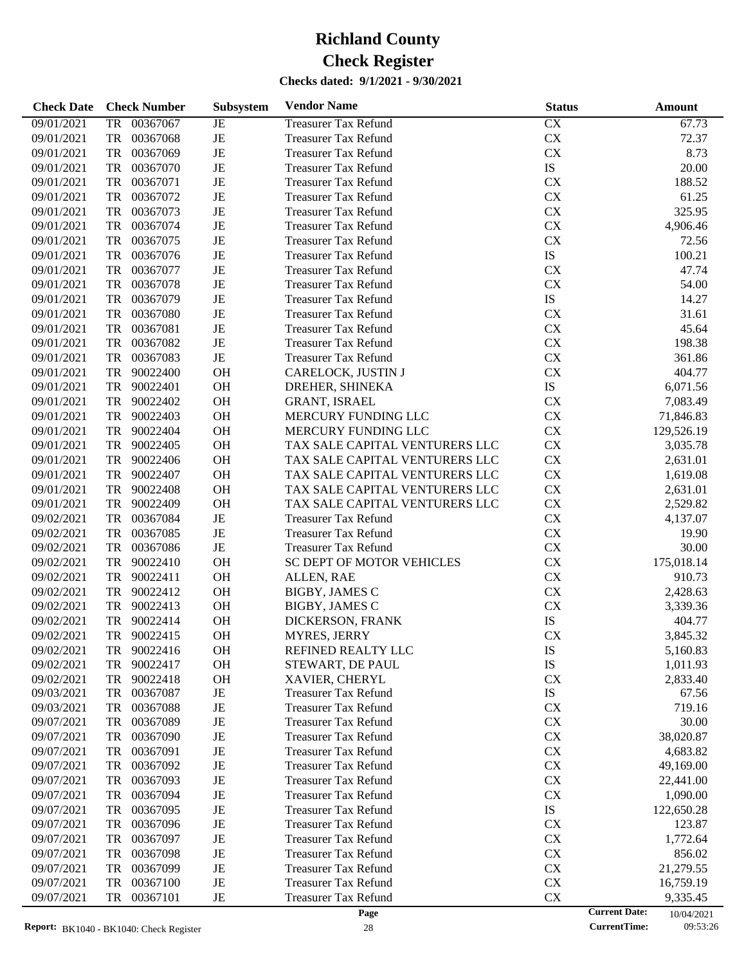| <b>Check Date</b>        | <b>Check Number</b>              | Subsystem | <b>Vendor Name</b>                                         | <b>Status</b>          | Amount                             |
|--------------------------|----------------------------------|-----------|------------------------------------------------------------|------------------------|------------------------------------|
| 09/01/2021               | 00367067<br>TR                   | JE        | <b>Treasurer Tax Refund</b>                                | CX                     | 67.73                              |
| 09/01/2021               | TR<br>00367068                   | JE        | <b>Treasurer Tax Refund</b>                                | ${\rm CX}$             | 72.37                              |
| 09/01/2021               | TR<br>00367069                   | JE        | <b>Treasurer Tax Refund</b>                                | CX                     | 8.73                               |
| 09/01/2021               | TR<br>00367070                   | JE        | <b>Treasurer Tax Refund</b>                                | ${\rm IS}$             | 20.00                              |
| 09/01/2021               | TR<br>00367071                   | JE        | <b>Treasurer Tax Refund</b>                                | CX                     | 188.52                             |
| 09/01/2021               | TR<br>00367072                   | JE        | <b>Treasurer Tax Refund</b>                                | ${\rm CX}$             | 61.25                              |
| 09/01/2021               | TR<br>00367073                   | JE        | <b>Treasurer Tax Refund</b>                                | ${\rm CX}$             | 325.95                             |
| 09/01/2021               | TR<br>00367074                   | JE        | <b>Treasurer Tax Refund</b>                                | ${\rm CX}$             | 4,906.46                           |
| 09/01/2021               | TR<br>00367075                   | JE        | <b>Treasurer Tax Refund</b>                                | CX                     | 72.56                              |
| 09/01/2021               | TR<br>00367076                   | JE        | <b>Treasurer Tax Refund</b>                                | ${\rm IS}$             | 100.21                             |
| 09/01/2021               | TR<br>00367077                   | JE        | <b>Treasurer Tax Refund</b>                                | CX                     | 47.74                              |
| 09/01/2021               | TR<br>00367078                   | JE        | <b>Treasurer Tax Refund</b>                                | CX                     | 54.00                              |
| 09/01/2021               | TR<br>00367079                   | JE        | <b>Treasurer Tax Refund</b>                                | ${\rm IS}$             | 14.27                              |
| 09/01/2021               | TR<br>00367080                   | JE        | <b>Treasurer Tax Refund</b>                                | CX                     | 31.61                              |
| 09/01/2021               | TR<br>00367081                   | JE        | <b>Treasurer Tax Refund</b>                                | ${\rm CX}$             | 45.64                              |
| 09/01/2021               | TR<br>00367082                   | $\rm{JE}$ | <b>Treasurer Tax Refund</b>                                | ${\rm CX}$             | 198.38                             |
| 09/01/2021               | TR<br>00367083                   | $\rm{JE}$ | <b>Treasurer Tax Refund</b>                                | ${\rm CX}$             | 361.86                             |
| 09/01/2021               | TR<br>90022400                   | OH        | CARELOCK, JUSTIN J                                         | CX                     | 404.77                             |
| 09/01/2021               | TR<br>90022401                   | $\rm OH$  | DREHER, SHINEKA                                            | ${\rm IS}$             | 6,071.56                           |
| 09/01/2021               | TR<br>90022402                   | $\rm OH$  | GRANT, ISRAEL                                              | CX                     | 7,083.49                           |
| 09/01/2021               | TR<br>90022403                   | $\rm OH$  | MERCURY FUNDING LLC                                        | ${\rm CX}$             | 71,846.83                          |
| 09/01/2021               | TR<br>90022404                   | $\rm OH$  | MERCURY FUNDING LLC                                        | ${\rm CX}$             | 129,526.19                         |
| 09/01/2021               | TR<br>90022405                   | $\rm OH$  | TAX SALE CAPITAL VENTURERS LLC                             | ${\rm CX}$             | 3,035.78                           |
| 09/01/2021               | TR<br>90022406                   | OH        | TAX SALE CAPITAL VENTURERS LLC                             | ${\rm CX}$             | 2,631.01                           |
| 09/01/2021               | TR<br>90022407                   | $\rm OH$  | TAX SALE CAPITAL VENTURERS LLC                             | ${\rm CX}$             | 1,619.08                           |
| 09/01/2021               | TR<br>90022408                   | OH        | TAX SALE CAPITAL VENTURERS LLC                             | ${\rm CX}$             | 2,631.01                           |
| 09/01/2021               | TR<br>90022409                   | <b>OH</b> | TAX SALE CAPITAL VENTURERS LLC                             | ${\rm CX}$             | 2,529.82                           |
| 09/02/2021               | TR<br>00367084                   | $\rm{JE}$ | <b>Treasurer Tax Refund</b>                                | ${\rm CX}$             | 4,137.07                           |
| 09/02/2021               | TR<br>00367085                   | $\rm{JE}$ | <b>Treasurer Tax Refund</b>                                | ${\rm CX}$             | 19.90                              |
| 09/02/2021               | TR<br>00367086                   | $\rm{JE}$ | <b>Treasurer Tax Refund</b>                                | ${\rm CX}$             | 30.00                              |
| 09/02/2021               | TR<br>90022410                   | OH        | SC DEPT OF MOTOR VEHICLES                                  | ${\rm CX}$             | 175,018.14                         |
| 09/02/2021               | TR<br>90022411                   | OH        | ALLEN, RAE                                                 | ${\rm CX}$             | 910.73                             |
| 09/02/2021               | TR<br>90022412                   | OH        | <b>BIGBY, JAMES C</b>                                      | ${\rm CX}$             | 2,428.63                           |
| 09/02/2021               | TR<br>90022413                   | OH        | <b>BIGBY, JAMES C</b>                                      | CX                     | 3,339.36                           |
| 09/02/2021               | TR<br>90022414                   | OH        | DICKERSON, FRANK                                           | ${\rm IS}$             | 404.77                             |
| 09/02/2021               | TR<br>90022415                   | <b>OH</b> | MYRES, JERRY                                               | CX                     | 3,845.32                           |
| 09/02/2021               | 90022416<br>TR                   | <b>OH</b> | REFINED REALTY LLC                                         | IS                     | 5,160.83                           |
| 09/02/2021               | TR<br>90022417                   | <b>OH</b> | STEWART, DE PAUL                                           | IS                     | 1,011.93                           |
| 09/02/2021               | TR<br>90022418                   | <b>OH</b> | XAVIER, CHERYL                                             | <b>CX</b>              | 2,833.40                           |
| 09/03/2021               | 00367087<br>TR                   | JE        | <b>Treasurer Tax Refund</b>                                | IS                     | 67.56                              |
| 09/03/2021               | TR<br>00367088                   | JE        | <b>Treasurer Tax Refund</b>                                | <b>CX</b>              | 719.16                             |
| 09/07/2021               | 00367089<br>TR                   | JE        | <b>Treasurer Tax Refund</b>                                | <b>CX</b>              | 30.00                              |
| 09/07/2021               | TR<br>00367090                   | JE        | <b>Treasurer Tax Refund</b>                                | <b>CX</b>              | 38,020.87                          |
| 09/07/2021               | TR<br>00367091                   | JE        | <b>Treasurer Tax Refund</b>                                | <b>CX</b>              | 4,683.82                           |
| 09/07/2021               | TR<br>00367092                   | JE        | <b>Treasurer Tax Refund</b>                                | <b>CX</b>              | 49,169.00                          |
| 09/07/2021               | TR<br>00367093                   | JE        | <b>Treasurer Tax Refund</b>                                | <b>CX</b>              | 22,441.00                          |
| 09/07/2021               | TR<br>00367094                   | JE        | <b>Treasurer Tax Refund</b>                                | <b>CX</b><br>IS        | 1,090.00                           |
| 09/07/2021               | TR<br>00367095                   | JE        | <b>Treasurer Tax Refund</b>                                | <b>CX</b>              | 122,650.28                         |
| 09/07/2021               | TR<br>00367096                   | JE        | <b>Treasurer Tax Refund</b>                                |                        | 123.87                             |
| 09/07/2021<br>09/07/2021 | TR<br>00367097<br>TR<br>00367098 | JE<br>JE  | <b>Treasurer Tax Refund</b><br><b>Treasurer Tax Refund</b> | <b>CX</b><br><b>CX</b> | 1,772.64<br>856.02                 |
| 09/07/2021               | TR<br>00367099                   | JE        | <b>Treasurer Tax Refund</b>                                | CX                     |                                    |
| 09/07/2021               | TR<br>00367100                   | JE        | <b>Treasurer Tax Refund</b>                                | CX                     | 21,279.55                          |
| 09/07/2021               | TR<br>00367101                   | JE        | <b>Treasurer Tax Refund</b>                                | CX                     | 16,759.19<br>9,335.45              |
|                          |                                  |           | Page                                                       |                        | <b>Current Date:</b><br>10/04/2021 |

10/04/2021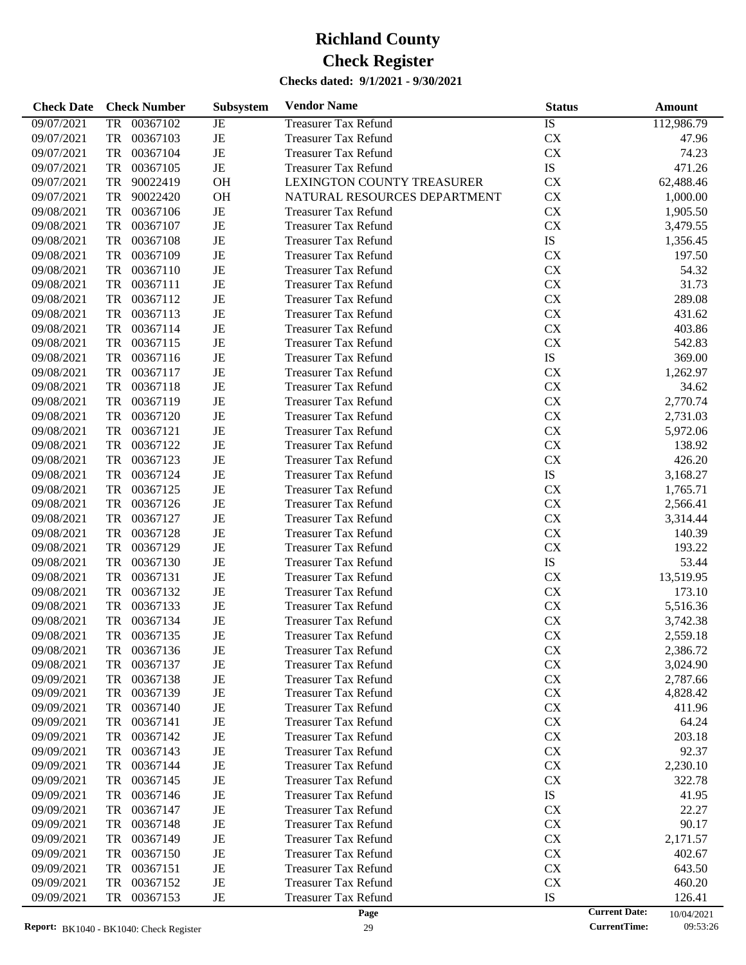| <b>Check Date</b> | <b>Check Number</b> | Subsystem   | <b>Vendor Name</b>           | <b>Status</b> | Amount                             |
|-------------------|---------------------|-------------|------------------------------|---------------|------------------------------------|
| 09/07/2021        | 00367102<br>TR      | $_{\rm JE}$ | <b>Treasurer Tax Refund</b>  | IS            | 112,986.79                         |
| 09/07/2021        | TR<br>00367103      | JE          | <b>Treasurer Tax Refund</b>  | <b>CX</b>     | 47.96                              |
| 09/07/2021        | TR<br>00367104      | JE          | <b>Treasurer Tax Refund</b>  | <b>CX</b>     | 74.23                              |
| 09/07/2021        | TR<br>00367105      | $\rm{JE}$   | <b>Treasurer Tax Refund</b>  | ${\rm IS}$    | 471.26                             |
| 09/07/2021        | TR<br>90022419      | OH          | LEXINGTON COUNTY TREASURER   | <b>CX</b>     | 62,488.46                          |
| 09/07/2021        | TR<br>90022420      | <b>OH</b>   | NATURAL RESOURCES DEPARTMENT | <b>CX</b>     | 1,000.00                           |
| 09/08/2021        | TR<br>00367106      | $\rm{JE}$   | <b>Treasurer Tax Refund</b>  | <b>CX</b>     | 1,905.50                           |
| 09/08/2021        | TR<br>00367107      | JE          | <b>Treasurer Tax Refund</b>  | <b>CX</b>     | 3,479.55                           |
| 09/08/2021        | TR<br>00367108      | $\rm{JE}$   | <b>Treasurer Tax Refund</b>  | ${\rm IS}$    | 1,356.45                           |
| 09/08/2021        | TR<br>00367109      | JE          | <b>Treasurer Tax Refund</b>  | CX            | 197.50                             |
| 09/08/2021        | TR<br>00367110      | JE          | <b>Treasurer Tax Refund</b>  | <b>CX</b>     | 54.32                              |
| 09/08/2021        | TR<br>00367111      | JE          | <b>Treasurer Tax Refund</b>  | CX            | 31.73                              |
| 09/08/2021        | TR<br>00367112      | JE          | <b>Treasurer Tax Refund</b>  | CX            | 289.08                             |
| 09/08/2021        | TR<br>00367113      | JE          | <b>Treasurer Tax Refund</b>  | CX            | 431.62                             |
| 09/08/2021        | TR<br>00367114      | JE          | <b>Treasurer Tax Refund</b>  | <b>CX</b>     | 403.86                             |
| 09/08/2021        | TR<br>00367115      | JE          | <b>Treasurer Tax Refund</b>  | <b>CX</b>     | 542.83                             |
| 09/08/2021        | TR<br>00367116      | JE          | <b>Treasurer Tax Refund</b>  | ${\rm IS}$    | 369.00                             |
| 09/08/2021        | TR<br>00367117      | JE          | <b>Treasurer Tax Refund</b>  | CX            | 1,262.97                           |
| 09/08/2021        | TR<br>00367118      | JE          | <b>Treasurer Tax Refund</b>  | <b>CX</b>     | 34.62                              |
| 09/08/2021        | TR<br>00367119      | JE          | <b>Treasurer Tax Refund</b>  | CX            | 2,770.74                           |
| 09/08/2021        | TR<br>00367120      | JE          | <b>Treasurer Tax Refund</b>  | CX            | 2,731.03                           |
| 09/08/2021        | TR<br>00367121      | JE          | <b>Treasurer Tax Refund</b>  | CX            | 5,972.06                           |
| 09/08/2021        | TR<br>00367122      | JE          | <b>Treasurer Tax Refund</b>  | <b>CX</b>     | 138.92                             |
| 09/08/2021        | TR<br>00367123      | JE          | <b>Treasurer Tax Refund</b>  | <b>CX</b>     | 426.20                             |
| 09/08/2021        | TR<br>00367124      | JE          | <b>Treasurer Tax Refund</b>  | ${\rm IS}$    | 3,168.27                           |
| 09/08/2021        | TR<br>00367125      | JE          | <b>Treasurer Tax Refund</b>  | CX            | 1,765.71                           |
| 09/08/2021        | TR<br>00367126      | JE          | <b>Treasurer Tax Refund</b>  | <b>CX</b>     | 2,566.41                           |
| 09/08/2021        | TR<br>00367127      | JE          | <b>Treasurer Tax Refund</b>  | CX            | 3,314.44                           |
| 09/08/2021        | TR<br>00367128      | JE          | <b>Treasurer Tax Refund</b>  | CX            | 140.39                             |
| 09/08/2021        | TR<br>00367129      | JE          | <b>Treasurer Tax Refund</b>  | <b>CX</b>     | 193.22                             |
| 09/08/2021        | TR<br>00367130      | JE          | <b>Treasurer Tax Refund</b>  | ${\rm IS}$    | 53.44                              |
| 09/08/2021        | TR<br>00367131      | JE          | <b>Treasurer Tax Refund</b>  | <b>CX</b>     | 13,519.95                          |
| 09/08/2021        | TR<br>00367132      | JE          | <b>Treasurer Tax Refund</b>  | CX            | 173.10                             |
| 09/08/2021        | TR<br>00367133      | JE          | <b>Treasurer Tax Refund</b>  | CX            | 5,516.36                           |
| 09/08/2021        | TR<br>00367134      | JE          | <b>Treasurer Tax Refund</b>  | <b>CX</b>     | 3,742.38                           |
| 09/08/2021        | TR<br>00367135      | JE          | <b>Treasurer Tax Refund</b>  | <b>CX</b>     | 2,559.18                           |
| 09/08/2021        | 00367136<br>TR      | JE          | <b>Treasurer Tax Refund</b>  | <b>CX</b>     | 2,386.72                           |
| 09/08/2021        | 00367137<br>TR      | JE          | <b>Treasurer Tax Refund</b>  | <b>CX</b>     | 3,024.90                           |
| 09/09/2021        | 00367138<br>TR      | JE          | <b>Treasurer Tax Refund</b>  | <b>CX</b>     | 2,787.66                           |
| 09/09/2021        | 00367139<br>TR      | JE          | <b>Treasurer Tax Refund</b>  | <b>CX</b>     | 4,828.42                           |
| 09/09/2021        | TR<br>00367140      | JE          | <b>Treasurer Tax Refund</b>  | <b>CX</b>     | 411.96                             |
| 09/09/2021        | 00367141<br>TR      | JE          | <b>Treasurer Tax Refund</b>  | <b>CX</b>     | 64.24                              |
| 09/09/2021        | TR<br>00367142      | JE          | <b>Treasurer Tax Refund</b>  | <b>CX</b>     | 203.18                             |
| 09/09/2021        | TR<br>00367143      | JE          | <b>Treasurer Tax Refund</b>  | <b>CX</b>     | 92.37                              |
| 09/09/2021        | TR<br>00367144      | JE          | <b>Treasurer Tax Refund</b>  | <b>CX</b>     | 2,230.10                           |
| 09/09/2021        | TR<br>00367145      | JE          | <b>Treasurer Tax Refund</b>  | <b>CX</b>     | 322.78                             |
| 09/09/2021        | TR<br>00367146      | JE          | <b>Treasurer Tax Refund</b>  | IS            | 41.95                              |
| 09/09/2021        | TR<br>00367147      | JE          | <b>Treasurer Tax Refund</b>  | <b>CX</b>     | 22.27                              |
| 09/09/2021        | TR<br>00367148      | JE          | <b>Treasurer Tax Refund</b>  | <b>CX</b>     | 90.17                              |
| 09/09/2021        | TR<br>00367149      | JE          | <b>Treasurer Tax Refund</b>  | <b>CX</b>     | 2,171.57                           |
| 09/09/2021        | TR<br>00367150      | JE          | <b>Treasurer Tax Refund</b>  | <b>CX</b>     | 402.67                             |
| 09/09/2021        | TR<br>00367151      | JE          | <b>Treasurer Tax Refund</b>  | <b>CX</b>     | 643.50                             |
| 09/09/2021        | TR<br>00367152      | JE          | <b>Treasurer Tax Refund</b>  | <b>CX</b>     | 460.20                             |
| 09/09/2021        | 00367153<br>TR      | JE          | <b>Treasurer Tax Refund</b>  | IS            | 126.41                             |
|                   |                     |             | Page                         |               | <b>Current Date:</b><br>10/04/2021 |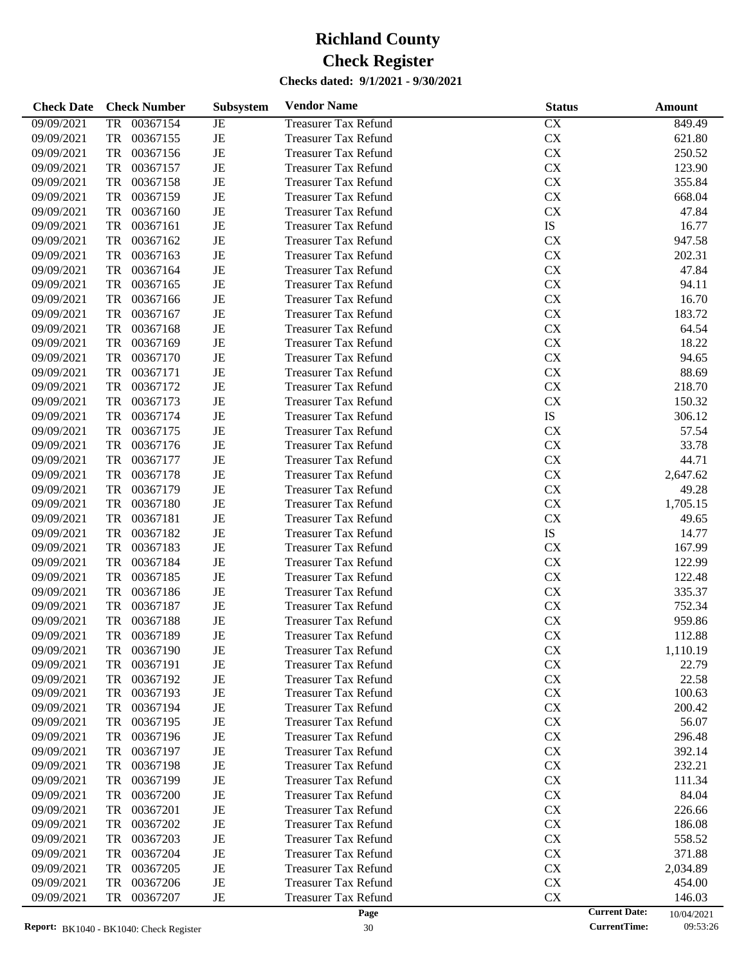| 09/09/2021<br>00367154<br><b>Treasurer Tax Refund</b><br>CX<br>849.49<br><b>TR</b><br>JE<br>$\rm{JE}$<br>CX<br>09/09/2021<br><b>TR</b><br>00367155<br><b>Treasurer Tax Refund</b><br>621.80<br>$\rm{JE}$<br>CX<br>09/09/2021<br><b>TR</b><br>00367156<br>250.52<br><b>Treasurer Tax Refund</b><br>CX<br>09/09/2021<br><b>TR</b><br>00367157<br>$_{\rm JE}$<br>123.90<br><b>Treasurer Tax Refund</b><br>JE<br>CX<br>09/09/2021<br><b>TR</b><br>00367158<br>355.84<br><b>Treasurer Tax Refund</b><br>JE<br>CX<br>09/09/2021<br><b>TR</b><br>00367159<br>668.04<br><b>Treasurer Tax Refund</b><br>$\rm{JE}$<br>CX<br>09/09/2021<br><b>TR</b><br>00367160<br>47.84<br><b>Treasurer Tax Refund</b><br>JE<br>IS<br>09/09/2021<br><b>TR</b><br>00367161<br>16.77<br><b>Treasurer Tax Refund</b><br>JE<br>CX<br>09/09/2021<br><b>TR</b><br>00367162<br>947.58<br><b>Treasurer Tax Refund</b><br>JE<br>CX<br>09/09/2021<br><b>TR</b><br>00367163<br>202.31<br><b>Treasurer Tax Refund</b><br>$\rm{JE}$<br>CX<br>09/09/2021<br><b>TR</b><br>00367164<br>47.84<br><b>Treasurer Tax Refund</b><br>JE<br>CX<br>09/09/2021<br><b>TR</b><br>00367165<br>94.11<br><b>Treasurer Tax Refund</b><br>JE<br>CX<br>09/09/2021<br><b>TR</b><br>00367166<br>16.70<br><b>Treasurer Tax Refund</b><br>$\rm{JE}$<br>CX<br>09/09/2021<br><b>TR</b><br>00367167<br>183.72<br><b>Treasurer Tax Refund</b><br>JE<br>CX<br>09/09/2021<br><b>TR</b><br>00367168<br>64.54<br><b>Treasurer Tax Refund</b><br>JE<br>CX<br>09/09/2021<br><b>TR</b><br>00367169<br>18.22<br><b>Treasurer Tax Refund</b><br>$\rm{JE}$<br>CX<br>09/09/2021<br><b>TR</b><br>00367170<br><b>Treasurer Tax Refund</b><br>94.65<br>$\rm{JE}$<br>CX<br>09/09/2021<br><b>TR</b><br>00367171<br>88.69<br><b>Treasurer Tax Refund</b><br>JE<br>CX<br>09/09/2021<br><b>TR</b><br>00367172<br>218.70<br><b>Treasurer Tax Refund</b><br>$\rm{JE}$<br>CX<br>09/09/2021<br><b>TR</b><br>00367173<br>150.32<br><b>Treasurer Tax Refund</b><br>$\rm{JE}$<br>IS<br>09/09/2021<br><b>TR</b><br>00367174<br>306.12<br><b>Treasurer Tax Refund</b><br>$\rm{JE}$<br>CX<br>09/09/2021<br><b>TR</b><br>00367175<br>57.54<br><b>Treasurer Tax Refund</b><br>JE<br>CX<br>09/09/2021<br><b>TR</b><br>00367176<br>33.78<br><b>Treasurer Tax Refund</b><br>$\rm{JE}$<br>CX<br>09/09/2021<br><b>TR</b><br>00367177<br>44.71<br><b>Treasurer Tax Refund</b><br>$\rm{JE}$<br>CX<br>09/09/2021<br><b>TR</b><br>00367178<br>2,647.62<br><b>Treasurer Tax Refund</b><br>JE<br>CX<br>09/09/2021<br><b>TR</b><br>00367179<br>49.28<br><b>Treasurer Tax Refund</b><br>JE<br>CX<br>09/09/2021<br><b>TR</b><br>00367180<br>1,705.15<br><b>Treasurer Tax Refund</b><br>$\rm{JE}$<br>CX<br>09/09/2021<br><b>TR</b><br>00367181<br>49.65<br><b>Treasurer Tax Refund</b><br>$\rm{JE}$<br>IS<br>09/09/2021<br><b>TR</b><br>00367182<br><b>Treasurer Tax Refund</b><br>14.77<br>JE<br>CX<br>09/09/2021<br><b>TR</b><br>00367183<br>167.99<br><b>Treasurer Tax Refund</b><br>$\rm{JE}$<br>CX<br>09/09/2021<br><b>TR</b><br>00367184<br>122.99<br><b>Treasurer Tax Refund</b><br>$\rm{JE}$<br>CX<br>09/09/2021<br><b>TR</b><br>00367185<br>122.48<br><b>Treasurer Tax Refund</b><br>$\rm{JE}$<br>CX<br>09/09/2021<br><b>TR</b><br>00367186<br>335.37<br><b>Treasurer Tax Refund</b><br>JE<br>CX<br>09/09/2021<br><b>TR</b><br>00367187<br>752.34<br><b>Treasurer Tax Refund</b><br>JE<br>CX<br>09/09/2021<br><b>TR</b><br>00367188<br>959.86<br><b>Treasurer Tax Refund</b><br>JE<br>CX<br>09/09/2021<br><b>TR</b><br>00367189<br><b>Treasurer Tax Refund</b><br>112.88<br>09/09/2021<br>00367190<br><b>Treasurer Tax Refund</b><br><b>CX</b><br>1,110.19<br>JE<br>TR<br>00367191<br><b>CX</b><br>09/09/2021<br>TR<br>JE<br><b>Treasurer Tax Refund</b><br>22.79<br>CX<br>00367192<br>JE<br>09/09/2021<br>TR<br><b>Treasurer Tax Refund</b><br>22.58<br>00367193<br>JE<br><b>CX</b><br>09/09/2021<br>TR<br>Treasurer Tax Refund<br>100.63<br><b>CX</b><br>09/09/2021<br>00367194<br>JE<br><b>Treasurer Tax Refund</b><br>200.42<br>TR<br><b>CX</b><br>09/09/2021<br>00367195<br>JE<br><b>Treasurer Tax Refund</b><br>56.07<br>TR<br><b>CX</b><br>09/09/2021<br>00367196<br>JE<br><b>Treasurer Tax Refund</b><br>TR<br>296.48<br><b>CX</b><br>09/09/2021<br>00367197<br>JE<br><b>Treasurer Tax Refund</b><br>392.14<br>TR<br><b>CX</b><br>09/09/2021<br>00367198<br>JE<br><b>Treasurer Tax Refund</b><br>232.21<br>TR<br><b>CX</b><br>09/09/2021<br>00367199<br>JE<br><b>Treasurer Tax Refund</b><br>111.34<br>TR<br><b>CX</b><br>09/09/2021<br>00367200<br>JE<br><b>Treasurer Tax Refund</b><br>84.04<br>TR<br><b>CX</b><br>09/09/2021<br>00367201<br>JE<br><b>Treasurer Tax Refund</b><br>226.66<br>TR<br><b>CX</b><br>09/09/2021<br>00367202<br>JE<br><b>Treasurer Tax Refund</b><br>186.08<br>TR<br><b>CX</b><br>09/09/2021<br>00367203<br>JE<br><b>Treasurer Tax Refund</b><br>558.52<br>TR<br><b>CX</b><br>09/09/2021<br>00367204<br>JE<br><b>Treasurer Tax Refund</b><br>371.88<br>TR<br><b>CX</b><br>09/09/2021<br>00367205<br>JE<br><b>Treasurer Tax Refund</b><br>2,034.89<br>TR<br><b>CX</b><br>09/09/2021<br>00367206<br>JE<br><b>Treasurer Tax Refund</b><br>TR<br>454.00<br><b>CX</b><br>09/09/2021<br>00367207<br>JE<br><b>Treasurer Tax Refund</b><br>146.03<br>TR | <b>Check Date</b> | <b>Check Number</b> | Subsystem | <b>Vendor Name</b> | <b>Status</b> | Amount                             |
|-----------------------------------------------------------------------------------------------------------------------------------------------------------------------------------------------------------------------------------------------------------------------------------------------------------------------------------------------------------------------------------------------------------------------------------------------------------------------------------------------------------------------------------------------------------------------------------------------------------------------------------------------------------------------------------------------------------------------------------------------------------------------------------------------------------------------------------------------------------------------------------------------------------------------------------------------------------------------------------------------------------------------------------------------------------------------------------------------------------------------------------------------------------------------------------------------------------------------------------------------------------------------------------------------------------------------------------------------------------------------------------------------------------------------------------------------------------------------------------------------------------------------------------------------------------------------------------------------------------------------------------------------------------------------------------------------------------------------------------------------------------------------------------------------------------------------------------------------------------------------------------------------------------------------------------------------------------------------------------------------------------------------------------------------------------------------------------------------------------------------------------------------------------------------------------------------------------------------------------------------------------------------------------------------------------------------------------------------------------------------------------------------------------------------------------------------------------------------------------------------------------------------------------------------------------------------------------------------------------------------------------------------------------------------------------------------------------------------------------------------------------------------------------------------------------------------------------------------------------------------------------------------------------------------------------------------------------------------------------------------------------------------------------------------------------------------------------------------------------------------------------------------------------------------------------------------------------------------------------------------------------------------------------------------------------------------------------------------------------------------------------------------------------------------------------------------------------------------------------------------------------------------------------------------------------------------------------------------------------------------------------------------------------------------------------------------------------------------------------------------------------------------------------------------------------------------------------------------------------------------------------------------------------------------------------------------------------------------------------------------------------------------------------------------------------------------------------------------------------------------------------------------------------------------------------------------------------------------------------------------------------------------------------------------------------------------------------------------------------------------------------------------------------------------------------------------------------------------------------------------------------------------------------------------------------------------------------------------------------------------------------------------------------------------------------------------------------------------------------------------------------------------------------------------------------------------------------------------------------------------------------------------------------------------------------------------------------------------------------------------------------------------------------------------------------------------------------------------------------------------------------------------------------------------------------------------------------------------------------------------------------------------------|-------------------|---------------------|-----------|--------------------|---------------|------------------------------------|
|                                                                                                                                                                                                                                                                                                                                                                                                                                                                                                                                                                                                                                                                                                                                                                                                                                                                                                                                                                                                                                                                                                                                                                                                                                                                                                                                                                                                                                                                                                                                                                                                                                                                                                                                                                                                                                                                                                                                                                                                                                                                                                                                                                                                                                                                                                                                                                                                                                                                                                                                                                                                                                                                                                                                                                                                                                                                                                                                                                                                                                                                                                                                                                                                                                                                                                                                                                                                                                                                                                                                                                                                                                                                                                                                                                                                                                                                                                                                                                                                                                                                                                                                                                                                                                                                                                                                                                                                                                                                                                                                                                                                                                                                                                                                                                                                                                                                                                                                                                                                                                                                                                                                                                                                                                                                             |                   |                     |           |                    |               |                                    |
|                                                                                                                                                                                                                                                                                                                                                                                                                                                                                                                                                                                                                                                                                                                                                                                                                                                                                                                                                                                                                                                                                                                                                                                                                                                                                                                                                                                                                                                                                                                                                                                                                                                                                                                                                                                                                                                                                                                                                                                                                                                                                                                                                                                                                                                                                                                                                                                                                                                                                                                                                                                                                                                                                                                                                                                                                                                                                                                                                                                                                                                                                                                                                                                                                                                                                                                                                                                                                                                                                                                                                                                                                                                                                                                                                                                                                                                                                                                                                                                                                                                                                                                                                                                                                                                                                                                                                                                                                                                                                                                                                                                                                                                                                                                                                                                                                                                                                                                                                                                                                                                                                                                                                                                                                                                                             |                   |                     |           |                    |               |                                    |
|                                                                                                                                                                                                                                                                                                                                                                                                                                                                                                                                                                                                                                                                                                                                                                                                                                                                                                                                                                                                                                                                                                                                                                                                                                                                                                                                                                                                                                                                                                                                                                                                                                                                                                                                                                                                                                                                                                                                                                                                                                                                                                                                                                                                                                                                                                                                                                                                                                                                                                                                                                                                                                                                                                                                                                                                                                                                                                                                                                                                                                                                                                                                                                                                                                                                                                                                                                                                                                                                                                                                                                                                                                                                                                                                                                                                                                                                                                                                                                                                                                                                                                                                                                                                                                                                                                                                                                                                                                                                                                                                                                                                                                                                                                                                                                                                                                                                                                                                                                                                                                                                                                                                                                                                                                                                             |                   |                     |           |                    |               |                                    |
|                                                                                                                                                                                                                                                                                                                                                                                                                                                                                                                                                                                                                                                                                                                                                                                                                                                                                                                                                                                                                                                                                                                                                                                                                                                                                                                                                                                                                                                                                                                                                                                                                                                                                                                                                                                                                                                                                                                                                                                                                                                                                                                                                                                                                                                                                                                                                                                                                                                                                                                                                                                                                                                                                                                                                                                                                                                                                                                                                                                                                                                                                                                                                                                                                                                                                                                                                                                                                                                                                                                                                                                                                                                                                                                                                                                                                                                                                                                                                                                                                                                                                                                                                                                                                                                                                                                                                                                                                                                                                                                                                                                                                                                                                                                                                                                                                                                                                                                                                                                                                                                                                                                                                                                                                                                                             |                   |                     |           |                    |               |                                    |
|                                                                                                                                                                                                                                                                                                                                                                                                                                                                                                                                                                                                                                                                                                                                                                                                                                                                                                                                                                                                                                                                                                                                                                                                                                                                                                                                                                                                                                                                                                                                                                                                                                                                                                                                                                                                                                                                                                                                                                                                                                                                                                                                                                                                                                                                                                                                                                                                                                                                                                                                                                                                                                                                                                                                                                                                                                                                                                                                                                                                                                                                                                                                                                                                                                                                                                                                                                                                                                                                                                                                                                                                                                                                                                                                                                                                                                                                                                                                                                                                                                                                                                                                                                                                                                                                                                                                                                                                                                                                                                                                                                                                                                                                                                                                                                                                                                                                                                                                                                                                                                                                                                                                                                                                                                                                             |                   |                     |           |                    |               |                                    |
|                                                                                                                                                                                                                                                                                                                                                                                                                                                                                                                                                                                                                                                                                                                                                                                                                                                                                                                                                                                                                                                                                                                                                                                                                                                                                                                                                                                                                                                                                                                                                                                                                                                                                                                                                                                                                                                                                                                                                                                                                                                                                                                                                                                                                                                                                                                                                                                                                                                                                                                                                                                                                                                                                                                                                                                                                                                                                                                                                                                                                                                                                                                                                                                                                                                                                                                                                                                                                                                                                                                                                                                                                                                                                                                                                                                                                                                                                                                                                                                                                                                                                                                                                                                                                                                                                                                                                                                                                                                                                                                                                                                                                                                                                                                                                                                                                                                                                                                                                                                                                                                                                                                                                                                                                                                                             |                   |                     |           |                    |               |                                    |
|                                                                                                                                                                                                                                                                                                                                                                                                                                                                                                                                                                                                                                                                                                                                                                                                                                                                                                                                                                                                                                                                                                                                                                                                                                                                                                                                                                                                                                                                                                                                                                                                                                                                                                                                                                                                                                                                                                                                                                                                                                                                                                                                                                                                                                                                                                                                                                                                                                                                                                                                                                                                                                                                                                                                                                                                                                                                                                                                                                                                                                                                                                                                                                                                                                                                                                                                                                                                                                                                                                                                                                                                                                                                                                                                                                                                                                                                                                                                                                                                                                                                                                                                                                                                                                                                                                                                                                                                                                                                                                                                                                                                                                                                                                                                                                                                                                                                                                                                                                                                                                                                                                                                                                                                                                                                             |                   |                     |           |                    |               |                                    |
|                                                                                                                                                                                                                                                                                                                                                                                                                                                                                                                                                                                                                                                                                                                                                                                                                                                                                                                                                                                                                                                                                                                                                                                                                                                                                                                                                                                                                                                                                                                                                                                                                                                                                                                                                                                                                                                                                                                                                                                                                                                                                                                                                                                                                                                                                                                                                                                                                                                                                                                                                                                                                                                                                                                                                                                                                                                                                                                                                                                                                                                                                                                                                                                                                                                                                                                                                                                                                                                                                                                                                                                                                                                                                                                                                                                                                                                                                                                                                                                                                                                                                                                                                                                                                                                                                                                                                                                                                                                                                                                                                                                                                                                                                                                                                                                                                                                                                                                                                                                                                                                                                                                                                                                                                                                                             |                   |                     |           |                    |               |                                    |
|                                                                                                                                                                                                                                                                                                                                                                                                                                                                                                                                                                                                                                                                                                                                                                                                                                                                                                                                                                                                                                                                                                                                                                                                                                                                                                                                                                                                                                                                                                                                                                                                                                                                                                                                                                                                                                                                                                                                                                                                                                                                                                                                                                                                                                                                                                                                                                                                                                                                                                                                                                                                                                                                                                                                                                                                                                                                                                                                                                                                                                                                                                                                                                                                                                                                                                                                                                                                                                                                                                                                                                                                                                                                                                                                                                                                                                                                                                                                                                                                                                                                                                                                                                                                                                                                                                                                                                                                                                                                                                                                                                                                                                                                                                                                                                                                                                                                                                                                                                                                                                                                                                                                                                                                                                                                             |                   |                     |           |                    |               |                                    |
|                                                                                                                                                                                                                                                                                                                                                                                                                                                                                                                                                                                                                                                                                                                                                                                                                                                                                                                                                                                                                                                                                                                                                                                                                                                                                                                                                                                                                                                                                                                                                                                                                                                                                                                                                                                                                                                                                                                                                                                                                                                                                                                                                                                                                                                                                                                                                                                                                                                                                                                                                                                                                                                                                                                                                                                                                                                                                                                                                                                                                                                                                                                                                                                                                                                                                                                                                                                                                                                                                                                                                                                                                                                                                                                                                                                                                                                                                                                                                                                                                                                                                                                                                                                                                                                                                                                                                                                                                                                                                                                                                                                                                                                                                                                                                                                                                                                                                                                                                                                                                                                                                                                                                                                                                                                                             |                   |                     |           |                    |               |                                    |
|                                                                                                                                                                                                                                                                                                                                                                                                                                                                                                                                                                                                                                                                                                                                                                                                                                                                                                                                                                                                                                                                                                                                                                                                                                                                                                                                                                                                                                                                                                                                                                                                                                                                                                                                                                                                                                                                                                                                                                                                                                                                                                                                                                                                                                                                                                                                                                                                                                                                                                                                                                                                                                                                                                                                                                                                                                                                                                                                                                                                                                                                                                                                                                                                                                                                                                                                                                                                                                                                                                                                                                                                                                                                                                                                                                                                                                                                                                                                                                                                                                                                                                                                                                                                                                                                                                                                                                                                                                                                                                                                                                                                                                                                                                                                                                                                                                                                                                                                                                                                                                                                                                                                                                                                                                                                             |                   |                     |           |                    |               |                                    |
|                                                                                                                                                                                                                                                                                                                                                                                                                                                                                                                                                                                                                                                                                                                                                                                                                                                                                                                                                                                                                                                                                                                                                                                                                                                                                                                                                                                                                                                                                                                                                                                                                                                                                                                                                                                                                                                                                                                                                                                                                                                                                                                                                                                                                                                                                                                                                                                                                                                                                                                                                                                                                                                                                                                                                                                                                                                                                                                                                                                                                                                                                                                                                                                                                                                                                                                                                                                                                                                                                                                                                                                                                                                                                                                                                                                                                                                                                                                                                                                                                                                                                                                                                                                                                                                                                                                                                                                                                                                                                                                                                                                                                                                                                                                                                                                                                                                                                                                                                                                                                                                                                                                                                                                                                                                                             |                   |                     |           |                    |               |                                    |
|                                                                                                                                                                                                                                                                                                                                                                                                                                                                                                                                                                                                                                                                                                                                                                                                                                                                                                                                                                                                                                                                                                                                                                                                                                                                                                                                                                                                                                                                                                                                                                                                                                                                                                                                                                                                                                                                                                                                                                                                                                                                                                                                                                                                                                                                                                                                                                                                                                                                                                                                                                                                                                                                                                                                                                                                                                                                                                                                                                                                                                                                                                                                                                                                                                                                                                                                                                                                                                                                                                                                                                                                                                                                                                                                                                                                                                                                                                                                                                                                                                                                                                                                                                                                                                                                                                                                                                                                                                                                                                                                                                                                                                                                                                                                                                                                                                                                                                                                                                                                                                                                                                                                                                                                                                                                             |                   |                     |           |                    |               |                                    |
|                                                                                                                                                                                                                                                                                                                                                                                                                                                                                                                                                                                                                                                                                                                                                                                                                                                                                                                                                                                                                                                                                                                                                                                                                                                                                                                                                                                                                                                                                                                                                                                                                                                                                                                                                                                                                                                                                                                                                                                                                                                                                                                                                                                                                                                                                                                                                                                                                                                                                                                                                                                                                                                                                                                                                                                                                                                                                                                                                                                                                                                                                                                                                                                                                                                                                                                                                                                                                                                                                                                                                                                                                                                                                                                                                                                                                                                                                                                                                                                                                                                                                                                                                                                                                                                                                                                                                                                                                                                                                                                                                                                                                                                                                                                                                                                                                                                                                                                                                                                                                                                                                                                                                                                                                                                                             |                   |                     |           |                    |               |                                    |
|                                                                                                                                                                                                                                                                                                                                                                                                                                                                                                                                                                                                                                                                                                                                                                                                                                                                                                                                                                                                                                                                                                                                                                                                                                                                                                                                                                                                                                                                                                                                                                                                                                                                                                                                                                                                                                                                                                                                                                                                                                                                                                                                                                                                                                                                                                                                                                                                                                                                                                                                                                                                                                                                                                                                                                                                                                                                                                                                                                                                                                                                                                                                                                                                                                                                                                                                                                                                                                                                                                                                                                                                                                                                                                                                                                                                                                                                                                                                                                                                                                                                                                                                                                                                                                                                                                                                                                                                                                                                                                                                                                                                                                                                                                                                                                                                                                                                                                                                                                                                                                                                                                                                                                                                                                                                             |                   |                     |           |                    |               |                                    |
|                                                                                                                                                                                                                                                                                                                                                                                                                                                                                                                                                                                                                                                                                                                                                                                                                                                                                                                                                                                                                                                                                                                                                                                                                                                                                                                                                                                                                                                                                                                                                                                                                                                                                                                                                                                                                                                                                                                                                                                                                                                                                                                                                                                                                                                                                                                                                                                                                                                                                                                                                                                                                                                                                                                                                                                                                                                                                                                                                                                                                                                                                                                                                                                                                                                                                                                                                                                                                                                                                                                                                                                                                                                                                                                                                                                                                                                                                                                                                                                                                                                                                                                                                                                                                                                                                                                                                                                                                                                                                                                                                                                                                                                                                                                                                                                                                                                                                                                                                                                                                                                                                                                                                                                                                                                                             |                   |                     |           |                    |               |                                    |
|                                                                                                                                                                                                                                                                                                                                                                                                                                                                                                                                                                                                                                                                                                                                                                                                                                                                                                                                                                                                                                                                                                                                                                                                                                                                                                                                                                                                                                                                                                                                                                                                                                                                                                                                                                                                                                                                                                                                                                                                                                                                                                                                                                                                                                                                                                                                                                                                                                                                                                                                                                                                                                                                                                                                                                                                                                                                                                                                                                                                                                                                                                                                                                                                                                                                                                                                                                                                                                                                                                                                                                                                                                                                                                                                                                                                                                                                                                                                                                                                                                                                                                                                                                                                                                                                                                                                                                                                                                                                                                                                                                                                                                                                                                                                                                                                                                                                                                                                                                                                                                                                                                                                                                                                                                                                             |                   |                     |           |                    |               |                                    |
|                                                                                                                                                                                                                                                                                                                                                                                                                                                                                                                                                                                                                                                                                                                                                                                                                                                                                                                                                                                                                                                                                                                                                                                                                                                                                                                                                                                                                                                                                                                                                                                                                                                                                                                                                                                                                                                                                                                                                                                                                                                                                                                                                                                                                                                                                                                                                                                                                                                                                                                                                                                                                                                                                                                                                                                                                                                                                                                                                                                                                                                                                                                                                                                                                                                                                                                                                                                                                                                                                                                                                                                                                                                                                                                                                                                                                                                                                                                                                                                                                                                                                                                                                                                                                                                                                                                                                                                                                                                                                                                                                                                                                                                                                                                                                                                                                                                                                                                                                                                                                                                                                                                                                                                                                                                                             |                   |                     |           |                    |               |                                    |
|                                                                                                                                                                                                                                                                                                                                                                                                                                                                                                                                                                                                                                                                                                                                                                                                                                                                                                                                                                                                                                                                                                                                                                                                                                                                                                                                                                                                                                                                                                                                                                                                                                                                                                                                                                                                                                                                                                                                                                                                                                                                                                                                                                                                                                                                                                                                                                                                                                                                                                                                                                                                                                                                                                                                                                                                                                                                                                                                                                                                                                                                                                                                                                                                                                                                                                                                                                                                                                                                                                                                                                                                                                                                                                                                                                                                                                                                                                                                                                                                                                                                                                                                                                                                                                                                                                                                                                                                                                                                                                                                                                                                                                                                                                                                                                                                                                                                                                                                                                                                                                                                                                                                                                                                                                                                             |                   |                     |           |                    |               |                                    |
|                                                                                                                                                                                                                                                                                                                                                                                                                                                                                                                                                                                                                                                                                                                                                                                                                                                                                                                                                                                                                                                                                                                                                                                                                                                                                                                                                                                                                                                                                                                                                                                                                                                                                                                                                                                                                                                                                                                                                                                                                                                                                                                                                                                                                                                                                                                                                                                                                                                                                                                                                                                                                                                                                                                                                                                                                                                                                                                                                                                                                                                                                                                                                                                                                                                                                                                                                                                                                                                                                                                                                                                                                                                                                                                                                                                                                                                                                                                                                                                                                                                                                                                                                                                                                                                                                                                                                                                                                                                                                                                                                                                                                                                                                                                                                                                                                                                                                                                                                                                                                                                                                                                                                                                                                                                                             |                   |                     |           |                    |               |                                    |
|                                                                                                                                                                                                                                                                                                                                                                                                                                                                                                                                                                                                                                                                                                                                                                                                                                                                                                                                                                                                                                                                                                                                                                                                                                                                                                                                                                                                                                                                                                                                                                                                                                                                                                                                                                                                                                                                                                                                                                                                                                                                                                                                                                                                                                                                                                                                                                                                                                                                                                                                                                                                                                                                                                                                                                                                                                                                                                                                                                                                                                                                                                                                                                                                                                                                                                                                                                                                                                                                                                                                                                                                                                                                                                                                                                                                                                                                                                                                                                                                                                                                                                                                                                                                                                                                                                                                                                                                                                                                                                                                                                                                                                                                                                                                                                                                                                                                                                                                                                                                                                                                                                                                                                                                                                                                             |                   |                     |           |                    |               |                                    |
|                                                                                                                                                                                                                                                                                                                                                                                                                                                                                                                                                                                                                                                                                                                                                                                                                                                                                                                                                                                                                                                                                                                                                                                                                                                                                                                                                                                                                                                                                                                                                                                                                                                                                                                                                                                                                                                                                                                                                                                                                                                                                                                                                                                                                                                                                                                                                                                                                                                                                                                                                                                                                                                                                                                                                                                                                                                                                                                                                                                                                                                                                                                                                                                                                                                                                                                                                                                                                                                                                                                                                                                                                                                                                                                                                                                                                                                                                                                                                                                                                                                                                                                                                                                                                                                                                                                                                                                                                                                                                                                                                                                                                                                                                                                                                                                                                                                                                                                                                                                                                                                                                                                                                                                                                                                                             |                   |                     |           |                    |               |                                    |
|                                                                                                                                                                                                                                                                                                                                                                                                                                                                                                                                                                                                                                                                                                                                                                                                                                                                                                                                                                                                                                                                                                                                                                                                                                                                                                                                                                                                                                                                                                                                                                                                                                                                                                                                                                                                                                                                                                                                                                                                                                                                                                                                                                                                                                                                                                                                                                                                                                                                                                                                                                                                                                                                                                                                                                                                                                                                                                                                                                                                                                                                                                                                                                                                                                                                                                                                                                                                                                                                                                                                                                                                                                                                                                                                                                                                                                                                                                                                                                                                                                                                                                                                                                                                                                                                                                                                                                                                                                                                                                                                                                                                                                                                                                                                                                                                                                                                                                                                                                                                                                                                                                                                                                                                                                                                             |                   |                     |           |                    |               |                                    |
|                                                                                                                                                                                                                                                                                                                                                                                                                                                                                                                                                                                                                                                                                                                                                                                                                                                                                                                                                                                                                                                                                                                                                                                                                                                                                                                                                                                                                                                                                                                                                                                                                                                                                                                                                                                                                                                                                                                                                                                                                                                                                                                                                                                                                                                                                                                                                                                                                                                                                                                                                                                                                                                                                                                                                                                                                                                                                                                                                                                                                                                                                                                                                                                                                                                                                                                                                                                                                                                                                                                                                                                                                                                                                                                                                                                                                                                                                                                                                                                                                                                                                                                                                                                                                                                                                                                                                                                                                                                                                                                                                                                                                                                                                                                                                                                                                                                                                                                                                                                                                                                                                                                                                                                                                                                                             |                   |                     |           |                    |               |                                    |
|                                                                                                                                                                                                                                                                                                                                                                                                                                                                                                                                                                                                                                                                                                                                                                                                                                                                                                                                                                                                                                                                                                                                                                                                                                                                                                                                                                                                                                                                                                                                                                                                                                                                                                                                                                                                                                                                                                                                                                                                                                                                                                                                                                                                                                                                                                                                                                                                                                                                                                                                                                                                                                                                                                                                                                                                                                                                                                                                                                                                                                                                                                                                                                                                                                                                                                                                                                                                                                                                                                                                                                                                                                                                                                                                                                                                                                                                                                                                                                                                                                                                                                                                                                                                                                                                                                                                                                                                                                                                                                                                                                                                                                                                                                                                                                                                                                                                                                                                                                                                                                                                                                                                                                                                                                                                             |                   |                     |           |                    |               |                                    |
|                                                                                                                                                                                                                                                                                                                                                                                                                                                                                                                                                                                                                                                                                                                                                                                                                                                                                                                                                                                                                                                                                                                                                                                                                                                                                                                                                                                                                                                                                                                                                                                                                                                                                                                                                                                                                                                                                                                                                                                                                                                                                                                                                                                                                                                                                                                                                                                                                                                                                                                                                                                                                                                                                                                                                                                                                                                                                                                                                                                                                                                                                                                                                                                                                                                                                                                                                                                                                                                                                                                                                                                                                                                                                                                                                                                                                                                                                                                                                                                                                                                                                                                                                                                                                                                                                                                                                                                                                                                                                                                                                                                                                                                                                                                                                                                                                                                                                                                                                                                                                                                                                                                                                                                                                                                                             |                   |                     |           |                    |               |                                    |
|                                                                                                                                                                                                                                                                                                                                                                                                                                                                                                                                                                                                                                                                                                                                                                                                                                                                                                                                                                                                                                                                                                                                                                                                                                                                                                                                                                                                                                                                                                                                                                                                                                                                                                                                                                                                                                                                                                                                                                                                                                                                                                                                                                                                                                                                                                                                                                                                                                                                                                                                                                                                                                                                                                                                                                                                                                                                                                                                                                                                                                                                                                                                                                                                                                                                                                                                                                                                                                                                                                                                                                                                                                                                                                                                                                                                                                                                                                                                                                                                                                                                                                                                                                                                                                                                                                                                                                                                                                                                                                                                                                                                                                                                                                                                                                                                                                                                                                                                                                                                                                                                                                                                                                                                                                                                             |                   |                     |           |                    |               |                                    |
|                                                                                                                                                                                                                                                                                                                                                                                                                                                                                                                                                                                                                                                                                                                                                                                                                                                                                                                                                                                                                                                                                                                                                                                                                                                                                                                                                                                                                                                                                                                                                                                                                                                                                                                                                                                                                                                                                                                                                                                                                                                                                                                                                                                                                                                                                                                                                                                                                                                                                                                                                                                                                                                                                                                                                                                                                                                                                                                                                                                                                                                                                                                                                                                                                                                                                                                                                                                                                                                                                                                                                                                                                                                                                                                                                                                                                                                                                                                                                                                                                                                                                                                                                                                                                                                                                                                                                                                                                                                                                                                                                                                                                                                                                                                                                                                                                                                                                                                                                                                                                                                                                                                                                                                                                                                                             |                   |                     |           |                    |               |                                    |
|                                                                                                                                                                                                                                                                                                                                                                                                                                                                                                                                                                                                                                                                                                                                                                                                                                                                                                                                                                                                                                                                                                                                                                                                                                                                                                                                                                                                                                                                                                                                                                                                                                                                                                                                                                                                                                                                                                                                                                                                                                                                                                                                                                                                                                                                                                                                                                                                                                                                                                                                                                                                                                                                                                                                                                                                                                                                                                                                                                                                                                                                                                                                                                                                                                                                                                                                                                                                                                                                                                                                                                                                                                                                                                                                                                                                                                                                                                                                                                                                                                                                                                                                                                                                                                                                                                                                                                                                                                                                                                                                                                                                                                                                                                                                                                                                                                                                                                                                                                                                                                                                                                                                                                                                                                                                             |                   |                     |           |                    |               |                                    |
|                                                                                                                                                                                                                                                                                                                                                                                                                                                                                                                                                                                                                                                                                                                                                                                                                                                                                                                                                                                                                                                                                                                                                                                                                                                                                                                                                                                                                                                                                                                                                                                                                                                                                                                                                                                                                                                                                                                                                                                                                                                                                                                                                                                                                                                                                                                                                                                                                                                                                                                                                                                                                                                                                                                                                                                                                                                                                                                                                                                                                                                                                                                                                                                                                                                                                                                                                                                                                                                                                                                                                                                                                                                                                                                                                                                                                                                                                                                                                                                                                                                                                                                                                                                                                                                                                                                                                                                                                                                                                                                                                                                                                                                                                                                                                                                                                                                                                                                                                                                                                                                                                                                                                                                                                                                                             |                   |                     |           |                    |               |                                    |
|                                                                                                                                                                                                                                                                                                                                                                                                                                                                                                                                                                                                                                                                                                                                                                                                                                                                                                                                                                                                                                                                                                                                                                                                                                                                                                                                                                                                                                                                                                                                                                                                                                                                                                                                                                                                                                                                                                                                                                                                                                                                                                                                                                                                                                                                                                                                                                                                                                                                                                                                                                                                                                                                                                                                                                                                                                                                                                                                                                                                                                                                                                                                                                                                                                                                                                                                                                                                                                                                                                                                                                                                                                                                                                                                                                                                                                                                                                                                                                                                                                                                                                                                                                                                                                                                                                                                                                                                                                                                                                                                                                                                                                                                                                                                                                                                                                                                                                                                                                                                                                                                                                                                                                                                                                                                             |                   |                     |           |                    |               |                                    |
|                                                                                                                                                                                                                                                                                                                                                                                                                                                                                                                                                                                                                                                                                                                                                                                                                                                                                                                                                                                                                                                                                                                                                                                                                                                                                                                                                                                                                                                                                                                                                                                                                                                                                                                                                                                                                                                                                                                                                                                                                                                                                                                                                                                                                                                                                                                                                                                                                                                                                                                                                                                                                                                                                                                                                                                                                                                                                                                                                                                                                                                                                                                                                                                                                                                                                                                                                                                                                                                                                                                                                                                                                                                                                                                                                                                                                                                                                                                                                                                                                                                                                                                                                                                                                                                                                                                                                                                                                                                                                                                                                                                                                                                                                                                                                                                                                                                                                                                                                                                                                                                                                                                                                                                                                                                                             |                   |                     |           |                    |               |                                    |
|                                                                                                                                                                                                                                                                                                                                                                                                                                                                                                                                                                                                                                                                                                                                                                                                                                                                                                                                                                                                                                                                                                                                                                                                                                                                                                                                                                                                                                                                                                                                                                                                                                                                                                                                                                                                                                                                                                                                                                                                                                                                                                                                                                                                                                                                                                                                                                                                                                                                                                                                                                                                                                                                                                                                                                                                                                                                                                                                                                                                                                                                                                                                                                                                                                                                                                                                                                                                                                                                                                                                                                                                                                                                                                                                                                                                                                                                                                                                                                                                                                                                                                                                                                                                                                                                                                                                                                                                                                                                                                                                                                                                                                                                                                                                                                                                                                                                                                                                                                                                                                                                                                                                                                                                                                                                             |                   |                     |           |                    |               |                                    |
|                                                                                                                                                                                                                                                                                                                                                                                                                                                                                                                                                                                                                                                                                                                                                                                                                                                                                                                                                                                                                                                                                                                                                                                                                                                                                                                                                                                                                                                                                                                                                                                                                                                                                                                                                                                                                                                                                                                                                                                                                                                                                                                                                                                                                                                                                                                                                                                                                                                                                                                                                                                                                                                                                                                                                                                                                                                                                                                                                                                                                                                                                                                                                                                                                                                                                                                                                                                                                                                                                                                                                                                                                                                                                                                                                                                                                                                                                                                                                                                                                                                                                                                                                                                                                                                                                                                                                                                                                                                                                                                                                                                                                                                                                                                                                                                                                                                                                                                                                                                                                                                                                                                                                                                                                                                                             |                   |                     |           |                    |               |                                    |
|                                                                                                                                                                                                                                                                                                                                                                                                                                                                                                                                                                                                                                                                                                                                                                                                                                                                                                                                                                                                                                                                                                                                                                                                                                                                                                                                                                                                                                                                                                                                                                                                                                                                                                                                                                                                                                                                                                                                                                                                                                                                                                                                                                                                                                                                                                                                                                                                                                                                                                                                                                                                                                                                                                                                                                                                                                                                                                                                                                                                                                                                                                                                                                                                                                                                                                                                                                                                                                                                                                                                                                                                                                                                                                                                                                                                                                                                                                                                                                                                                                                                                                                                                                                                                                                                                                                                                                                                                                                                                                                                                                                                                                                                                                                                                                                                                                                                                                                                                                                                                                                                                                                                                                                                                                                                             |                   |                     |           |                    |               |                                    |
|                                                                                                                                                                                                                                                                                                                                                                                                                                                                                                                                                                                                                                                                                                                                                                                                                                                                                                                                                                                                                                                                                                                                                                                                                                                                                                                                                                                                                                                                                                                                                                                                                                                                                                                                                                                                                                                                                                                                                                                                                                                                                                                                                                                                                                                                                                                                                                                                                                                                                                                                                                                                                                                                                                                                                                                                                                                                                                                                                                                                                                                                                                                                                                                                                                                                                                                                                                                                                                                                                                                                                                                                                                                                                                                                                                                                                                                                                                                                                                                                                                                                                                                                                                                                                                                                                                                                                                                                                                                                                                                                                                                                                                                                                                                                                                                                                                                                                                                                                                                                                                                                                                                                                                                                                                                                             |                   |                     |           |                    |               |                                    |
|                                                                                                                                                                                                                                                                                                                                                                                                                                                                                                                                                                                                                                                                                                                                                                                                                                                                                                                                                                                                                                                                                                                                                                                                                                                                                                                                                                                                                                                                                                                                                                                                                                                                                                                                                                                                                                                                                                                                                                                                                                                                                                                                                                                                                                                                                                                                                                                                                                                                                                                                                                                                                                                                                                                                                                                                                                                                                                                                                                                                                                                                                                                                                                                                                                                                                                                                                                                                                                                                                                                                                                                                                                                                                                                                                                                                                                                                                                                                                                                                                                                                                                                                                                                                                                                                                                                                                                                                                                                                                                                                                                                                                                                                                                                                                                                                                                                                                                                                                                                                                                                                                                                                                                                                                                                                             |                   |                     |           |                    |               |                                    |
|                                                                                                                                                                                                                                                                                                                                                                                                                                                                                                                                                                                                                                                                                                                                                                                                                                                                                                                                                                                                                                                                                                                                                                                                                                                                                                                                                                                                                                                                                                                                                                                                                                                                                                                                                                                                                                                                                                                                                                                                                                                                                                                                                                                                                                                                                                                                                                                                                                                                                                                                                                                                                                                                                                                                                                                                                                                                                                                                                                                                                                                                                                                                                                                                                                                                                                                                                                                                                                                                                                                                                                                                                                                                                                                                                                                                                                                                                                                                                                                                                                                                                                                                                                                                                                                                                                                                                                                                                                                                                                                                                                                                                                                                                                                                                                                                                                                                                                                                                                                                                                                                                                                                                                                                                                                                             |                   |                     |           |                    |               |                                    |
|                                                                                                                                                                                                                                                                                                                                                                                                                                                                                                                                                                                                                                                                                                                                                                                                                                                                                                                                                                                                                                                                                                                                                                                                                                                                                                                                                                                                                                                                                                                                                                                                                                                                                                                                                                                                                                                                                                                                                                                                                                                                                                                                                                                                                                                                                                                                                                                                                                                                                                                                                                                                                                                                                                                                                                                                                                                                                                                                                                                                                                                                                                                                                                                                                                                                                                                                                                                                                                                                                                                                                                                                                                                                                                                                                                                                                                                                                                                                                                                                                                                                                                                                                                                                                                                                                                                                                                                                                                                                                                                                                                                                                                                                                                                                                                                                                                                                                                                                                                                                                                                                                                                                                                                                                                                                             |                   |                     |           |                    |               |                                    |
|                                                                                                                                                                                                                                                                                                                                                                                                                                                                                                                                                                                                                                                                                                                                                                                                                                                                                                                                                                                                                                                                                                                                                                                                                                                                                                                                                                                                                                                                                                                                                                                                                                                                                                                                                                                                                                                                                                                                                                                                                                                                                                                                                                                                                                                                                                                                                                                                                                                                                                                                                                                                                                                                                                                                                                                                                                                                                                                                                                                                                                                                                                                                                                                                                                                                                                                                                                                                                                                                                                                                                                                                                                                                                                                                                                                                                                                                                                                                                                                                                                                                                                                                                                                                                                                                                                                                                                                                                                                                                                                                                                                                                                                                                                                                                                                                                                                                                                                                                                                                                                                                                                                                                                                                                                                                             |                   |                     |           |                    |               |                                    |
|                                                                                                                                                                                                                                                                                                                                                                                                                                                                                                                                                                                                                                                                                                                                                                                                                                                                                                                                                                                                                                                                                                                                                                                                                                                                                                                                                                                                                                                                                                                                                                                                                                                                                                                                                                                                                                                                                                                                                                                                                                                                                                                                                                                                                                                                                                                                                                                                                                                                                                                                                                                                                                                                                                                                                                                                                                                                                                                                                                                                                                                                                                                                                                                                                                                                                                                                                                                                                                                                                                                                                                                                                                                                                                                                                                                                                                                                                                                                                                                                                                                                                                                                                                                                                                                                                                                                                                                                                                                                                                                                                                                                                                                                                                                                                                                                                                                                                                                                                                                                                                                                                                                                                                                                                                                                             |                   |                     |           |                    |               |                                    |
|                                                                                                                                                                                                                                                                                                                                                                                                                                                                                                                                                                                                                                                                                                                                                                                                                                                                                                                                                                                                                                                                                                                                                                                                                                                                                                                                                                                                                                                                                                                                                                                                                                                                                                                                                                                                                                                                                                                                                                                                                                                                                                                                                                                                                                                                                                                                                                                                                                                                                                                                                                                                                                                                                                                                                                                                                                                                                                                                                                                                                                                                                                                                                                                                                                                                                                                                                                                                                                                                                                                                                                                                                                                                                                                                                                                                                                                                                                                                                                                                                                                                                                                                                                                                                                                                                                                                                                                                                                                                                                                                                                                                                                                                                                                                                                                                                                                                                                                                                                                                                                                                                                                                                                                                                                                                             |                   |                     |           |                    |               |                                    |
|                                                                                                                                                                                                                                                                                                                                                                                                                                                                                                                                                                                                                                                                                                                                                                                                                                                                                                                                                                                                                                                                                                                                                                                                                                                                                                                                                                                                                                                                                                                                                                                                                                                                                                                                                                                                                                                                                                                                                                                                                                                                                                                                                                                                                                                                                                                                                                                                                                                                                                                                                                                                                                                                                                                                                                                                                                                                                                                                                                                                                                                                                                                                                                                                                                                                                                                                                                                                                                                                                                                                                                                                                                                                                                                                                                                                                                                                                                                                                                                                                                                                                                                                                                                                                                                                                                                                                                                                                                                                                                                                                                                                                                                                                                                                                                                                                                                                                                                                                                                                                                                                                                                                                                                                                                                                             |                   |                     |           |                    |               |                                    |
|                                                                                                                                                                                                                                                                                                                                                                                                                                                                                                                                                                                                                                                                                                                                                                                                                                                                                                                                                                                                                                                                                                                                                                                                                                                                                                                                                                                                                                                                                                                                                                                                                                                                                                                                                                                                                                                                                                                                                                                                                                                                                                                                                                                                                                                                                                                                                                                                                                                                                                                                                                                                                                                                                                                                                                                                                                                                                                                                                                                                                                                                                                                                                                                                                                                                                                                                                                                                                                                                                                                                                                                                                                                                                                                                                                                                                                                                                                                                                                                                                                                                                                                                                                                                                                                                                                                                                                                                                                                                                                                                                                                                                                                                                                                                                                                                                                                                                                                                                                                                                                                                                                                                                                                                                                                                             |                   |                     |           |                    |               |                                    |
|                                                                                                                                                                                                                                                                                                                                                                                                                                                                                                                                                                                                                                                                                                                                                                                                                                                                                                                                                                                                                                                                                                                                                                                                                                                                                                                                                                                                                                                                                                                                                                                                                                                                                                                                                                                                                                                                                                                                                                                                                                                                                                                                                                                                                                                                                                                                                                                                                                                                                                                                                                                                                                                                                                                                                                                                                                                                                                                                                                                                                                                                                                                                                                                                                                                                                                                                                                                                                                                                                                                                                                                                                                                                                                                                                                                                                                                                                                                                                                                                                                                                                                                                                                                                                                                                                                                                                                                                                                                                                                                                                                                                                                                                                                                                                                                                                                                                                                                                                                                                                                                                                                                                                                                                                                                                             |                   |                     |           |                    |               |                                    |
|                                                                                                                                                                                                                                                                                                                                                                                                                                                                                                                                                                                                                                                                                                                                                                                                                                                                                                                                                                                                                                                                                                                                                                                                                                                                                                                                                                                                                                                                                                                                                                                                                                                                                                                                                                                                                                                                                                                                                                                                                                                                                                                                                                                                                                                                                                                                                                                                                                                                                                                                                                                                                                                                                                                                                                                                                                                                                                                                                                                                                                                                                                                                                                                                                                                                                                                                                                                                                                                                                                                                                                                                                                                                                                                                                                                                                                                                                                                                                                                                                                                                                                                                                                                                                                                                                                                                                                                                                                                                                                                                                                                                                                                                                                                                                                                                                                                                                                                                                                                                                                                                                                                                                                                                                                                                             |                   |                     |           |                    |               |                                    |
|                                                                                                                                                                                                                                                                                                                                                                                                                                                                                                                                                                                                                                                                                                                                                                                                                                                                                                                                                                                                                                                                                                                                                                                                                                                                                                                                                                                                                                                                                                                                                                                                                                                                                                                                                                                                                                                                                                                                                                                                                                                                                                                                                                                                                                                                                                                                                                                                                                                                                                                                                                                                                                                                                                                                                                                                                                                                                                                                                                                                                                                                                                                                                                                                                                                                                                                                                                                                                                                                                                                                                                                                                                                                                                                                                                                                                                                                                                                                                                                                                                                                                                                                                                                                                                                                                                                                                                                                                                                                                                                                                                                                                                                                                                                                                                                                                                                                                                                                                                                                                                                                                                                                                                                                                                                                             |                   |                     |           |                    |               |                                    |
|                                                                                                                                                                                                                                                                                                                                                                                                                                                                                                                                                                                                                                                                                                                                                                                                                                                                                                                                                                                                                                                                                                                                                                                                                                                                                                                                                                                                                                                                                                                                                                                                                                                                                                                                                                                                                                                                                                                                                                                                                                                                                                                                                                                                                                                                                                                                                                                                                                                                                                                                                                                                                                                                                                                                                                                                                                                                                                                                                                                                                                                                                                                                                                                                                                                                                                                                                                                                                                                                                                                                                                                                                                                                                                                                                                                                                                                                                                                                                                                                                                                                                                                                                                                                                                                                                                                                                                                                                                                                                                                                                                                                                                                                                                                                                                                                                                                                                                                                                                                                                                                                                                                                                                                                                                                                             |                   |                     |           |                    |               |                                    |
|                                                                                                                                                                                                                                                                                                                                                                                                                                                                                                                                                                                                                                                                                                                                                                                                                                                                                                                                                                                                                                                                                                                                                                                                                                                                                                                                                                                                                                                                                                                                                                                                                                                                                                                                                                                                                                                                                                                                                                                                                                                                                                                                                                                                                                                                                                                                                                                                                                                                                                                                                                                                                                                                                                                                                                                                                                                                                                                                                                                                                                                                                                                                                                                                                                                                                                                                                                                                                                                                                                                                                                                                                                                                                                                                                                                                                                                                                                                                                                                                                                                                                                                                                                                                                                                                                                                                                                                                                                                                                                                                                                                                                                                                                                                                                                                                                                                                                                                                                                                                                                                                                                                                                                                                                                                                             |                   |                     |           |                    |               |                                    |
|                                                                                                                                                                                                                                                                                                                                                                                                                                                                                                                                                                                                                                                                                                                                                                                                                                                                                                                                                                                                                                                                                                                                                                                                                                                                                                                                                                                                                                                                                                                                                                                                                                                                                                                                                                                                                                                                                                                                                                                                                                                                                                                                                                                                                                                                                                                                                                                                                                                                                                                                                                                                                                                                                                                                                                                                                                                                                                                                                                                                                                                                                                                                                                                                                                                                                                                                                                                                                                                                                                                                                                                                                                                                                                                                                                                                                                                                                                                                                                                                                                                                                                                                                                                                                                                                                                                                                                                                                                                                                                                                                                                                                                                                                                                                                                                                                                                                                                                                                                                                                                                                                                                                                                                                                                                                             |                   |                     |           |                    |               |                                    |
|                                                                                                                                                                                                                                                                                                                                                                                                                                                                                                                                                                                                                                                                                                                                                                                                                                                                                                                                                                                                                                                                                                                                                                                                                                                                                                                                                                                                                                                                                                                                                                                                                                                                                                                                                                                                                                                                                                                                                                                                                                                                                                                                                                                                                                                                                                                                                                                                                                                                                                                                                                                                                                                                                                                                                                                                                                                                                                                                                                                                                                                                                                                                                                                                                                                                                                                                                                                                                                                                                                                                                                                                                                                                                                                                                                                                                                                                                                                                                                                                                                                                                                                                                                                                                                                                                                                                                                                                                                                                                                                                                                                                                                                                                                                                                                                                                                                                                                                                                                                                                                                                                                                                                                                                                                                                             |                   |                     |           |                    |               |                                    |
|                                                                                                                                                                                                                                                                                                                                                                                                                                                                                                                                                                                                                                                                                                                                                                                                                                                                                                                                                                                                                                                                                                                                                                                                                                                                                                                                                                                                                                                                                                                                                                                                                                                                                                                                                                                                                                                                                                                                                                                                                                                                                                                                                                                                                                                                                                                                                                                                                                                                                                                                                                                                                                                                                                                                                                                                                                                                                                                                                                                                                                                                                                                                                                                                                                                                                                                                                                                                                                                                                                                                                                                                                                                                                                                                                                                                                                                                                                                                                                                                                                                                                                                                                                                                                                                                                                                                                                                                                                                                                                                                                                                                                                                                                                                                                                                                                                                                                                                                                                                                                                                                                                                                                                                                                                                                             |                   |                     |           |                    |               |                                    |
|                                                                                                                                                                                                                                                                                                                                                                                                                                                                                                                                                                                                                                                                                                                                                                                                                                                                                                                                                                                                                                                                                                                                                                                                                                                                                                                                                                                                                                                                                                                                                                                                                                                                                                                                                                                                                                                                                                                                                                                                                                                                                                                                                                                                                                                                                                                                                                                                                                                                                                                                                                                                                                                                                                                                                                                                                                                                                                                                                                                                                                                                                                                                                                                                                                                                                                                                                                                                                                                                                                                                                                                                                                                                                                                                                                                                                                                                                                                                                                                                                                                                                                                                                                                                                                                                                                                                                                                                                                                                                                                                                                                                                                                                                                                                                                                                                                                                                                                                                                                                                                                                                                                                                                                                                                                                             |                   |                     |           |                    |               |                                    |
|                                                                                                                                                                                                                                                                                                                                                                                                                                                                                                                                                                                                                                                                                                                                                                                                                                                                                                                                                                                                                                                                                                                                                                                                                                                                                                                                                                                                                                                                                                                                                                                                                                                                                                                                                                                                                                                                                                                                                                                                                                                                                                                                                                                                                                                                                                                                                                                                                                                                                                                                                                                                                                                                                                                                                                                                                                                                                                                                                                                                                                                                                                                                                                                                                                                                                                                                                                                                                                                                                                                                                                                                                                                                                                                                                                                                                                                                                                                                                                                                                                                                                                                                                                                                                                                                                                                                                                                                                                                                                                                                                                                                                                                                                                                                                                                                                                                                                                                                                                                                                                                                                                                                                                                                                                                                             |                   |                     |           |                    |               |                                    |
|                                                                                                                                                                                                                                                                                                                                                                                                                                                                                                                                                                                                                                                                                                                                                                                                                                                                                                                                                                                                                                                                                                                                                                                                                                                                                                                                                                                                                                                                                                                                                                                                                                                                                                                                                                                                                                                                                                                                                                                                                                                                                                                                                                                                                                                                                                                                                                                                                                                                                                                                                                                                                                                                                                                                                                                                                                                                                                                                                                                                                                                                                                                                                                                                                                                                                                                                                                                                                                                                                                                                                                                                                                                                                                                                                                                                                                                                                                                                                                                                                                                                                                                                                                                                                                                                                                                                                                                                                                                                                                                                                                                                                                                                                                                                                                                                                                                                                                                                                                                                                                                                                                                                                                                                                                                                             |                   |                     |           | Page               |               | <b>Current Date:</b><br>10/04/2021 |

10/04/2021<br>09:53:26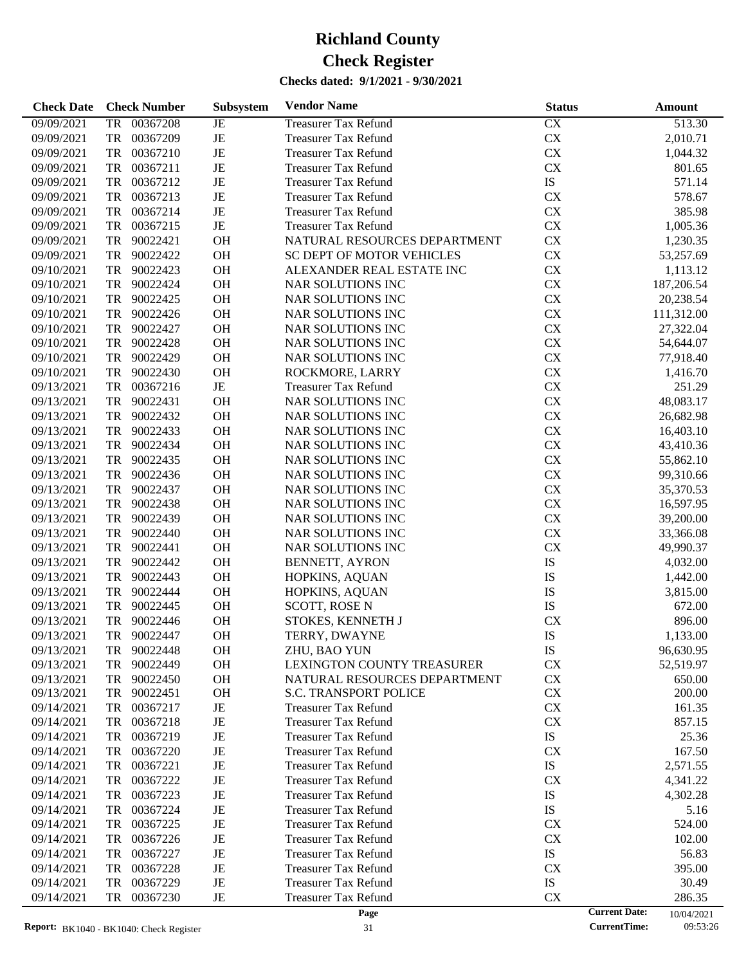| <b>Check Date</b> | <b>Check Number</b> | Subsystem | <b>Vendor Name</b>           | <b>Status</b> | <b>Amount</b>                      |
|-------------------|---------------------|-----------|------------------------------|---------------|------------------------------------|
| 09/09/2021        | 00367208<br>TR      | JE        | <b>Treasurer Tax Refund</b>  | <b>CX</b>     | 513.30                             |
| 09/09/2021        | TR<br>00367209      | JE        | <b>Treasurer Tax Refund</b>  | CX            | 2,010.71                           |
| 09/09/2021        | TR<br>00367210      | JE        | <b>Treasurer Tax Refund</b>  | ${\rm CX}$    | 1,044.32                           |
| 09/09/2021        | TR<br>00367211      | JE        | <b>Treasurer Tax Refund</b>  | CX            | 801.65                             |
| 09/09/2021        | TR<br>00367212      | JE        | <b>Treasurer Tax Refund</b>  | ${\rm IS}$    | 571.14                             |
| 09/09/2021        | TR<br>00367213      | JE        | <b>Treasurer Tax Refund</b>  | CX            | 578.67                             |
| 09/09/2021        | TR<br>00367214      | JE        | <b>Treasurer Tax Refund</b>  | ${\rm CX}$    | 385.98                             |
| 09/09/2021        | TR<br>00367215      | JE        | <b>Treasurer Tax Refund</b>  | ${\rm CX}$    | 1,005.36                           |
| 09/09/2021        | 90022421<br>TR      | OH        | NATURAL RESOURCES DEPARTMENT | CX            | 1,230.35                           |
| 09/09/2021        | 90022422<br>TR      | OH        | SC DEPT OF MOTOR VEHICLES    | ${\rm CX}$    | 53,257.69                          |
| 09/10/2021        | TR<br>90022423      | OH        | ALEXANDER REAL ESTATE INC    | ${\rm CX}$    | 1,113.12                           |
| 09/10/2021        | 90022424<br>TR      | OH        | <b>NAR SOLUTIONS INC</b>     | ${\rm CX}$    | 187,206.54                         |
| 09/10/2021        | 90022425<br>TR      | OH        | NAR SOLUTIONS INC            | ${\rm CX}$    | 20,238.54                          |
| 09/10/2021        | TR<br>90022426      | OH        | NAR SOLUTIONS INC            | ${\rm CX}$    | 111,312.00                         |
| 09/10/2021        | 90022427<br>TR      | OH        | NAR SOLUTIONS INC            | ${\rm CX}$    | 27,322.04                          |
| 09/10/2021        | 90022428<br>TR      | OH        | NAR SOLUTIONS INC            | ${\rm CX}$    | 54,644.07                          |
| 09/10/2021        | TR<br>90022429      | OH        | NAR SOLUTIONS INC            | ${\rm CX}$    | 77,918.40                          |
| 09/10/2021        | TR<br>90022430      | OH        | ROCKMORE, LARRY              | ${\rm CX}$    | 1,416.70                           |
| 09/13/2021        | TR<br>00367216      | $\rm{JE}$ | <b>Treasurer Tax Refund</b>  | ${\rm CX}$    | 251.29                             |
| 09/13/2021        | TR<br>90022431      | OH        | NAR SOLUTIONS INC            | ${\rm CX}$    | 48,083.17                          |
| 09/13/2021        | 90022432<br>TR      | OH        | NAR SOLUTIONS INC            | ${\rm CX}$    | 26,682.98                          |
| 09/13/2021        | 90022433<br>TR      | OH        | NAR SOLUTIONS INC            | ${\rm CX}$    | 16,403.10                          |
| 09/13/2021        | 90022434<br>TR      | OH        | <b>NAR SOLUTIONS INC</b>     | ${\rm CX}$    | 43,410.36                          |
| 09/13/2021        | TR<br>90022435      | OH        | NAR SOLUTIONS INC            | ${\rm CX}$    | 55,862.10                          |
| 09/13/2021        | 90022436<br>TR      | OH        | NAR SOLUTIONS INC            | ${\rm CX}$    | 99,310.66                          |
| 09/13/2021        | 90022437<br>TR      | OH        | NAR SOLUTIONS INC            | ${\rm CX}$    | 35,370.53                          |
| 09/13/2021        | TR<br>90022438      | OH        | NAR SOLUTIONS INC            | ${\rm CX}$    | 16,597.95                          |
| 09/13/2021        | 90022439<br>TR      | OH        | NAR SOLUTIONS INC            | ${\rm CX}$    | 39,200.00                          |
| 09/13/2021        | 90022440<br>TR      | OH        | NAR SOLUTIONS INC            | ${\rm CX}$    | 33,366.08                          |
| 09/13/2021        | 90022441<br>TR      | OH        | NAR SOLUTIONS INC            | CX            | 49,990.37                          |
| 09/13/2021        | 90022442<br>TR      | OH        | <b>BENNETT, AYRON</b>        | IS            | 4,032.00                           |
| 09/13/2021        | 90022443<br>TR      | OH        | HOPKINS, AQUAN               | IS            | 1,442.00                           |
| 09/13/2021        | 90022444<br>TR      | OH        | HOPKINS, AQUAN               | IS            | 3,815.00                           |
| 09/13/2021        | 90022445<br>TR      | OH        | SCOTT, ROSE N                | IS            | 672.00                             |
| 09/13/2021        | 90022446<br>TR      | OH        | STOKES, KENNETH J            | CX            | 896.00                             |
| 09/13/2021        | TR 90022447         | OH        | TERRY, DWAYNE                | IS            | 1,133.00                           |
| 09/13/2021        | 90022448<br>TR      | <b>OH</b> | ZHU, BAO YUN                 | IS            | 96,630.95                          |
| 09/13/2021        | 90022449<br>TR      | OH        | LEXINGTON COUNTY TREASURER   | <b>CX</b>     | 52,519.97                          |
| 09/13/2021        | 90022450<br>TR      | OH        | NATURAL RESOURCES DEPARTMENT | <b>CX</b>     | 650.00                             |
| 09/13/2021        | TR<br>90022451      | <b>OH</b> | <b>S.C. TRANSPORT POLICE</b> | CX            | 200.00                             |
| 09/14/2021        | TR<br>00367217      | JE        | <b>Treasurer Tax Refund</b>  | <b>CX</b>     | 161.35                             |
| 09/14/2021        | TR<br>00367218      | JE        | <b>Treasurer Tax Refund</b>  | <b>CX</b>     | 857.15                             |
| 09/14/2021        | TR<br>00367219      | JE        | <b>Treasurer Tax Refund</b>  | ${\rm IS}$    | 25.36                              |
| 09/14/2021        | TR<br>00367220      | JE        | <b>Treasurer Tax Refund</b>  | <b>CX</b>     | 167.50                             |
| 09/14/2021        | TR<br>00367221      | JE        | Treasurer Tax Refund         | ${\rm IS}$    | 2,571.55                           |
| 09/14/2021        | TR<br>00367222      | JE        | <b>Treasurer Tax Refund</b>  | <b>CX</b>     | 4,341.22                           |
| 09/14/2021        | TR<br>00367223      | JE        | <b>Treasurer Tax Refund</b>  | IS            | 4,302.28                           |
| 09/14/2021        | TR<br>00367224      | JE        | <b>Treasurer Tax Refund</b>  | IS            | 5.16                               |
| 09/14/2021        | TR<br>00367225      | JE        | <b>Treasurer Tax Refund</b>  | <b>CX</b>     | 524.00                             |
| 09/14/2021        | TR<br>00367226      | JE        | <b>Treasurer Tax Refund</b>  | <b>CX</b>     | 102.00                             |
| 09/14/2021        | TR<br>00367227      | JE        | <b>Treasurer Tax Refund</b>  | ${\rm IS}$    | 56.83                              |
| 09/14/2021        | TR<br>00367228      | JE        | <b>Treasurer Tax Refund</b>  | <b>CX</b>     | 395.00                             |
| 09/14/2021        | TR<br>00367229      | JE        | <b>Treasurer Tax Refund</b>  | ${\rm IS}$    | 30.49                              |
| 09/14/2021        | TR<br>00367230      | JE        | <b>Treasurer Tax Refund</b>  | CX            | 286.35                             |
|                   |                     |           | Page                         |               | <b>Current Date:</b><br>10/04/2021 |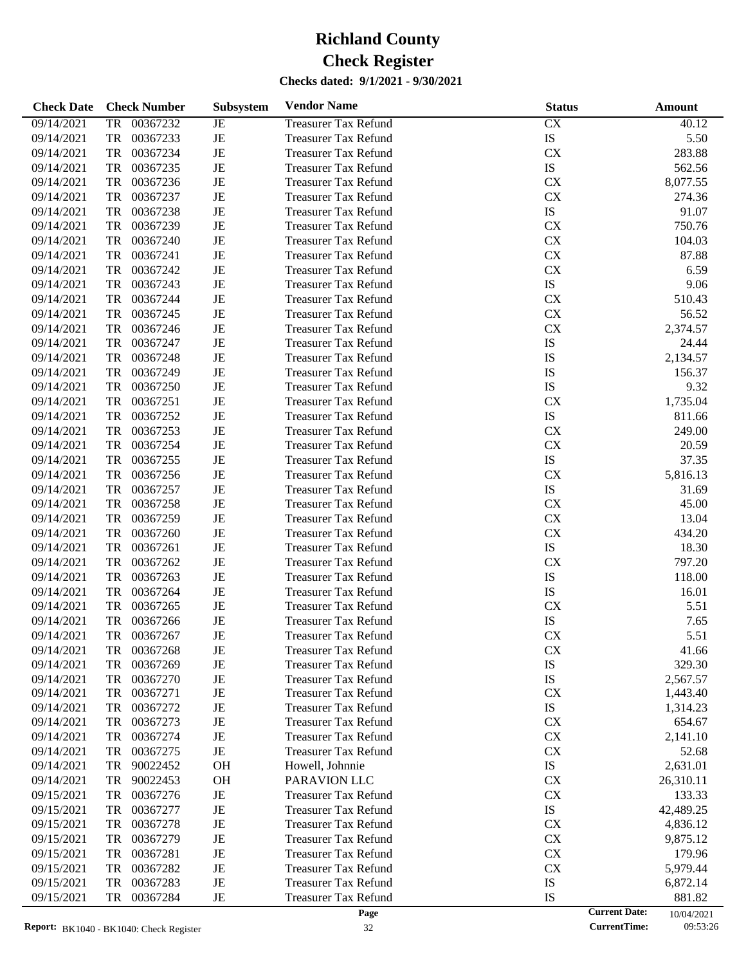| 09/14/2021<br>00367232<br><b>Treasurer Tax Refund</b><br>CX<br>TR<br>JE                                 | 40.12<br>5.50        |
|---------------------------------------------------------------------------------------------------------|----------------------|
|                                                                                                         |                      |
| $\rm{JE}$<br>IS<br>09/14/2021<br>TR<br>00367233<br><b>Treasurer Tax Refund</b>                          |                      |
| $\rm{JE}$<br><b>CX</b><br>09/14/2021<br>TR<br>00367234<br><b>Treasurer Tax Refund</b>                   | 283.88               |
| IS<br>09/14/2021<br>TR<br>00367235<br>JE<br><b>Treasurer Tax Refund</b>                                 | 562.56               |
| $\rm{JE}$<br><b>CX</b><br>09/14/2021<br>TR<br>00367236<br><b>Treasurer Tax Refund</b>                   | 8,077.55             |
| $\rm{JE}$<br>${\rm CX}$<br>09/14/2021<br>TR<br>00367237<br><b>Treasurer Tax Refund</b>                  | 274.36               |
| $\rm{JE}$<br>IS<br>09/14/2021<br>TR<br>00367238<br><b>Treasurer Tax Refund</b>                          | 91.07                |
| $\rm{JE}$<br>${\rm CX}$<br>09/14/2021<br>TR<br>00367239<br><b>Treasurer Tax Refund</b>                  | 750.76               |
| $\rm{JE}$<br>${\rm CX}$<br>09/14/2021<br>TR<br>00367240<br><b>Treasurer Tax Refund</b>                  | 104.03               |
| $\rm{JE}$<br>${\rm CX}$<br>09/14/2021<br>TR<br>00367241<br><b>Treasurer Tax Refund</b>                  | 87.88                |
| ${\rm CX}$<br>09/14/2021<br>TR<br>00367242<br>JE<br><b>Treasurer Tax Refund</b>                         | 6.59                 |
| $\rm{JE}$<br>${\rm IS}$<br>09/14/2021<br>TR<br>00367243<br><b>Treasurer Tax Refund</b>                  | 9.06                 |
| $\rm{JE}$<br>${\rm CX}$<br>09/14/2021<br>TR<br>00367244<br><b>Treasurer Tax Refund</b>                  | 510.43               |
| ${\rm CX}$<br>09/14/2021<br>TR<br>00367245<br>JE<br><b>Treasurer Tax Refund</b>                         | 56.52                |
| $\rm{JE}$<br><b>CX</b><br>09/14/2021<br>TR<br>00367246<br><b>Treasurer Tax Refund</b>                   | 2,374.57             |
| $\rm{JE}$<br>IS<br>09/14/2021<br>TR<br>00367247<br><b>Treasurer Tax Refund</b>                          | 24.44                |
| $\rm{JE}$<br>IS<br>09/14/2021<br>TR<br>00367248<br><b>Treasurer Tax Refund</b>                          | 2,134.57             |
| IS<br>09/14/2021<br>TR<br>00367249<br>JE<br><b>Treasurer Tax Refund</b>                                 | 156.37               |
| $\rm{JE}$<br>IS<br>09/14/2021<br>TR<br>00367250<br><b>Treasurer Tax Refund</b>                          | 9.32                 |
| $\rm{JE}$<br><b>CX</b><br>09/14/2021<br>TR<br>00367251<br><b>Treasurer Tax Refund</b>                   | 1,735.04             |
| $\rm{JE}$<br>IS<br>09/14/2021<br>TR<br>00367252<br><b>Treasurer Tax Refund</b>                          | 811.66               |
| CX<br>09/14/2021<br>TR<br>00367253<br>JE<br><b>Treasurer Tax Refund</b>                                 | 249.00               |
| $\rm{JE}$<br>${\rm CX}$<br>09/14/2021<br>TR<br>00367254<br><b>Treasurer Tax Refund</b>                  | 20.59                |
| $\rm{JE}$<br>IS<br>09/14/2021<br>TR<br>00367255<br><b>Treasurer Tax Refund</b>                          | 37.35                |
| $\rm{JE}$<br><b>CX</b><br>09/14/2021<br>TR<br>00367256<br><b>Treasurer Tax Refund</b>                   | 5,816.13             |
| $\rm{JE}$<br>IS<br>09/14/2021<br>TR<br>00367257<br><b>Treasurer Tax Refund</b>                          | 31.69                |
| $\rm{JE}$<br>${\rm CX}$<br>09/14/2021<br>TR<br>00367258<br><b>Treasurer Tax Refund</b>                  | 45.00                |
| $\rm{JE}$<br>${\rm CX}$<br>09/14/2021<br>TR<br>00367259<br><b>Treasurer Tax Refund</b>                  | 13.04                |
| $\rm{JE}$<br><b>CX</b><br>09/14/2021<br>TR<br>00367260<br><b>Treasurer Tax Refund</b>                   | 434.20               |
| $\rm{JE}$<br>IS<br>09/14/2021<br>TR<br>00367261<br><b>Treasurer Tax Refund</b>                          | 18.30                |
| $\rm{JE}$<br><b>CX</b><br>09/14/2021<br>TR<br>00367262<br><b>Treasurer Tax Refund</b>                   | 797.20               |
| $\rm{JE}$<br>IS<br>09/14/2021<br>TR<br>00367263<br><b>Treasurer Tax Refund</b>                          | 118.00               |
| IS<br>09/14/2021<br>TR<br>00367264<br>JE<br><b>Treasurer Tax Refund</b>                                 | 16.01                |
| 09/14/2021<br>TR<br>00367265<br>JE<br><b>CX</b><br><b>Treasurer Tax Refund</b>                          | 5.51                 |
| IS<br>09/14/2021<br><b>TR</b><br>00367266<br>JE<br><b>Treasurer Tax Refund</b>                          | 7.65                 |
| JE<br><b>CX</b><br>09/14/2021<br>TR<br>00367267<br><b>Treasurer Tax Refund</b>                          | 5.51                 |
| 09/14/2021<br>00367268<br><b>Treasurer Tax Refund</b><br><b>CX</b><br>JE<br>TR                          | 41.66                |
| IS<br>09/14/2021<br>00367269<br>JE<br><b>Treasurer Tax Refund</b><br>TR                                 | 329.30               |
| IS<br>TR<br>00367270<br>JE<br><b>Treasurer Tax Refund</b><br>09/14/2021                                 | 2,567.57             |
| 00367271<br>JE<br><b>CX</b><br>09/14/2021<br>TR<br><b>Treasurer Tax Refund</b>                          | 1,443.40             |
| IS<br>09/14/2021<br>00367272<br>JE<br><b>Treasurer Tax Refund</b><br>TR                                 | 1,314.23             |
| <b>CX</b><br>09/14/2021<br>00367273<br>JE<br><b>Treasurer Tax Refund</b><br>TR                          | 654.67               |
| <b>CX</b><br>09/14/2021<br>00367274<br>JE<br><b>Treasurer Tax Refund</b><br>TR                          | 2,141.10             |
| 00367275<br>JE<br><b>CX</b><br>09/14/2021<br>TR<br><b>Treasurer Tax Refund</b>                          | 52.68                |
| <b>OH</b><br>IS<br>09/14/2021<br>TR<br>90022452<br>Howell, Johnnie                                      | 2,631.01             |
| <b>CX</b><br>09/14/2021<br>90022453<br><b>OH</b><br>PARAVION LLC<br>TR                                  | 26,310.11            |
| <b>CX</b><br>09/15/2021<br>00367276<br>JE<br><b>Treasurer Tax Refund</b><br>TR                          | 133.33               |
| IS<br>09/15/2021<br>TR<br>00367277<br>JE<br><b>Treasurer Tax Refund</b>                                 | 42,489.25            |
| <b>CX</b><br>09/15/2021<br>00367278<br>JE<br><b>Treasurer Tax Refund</b><br>TR                          | 4,836.12             |
| <b>CX</b><br>09/15/2021<br>00367279<br>JE<br><b>Treasurer Tax Refund</b><br>TR                          | 9,875.12             |
| <b>CX</b><br>09/15/2021<br>00367281<br>JE<br><b>Treasurer Tax Refund</b><br>TR                          | 179.96               |
| CX                                                                                                      |                      |
| 09/15/2021<br>TR<br>00367282<br>JE<br><b>Treasurer Tax Refund</b>                                       | 5,979.44             |
| IS<br>09/15/2021<br>00367283<br>JE<br><b>Treasurer Tax Refund</b><br>TR                                 | 6,872.14             |
| 09/15/2021<br>00367284<br>JE<br><b>Treasurer Tax Refund</b><br>IS<br>TR<br><b>Current Date:</b><br>Page | 881.82<br>10/04/2021 |

<sup>10/04/2021</sup>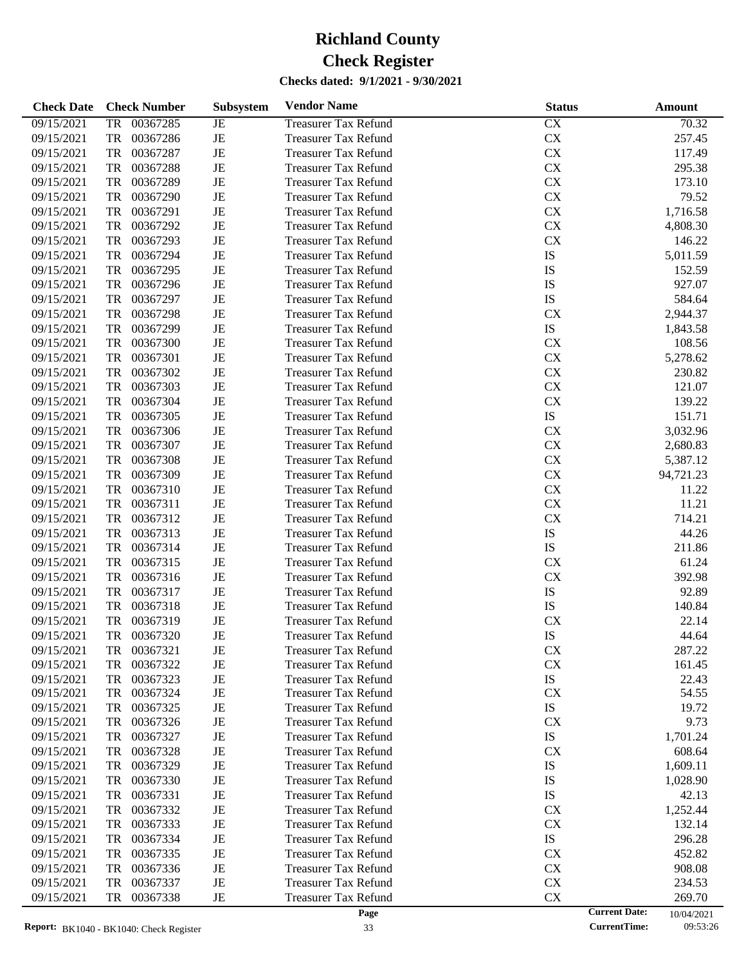| <b>Check Date</b> | <b>Check Number</b>   | Subsystem   | <b>Vendor Name</b>          | <b>Status</b> | Amount                             |
|-------------------|-----------------------|-------------|-----------------------------|---------------|------------------------------------|
| 09/15/2021        | 00367285<br><b>TR</b> | JE          | <b>Treasurer Tax Refund</b> | CX            | 70.32                              |
| 09/15/2021        | 00367286<br>TR        | $_{\rm JE}$ | <b>Treasurer Tax Refund</b> | CX            | 257.45                             |
| 09/15/2021        | <b>TR</b><br>00367287 | $_{\rm JE}$ | <b>Treasurer Tax Refund</b> | ${\rm CX}$    | 117.49                             |
| 09/15/2021        | <b>TR</b><br>00367288 | $_{\rm JE}$ | <b>Treasurer Tax Refund</b> | CX            | 295.38                             |
| 09/15/2021        | <b>TR</b><br>00367289 | $_{\rm JE}$ | <b>Treasurer Tax Refund</b> | ${\rm CX}$    | 173.10                             |
| 09/15/2021        | <b>TR</b><br>00367290 | $_{\rm JE}$ | <b>Treasurer Tax Refund</b> | ${\rm CX}$    | 79.52                              |
| 09/15/2021        | <b>TR</b><br>00367291 | $_{\rm JE}$ | <b>Treasurer Tax Refund</b> | ${\rm CX}$    | 1,716.58                           |
| 09/15/2021        | <b>TR</b><br>00367292 | $_{\rm JE}$ | <b>Treasurer Tax Refund</b> | ${\rm CX}$    | 4,808.30                           |
| 09/15/2021        | <b>TR</b><br>00367293 | JE          | <b>Treasurer Tax Refund</b> | ${\rm CX}$    | 146.22                             |
| 09/15/2021        | TR<br>00367294        | $_{\rm JE}$ | <b>Treasurer Tax Refund</b> | IS            | 5,011.59                           |
| 09/15/2021        | <b>TR</b><br>00367295 | $_{\rm JE}$ | <b>Treasurer Tax Refund</b> | IS            | 152.59                             |
| 09/15/2021        | <b>TR</b><br>00367296 | JE          | <b>Treasurer Tax Refund</b> | IS            | 927.07                             |
| 09/15/2021        | <b>TR</b><br>00367297 | $_{\rm JE}$ | <b>Treasurer Tax Refund</b> | IS            | 584.64                             |
| 09/15/2021        | <b>TR</b><br>00367298 | $_{\rm JE}$ | <b>Treasurer Tax Refund</b> | CX            | 2,944.37                           |
| 09/15/2021        | <b>TR</b><br>00367299 | $_{\rm JE}$ | <b>Treasurer Tax Refund</b> | IS            | 1,843.58                           |
| 09/15/2021        | <b>TR</b><br>00367300 | $\rm{JE}$   | <b>Treasurer Tax Refund</b> | ${\rm CX}$    | 108.56                             |
| 09/15/2021        | <b>TR</b><br>00367301 | $_{\rm JE}$ | <b>Treasurer Tax Refund</b> | CX            | 5,278.62                           |
| 09/15/2021        | 00367302<br>TR        | $_{\rm JE}$ | <b>Treasurer Tax Refund</b> | ${\rm CX}$    | 230.82                             |
| 09/15/2021        | <b>TR</b><br>00367303 | JE          | <b>Treasurer Tax Refund</b> | ${\rm CX}$    | 121.07                             |
| 09/15/2021        | <b>TR</b><br>00367304 | $_{\rm JE}$ | <b>Treasurer Tax Refund</b> | ${\rm CX}$    | 139.22                             |
| 09/15/2021        | 00367305<br>TR        | $_{\rm JE}$ | <b>Treasurer Tax Refund</b> | IS            | 151.71                             |
| 09/15/2021        | <b>TR</b><br>00367306 | JE          | <b>Treasurer Tax Refund</b> | CX            | 3,032.96                           |
| 09/15/2021        | <b>TR</b><br>00367307 | $_{\rm JE}$ | <b>Treasurer Tax Refund</b> | ${\rm CX}$    | 2,680.83                           |
| 09/15/2021        | 00367308<br>TR        | $_{\rm JE}$ | <b>Treasurer Tax Refund</b> | ${\rm CX}$    | 5,387.12                           |
| 09/15/2021        | <b>TR</b><br>00367309 | JE          | <b>Treasurer Tax Refund</b> | ${\rm CX}$    | 94,721.23                          |
| 09/15/2021        | <b>TR</b><br>00367310 | $_{\rm JE}$ | <b>Treasurer Tax Refund</b> | ${\rm CX}$    | 11.22                              |
| 09/15/2021        | <b>TR</b><br>00367311 | $_{\rm JE}$ | <b>Treasurer Tax Refund</b> | CX            | 11.21                              |
| 09/15/2021        | <b>TR</b><br>00367312 | $_{\rm JE}$ | <b>Treasurer Tax Refund</b> | CX            | 714.21                             |
| 09/15/2021        | <b>TR</b><br>00367313 | $_{\rm JE}$ | <b>Treasurer Tax Refund</b> | IS            | 44.26                              |
| 09/15/2021        | <b>TR</b><br>00367314 | $_{\rm JE}$ | <b>Treasurer Tax Refund</b> | IS            | 211.86                             |
| 09/15/2021        | 00367315<br>TR        | $_{\rm JE}$ | <b>Treasurer Tax Refund</b> | CX            | 61.24                              |
| 09/15/2021        | <b>TR</b><br>00367316 | $\rm{JE}$   | <b>Treasurer Tax Refund</b> | ${\rm CX}$    | 392.98                             |
| 09/15/2021        | <b>TR</b><br>00367317 | $_{\rm JE}$ | <b>Treasurer Tax Refund</b> | IS            | 92.89                              |
| 09/15/2021        | 00367318<br>TR        | $_{\rm JE}$ | <b>Treasurer Tax Refund</b> | IS            | 140.84                             |
| 09/15/2021        | 00367319<br>TR        | JE          | <b>Treasurer Tax Refund</b> | CX            | 22.14                              |
| 09/15/2021        | TR<br>00367320        | JE          | <b>Treasurer Tax Refund</b> | IS            | 44.64                              |
| 09/15/2021        | 00367321<br>TR        | JE          | <b>Treasurer Tax Refund</b> | CX            | 287.22                             |
| 09/15/2021        | 00367322<br>TR        | JE          | <b>Treasurer Tax Refund</b> | ${\rm CX}$    | 161.45                             |
| 09/15/2021        | 00367323<br>TR        | JE          | <b>Treasurer Tax Refund</b> | IS            | 22.43                              |
| 09/15/2021        | 00367324<br>TR        | JE          | <b>Treasurer Tax Refund</b> | CX            | 54.55                              |
| 09/15/2021        | 00367325<br>TR        | JE          | <b>Treasurer Tax Refund</b> | IS            | 19.72                              |
| 09/15/2021        | 00367326<br>TR        | JE          | <b>Treasurer Tax Refund</b> | CX            | 9.73                               |
| 09/15/2021        | 00367327<br>TR        | JE          | <b>Treasurer Tax Refund</b> | IS            | 1,701.24                           |
| 09/15/2021        | 00367328<br>TR        | $\rm{JE}$   | <b>Treasurer Tax Refund</b> | CX            | 608.64                             |
| 09/15/2021        | 00367329<br>TR        | JE          | <b>Treasurer Tax Refund</b> | IS            | 1,609.11                           |
| 09/15/2021        | 00367330<br>TR        | JE          | <b>Treasurer Tax Refund</b> | IS            | 1,028.90                           |
| 09/15/2021        | 00367331<br>TR        | JE          | <b>Treasurer Tax Refund</b> | IS            | 42.13                              |
| 09/15/2021        | 00367332<br>TR        | JE          | <b>Treasurer Tax Refund</b> | CX            | 1,252.44                           |
| 09/15/2021        | 00367333<br>TR        | JE          | <b>Treasurer Tax Refund</b> | CX            | 132.14                             |
| 09/15/2021        | 00367334<br>TR        | JE          | <b>Treasurer Tax Refund</b> | IS            | 296.28                             |
| 09/15/2021        | 00367335<br>TR        | JE          | <b>Treasurer Tax Refund</b> | CX            | 452.82                             |
| 09/15/2021        | 00367336<br>TR        | JE          | <b>Treasurer Tax Refund</b> | ${\rm CX}$    | 908.08                             |
| 09/15/2021        | 00367337<br>TR        | JE          | <b>Treasurer Tax Refund</b> | ${\rm CX}$    | 234.53                             |
| 09/15/2021        | 00367338<br>TR        | $_{\rm JE}$ | <b>Treasurer Tax Refund</b> | ${\rm CX}$    | 269.70                             |
|                   |                       |             | Page                        |               | <b>Current Date:</b><br>10/04/2021 |

10/04/2021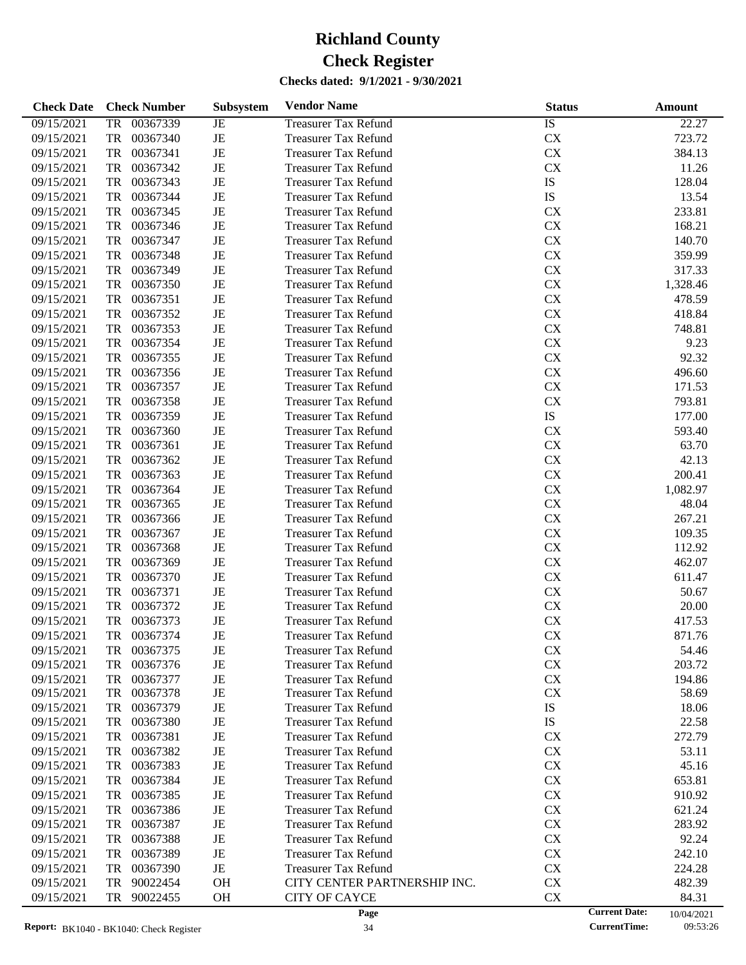| <b>Check Date</b>        | <b>Check Number</b>              | Subsystem   | <b>Vendor Name</b>                                         | <b>Status</b>          |                      | Amount          |
|--------------------------|----------------------------------|-------------|------------------------------------------------------------|------------------------|----------------------|-----------------|
| 09/15/2021               | 00367339<br><b>TR</b>            | JE          | <b>Treasurer Tax Refund</b>                                | IS                     |                      | 22.27           |
| 09/15/2021               | <b>TR</b><br>00367340            | $\rm{JE}$   | <b>Treasurer Tax Refund</b>                                | CX                     |                      | 723.72          |
| 09/15/2021               | <b>TR</b><br>00367341            | $\rm{JE}$   | <b>Treasurer Tax Refund</b>                                | CX                     |                      | 384.13          |
| 09/15/2021               | <b>TR</b><br>00367342            | $_{\rm JE}$ | <b>Treasurer Tax Refund</b>                                | CX                     |                      | 11.26           |
| 09/15/2021               | <b>TR</b><br>00367343            | JE          | <b>Treasurer Tax Refund</b>                                | IS                     |                      | 128.04          |
| 09/15/2021               | <b>TR</b><br>00367344            | $\rm{JE}$   | <b>Treasurer Tax Refund</b>                                | IS                     |                      | 13.54           |
| 09/15/2021               | <b>TR</b><br>00367345            | $\rm{JE}$   | <b>Treasurer Tax Refund</b>                                | CX                     |                      | 233.81          |
| 09/15/2021               | <b>TR</b><br>00367346            | $\rm{JE}$   | <b>Treasurer Tax Refund</b>                                | CX                     |                      | 168.21          |
| 09/15/2021               | <b>TR</b><br>00367347            | $\rm{JE}$   | <b>Treasurer Tax Refund</b>                                | CX                     |                      | 140.70          |
| 09/15/2021               | <b>TR</b><br>00367348            | $\rm{JE}$   | <b>Treasurer Tax Refund</b>                                | CX                     |                      | 359.99          |
| 09/15/2021               | <b>TR</b><br>00367349            | $\rm{JE}$   | <b>Treasurer Tax Refund</b>                                | CX                     |                      | 317.33          |
| 09/15/2021               | <b>TR</b><br>00367350            | $\rm{JE}$   | <b>Treasurer Tax Refund</b>                                | CX                     |                      | 1,328.46        |
| 09/15/2021               | <b>TR</b><br>00367351            | $\rm{JE}$   | <b>Treasurer Tax Refund</b>                                | CX                     |                      | 478.59          |
| 09/15/2021               | <b>TR</b><br>00367352            | $\rm{JE}$   | <b>Treasurer Tax Refund</b>                                | CX                     |                      | 418.84          |
| 09/15/2021               | <b>TR</b><br>00367353            | $\rm{JE}$   | <b>Treasurer Tax Refund</b>                                | CX                     |                      | 748.81          |
| 09/15/2021               | <b>TR</b><br>00367354            | $\rm{JE}$   | <b>Treasurer Tax Refund</b>                                | CX                     |                      | 9.23            |
| 09/15/2021               | <b>TR</b><br>00367355            | $\rm{JE}$   | <b>Treasurer Tax Refund</b>                                | CX                     |                      | 92.32           |
| 09/15/2021               | <b>TR</b><br>00367356            | $\rm{JE}$   | <b>Treasurer Tax Refund</b>                                | CX                     |                      | 496.60          |
| 09/15/2021               | <b>TR</b><br>00367357            | $\rm{JE}$   | <b>Treasurer Tax Refund</b>                                | CX                     |                      | 171.53          |
| 09/15/2021               | <b>TR</b><br>00367358            | $\rm{JE}$   | <b>Treasurer Tax Refund</b>                                | CX                     |                      | 793.81          |
| 09/15/2021               | <b>TR</b><br>00367359            | $\rm{JE}$   | <b>Treasurer Tax Refund</b>                                | IS                     |                      | 177.00          |
| 09/15/2021               | <b>TR</b><br>00367360            | $\rm{JE}$   | <b>Treasurer Tax Refund</b>                                | CX                     |                      | 593.40          |
| 09/15/2021               | <b>TR</b><br>00367361            | $\rm{JE}$   | <b>Treasurer Tax Refund</b>                                | CX                     |                      | 63.70           |
| 09/15/2021               | <b>TR</b><br>00367362            | $\rm{JE}$   | <b>Treasurer Tax Refund</b>                                | CX                     |                      | 42.13           |
| 09/15/2021               | <b>TR</b><br>00367363            | $\rm{JE}$   | <b>Treasurer Tax Refund</b>                                | CX                     |                      | 200.41          |
| 09/15/2021               | <b>TR</b><br>00367364            | $\rm{JE}$   | <b>Treasurer Tax Refund</b>                                | CX                     |                      | 1,082.97        |
| 09/15/2021               | <b>TR</b><br>00367365            | $\rm{JE}$   | <b>Treasurer Tax Refund</b>                                | CX                     |                      | 48.04           |
| 09/15/2021               | <b>TR</b><br>00367366            | $\rm{JE}$   | <b>Treasurer Tax Refund</b>                                | CX                     |                      | 267.21          |
| 09/15/2021               | <b>TR</b><br>00367367            | $\rm{JE}$   | <b>Treasurer Tax Refund</b>                                | CX                     |                      | 109.35          |
| 09/15/2021               | <b>TR</b><br>00367368            | $\rm{JE}$   | <b>Treasurer Tax Refund</b>                                | CX                     |                      | 112.92          |
| 09/15/2021               | <b>TR</b><br>00367369            | $\rm{JE}$   | <b>Treasurer Tax Refund</b>                                | CX                     |                      | 462.07          |
| 09/15/2021               | <b>TR</b><br>00367370            | $\rm{JE}$   | <b>Treasurer Tax Refund</b>                                | CX                     |                      | 611.47          |
| 09/15/2021               | <b>TR</b><br>00367371            | $\rm{JE}$   | <b>Treasurer Tax Refund</b>                                | CX                     |                      | 50.67           |
| 09/15/2021               | <b>TR</b><br>00367372            | $\rm{JE}$   | <b>Treasurer Tax Refund</b>                                | CX                     |                      | 20.00           |
| 09/15/2021               | <b>TR</b><br>00367373            | $\rm{JE}$   | <b>Treasurer Tax Refund</b>                                | CX                     |                      | 417.53          |
| 09/15/2021               | <b>TR</b><br>00367374            | $\rm{JE}$   | <b>Treasurer Tax Refund</b>                                | CX                     |                      | 871.76          |
| 09/15/2021               | 00367375<br>TR                   | JE          | <b>Treasurer Tax Refund</b>                                | <b>CX</b>              |                      | 54.46           |
| 09/15/2021               | TR<br>00367376                   | JE          | <b>Treasurer Tax Refund</b>                                | <b>CX</b>              |                      | 203.72          |
| 09/15/2021               | 00367377<br>TR                   | $\rm{JE}$   | <b>Treasurer Tax Refund</b>                                | CX                     |                      | 194.86          |
| 09/15/2021               | 00367378<br>TR                   | JE          | <b>Treasurer Tax Refund</b>                                | <b>CX</b>              |                      | 58.69           |
| 09/15/2021               | 00367379<br>TR                   | JE          | <b>Treasurer Tax Refund</b>                                | IS                     |                      | 18.06           |
| 09/15/2021               | 00367380<br>TR                   | JE          | <b>Treasurer Tax Refund</b>                                | IS                     |                      | 22.58           |
| 09/15/2021               | 00367381<br>TR                   | JE          | <b>Treasurer Tax Refund</b>                                | <b>CX</b>              |                      | 272.79          |
| 09/15/2021               | 00367382<br>TR                   | JE          | <b>Treasurer Tax Refund</b>                                | <b>CX</b>              |                      | 53.11           |
| 09/15/2021               | 00367383<br>TR                   | JE          | <b>Treasurer Tax Refund</b>                                | <b>CX</b>              |                      | 45.16           |
| 09/15/2021               | 00367384<br>TR                   | JE          | <b>Treasurer Tax Refund</b>                                | <b>CX</b>              |                      | 653.81          |
| 09/15/2021               | 00367385<br>TR                   | JE          | <b>Treasurer Tax Refund</b>                                | <b>CX</b>              |                      | 910.92          |
| 09/15/2021               | 00367386<br>TR                   | JE          | <b>Treasurer Tax Refund</b>                                | <b>CX</b>              |                      | 621.24          |
| 09/15/2021               | 00367387<br>TR                   | JE          | <b>Treasurer Tax Refund</b>                                | <b>CX</b><br><b>CX</b> |                      | 283.92          |
| 09/15/2021<br>09/15/2021 | 00367388<br>TR<br>00367389<br>TR | JE<br>JE    | <b>Treasurer Tax Refund</b><br><b>Treasurer Tax Refund</b> | <b>CX</b>              |                      | 92.24<br>242.10 |
| 09/15/2021               | 00367390<br>TR                   | JE          | <b>Treasurer Tax Refund</b>                                | <b>CX</b>              |                      | 224.28          |
| 09/15/2021               | 90022454<br>TR                   | <b>OH</b>   | CITY CENTER PARTNERSHIP INC.                               | <b>CX</b>              |                      | 482.39          |
| 09/15/2021               | 90022455<br>TR                   | <b>OH</b>   | <b>CITY OF CAYCE</b>                                       | <b>CX</b>              |                      | 84.31           |
|                          |                                  |             | Page                                                       |                        | <b>Current Date:</b> | 10/04/2021      |

10/04/2021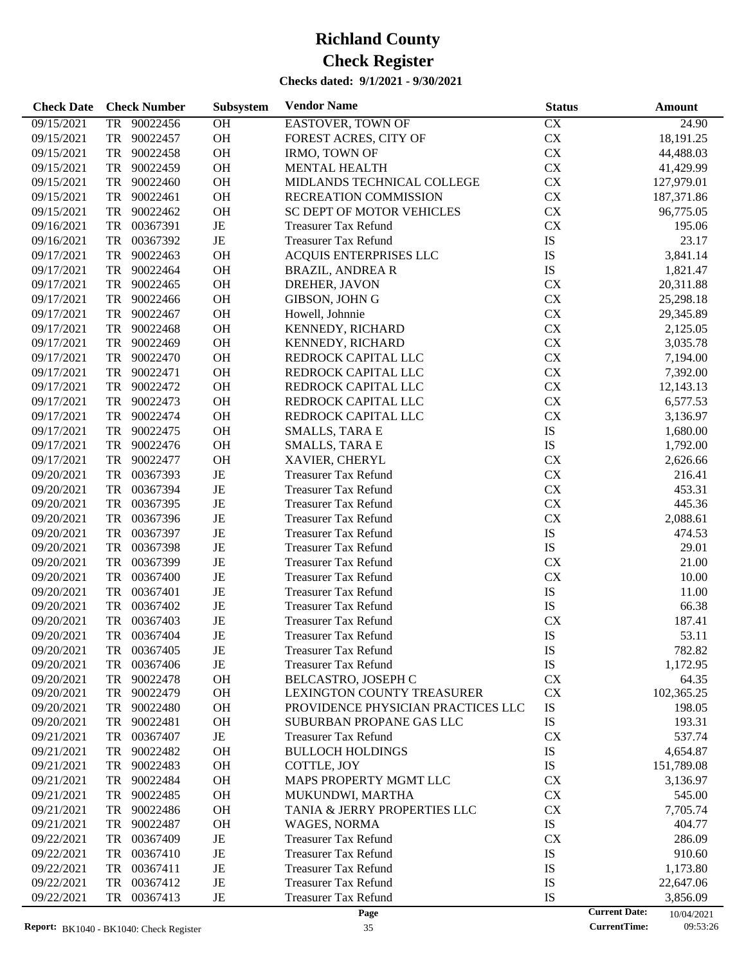| <b>Check Date</b> | <b>Check Number</b>               | Subsystem | <b>Vendor Name</b>                                         | <b>Status</b> | Amount                             |
|-------------------|-----------------------------------|-----------|------------------------------------------------------------|---------------|------------------------------------|
| 09/15/2021        | 90022456<br>TR                    | OH        | EASTOVER, TOWN OF                                          | CX            | 24.90                              |
| 09/15/2021        | 90022457<br>TR                    | OH        | FOREST ACRES, CITY OF                                      | ${\rm CX}$    | 18,191.25                          |
| 09/15/2021        | <b>TR</b><br>90022458             | OH        | <b>IRMO, TOWN OF</b>                                       | <b>CX</b>     | 44,488.03                          |
| 09/15/2021        | <b>TR</b><br>90022459             | OH        | <b>MENTAL HEALTH</b>                                       | <b>CX</b>     | 41,429.99                          |
| 09/15/2021        | TR<br>90022460                    | OH        | MIDLANDS TECHNICAL COLLEGE                                 | <b>CX</b>     | 127,979.01                         |
| 09/15/2021        | <b>TR</b><br>90022461             | OH        | RECREATION COMMISSION                                      | <b>CX</b>     | 187,371.86                         |
| 09/15/2021        | <b>TR</b><br>90022462             | OH        | <b>SC DEPT OF MOTOR VEHICLES</b>                           | <b>CX</b>     | 96,775.05                          |
| 09/16/2021        | <b>TR</b><br>00367391             | $\rm{JE}$ | <b>Treasurer Tax Refund</b>                                | CX            | 195.06                             |
| 09/16/2021        | <b>TR</b><br>00367392             | JE        | <b>Treasurer Tax Refund</b>                                | IS            | 23.17                              |
| 09/17/2021        | TR<br>90022463                    | OH        | ACQUIS ENTERPRISES LLC                                     | IS            | 3,841.14                           |
| 09/17/2021        | <b>TR</b><br>90022464             | OH        | <b>BRAZIL, ANDREA R</b>                                    | IS            | 1,821.47                           |
| 09/17/2021        | <b>TR</b><br>90022465             | OH        | DREHER, JAVON                                              | CX            | 20,311.88                          |
| 09/17/2021        | <b>TR</b><br>90022466             | OH        | GIBSON, JOHN G                                             | CX            | 25,298.18                          |
| 09/17/2021        | <b>TR</b><br>90022467             | OH        | Howell, Johnnie                                            | <b>CX</b>     | 29,345.89                          |
| 09/17/2021        | TR<br>90022468                    | OH        | KENNEDY, RICHARD                                           | <b>CX</b>     | 2,125.05                           |
| 09/17/2021        | 90022469<br>TR                    | OH        | KENNEDY, RICHARD                                           | <b>CX</b>     | 3,035.78                           |
| 09/17/2021        | <b>TR</b><br>90022470             | OH        | REDROCK CAPITAL LLC                                        | CX            | 7,194.00                           |
| 09/17/2021        | <b>TR</b><br>90022471             | OH        | REDROCK CAPITAL LLC                                        | <b>CX</b>     | 7,392.00                           |
| 09/17/2021        | <b>TR</b><br>90022472             | OH        | REDROCK CAPITAL LLC                                        | <b>CX</b>     | 12,143.13                          |
| 09/17/2021        | TR<br>90022473                    | OH        | REDROCK CAPITAL LLC                                        | <b>CX</b>     | 6,577.53                           |
| 09/17/2021        | <b>TR</b><br>90022474             | OH        | REDROCK CAPITAL LLC                                        | CX            |                                    |
| 09/17/2021        | <b>TR</b><br>90022475             | OH        |                                                            | IS            | 3,136.97                           |
|                   | <b>TR</b>                         | OH        | <b>SMALLS, TARA E</b>                                      | IS            | 1,680.00                           |
| 09/17/2021        | 90022476<br><b>TR</b><br>90022477 | OH        | <b>SMALLS, TARA E</b>                                      | CX            | 1,792.00                           |
| 09/17/2021        | TR<br>00367393                    | JE        | XAVIER, CHERYL                                             | <b>CX</b>     | 2,626.66                           |
| 09/20/2021        | TR<br>00367394                    | JE        | <b>Treasurer Tax Refund</b>                                | <b>CX</b>     | 216.41                             |
| 09/20/2021        | <b>TR</b><br>00367395             | JE        | <b>Treasurer Tax Refund</b>                                | CX            | 453.31<br>445.36                   |
| 09/20/2021        | <b>TR</b><br>00367396             | JE        | <b>Treasurer Tax Refund</b>                                | ${\rm CX}$    |                                    |
| 09/20/2021        | TR<br>00367397                    | JE        | <b>Treasurer Tax Refund</b>                                |               | 2,088.61                           |
| 09/20/2021        | TR<br>00367398                    | JE        | <b>Treasurer Tax Refund</b>                                | IS<br>IS      | 474.53                             |
| 09/20/2021        | TR<br>00367399                    | JE        | <b>Treasurer Tax Refund</b>                                | <b>CX</b>     | 29.01<br>21.00                     |
| 09/20/2021        | TR<br>00367400                    | JE        | <b>Treasurer Tax Refund</b><br><b>Treasurer Tax Refund</b> | CX            | 10.00                              |
| 09/20/2021        | TR<br>00367401                    | JE        | <b>Treasurer Tax Refund</b>                                |               |                                    |
| 09/20/2021        |                                   | JE        |                                                            | IS            | 11.00                              |
| 09/20/2021        | TR<br>00367402                    |           | <b>Treasurer Tax Refund</b>                                | IS            | 66.38                              |
| 09/20/2021        | <b>TR</b><br>00367403             | JE        | <b>Treasurer Tax Refund</b>                                | CX            | 187.41                             |
| 09/20/2021        | TR<br>00367404                    | JE        | <b>Treasurer Tax Refund</b>                                | IS            | 53.11                              |
| 09/20/2021        | TR<br>00367405                    | JE        | Treasurer Tax Refund                                       | IS            | 782.82                             |
| 09/20/2021        | 00367406<br>TR                    | JE        | <b>Treasurer Tax Refund</b>                                | IS            | 1,172.95                           |
| 09/20/2021        | 90022478<br>TR                    | OH        | BELCASTRO, JOSEPH C<br>LEXINGTON COUNTY TREASURER          | <b>CX</b>     | 64.35                              |
| 09/20/2021        | TR<br>90022479                    | <b>OH</b> |                                                            | CX            | 102,365.25                         |
| 09/20/2021        | 90022480<br>TR                    | <b>OH</b> | PROVIDENCE PHYSICIAN PRACTICES LLC                         | ${\rm IS}$    | 198.05                             |
| 09/20/2021        | <b>TR</b><br>90022481             | <b>OH</b> | SUBURBAN PROPANE GAS LLC                                   | ${\rm IS}$    | 193.31                             |
| 09/21/2021        | <b>TR</b><br>00367407             | $\rm{JE}$ | <b>Treasurer Tax Refund</b>                                | <b>CX</b>     | 537.74                             |
| 09/21/2021        | 90022482<br>TR                    | <b>OH</b> | <b>BULLOCH HOLDINGS</b>                                    | IS            | 4,654.87                           |
| 09/21/2021        | 90022483<br>TR                    | <b>OH</b> | COTTLE, JOY                                                | IS            | 151,789.08                         |
| 09/21/2021        | <b>TR</b><br>90022484             | OH        | MAPS PROPERTY MGMT LLC                                     | <b>CX</b>     | 3,136.97                           |
| 09/21/2021        | <b>TR</b><br>90022485             | <b>OH</b> | MUKUNDWI, MARTHA                                           | CX            | 545.00                             |
| 09/21/2021        | <b>TR</b><br>90022486             | <b>OH</b> | TANIA & JERRY PROPERTIES LLC                               | CX            | 7,705.74                           |
| 09/21/2021        | 90022487<br>TR                    | <b>OH</b> | WAGES, NORMA                                               | ${\rm IS}$    | 404.77                             |
| 09/22/2021        | 00367409<br>TR                    | JE        | <b>Treasurer Tax Refund</b>                                | CX            | 286.09                             |
| 09/22/2021        | <b>TR</b><br>00367410             | JE        | <b>Treasurer Tax Refund</b>                                | IS            | 910.60                             |
| 09/22/2021        | <b>TR</b><br>00367411             | JE        | <b>Treasurer Tax Refund</b>                                | IS            | 1,173.80                           |
| 09/22/2021        | <b>TR</b><br>00367412             | JE        | Treasurer Tax Refund                                       | IS            | 22,647.06                          |
| 09/22/2021        | 00367413<br>TR                    | JE        | <b>Treasurer Tax Refund</b>                                | IS            | 3,856.09                           |
|                   |                                   |           | Page                                                       |               | <b>Current Date:</b><br>10/04/2021 |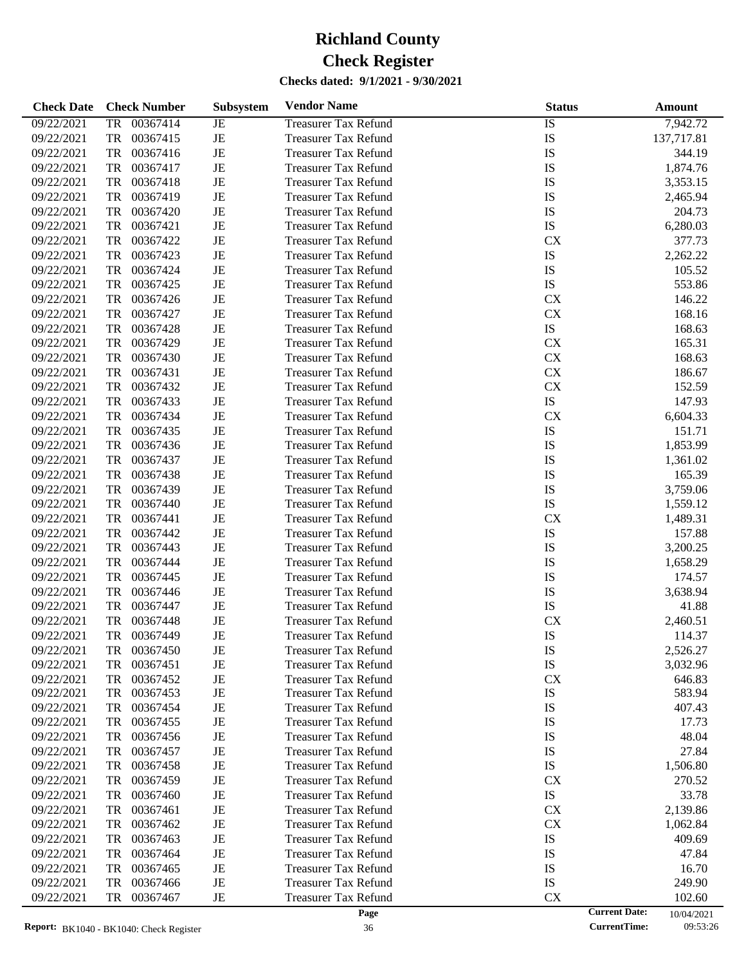| $\overline{1S}$<br>7,942.72<br>09/22/2021<br><b>TR</b><br>00367414<br><b>Treasurer Tax Refund</b><br>JE<br>IS<br>JE<br>09/22/2021<br><b>TR</b><br>00367415<br>137,717.81<br><b>Treasurer Tax Refund</b><br>JE<br>IS<br>00367416<br>344.19<br>09/22/2021<br>TR<br><b>Treasurer Tax Refund</b><br>JE<br>IS<br>09/22/2021<br><b>TR</b><br>00367417<br>1,874.76<br><b>Treasurer Tax Refund</b><br>JE<br>IS<br>09/22/2021<br><b>TR</b><br>00367418<br>3,353.15<br><b>Treasurer Tax Refund</b><br>JE<br>IS<br>09/22/2021<br><b>TR</b><br>00367419<br><b>Treasurer Tax Refund</b><br>2,465.94<br>$\rm{JE}$<br>IS<br>09/22/2021<br><b>TR</b><br>00367420<br>204.73<br><b>Treasurer Tax Refund</b><br>JE<br>IS<br>09/22/2021<br><b>TR</b><br>00367421<br>6,280.03<br><b>Treasurer Tax Refund</b><br>JE<br>09/22/2021<br><b>TR</b><br>00367422<br><b>CX</b><br>377.73<br><b>Treasurer Tax Refund</b><br>$\rm{JE}$<br>IS<br>09/22/2021<br><b>TR</b><br>00367423<br>2,262.22<br><b>Treasurer Tax Refund</b><br>JE<br>IS<br>09/22/2021<br><b>TR</b><br>00367424<br>105.52<br><b>Treasurer Tax Refund</b><br>JE<br>IS<br>09/22/2021<br><b>TR</b><br>00367425<br>553.86<br><b>Treasurer Tax Refund</b><br>$\rm{JE}$<br>09/22/2021<br>TR<br>00367426<br>CX<br>146.22<br><b>Treasurer Tax Refund</b><br>JE<br>CX<br>09/22/2021<br>TR<br>00367427<br>168.16<br><b>Treasurer Tax Refund</b><br>JE<br>${\rm IS}$<br>09/22/2021<br>TR<br>00367428<br>168.63<br><b>Treasurer Tax Refund</b><br>$\rm{JE}$<br>CX<br>09/22/2021<br>TR<br>00367429<br>165.31<br><b>Treasurer Tax Refund</b><br>JE<br>${\rm CX}$<br>09/22/2021<br>TR<br>00367430<br>168.63<br><b>Treasurer Tax Refund</b><br>JE<br>CX<br>09/22/2021<br>TR<br>00367431<br>186.67<br><b>Treasurer Tax Refund</b><br>$\rm{JE}$<br>CX<br>09/22/2021<br>TR<br>00367432<br>152.59<br><b>Treasurer Tax Refund</b> |
|-------------------------------------------------------------------------------------------------------------------------------------------------------------------------------------------------------------------------------------------------------------------------------------------------------------------------------------------------------------------------------------------------------------------------------------------------------------------------------------------------------------------------------------------------------------------------------------------------------------------------------------------------------------------------------------------------------------------------------------------------------------------------------------------------------------------------------------------------------------------------------------------------------------------------------------------------------------------------------------------------------------------------------------------------------------------------------------------------------------------------------------------------------------------------------------------------------------------------------------------------------------------------------------------------------------------------------------------------------------------------------------------------------------------------------------------------------------------------------------------------------------------------------------------------------------------------------------------------------------------------------------------------------------------------------------------------------------------------------------------------------------------------------------------------------------------------------------------------|
|                                                                                                                                                                                                                                                                                                                                                                                                                                                                                                                                                                                                                                                                                                                                                                                                                                                                                                                                                                                                                                                                                                                                                                                                                                                                                                                                                                                                                                                                                                                                                                                                                                                                                                                                                                                                                                                 |
|                                                                                                                                                                                                                                                                                                                                                                                                                                                                                                                                                                                                                                                                                                                                                                                                                                                                                                                                                                                                                                                                                                                                                                                                                                                                                                                                                                                                                                                                                                                                                                                                                                                                                                                                                                                                                                                 |
|                                                                                                                                                                                                                                                                                                                                                                                                                                                                                                                                                                                                                                                                                                                                                                                                                                                                                                                                                                                                                                                                                                                                                                                                                                                                                                                                                                                                                                                                                                                                                                                                                                                                                                                                                                                                                                                 |
|                                                                                                                                                                                                                                                                                                                                                                                                                                                                                                                                                                                                                                                                                                                                                                                                                                                                                                                                                                                                                                                                                                                                                                                                                                                                                                                                                                                                                                                                                                                                                                                                                                                                                                                                                                                                                                                 |
|                                                                                                                                                                                                                                                                                                                                                                                                                                                                                                                                                                                                                                                                                                                                                                                                                                                                                                                                                                                                                                                                                                                                                                                                                                                                                                                                                                                                                                                                                                                                                                                                                                                                                                                                                                                                                                                 |
|                                                                                                                                                                                                                                                                                                                                                                                                                                                                                                                                                                                                                                                                                                                                                                                                                                                                                                                                                                                                                                                                                                                                                                                                                                                                                                                                                                                                                                                                                                                                                                                                                                                                                                                                                                                                                                                 |
|                                                                                                                                                                                                                                                                                                                                                                                                                                                                                                                                                                                                                                                                                                                                                                                                                                                                                                                                                                                                                                                                                                                                                                                                                                                                                                                                                                                                                                                                                                                                                                                                                                                                                                                                                                                                                                                 |
|                                                                                                                                                                                                                                                                                                                                                                                                                                                                                                                                                                                                                                                                                                                                                                                                                                                                                                                                                                                                                                                                                                                                                                                                                                                                                                                                                                                                                                                                                                                                                                                                                                                                                                                                                                                                                                                 |
|                                                                                                                                                                                                                                                                                                                                                                                                                                                                                                                                                                                                                                                                                                                                                                                                                                                                                                                                                                                                                                                                                                                                                                                                                                                                                                                                                                                                                                                                                                                                                                                                                                                                                                                                                                                                                                                 |
|                                                                                                                                                                                                                                                                                                                                                                                                                                                                                                                                                                                                                                                                                                                                                                                                                                                                                                                                                                                                                                                                                                                                                                                                                                                                                                                                                                                                                                                                                                                                                                                                                                                                                                                                                                                                                                                 |
|                                                                                                                                                                                                                                                                                                                                                                                                                                                                                                                                                                                                                                                                                                                                                                                                                                                                                                                                                                                                                                                                                                                                                                                                                                                                                                                                                                                                                                                                                                                                                                                                                                                                                                                                                                                                                                                 |
|                                                                                                                                                                                                                                                                                                                                                                                                                                                                                                                                                                                                                                                                                                                                                                                                                                                                                                                                                                                                                                                                                                                                                                                                                                                                                                                                                                                                                                                                                                                                                                                                                                                                                                                                                                                                                                                 |
|                                                                                                                                                                                                                                                                                                                                                                                                                                                                                                                                                                                                                                                                                                                                                                                                                                                                                                                                                                                                                                                                                                                                                                                                                                                                                                                                                                                                                                                                                                                                                                                                                                                                                                                                                                                                                                                 |
|                                                                                                                                                                                                                                                                                                                                                                                                                                                                                                                                                                                                                                                                                                                                                                                                                                                                                                                                                                                                                                                                                                                                                                                                                                                                                                                                                                                                                                                                                                                                                                                                                                                                                                                                                                                                                                                 |
|                                                                                                                                                                                                                                                                                                                                                                                                                                                                                                                                                                                                                                                                                                                                                                                                                                                                                                                                                                                                                                                                                                                                                                                                                                                                                                                                                                                                                                                                                                                                                                                                                                                                                                                                                                                                                                                 |
|                                                                                                                                                                                                                                                                                                                                                                                                                                                                                                                                                                                                                                                                                                                                                                                                                                                                                                                                                                                                                                                                                                                                                                                                                                                                                                                                                                                                                                                                                                                                                                                                                                                                                                                                                                                                                                                 |
|                                                                                                                                                                                                                                                                                                                                                                                                                                                                                                                                                                                                                                                                                                                                                                                                                                                                                                                                                                                                                                                                                                                                                                                                                                                                                                                                                                                                                                                                                                                                                                                                                                                                                                                                                                                                                                                 |
|                                                                                                                                                                                                                                                                                                                                                                                                                                                                                                                                                                                                                                                                                                                                                                                                                                                                                                                                                                                                                                                                                                                                                                                                                                                                                                                                                                                                                                                                                                                                                                                                                                                                                                                                                                                                                                                 |
|                                                                                                                                                                                                                                                                                                                                                                                                                                                                                                                                                                                                                                                                                                                                                                                                                                                                                                                                                                                                                                                                                                                                                                                                                                                                                                                                                                                                                                                                                                                                                                                                                                                                                                                                                                                                                                                 |
| JE<br>${\rm IS}$<br>09/22/2021<br>TR<br>00367433<br>147.93<br><b>Treasurer Tax Refund</b>                                                                                                                                                                                                                                                                                                                                                                                                                                                                                                                                                                                                                                                                                                                                                                                                                                                                                                                                                                                                                                                                                                                                                                                                                                                                                                                                                                                                                                                                                                                                                                                                                                                                                                                                                       |
| JE<br>09/22/2021<br>TR<br>00367434<br>CX<br>6,604.33<br><b>Treasurer Tax Refund</b>                                                                                                                                                                                                                                                                                                                                                                                                                                                                                                                                                                                                                                                                                                                                                                                                                                                                                                                                                                                                                                                                                                                                                                                                                                                                                                                                                                                                                                                                                                                                                                                                                                                                                                                                                             |
| $\rm{JE}$<br>IS<br>09/22/2021<br>TR<br>00367435<br>151.71<br><b>Treasurer Tax Refund</b>                                                                                                                                                                                                                                                                                                                                                                                                                                                                                                                                                                                                                                                                                                                                                                                                                                                                                                                                                                                                                                                                                                                                                                                                                                                                                                                                                                                                                                                                                                                                                                                                                                                                                                                                                        |
| JE<br>IS<br>09/22/2021<br>TR<br>00367436<br>1,853.99<br><b>Treasurer Tax Refund</b>                                                                                                                                                                                                                                                                                                                                                                                                                                                                                                                                                                                                                                                                                                                                                                                                                                                                                                                                                                                                                                                                                                                                                                                                                                                                                                                                                                                                                                                                                                                                                                                                                                                                                                                                                             |
| JE<br>IS<br>09/22/2021<br>TR<br>00367437<br>1,361.02<br><b>Treasurer Tax Refund</b>                                                                                                                                                                                                                                                                                                                                                                                                                                                                                                                                                                                                                                                                                                                                                                                                                                                                                                                                                                                                                                                                                                                                                                                                                                                                                                                                                                                                                                                                                                                                                                                                                                                                                                                                                             |
| $\rm{JE}$<br>IS<br>09/22/2021<br>TR<br>00367438<br>165.39<br><b>Treasurer Tax Refund</b>                                                                                                                                                                                                                                                                                                                                                                                                                                                                                                                                                                                                                                                                                                                                                                                                                                                                                                                                                                                                                                                                                                                                                                                                                                                                                                                                                                                                                                                                                                                                                                                                                                                                                                                                                        |
| JE<br>IS<br>09/22/2021<br>TR<br>00367439<br>3,759.06<br><b>Treasurer Tax Refund</b>                                                                                                                                                                                                                                                                                                                                                                                                                                                                                                                                                                                                                                                                                                                                                                                                                                                                                                                                                                                                                                                                                                                                                                                                                                                                                                                                                                                                                                                                                                                                                                                                                                                                                                                                                             |
| JE<br>IS<br>09/22/2021<br>TR<br>00367440<br><b>Treasurer Tax Refund</b><br>1,559.12                                                                                                                                                                                                                                                                                                                                                                                                                                                                                                                                                                                                                                                                                                                                                                                                                                                                                                                                                                                                                                                                                                                                                                                                                                                                                                                                                                                                                                                                                                                                                                                                                                                                                                                                                             |
| $\rm{JE}$<br>09/22/2021<br>TR<br>00367441<br><b>CX</b><br>1,489.31<br><b>Treasurer Tax Refund</b>                                                                                                                                                                                                                                                                                                                                                                                                                                                                                                                                                                                                                                                                                                                                                                                                                                                                                                                                                                                                                                                                                                                                                                                                                                                                                                                                                                                                                                                                                                                                                                                                                                                                                                                                               |
| JE<br>IS<br>09/22/2021<br>TR<br>00367442<br>157.88<br><b>Treasurer Tax Refund</b>                                                                                                                                                                                                                                                                                                                                                                                                                                                                                                                                                                                                                                                                                                                                                                                                                                                                                                                                                                                                                                                                                                                                                                                                                                                                                                                                                                                                                                                                                                                                                                                                                                                                                                                                                               |
| JE<br>IS<br>09/22/2021<br>TR<br>00367443<br>3,200.25<br><b>Treasurer Tax Refund</b>                                                                                                                                                                                                                                                                                                                                                                                                                                                                                                                                                                                                                                                                                                                                                                                                                                                                                                                                                                                                                                                                                                                                                                                                                                                                                                                                                                                                                                                                                                                                                                                                                                                                                                                                                             |
| $\rm{JE}$<br>IS<br>09/22/2021<br>TR<br>00367444<br>1,658.29<br><b>Treasurer Tax Refund</b>                                                                                                                                                                                                                                                                                                                                                                                                                                                                                                                                                                                                                                                                                                                                                                                                                                                                                                                                                                                                                                                                                                                                                                                                                                                                                                                                                                                                                                                                                                                                                                                                                                                                                                                                                      |
| JE<br>IS<br>09/22/2021<br>TR<br>00367445<br>174.57<br><b>Treasurer Tax Refund</b>                                                                                                                                                                                                                                                                                                                                                                                                                                                                                                                                                                                                                                                                                                                                                                                                                                                                                                                                                                                                                                                                                                                                                                                                                                                                                                                                                                                                                                                                                                                                                                                                                                                                                                                                                               |
| IS<br>3,638.94<br>09/22/2021<br>TR<br>00367446<br>JE<br><b>Treasurer Tax Refund</b>                                                                                                                                                                                                                                                                                                                                                                                                                                                                                                                                                                                                                                                                                                                                                                                                                                                                                                                                                                                                                                                                                                                                                                                                                                                                                                                                                                                                                                                                                                                                                                                                                                                                                                                                                             |
| $\rm{JE}$<br>IS<br>09/22/2021<br>TR<br>00367447<br><b>Treasurer Tax Refund</b><br>41.88                                                                                                                                                                                                                                                                                                                                                                                                                                                                                                                                                                                                                                                                                                                                                                                                                                                                                                                                                                                                                                                                                                                                                                                                                                                                                                                                                                                                                                                                                                                                                                                                                                                                                                                                                         |
| JE<br>09/22/2021<br><b>TR</b><br>00367448<br><b>CX</b><br>2,460.51<br><b>Treasurer Tax Refund</b>                                                                                                                                                                                                                                                                                                                                                                                                                                                                                                                                                                                                                                                                                                                                                                                                                                                                                                                                                                                                                                                                                                                                                                                                                                                                                                                                                                                                                                                                                                                                                                                                                                                                                                                                               |
| IS<br><b>TR</b><br>00367449<br>JE<br>09/22/2021<br><b>Treasurer Tax Refund</b><br>114.37                                                                                                                                                                                                                                                                                                                                                                                                                                                                                                                                                                                                                                                                                                                                                                                                                                                                                                                                                                                                                                                                                                                                                                                                                                                                                                                                                                                                                                                                                                                                                                                                                                                                                                                                                        |
| 09/22/2021<br>2,526.27<br>00367450<br><b>Treasurer Tax Refund</b><br>IS<br>JE<br>TR                                                                                                                                                                                                                                                                                                                                                                                                                                                                                                                                                                                                                                                                                                                                                                                                                                                                                                                                                                                                                                                                                                                                                                                                                                                                                                                                                                                                                                                                                                                                                                                                                                                                                                                                                             |
| IS<br>00367451<br>JE<br>3,032.96<br>09/22/2021<br>TR<br><b>Treasurer Tax Refund</b>                                                                                                                                                                                                                                                                                                                                                                                                                                                                                                                                                                                                                                                                                                                                                                                                                                                                                                                                                                                                                                                                                                                                                                                                                                                                                                                                                                                                                                                                                                                                                                                                                                                                                                                                                             |
| 00367452<br>CX<br>09/22/2021<br>TR<br>JE<br><b>Treasurer Tax Refund</b><br>646.83                                                                                                                                                                                                                                                                                                                                                                                                                                                                                                                                                                                                                                                                                                                                                                                                                                                                                                                                                                                                                                                                                                                                                                                                                                                                                                                                                                                                                                                                                                                                                                                                                                                                                                                                                               |
| IS<br>09/22/2021<br>00367453<br>JE<br><b>Treasurer Tax Refund</b><br>583.94<br>TR                                                                                                                                                                                                                                                                                                                                                                                                                                                                                                                                                                                                                                                                                                                                                                                                                                                                                                                                                                                                                                                                                                                                                                                                                                                                                                                                                                                                                                                                                                                                                                                                                                                                                                                                                               |
| IS<br>09/22/2021<br>00367454<br>JE<br><b>Treasurer Tax Refund</b><br>407.43<br>TR                                                                                                                                                                                                                                                                                                                                                                                                                                                                                                                                                                                                                                                                                                                                                                                                                                                                                                                                                                                                                                                                                                                                                                                                                                                                                                                                                                                                                                                                                                                                                                                                                                                                                                                                                               |
| IS<br>09/22/2021<br>TR<br>00367455<br>JE<br><b>Treasurer Tax Refund</b><br>17.73                                                                                                                                                                                                                                                                                                                                                                                                                                                                                                                                                                                                                                                                                                                                                                                                                                                                                                                                                                                                                                                                                                                                                                                                                                                                                                                                                                                                                                                                                                                                                                                                                                                                                                                                                                |
| IS<br>09/22/2021<br>TR<br>00367456<br>JE<br><b>Treasurer Tax Refund</b><br>48.04                                                                                                                                                                                                                                                                                                                                                                                                                                                                                                                                                                                                                                                                                                                                                                                                                                                                                                                                                                                                                                                                                                                                                                                                                                                                                                                                                                                                                                                                                                                                                                                                                                                                                                                                                                |
| 09/22/2021<br>00367457<br>JE<br><b>Treasurer Tax Refund</b><br>IS<br>27.84<br>TR                                                                                                                                                                                                                                                                                                                                                                                                                                                                                                                                                                                                                                                                                                                                                                                                                                                                                                                                                                                                                                                                                                                                                                                                                                                                                                                                                                                                                                                                                                                                                                                                                                                                                                                                                                |
| IS<br>09/22/2021<br>TR<br>00367458<br>JE<br><b>Treasurer Tax Refund</b><br>1,506.80                                                                                                                                                                                                                                                                                                                                                                                                                                                                                                                                                                                                                                                                                                                                                                                                                                                                                                                                                                                                                                                                                                                                                                                                                                                                                                                                                                                                                                                                                                                                                                                                                                                                                                                                                             |
| <b>CX</b><br>09/22/2021<br>TR<br>00367459<br>JE<br><b>Treasurer Tax Refund</b><br>270.52                                                                                                                                                                                                                                                                                                                                                                                                                                                                                                                                                                                                                                                                                                                                                                                                                                                                                                                                                                                                                                                                                                                                                                                                                                                                                                                                                                                                                                                                                                                                                                                                                                                                                                                                                        |
| IS<br>09/22/2021<br>00367460<br>JE<br><b>Treasurer Tax Refund</b><br>33.78<br>TR                                                                                                                                                                                                                                                                                                                                                                                                                                                                                                                                                                                                                                                                                                                                                                                                                                                                                                                                                                                                                                                                                                                                                                                                                                                                                                                                                                                                                                                                                                                                                                                                                                                                                                                                                                |
| CX<br>09/22/2021<br>TR<br>00367461<br>JE<br><b>Treasurer Tax Refund</b><br>2,139.86                                                                                                                                                                                                                                                                                                                                                                                                                                                                                                                                                                                                                                                                                                                                                                                                                                                                                                                                                                                                                                                                                                                                                                                                                                                                                                                                                                                                                                                                                                                                                                                                                                                                                                                                                             |
| CX<br>09/22/2021<br>TR<br>00367462<br>JE<br><b>Treasurer Tax Refund</b><br>1,062.84                                                                                                                                                                                                                                                                                                                                                                                                                                                                                                                                                                                                                                                                                                                                                                                                                                                                                                                                                                                                                                                                                                                                                                                                                                                                                                                                                                                                                                                                                                                                                                                                                                                                                                                                                             |
| IS<br>09/22/2021<br>00367463<br>JE<br><b>Treasurer Tax Refund</b><br>409.69<br>TR                                                                                                                                                                                                                                                                                                                                                                                                                                                                                                                                                                                                                                                                                                                                                                                                                                                                                                                                                                                                                                                                                                                                                                                                                                                                                                                                                                                                                                                                                                                                                                                                                                                                                                                                                               |
| IS<br>09/22/2021<br>TR<br>00367464<br>JE<br><b>Treasurer Tax Refund</b><br>47.84                                                                                                                                                                                                                                                                                                                                                                                                                                                                                                                                                                                                                                                                                                                                                                                                                                                                                                                                                                                                                                                                                                                                                                                                                                                                                                                                                                                                                                                                                                                                                                                                                                                                                                                                                                |
|                                                                                                                                                                                                                                                                                                                                                                                                                                                                                                                                                                                                                                                                                                                                                                                                                                                                                                                                                                                                                                                                                                                                                                                                                                                                                                                                                                                                                                                                                                                                                                                                                                                                                                                                                                                                                                                 |
| IS<br>09/22/2021<br>00367465<br>JE<br><b>Treasurer Tax Refund</b><br>16.70<br>TR                                                                                                                                                                                                                                                                                                                                                                                                                                                                                                                                                                                                                                                                                                                                                                                                                                                                                                                                                                                                                                                                                                                                                                                                                                                                                                                                                                                                                                                                                                                                                                                                                                                                                                                                                                |
| IS<br>09/22/2021<br>00367466<br>JE<br><b>Treasurer Tax Refund</b><br>249.90<br>TR<br>09/22/2021<br>CX                                                                                                                                                                                                                                                                                                                                                                                                                                                                                                                                                                                                                                                                                                                                                                                                                                                                                                                                                                                                                                                                                                                                                                                                                                                                                                                                                                                                                                                                                                                                                                                                                                                                                                                                           |
| TR<br>00367467<br>JE<br><b>Treasurer Tax Refund</b><br>102.60<br><b>Current Date:</b><br>Page<br>10/04/2021                                                                                                                                                                                                                                                                                                                                                                                                                                                                                                                                                                                                                                                                                                                                                                                                                                                                                                                                                                                                                                                                                                                                                                                                                                                                                                                                                                                                                                                                                                                                                                                                                                                                                                                                     |

<sup>10/04/2021&</sup>lt;br>09:53:26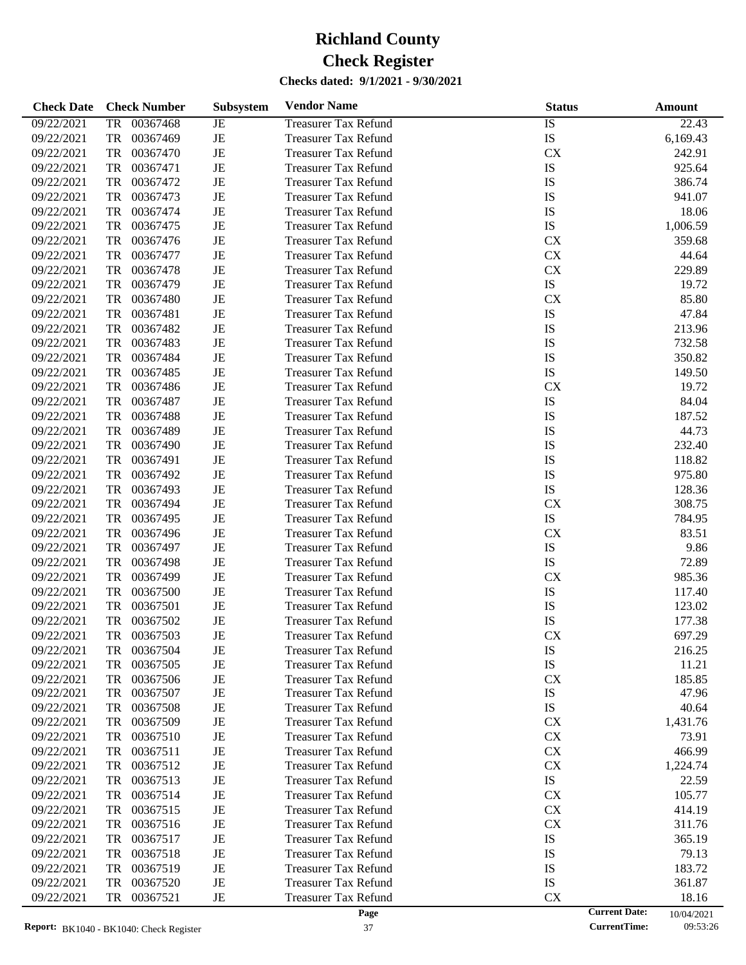| <b>Check Date</b> | <b>Check Number</b>   | <b>Subsystem</b> | <b>Vendor Name</b>          | <b>Status</b>        | Amount     |
|-------------------|-----------------------|------------------|-----------------------------|----------------------|------------|
| 09/22/2021        | 00367468<br>TR        | JE               | <b>Treasurer Tax Refund</b> | <b>IS</b>            | 22.43      |
| 09/22/2021        | <b>TR</b><br>00367469 | $\rm{JE}$        | <b>Treasurer Tax Refund</b> | IS                   | 6,169.43   |
| 09/22/2021        | <b>TR</b><br>00367470 | $_{\rm JE}$      | <b>Treasurer Tax Refund</b> | CX                   | 242.91     |
| 09/22/2021        | TR<br>00367471        | $\rm{JE}$        | <b>Treasurer Tax Refund</b> | IS                   | 925.64     |
| 09/22/2021        | TR<br>00367472        | $\rm{JE}$        | <b>Treasurer Tax Refund</b> | IS                   | 386.74     |
| 09/22/2021        | TR<br>00367473        | $\rm{JE}$        | <b>Treasurer Tax Refund</b> | IS                   | 941.07     |
| 09/22/2021        | TR<br>00367474        | $_{\rm JE}$      | <b>Treasurer Tax Refund</b> | IS                   | 18.06      |
| 09/22/2021        | <b>TR</b><br>00367475 | $\rm{JE}$        | <b>Treasurer Tax Refund</b> | IS                   | 1,006.59   |
| 09/22/2021        | TR<br>00367476        | $\rm{JE}$        | <b>Treasurer Tax Refund</b> | CX                   | 359.68     |
| 09/22/2021        | TR<br>00367477        | $_{\rm JE}$      | <b>Treasurer Tax Refund</b> | ${\rm CX}$           | 44.64      |
| 09/22/2021        | <b>TR</b><br>00367478 | $\rm{JE}$        | <b>Treasurer Tax Refund</b> | ${\rm CX}$           | 229.89     |
| 09/22/2021        | <b>TR</b><br>00367479 | $\rm{JE}$        | <b>Treasurer Tax Refund</b> | ${\rm IS}$           | 19.72      |
| 09/22/2021        | <b>TR</b><br>00367480 | $\rm{JE}$        | <b>Treasurer Tax Refund</b> | CX                   | 85.80      |
| 09/22/2021        | <b>TR</b><br>00367481 | $\rm{JE}$        | <b>Treasurer Tax Refund</b> | IS                   | 47.84      |
| 09/22/2021        | <b>TR</b><br>00367482 | $\rm{JE}$        | <b>Treasurer Tax Refund</b> | IS                   | 213.96     |
| 09/22/2021        | <b>TR</b><br>00367483 | $\rm{JE}$        | <b>Treasurer Tax Refund</b> | IS                   | 732.58     |
| 09/22/2021        | <b>TR</b><br>00367484 | $\rm{JE}$        | <b>Treasurer Tax Refund</b> | IS                   | 350.82     |
| 09/22/2021        | <b>TR</b><br>00367485 | $\rm{JE}$        | <b>Treasurer Tax Refund</b> | IS                   | 149.50     |
| 09/22/2021        | <b>TR</b><br>00367486 | $\rm{JE}$        | <b>Treasurer Tax Refund</b> | CX                   | 19.72      |
| 09/22/2021        | <b>TR</b><br>00367487 | $\rm{JE}$        | <b>Treasurer Tax Refund</b> | IS                   | 84.04      |
| 09/22/2021        | <b>TR</b><br>00367488 | $\rm{JE}$        | <b>Treasurer Tax Refund</b> | IS                   | 187.52     |
| 09/22/2021        | <b>TR</b><br>00367489 | $\rm{JE}$        | <b>Treasurer Tax Refund</b> | IS                   | 44.73      |
| 09/22/2021        | <b>TR</b><br>00367490 | $\rm{JE}$        | <b>Treasurer Tax Refund</b> | IS                   | 232.40     |
| 09/22/2021        | <b>TR</b><br>00367491 | $\rm{JE}$        | <b>Treasurer Tax Refund</b> | IS                   | 118.82     |
| 09/22/2021        | TR<br>00367492        | $\rm{JE}$        | <b>Treasurer Tax Refund</b> | IS                   | 975.80     |
| 09/22/2021        | <b>TR</b><br>00367493 | $\rm{JE}$        | <b>Treasurer Tax Refund</b> | IS                   | 128.36     |
| 09/22/2021        | <b>TR</b><br>00367494 | $\rm{JE}$        | <b>Treasurer Tax Refund</b> | CX                   | 308.75     |
| 09/22/2021        | <b>TR</b><br>00367495 | $\rm{JE}$        | <b>Treasurer Tax Refund</b> | ${\rm IS}$           | 784.95     |
| 09/22/2021        | <b>TR</b><br>00367496 | $\rm{JE}$        | <b>Treasurer Tax Refund</b> | CX                   | 83.51      |
| 09/22/2021        | <b>TR</b><br>00367497 | $\rm{JE}$        | <b>Treasurer Tax Refund</b> | IS                   | 9.86       |
| 09/22/2021        | <b>TR</b><br>00367498 | $\rm{JE}$        | <b>Treasurer Tax Refund</b> | IS                   | 72.89      |
| 09/22/2021        | <b>TR</b><br>00367499 | $\rm{JE}$        | <b>Treasurer Tax Refund</b> | CX                   | 985.36     |
| 09/22/2021        | <b>TR</b><br>00367500 | $\rm{JE}$        | <b>Treasurer Tax Refund</b> | IS                   | 117.40     |
| 09/22/2021        | <b>TR</b><br>00367501 | $\rm{JE}$        | <b>Treasurer Tax Refund</b> | IS                   | 123.02     |
| 09/22/2021        | <b>TR</b><br>00367502 | $\rm{JE}$        | <b>Treasurer Tax Refund</b> | IS                   | 177.38     |
| 09/22/2021        | <b>TR</b><br>00367503 | $\rm{JE}$        | <b>Treasurer Tax Refund</b> | CX                   | 697.29     |
| 09/22/2021        | 00367504<br>TR        | JE               | <b>Treasurer Tax Refund</b> | IS                   | 216.25     |
| 09/22/2021        | 00367505<br>TR        | JE               | <b>Treasurer Tax Refund</b> | IS                   | 11.21      |
| 09/22/2021        | 00367506<br>TR        | $\rm{JE}$        | <b>Treasurer Tax Refund</b> | CX                   | 185.85     |
| 09/22/2021        | 00367507<br>TR        | JE               | <b>Treasurer Tax Refund</b> | IS                   | 47.96      |
| 09/22/2021        | 00367508<br>TR        | JE               | <b>Treasurer Tax Refund</b> | IS                   | 40.64      |
| 09/22/2021        | 00367509<br>TR        | JE               | <b>Treasurer Tax Refund</b> | CX                   | 1,431.76   |
| 09/22/2021        | 00367510<br>TR        | JE               | <b>Treasurer Tax Refund</b> | CX                   | 73.91      |
| 09/22/2021        | 00367511<br>TR        | JE               | <b>Treasurer Tax Refund</b> | CX                   | 466.99     |
| 09/22/2021        | 00367512<br>TR        | JE               | <b>Treasurer Tax Refund</b> | CX                   | 1,224.74   |
| 09/22/2021        | 00367513<br>TR        | JE               | <b>Treasurer Tax Refund</b> | IS                   | 22.59      |
| 09/22/2021        | 00367514<br>TR        | JE               | <b>Treasurer Tax Refund</b> | CX                   | 105.77     |
| 09/22/2021        | 00367515<br>TR        | JE               | <b>Treasurer Tax Refund</b> | CX                   | 414.19     |
| 09/22/2021        | 00367516<br>TR        | JE               | <b>Treasurer Tax Refund</b> | CX                   | 311.76     |
| 09/22/2021        | 00367517<br>TR        | JE               | <b>Treasurer Tax Refund</b> | IS                   | 365.19     |
| 09/22/2021        | 00367518<br>TR        | JE               | <b>Treasurer Tax Refund</b> | IS                   | 79.13      |
| 09/22/2021        | 00367519<br>TR        | JE               | <b>Treasurer Tax Refund</b> | IS                   | 183.72     |
| 09/22/2021        | 00367520<br>TR        | JE               | <b>Treasurer Tax Refund</b> | IS                   | 361.87     |
| 09/22/2021        | 00367521<br>TR        | JE               | <b>Treasurer Tax Refund</b> | CX                   | 18.16      |
|                   |                       |                  | Page                        | <b>Current Date:</b> | 10/04/2021 |

10/04/2021<br>09:53:26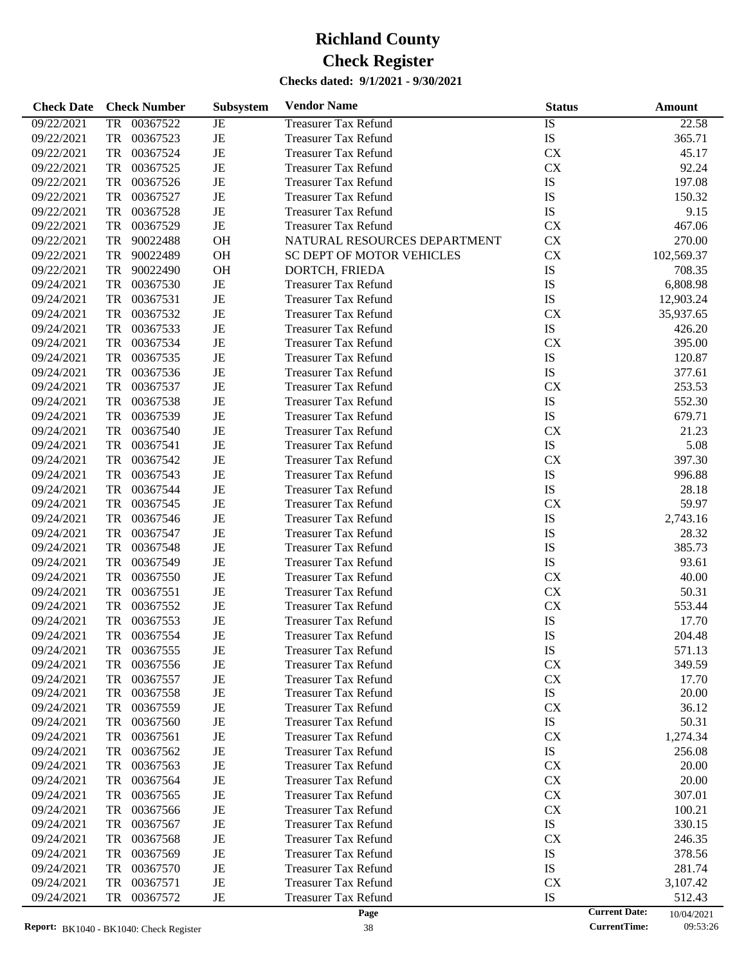| <b>Check Date</b> | <b>Check Number</b>                             | Subsystem | <b>Vendor Name</b>               | <b>Status</b> | <b>Amount</b>                      |
|-------------------|-------------------------------------------------|-----------|----------------------------------|---------------|------------------------------------|
| 09/22/2021        | 00367522<br>TR                                  | JE        | <b>Treasurer Tax Refund</b>      | IS            | 22.58                              |
| 09/22/2021        | TR<br>00367523                                  | JE        | <b>Treasurer Tax Refund</b>      | IS            | 365.71                             |
| 09/22/2021        | TR<br>00367524                                  | JE        | <b>Treasurer Tax Refund</b>      | <b>CX</b>     | 45.17                              |
| 09/22/2021        | <b>TR</b><br>00367525                           | JE        | <b>Treasurer Tax Refund</b>      | <b>CX</b>     | 92.24                              |
| 09/22/2021        | 00367526<br><b>TR</b>                           | JE        | <b>Treasurer Tax Refund</b>      | IS            | 197.08                             |
| 09/22/2021        | 00367527<br><b>TR</b>                           | JE        | <b>Treasurer Tax Refund</b>      | IS            | 150.32                             |
| 09/22/2021        | TR<br>00367528                                  | JE        | <b>Treasurer Tax Refund</b>      | IS            | 9.15                               |
| 09/22/2021        | 00367529<br><b>TR</b>                           | JE        | <b>Treasurer Tax Refund</b>      | <b>CX</b>     | 467.06                             |
| 09/22/2021        | 90022488<br>TR                                  | <b>OH</b> | NATURAL RESOURCES DEPARTMENT     | <b>CX</b>     | 270.00                             |
| 09/22/2021        | 90022489<br>TR                                  | <b>OH</b> | <b>SC DEPT OF MOTOR VEHICLES</b> | <b>CX</b>     | 102,569.37                         |
| 09/22/2021        | 90022490<br>TR                                  | OH        | DORTCH, FRIEDA                   | IS            | 708.35                             |
| 09/24/2021        | 00367530<br><b>TR</b>                           | JE        | <b>Treasurer Tax Refund</b>      | IS            | 6,808.98                           |
| 09/24/2021        | 00367531<br>TR                                  | JE        | <b>Treasurer Tax Refund</b>      | IS            | 12,903.24                          |
| 09/24/2021        | 00367532<br>TR                                  | JE        | <b>Treasurer Tax Refund</b>      | <b>CX</b>     | 35,937.65                          |
| 09/24/2021        | 00367533<br><b>TR</b>                           | JE        | <b>Treasurer Tax Refund</b>      | IS            | 426.20                             |
| 09/24/2021        | 00367534<br><b>TR</b>                           | JE        | <b>Treasurer Tax Refund</b>      | <b>CX</b>     | 395.00                             |
| 09/24/2021        | 00367535<br>TR                                  | JE        | <b>Treasurer Tax Refund</b>      | IS            | 120.87                             |
| 09/24/2021        | 00367536<br>TR                                  | JE        | <b>Treasurer Tax Refund</b>      | IS            | 377.61                             |
| 09/24/2021        | 00367537<br><b>TR</b>                           | JE        | <b>Treasurer Tax Refund</b>      | <b>CX</b>     | 253.53                             |
| 09/24/2021        | 00367538<br>TR                                  | JE        | <b>Treasurer Tax Refund</b>      | IS            | 552.30                             |
| 09/24/2021        | 00367539<br>TR                                  | JE        | <b>Treasurer Tax Refund</b>      | IS            | 679.71                             |
| 09/24/2021        | <b>TR</b><br>00367540                           | JE        | <b>Treasurer Tax Refund</b>      | <b>CX</b>     | 21.23                              |
| 09/24/2021        | 00367541<br><b>TR</b>                           | JE        | <b>Treasurer Tax Refund</b>      | IS            | 5.08                               |
| 09/24/2021        | 00367542<br>TR                                  | JE        | <b>Treasurer Tax Refund</b>      | <b>CX</b>     | 397.30                             |
| 09/24/2021        | TR<br>00367543                                  | JE        | <b>Treasurer Tax Refund</b>      | IS            | 996.88                             |
| 09/24/2021        | 00367544<br><b>TR</b>                           | JE        | <b>Treasurer Tax Refund</b>      | IS            | 28.18                              |
| 09/24/2021        | 00367545<br><b>TR</b>                           | JE        | <b>Treasurer Tax Refund</b>      | <b>CX</b>     | 59.97                              |
| 09/24/2021        | TR<br>00367546                                  | JE        | <b>Treasurer Tax Refund</b>      | IS            | 2,743.16                           |
| 09/24/2021        | TR<br>00367547                                  | JE        | <b>Treasurer Tax Refund</b>      | IS            | 28.32                              |
| 09/24/2021        | <b>TR</b><br>00367548                           | JE        | <b>Treasurer Tax Refund</b>      | IS            | 385.73                             |
| 09/24/2021        | 00367549<br>TR                                  | JE        | <b>Treasurer Tax Refund</b>      | IS            | 93.61                              |
| 09/24/2021        | TR<br>00367550                                  | JE        | <b>Treasurer Tax Refund</b>      | <b>CX</b>     | 40.00                              |
| 09/24/2021        | 00367551<br>TR                                  | JE        | <b>Treasurer Tax Refund</b>      | <b>CX</b>     | 50.31                              |
| 09/24/2021        | 00367552<br>TR                                  | JE        | <b>Treasurer Tax Refund</b>      | <b>CX</b>     | 553.44                             |
| 09/24/2021        | TR<br>00367553                                  | JE        | <b>Treasurer Tax Refund</b>      | IS            | 17.70                              |
| 09/24/2021        | TR<br>00367554                                  | JE        | <b>Treasurer Tax Refund</b>      | IS            | 204.48                             |
| 09/24/2021        | TR<br>00367555                                  | JE        | Treasurer Tax Refund             | IS            | 571.13                             |
| 09/24/2021        | 00367556<br>TR                                  | JE        | <b>Treasurer Tax Refund</b>      | <b>CX</b>     | 349.59                             |
| 09/24/2021        | 00367557<br>TR                                  | JE        | <b>Treasurer Tax Refund</b>      | <b>CX</b>     | 17.70                              |
| 09/24/2021        | TR<br>00367558                                  | JE        | <b>Treasurer Tax Refund</b>      | IS            | 20.00                              |
| 09/24/2021        | TR<br>00367559                                  | JE        | <b>Treasurer Tax Refund</b>      | <b>CX</b>     | 36.12                              |
| 09/24/2021        | 00367560<br>TR                                  | JE        | <b>Treasurer Tax Refund</b>      | IS            | 50.31                              |
| 09/24/2021        | 00367561<br>TR                                  | JE        | <b>Treasurer Tax Refund</b>      | <b>CX</b>     | 1,274.34                           |
| 09/24/2021        | 00367562<br>TR                                  | JE        | <b>Treasurer Tax Refund</b>      | IS            | 256.08                             |
| 09/24/2021        | TR<br>00367563                                  | JE        | <b>Treasurer Tax Refund</b>      | <b>CX</b>     | 20.00                              |
| 09/24/2021        | TR<br>00367564                                  | JE        | <b>Treasurer Tax Refund</b>      | <b>CX</b>     | 20.00                              |
| 09/24/2021        | 00367565<br>TR                                  | JE        | <b>Treasurer Tax Refund</b>      | <b>CX</b>     | 307.01                             |
| 09/24/2021        | TR<br>00367566                                  | JE        | <b>Treasurer Tax Refund</b>      | <b>CX</b>     | 100.21                             |
| 09/24/2021        | TR<br>00367567                                  | JE        | <b>Treasurer Tax Refund</b>      | IS            | 330.15                             |
| 09/24/2021        | 00367568<br>TR                                  | JE        | <b>Treasurer Tax Refund</b>      | <b>CX</b>     | 246.35                             |
| 09/24/2021        | 00367569<br>TR                                  | JE        | <b>Treasurer Tax Refund</b>      | IS            | 378.56                             |
| 09/24/2021        | TR<br>00367570                                  | JE        | <b>Treasurer Tax Refund</b>      | IS            | 281.74                             |
| 09/24/2021        | 00367571<br>TR                                  | JE        | <b>Treasurer Tax Refund</b>      | <b>CX</b>     | 3,107.42                           |
| 09/24/2021        | <b>TR</b><br>00367572                           | JE        | <b>Treasurer Tax Refund</b>      | IS            | 512.43                             |
|                   |                                                 |           | Page                             |               | <b>Current Date:</b><br>10/04/2021 |
|                   | <b>Report:</b> $RK1040 - RK1040$ Check Register |           | 38                               |               | <b>CurrentTime:</b><br>09:53:26    |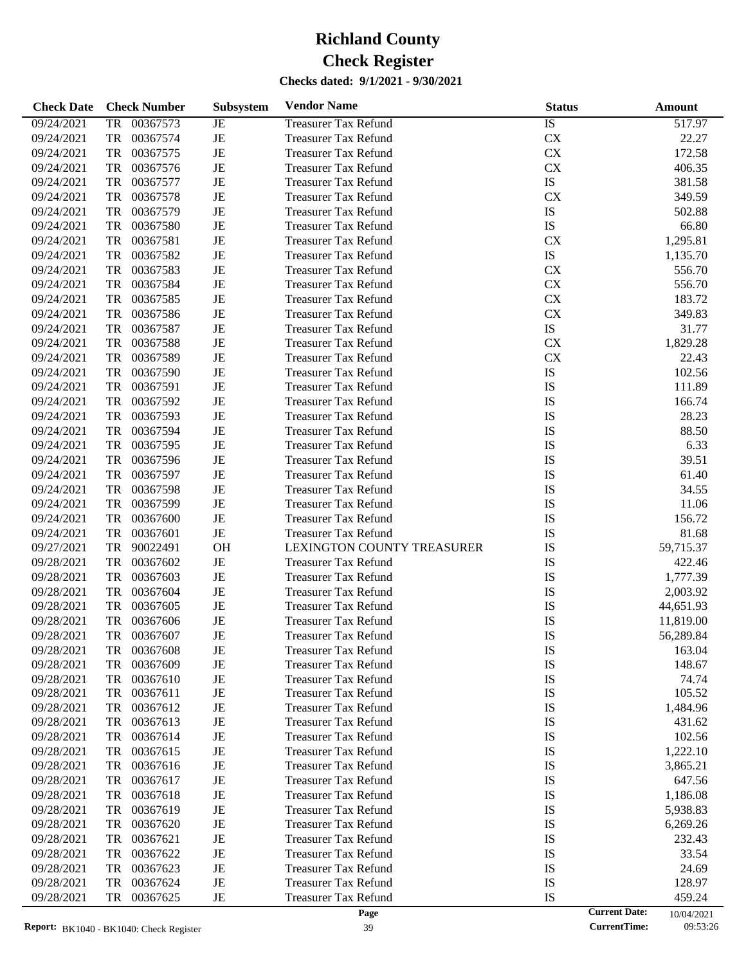| <b>Check Date</b> | <b>Check Number</b>   | <b>Subsystem</b> | <b>Vendor Name</b>          | <b>Status</b> | Amount                             |
|-------------------|-----------------------|------------------|-----------------------------|---------------|------------------------------------|
| 09/24/2021        | 00367573<br>TR        | JE               | <b>Treasurer Tax Refund</b> | <b>IS</b>     | 517.97                             |
| 09/24/2021        | <b>TR</b><br>00367574 | $\rm{JE}$        | <b>Treasurer Tax Refund</b> | ${\rm CX}$    | 22.27                              |
| 09/24/2021        | <b>TR</b><br>00367575 | $_{\rm JE}$      | <b>Treasurer Tax Refund</b> | ${\rm CX}$    | 172.58                             |
| 09/24/2021        | <b>TR</b><br>00367576 | $\rm{JE}$        | <b>Treasurer Tax Refund</b> | ${\rm CX}$    | 406.35                             |
| 09/24/2021        | <b>TR</b><br>00367577 | $\rm{JE}$        | <b>Treasurer Tax Refund</b> | ${\rm IS}$    | 381.58                             |
| 09/24/2021        | <b>TR</b><br>00367578 | $\rm{JE}$        | <b>Treasurer Tax Refund</b> | CX            | 349.59                             |
| 09/24/2021        | <b>TR</b><br>00367579 | $\rm{JE}$        | <b>Treasurer Tax Refund</b> | ${\rm IS}$    | 502.88                             |
| 09/24/2021        | <b>TR</b><br>00367580 | $\rm{JE}$        | <b>Treasurer Tax Refund</b> | IS            | 66.80                              |
| 09/24/2021        | <b>TR</b><br>00367581 | $\rm{JE}$        | <b>Treasurer Tax Refund</b> | CX            | 1,295.81                           |
| 09/24/2021        | <b>TR</b><br>00367582 | $\rm{JE}$        | <b>Treasurer Tax Refund</b> | ${\rm IS}$    | 1,135.70                           |
| 09/24/2021        | <b>TR</b><br>00367583 | $\rm{JE}$        | <b>Treasurer Tax Refund</b> | CX            | 556.70                             |
| 09/24/2021        | <b>TR</b><br>00367584 | $\rm{JE}$        | <b>Treasurer Tax Refund</b> | ${\rm CX}$    | 556.70                             |
| 09/24/2021        | <b>TR</b><br>00367585 | $\rm{JE}$        | <b>Treasurer Tax Refund</b> | ${\rm CX}$    | 183.72                             |
| 09/24/2021        | <b>TR</b><br>00367586 | $\rm{JE}$        | <b>Treasurer Tax Refund</b> | ${\rm CX}$    | 349.83                             |
| 09/24/2021        | <b>TR</b><br>00367587 | $\rm{JE}$        | <b>Treasurer Tax Refund</b> | ${\rm IS}$    | 31.77                              |
| 09/24/2021        | <b>TR</b><br>00367588 | $\rm{JE}$        | <b>Treasurer Tax Refund</b> | ${\rm CX}$    | 1,829.28                           |
| 09/24/2021        | <b>TR</b><br>00367589 | $\rm{JE}$        | <b>Treasurer Tax Refund</b> | ${\rm CX}$    | 22.43                              |
| 09/24/2021        | <b>TR</b><br>00367590 | $\rm{JE}$        | <b>Treasurer Tax Refund</b> | IS            | 102.56                             |
| 09/24/2021        | <b>TR</b><br>00367591 | $\rm{JE}$        | <b>Treasurer Tax Refund</b> | IS            | 111.89                             |
| 09/24/2021        | <b>TR</b><br>00367592 | $\rm{JE}$        | <b>Treasurer Tax Refund</b> | IS            | 166.74                             |
| 09/24/2021        | <b>TR</b><br>00367593 | $\rm{JE}$        | <b>Treasurer Tax Refund</b> | IS            | 28.23                              |
| 09/24/2021        | <b>TR</b><br>00367594 | $\rm{JE}$        | <b>Treasurer Tax Refund</b> | IS            | 88.50                              |
| 09/24/2021        | <b>TR</b><br>00367595 | $\rm{JE}$        | <b>Treasurer Tax Refund</b> | IS            | 6.33                               |
| 09/24/2021        | <b>TR</b><br>00367596 | $\rm{JE}$        | <b>Treasurer Tax Refund</b> | IS            | 39.51                              |
| 09/24/2021        | <b>TR</b><br>00367597 | $\rm{JE}$        | <b>Treasurer Tax Refund</b> | IS            | 61.40                              |
| 09/24/2021        | <b>TR</b><br>00367598 | $\rm{JE}$        | <b>Treasurer Tax Refund</b> | IS            | 34.55                              |
| 09/24/2021        | <b>TR</b><br>00367599 | $\rm{JE}$        | <b>Treasurer Tax Refund</b> | IS            | 11.06                              |
| 09/24/2021        | <b>TR</b><br>00367600 | $\rm{JE}$        | <b>Treasurer Tax Refund</b> | IS            | 156.72                             |
| 09/24/2021        | <b>TR</b><br>00367601 | $\rm{JE}$        | <b>Treasurer Tax Refund</b> | IS            | 81.68                              |
| 09/27/2021        | <b>TR</b><br>90022491 | OH               | LEXINGTON COUNTY TREASURER  | IS            | 59,715.37                          |
| 09/28/2021        | <b>TR</b><br>00367602 | $\rm{JE}$        | <b>Treasurer Tax Refund</b> | IS            | 422.46                             |
| 09/28/2021        | <b>TR</b><br>00367603 | $\rm{JE}$        | <b>Treasurer Tax Refund</b> | IS            | 1,777.39                           |
| 09/28/2021        | <b>TR</b><br>00367604 | $\rm{JE}$        | <b>Treasurer Tax Refund</b> | IS            | 2,003.92                           |
| 09/28/2021        | <b>TR</b><br>00367605 | $\rm{JE}$        | <b>Treasurer Tax Refund</b> | IS            | 44,651.93                          |
| 09/28/2021        | <b>TR</b><br>00367606 | $\rm{JE}$        | <b>Treasurer Tax Refund</b> | IS            | 11,819.00                          |
| 09/28/2021        | <b>TR</b><br>00367607 | $\rm{JE}$        | <b>Treasurer Tax Refund</b> | IS            | 56,289.84                          |
| 09/28/2021        | 00367608<br>TR        | JE               | <b>Treasurer Tax Refund</b> | IS            | 163.04                             |
| 09/28/2021        | 00367609<br>TR        | JE               | <b>Treasurer Tax Refund</b> | IS            | 148.67                             |
| 09/28/2021        | 00367610<br>TR        | $\rm{JE}$        | <b>Treasurer Tax Refund</b> | IS            | 74.74                              |
| 09/28/2021        | 00367611<br>TR        | JE               | <b>Treasurer Tax Refund</b> | IS            | 105.52                             |
| 09/28/2021        | 00367612<br>TR        | JE               | <b>Treasurer Tax Refund</b> | IS            | 1,484.96                           |
| 09/28/2021        | 00367613<br>TR        | JE               | <b>Treasurer Tax Refund</b> | IS            | 431.62                             |
| 09/28/2021        | 00367614<br>TR        | JE               | <b>Treasurer Tax Refund</b> | IS            | 102.56                             |
| 09/28/2021        | 00367615<br>TR        | JE               | <b>Treasurer Tax Refund</b> | IS            | 1,222.10                           |
| 09/28/2021        | 00367616<br>TR        | JE               | <b>Treasurer Tax Refund</b> | IS            | 3,865.21                           |
| 09/28/2021        | 00367617<br>TR        | JE               | <b>Treasurer Tax Refund</b> | IS            | 647.56                             |
| 09/28/2021        | 00367618<br>TR        | JE               | <b>Treasurer Tax Refund</b> | IS            | 1,186.08                           |
| 09/28/2021        | 00367619<br>TR        | JE               | <b>Treasurer Tax Refund</b> | IS            | 5,938.83                           |
| 09/28/2021        | 00367620<br>TR        | JE               | <b>Treasurer Tax Refund</b> | IS            | 6,269.26                           |
| 09/28/2021        | 00367621<br>TR        | JE               | <b>Treasurer Tax Refund</b> | IS            | 232.43                             |
| 09/28/2021        | 00367622<br>TR        | JE               | <b>Treasurer Tax Refund</b> | IS            | 33.54                              |
| 09/28/2021        | 00367623<br>TR        | JE               | <b>Treasurer Tax Refund</b> | IS            | 24.69                              |
| 09/28/2021        | 00367624<br>TR        | JE               | <b>Treasurer Tax Refund</b> | IS            | 128.97                             |
| 09/28/2021        | 00367625<br>TR        | JE               | <b>Treasurer Tax Refund</b> | IS            | 459.24                             |
|                   |                       |                  | Page                        |               | <b>Current Date:</b><br>10/04/2021 |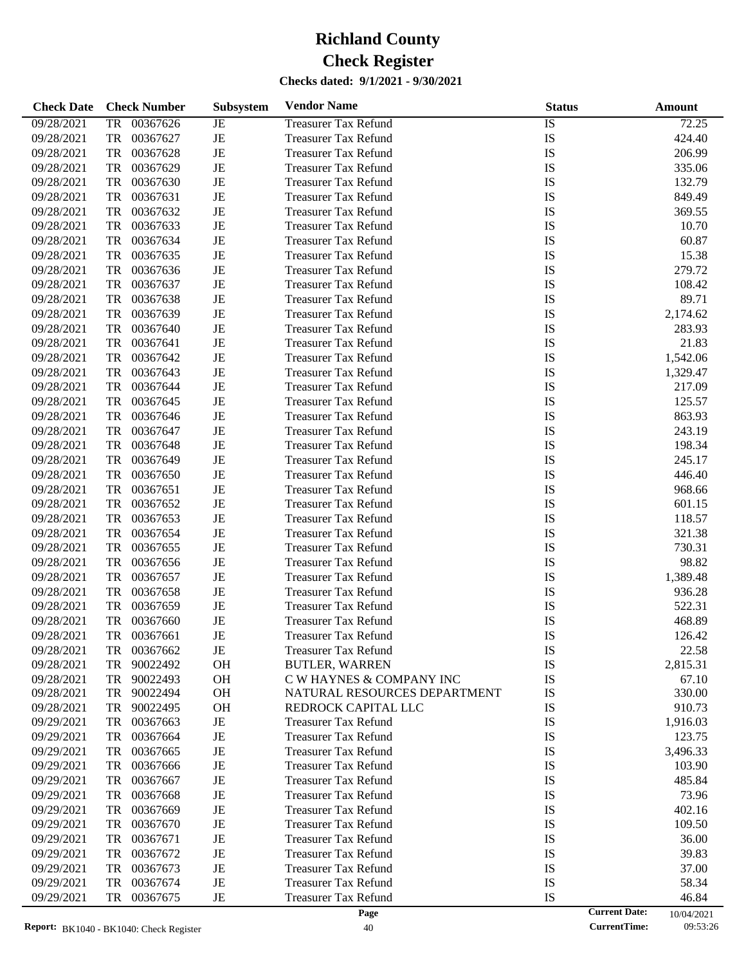| <b>Check Date</b> | <b>Check Number</b>   | <b>Subsystem</b> | <b>Vendor Name</b>           | <b>Status</b> |                      | Amount     |
|-------------------|-----------------------|------------------|------------------------------|---------------|----------------------|------------|
| 09/28/2021        | 00367626<br><b>TR</b> | JE               | <b>Treasurer Tax Refund</b>  | <b>IS</b>     |                      | 72.25      |
| 09/28/2021        | <b>TR</b><br>00367627 | $\rm{JE}$        | <b>Treasurer Tax Refund</b>  | IS            |                      | 424.40     |
| 09/28/2021        | <b>TR</b><br>00367628 | $\rm{JE}$        | <b>Treasurer Tax Refund</b>  | IS            |                      | 206.99     |
| 09/28/2021        | <b>TR</b><br>00367629 | $\rm{JE}$        | <b>Treasurer Tax Refund</b>  | IS            |                      | 335.06     |
| 09/28/2021        | <b>TR</b><br>00367630 | $\rm{JE}$        | <b>Treasurer Tax Refund</b>  | IS            |                      | 132.79     |
| 09/28/2021        | <b>TR</b><br>00367631 | $\rm{JE}$        | <b>Treasurer Tax Refund</b>  | IS            |                      | 849.49     |
| 09/28/2021        | <b>TR</b><br>00367632 | $\rm{JE}$        | <b>Treasurer Tax Refund</b>  | IS            |                      | 369.55     |
| 09/28/2021        | <b>TR</b><br>00367633 | $\rm{JE}$        | <b>Treasurer Tax Refund</b>  | IS            |                      | 10.70      |
| 09/28/2021        | <b>TR</b><br>00367634 | $\rm{JE}$        | <b>Treasurer Tax Refund</b>  | IS            |                      | 60.87      |
| 09/28/2021        | <b>TR</b><br>00367635 | $\rm{JE}$        | <b>Treasurer Tax Refund</b>  | IS            |                      | 15.38      |
| 09/28/2021        | <b>TR</b><br>00367636 | $\rm{JE}$        | <b>Treasurer Tax Refund</b>  | IS            |                      | 279.72     |
| 09/28/2021        | <b>TR</b><br>00367637 | $\rm{JE}$        | <b>Treasurer Tax Refund</b>  | IS            |                      | 108.42     |
| 09/28/2021        | <b>TR</b><br>00367638 | $\rm{JE}$        | <b>Treasurer Tax Refund</b>  | IS            |                      | 89.71      |
| 09/28/2021        | <b>TR</b><br>00367639 | $\rm{JE}$        | <b>Treasurer Tax Refund</b>  | IS            |                      | 2,174.62   |
| 09/28/2021        | <b>TR</b><br>00367640 | $\rm{JE}$        | <b>Treasurer Tax Refund</b>  | IS            |                      | 283.93     |
| 09/28/2021        | <b>TR</b><br>00367641 | $\rm{JE}$        | <b>Treasurer Tax Refund</b>  | IS            |                      | 21.83      |
| 09/28/2021        | <b>TR</b><br>00367642 | $\rm{JE}$        | <b>Treasurer Tax Refund</b>  | IS            |                      | 1,542.06   |
| 09/28/2021        | <b>TR</b><br>00367643 | $\rm{JE}$        | <b>Treasurer Tax Refund</b>  | IS            |                      | 1,329.47   |
| 09/28/2021        | <b>TR</b><br>00367644 | $\rm{JE}$        | <b>Treasurer Tax Refund</b>  | IS            |                      | 217.09     |
| 09/28/2021        | <b>TR</b><br>00367645 | $\rm{JE}$        | <b>Treasurer Tax Refund</b>  | IS            |                      | 125.57     |
| 09/28/2021        | <b>TR</b><br>00367646 | $\rm{JE}$        | <b>Treasurer Tax Refund</b>  | IS            |                      | 863.93     |
| 09/28/2021        | <b>TR</b><br>00367647 | $\rm{JE}$        | <b>Treasurer Tax Refund</b>  | IS            |                      | 243.19     |
| 09/28/2021        | <b>TR</b><br>00367648 | $\rm{JE}$        | <b>Treasurer Tax Refund</b>  | IS            |                      | 198.34     |
| 09/28/2021        | <b>TR</b><br>00367649 | $\rm{JE}$        | <b>Treasurer Tax Refund</b>  | IS            |                      | 245.17     |
| 09/28/2021        | <b>TR</b><br>00367650 | $\rm{JE}$        | <b>Treasurer Tax Refund</b>  | IS            |                      | 446.40     |
| 09/28/2021        | <b>TR</b><br>00367651 | $\rm{JE}$        | <b>Treasurer Tax Refund</b>  | IS            |                      | 968.66     |
| 09/28/2021        | <b>TR</b><br>00367652 | $\rm{JE}$        | <b>Treasurer Tax Refund</b>  | IS            |                      | 601.15     |
| 09/28/2021        | <b>TR</b><br>00367653 | $\rm{JE}$        | <b>Treasurer Tax Refund</b>  | IS            |                      | 118.57     |
| 09/28/2021        | <b>TR</b><br>00367654 | $\rm{JE}$        | <b>Treasurer Tax Refund</b>  | IS            |                      | 321.38     |
| 09/28/2021        | <b>TR</b><br>00367655 | $\rm{JE}$        | <b>Treasurer Tax Refund</b>  | IS            |                      | 730.31     |
| 09/28/2021        | <b>TR</b><br>00367656 | $\rm{JE}$        | <b>Treasurer Tax Refund</b>  | IS            |                      | 98.82      |
| 09/28/2021        | <b>TR</b><br>00367657 | $\rm{JE}$        | <b>Treasurer Tax Refund</b>  | IS            |                      | 1,389.48   |
| 09/28/2021        | <b>TR</b><br>00367658 | $\rm{JE}$        | <b>Treasurer Tax Refund</b>  | IS            |                      | 936.28     |
| 09/28/2021        | <b>TR</b><br>00367659 | $\rm{JE}$        | <b>Treasurer Tax Refund</b>  | IS            |                      | 522.31     |
| 09/28/2021        | TR<br>00367660        | $\rm{JE}$        | <b>Treasurer Tax Refund</b>  | IS            |                      | 468.89     |
| 09/28/2021        | <b>TR</b><br>00367661 | JE               | <b>Treasurer Tax Refund</b>  | IS            |                      | 126.42     |
| 09/28/2021        | 00367662<br>TR        | JE               | <b>Treasurer Tax Refund</b>  | IS            |                      | 22.58      |
| 09/28/2021        | 90022492<br>TR        | <b>OH</b>        | <b>BUTLER, WARREN</b>        | IS            |                      | 2,815.31   |
| 09/28/2021        | 90022493<br>TR        | <b>OH</b>        | C W HAYNES & COMPANY INC     | IS            |                      | 67.10      |
| 09/28/2021        | 90022494<br>TR        | <b>OH</b>        | NATURAL RESOURCES DEPARTMENT | IS            |                      | 330.00     |
| 09/28/2021        | TR<br>90022495        | <b>OH</b>        | REDROCK CAPITAL LLC          | IS            |                      | 910.73     |
| 09/29/2021        | TR<br>00367663        | JE               | <b>Treasurer Tax Refund</b>  | IS            |                      | 1,916.03   |
| 09/29/2021        | TR<br>00367664        | JE               | <b>Treasurer Tax Refund</b>  | IS            |                      | 123.75     |
| 09/29/2021        | TR<br>00367665        | JE               | <b>Treasurer Tax Refund</b>  | IS            |                      | 3,496.33   |
| 09/29/2021        | TR<br>00367666        | JE               | <b>Treasurer Tax Refund</b>  | IS            |                      | 103.90     |
| 09/29/2021        | TR<br>00367667        | JE               | <b>Treasurer Tax Refund</b>  | IS            |                      | 485.84     |
| 09/29/2021        | TR<br>00367668        | JE               | <b>Treasurer Tax Refund</b>  | IS            |                      | 73.96      |
| 09/29/2021        | TR<br>00367669        | JE               | <b>Treasurer Tax Refund</b>  | IS            |                      | 402.16     |
| 09/29/2021        | TR<br>00367670        | JE               | <b>Treasurer Tax Refund</b>  | IS            |                      | 109.50     |
| 09/29/2021        | TR<br>00367671        | JE               | <b>Treasurer Tax Refund</b>  | IS            |                      | 36.00      |
| 09/29/2021        | TR<br>00367672        | JE               | <b>Treasurer Tax Refund</b>  | IS            |                      | 39.83      |
| 09/29/2021        | TR<br>00367673        | JE               | <b>Treasurer Tax Refund</b>  | IS            |                      | 37.00      |
| 09/29/2021        | TR<br>00367674        | JE               | <b>Treasurer Tax Refund</b>  | IS            |                      | 58.34      |
| 09/29/2021        | TR<br>00367675        | JE               | <b>Treasurer Tax Refund</b>  | IS            |                      | 46.84      |
|                   |                       |                  | Page                         |               | <b>Current Date:</b> | 10/04/2021 |

10/04/2021